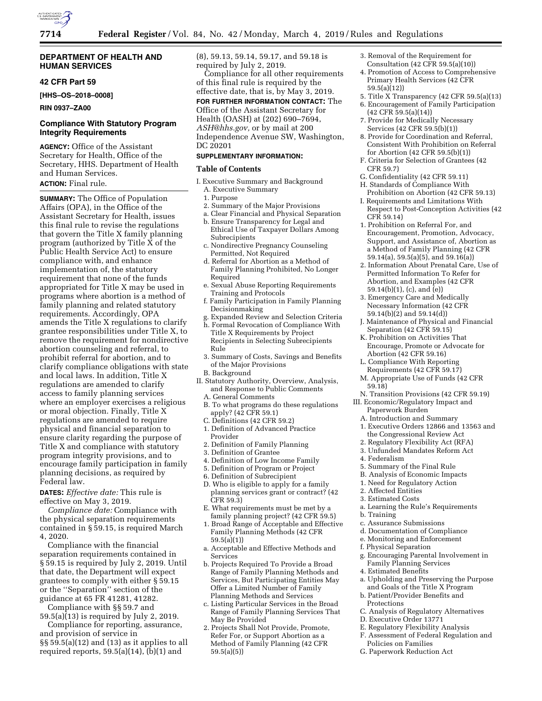

## **DEPARTMENT OF HEALTH AND HUMAN SERVICES**

# **42 CFR Part 59**

**[HHS–OS–2018–0008]** 

# **RIN 0937–ZA00**

# **Compliance With Statutory Program Integrity Requirements**

**AGENCY:** Office of the Assistant Secretary for Health, Office of the Secretary, HHS. Department of Health and Human Services.

# **ACTION:** Final rule.

**SUMMARY:** The Office of Population Affairs (OPA), in the Office of the Assistant Secretary for Health, issues this final rule to revise the regulations that govern the Title X family planning program (authorized by Title X of the Public Health Service Act) to ensure compliance with, and enhance implementation of, the statutory requirement that none of the funds appropriated for Title X may be used in programs where abortion is a method of family planning and related statutory requirements. Accordingly, OPA amends the Title X regulations to clarify grantee responsibilities under Title X, to remove the requirement for nondirective abortion counseling and referral, to prohibit referral for abortion, and to clarify compliance obligations with state and local laws. In addition, Title X regulations are amended to clarify access to family planning services where an employer exercises a religious or moral objection. Finally, Title X regulations are amended to require physical and financial separation to ensure clarity regarding the purpose of Title X and compliance with statutory program integrity provisions, and to encourage family participation in family planning decisions, as required by Federal law.

**DATES:** *Effective date:* This rule is effective on May 3, 2019.

*Compliance date:* Compliance with the physical separation requirements contained in § 59.15, is required March 4, 2020.

Compliance with the financial separation requirements contained in § 59.15 is required by July 2, 2019. Until that date, the Department will expect grantees to comply with either § 59.15 or the ''Separation'' section of the guidance at 65 FR 41281, 41282.

Compliance with §§ 59.7 and 59.5(a)(13) is required by July 2, 2019.

Compliance for reporting, assurance, and provision of service in  $\S$ § 59.5(a)(12) and (13) as it applies to all required reports,  $59.5(a)(14)$ ,  $(b)(1)$  and

(8), 59.13, 59.14, 59.17, and 59.18 is required by July 2, 2019.

Compliance for all other requirements of this final rule is required by the effective date, that is, by May 3, 2019.

**FOR FURTHER INFORMATION CONTACT:** The

Office of the Assistant Secretary for Health (OASH) at (202) 690–7694, *ASH@hhs.gov,* or by mail at 200 Independence Avenue SW, Washington, DC 20201

# **SUPPLEMENTARY INFORMATION:**

## **Table of Contents**

- I. Executive Summary and Background A. Executive Summary
	- 1. Purpose
	- 2. Summary of the Major Provisions
	- a. Clear Financial and Physical Separation
	- b. Ensure Transparency for Legal and Ethical Use of Taxpayer Dollars Among
	- Subrecipients c. Nondirective Pregnancy Counseling Permitted, Not Required
	- d. Referral for Abortion as a Method of Family Planning Prohibited, No Longer Required
	- e. Sexual Abuse Reporting Requirements Training and Protocols
	- f. Family Participation in Family Planning Decisionmaking
	- g. Expanded Review and Selection Criteria h. Formal Revocation of Compliance With Title X Requirements by Project Recipients in Selecting Subrecipients Rule
	- 3. Summary of Costs, Savings and Benefits of the Major Provisions
	- B. Background
- II. Statutory Authority, Overview, Analysis, and Response to Public Comments
	- A. General Comments
	- B. To what programs do these regulations apply? (42 CFR 59.1)
	- C. Definitions (42 CFR 59.2)
	- 1. Definition of Advanced Practice Provider
	- 2. Definition of Family Planning
	- 3. Definition of Grantee
	- 4. Definition of Low Income Family
	- 5. Definition of Program or Project
	- 6. Definition of Subrecipient
	- D. Who is eligible to apply for a family planning services grant or contract? (42 CFR 59.3)
	- E. What requirements must be met by a family planning project? (42 CFR 59.5)
	- 1. Broad Range of Acceptable and Effective Family Planning Methods (42 CFR  $59.5(a)(1)$
	- a. Acceptable and Effective Methods and **Services**
	- b. Projects Required To Provide a Broad Range of Family Planning Methods and Services, But Participating Entities May Offer a Limited Number of Family Planning Methods and Services
	- c. Listing Particular Services in the Broad Range of Family Planning Services That May Be Provided
	- 2. Projects Shall Not Provide, Promote, Refer For, or Support Abortion as a Method of Family Planning (42 CFR 59.5(a)(5))
- 3. Removal of the Requirement for
- Consultation (42 CFR 59.5(a)(10)) 4. Promotion of Access to Comprehensive Primary Health Services (42 CFR
- 59.5(a)(12)) 5. Title X Transparency (42 CFR 59.5(a)(13)
- 6. Encouragement of Family Participation
- (42 CFR 59.5(a)(14)) 7. Provide for Medically Necessary
- Services (42 CFR 59.5(b)(1))
- 8. Provide for Coordination and Referral, Consistent With Prohibition on Referral for Abortion (42 CFR 59.5(b)(1))
- F. Criteria for Selection of Grantees (42 CFR 59.7)
- G. Confidentiality (42 CFR 59.11)
- H. Standards of Compliance With Prohibition on Abortion (42 CFR 59.13)
- I. Requirements and Limitations With Respect to Post-Conception Activities (42 CFR 59.14)
- 1. Prohibition on Referral For, and Encouragement, Promotion, Advocacy, Support, and Assistance of, Abortion as a Method of Family Planning (42 CFR 59.14(a), 59.5(a)(5), and 59.16(a))
- 2. Information About Prenatal Care, Use of Permitted Information To Refer for Abortion, and Examples (42 CFR 59.14(b)(1), (c), and (e))
- 3. Emergency Care and Medically Necessary Information (42 CFR 59.14(b)(2) and 59.14(d))
- J. Maintenance of Physical and Financial Separation (42 CFR 59.15)
- K. Prohibition on Activities That Encourage, Promote or Advocate for Abortion (42 CFR 59.16)
- L. Compliance With Reporting Requirements (42 CFR 59.17)
- M. Appropriate Use of Funds (42 CFR 59.18)
- N. Transition Provisions (42 CFR 59.19)
- III. Economic/Regulatory Impact and Paperwork Burden
	- A. Introduction and Summary
	- 1. Executive Orders 12866 and 13563 and the Congressional Review Act
	- 2. Regulatory Flexibility Act (RFA)
	- 3. Unfunded Mandates Reform Act
	- 4. Federalism
	-
	- 5. Summary of the Final Rule
	- B. Analysis of Economic Impacts
	- 1. Need for Regulatory Action
- 2. Affected Entities
- 3. Estimated Costs
- a. Learning the Rule's Requirements
- b. Training
- c. Assurance Submissions
- d. Documentation of Compliance
- e. Monitoring and Enforcement
- f. Physical Separation
- g. Encouraging Parental Involvement in Family Planning Services
- 4. Estimated Benefits
- a. Upholding and Preserving the Purpose and Goals of the Title X Program
- b. Patient/Provider Benefits and Protections
- C. Analysis of Regulatory Alternatives
- D. Executive Order 13771
- E. Regulatory Flexibility Analysis
- F. Assessment of Federal Regulation and Policies on Families
- G. Paperwork Reduction Act
-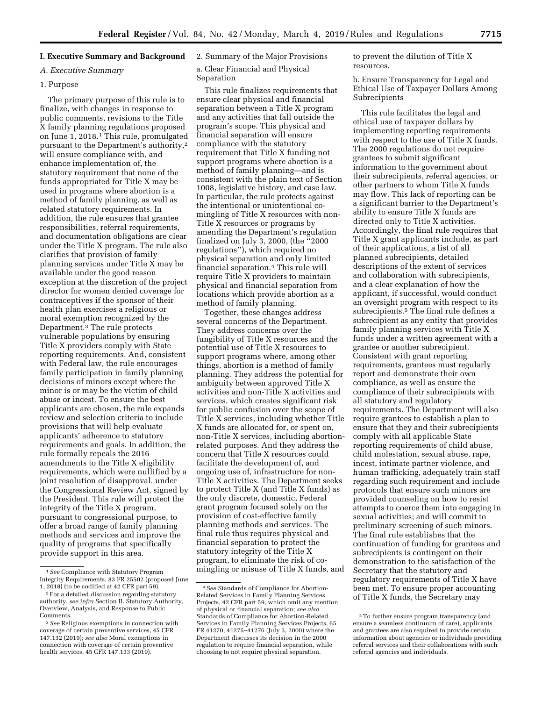#### **I. Executive Summary and Background**

#### *A. Executive Summary*

#### 1. Purpose

The primary purpose of this rule is to finalize, with changes in response to public comments, revisions to the Title X family planning regulations proposed on June 1, 2018.1 This rule, promulgated pursuant to the Department's authority,2 will ensure compliance with, and enhance implementation of, the statutory requirement that none of the funds appropriated for Title X may be used in programs where abortion is a method of family planning, as well as related statutory requirements. In addition, the rule ensures that grantee responsibilities, referral requirements, and documentation obligations are clear under the Title X program. The rule also clarifies that provision of family planning services under Title X may be available under the good reason exception at the discretion of the project director for women denied coverage for contraceptives if the sponsor of their health plan exercises a religious or moral exemption recognized by the Department.3 The rule protects vulnerable populations by ensuring Title X providers comply with State reporting requirements. And, consistent with Federal law, the rule encourages family participation in family planning decisions of minors except where the minor is or may be the victim of child abuse or incest. To ensure the best applicants are chosen, the rule expands review and selection criteria to include provisions that will help evaluate applicants' adherence to statutory requirements and goals. In addition, the rule formally repeals the 2016 amendments to the Title X eligibility requirements, which were nullified by a joint resolution of disapproval, under the Congressional Review Act, signed by the President. This rule will protect the integrity of the Title X program, pursuant to congressional purpose, to offer a broad range of family planning methods and services and improve the quality of programs that specifically provide support in this area.

# 2. Summary of the Major Provisions

# a. Clear Financial and Physical Separation

This rule finalizes requirements that ensure clear physical and financial separation between a Title X program and any activities that fall outside the program's scope. This physical and financial separation will ensure compliance with the statutory requirement that Title X funding not support programs where abortion is a method of family planning—and is consistent with the plain text of Section 1008, legislative history, and case law. In particular, the rule protects against the intentional or unintentional comingling of Title X resources with non-Title X resources or programs by amending the Department's regulation finalized on July 3, 2000, (the ''2000 regulations''), which required no physical separation and only limited financial separation.4 This rule will require Title X providers to maintain physical and financial separation from locations which provide abortion as a method of family planning.

Together, these changes address several concerns of the Department. They address concerns over the fungibility of Title X resources and the potential use of Title X resources to support programs where, among other things, abortion is a method of family planning. They address the potential for ambiguity between approved Title X activities and non-Title X activities and services, which creates significant risk for public confusion over the scope of Title X services, including whether Title X funds are allocated for, or spent on, non-Title X services, including abortionrelated purposes. And they address the concern that Title X resources could facilitate the development of, and ongoing use of, infrastructure for non-Title X activities. The Department seeks to protect Title X (and Title X funds) as the only discrete, domestic, Federal grant program focused solely on the provision of cost-effective family planning methods and services. The final rule thus requires physical and financial separation to protect the statutory integrity of the Title X program, to eliminate the risk of comingling or misuse of Title X funds, and to prevent the dilution of Title X resources.

b. Ensure Transparency for Legal and Ethical Use of Taxpayer Dollars Among Subrecipients

This rule facilitates the legal and ethical use of taxpayer dollars by implementing reporting requirements with respect to the use of Title X funds. The 2000 regulations do not require grantees to submit significant information to the government about their subrecipients, referral agencies, or other partners to whom Title X funds may flow. This lack of reporting can be a significant barrier to the Department's ability to ensure Title X funds are directed only to Title X activities. Accordingly, the final rule requires that Title X grant applicants include, as part of their applications, a list of all planned subrecipients, detailed descriptions of the extent of services and collaboration with subrecipients, and a clear explanation of how the applicant, if successful, would conduct an oversight program with respect to its subrecipients.5 The final rule defines a subrecipient as any entity that provides family planning services with Title X funds under a written agreement with a grantee or another subrecipient. Consistent with grant reporting requirements, grantees must regularly report and demonstrate their own compliance, as well as ensure the compliance of their subrecipients with all statutory and regulatory requirements. The Department will also require grantees to establish a plan to ensure that they and their subrecipients comply with all applicable State reporting requirements of child abuse, child molestation, sexual abuse, rape, incest, intimate partner violence, and human trafficking, adequately train staff regarding such requirement and include protocols that ensure such minors are provided counseling on how to resist attempts to coerce them into engaging in sexual activities; and will commit to preliminary screening of such minors. The final rule establishes that the continuation of funding for grantees and subrecipients is contingent on their demonstration to the satisfaction of the Secretary that the statutory and regulatory requirements of Title X have been met. To ensure proper accounting of Title X funds, the Secretary may

<sup>1</sup>*See* Compliance with Statutory Program Integrity Requirements, 83 FR 25502 (proposed June 1, 2018) (to be codified at 42 CFR part 59).

<sup>2</sup>For a detailed discussion regarding statutory authority, *see infra* Section II. Statutory Authority, Overview, Analysis, and Response to Public Comments.

<sup>3</sup>*See* Religious exemptions in connection with coverage of certain preventive services, 45 CFR 147.132 (2019); *see also* Moral exemptions in connection with coverage of certain preventive health services, 45 CFR 147.133 (2019).

<sup>4</sup>*See* Standards of Compliance for Abortion-Related Services in Family Planning Services Projects, 42 CFR part 59, which omit any mention of physical or financial separation; *see also*  Standards of Compliance for Abortion-Related Services in Family Planning Services Projects, 65 FR 41270, 41275–41276 (July 3, 2000) where the Department discusses its decision in the 2000 regulation to require financial separation, while choosing to not require physical separation.

<sup>5</sup>To further ensure program transparency (and ensure a seamless continuum of care), applicants and grantees are also required to provide certain information about agencies or individuals providing referral services and their collaborations with such referral agencies and individuals.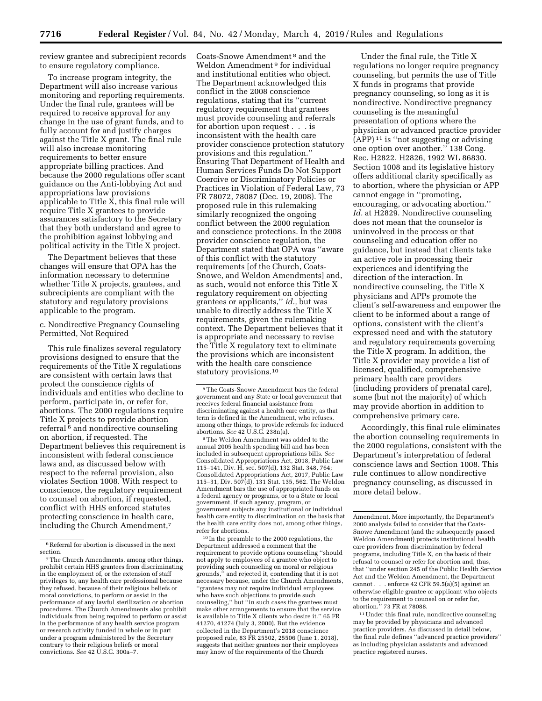review grantee and subrecipient records to ensure regulatory compliance.

To increase program integrity, the Department will also increase various monitoring and reporting requirements. Under the final rule, grantees will be required to receive approval for any change in the use of grant funds, and to fully account for and justify charges against the Title X grant. The final rule will also increase monitoring requirements to better ensure appropriate billing practices. And because the 2000 regulations offer scant guidance on the Anti-lobbying Act and appropriations law provisions applicable to Title X, this final rule will require Title X grantees to provide assurances satisfactory to the Secretary that they both understand and agree to the prohibition against lobbying and political activity in the Title X project.

The Department believes that these changes will ensure that OPA has the information necessary to determine whether Title X projects, grantees, and subrecipients are compliant with the statutory and regulatory provisions applicable to the program.

## c. Nondirective Pregnancy Counseling Permitted, Not Required

This rule finalizes several regulatory provisions designed to ensure that the requirements of the Title X regulations are consistent with certain laws that protect the conscience rights of individuals and entities who decline to perform, participate in, or refer for, abortions. The 2000 regulations require Title X projects to provide abortion referral<sup>6</sup> and nondirective counseling on abortion, if requested. The Department believes this requirement is inconsistent with federal conscience laws and, as discussed below with respect to the referral provision, also violates Section 1008. With respect to conscience, the regulatory requirement to counsel on abortion, if requested, conflict with HHS enforced statutes protecting conscience in health care, including the Church Amendment,7

Coats-Snowe Amendment 8 and the Weldon Amendment 9 for individual and institutional entities who object. The Department acknowledged this conflict in the 2008 conscience regulations, stating that its ''current regulatory requirement that grantees must provide counseling and referrals for abortion upon request . . . is inconsistent with the health care provider conscience protection statutory provisions and this regulation.'' Ensuring That Department of Health and Human Services Funds Do Not Support Coercive or Discriminatory Policies or Practices in Violation of Federal Law, 73 FR 78072, 78087 (Dec. 19, 2008). The proposed rule in this rulemaking similarly recognized the ongoing conflict between the 2000 regulation and conscience protections. In the 2008 provider conscience regulation, the Department stated that OPA was ''aware of this conflict with the statutory requirements [of the Church, Coats-Snowe, and Weldon Amendments] and, as such, would not enforce this Title X regulatory requirement on objecting grantees or applicants,'' *id.,* but was unable to directly address the Title X requirements, given the rulemaking context. The Department believes that it is appropriate and necessary to revise the Title X regulatory text to eliminate the provisions which are inconsistent with the health care conscience statutory provisions.10

9The Weldon Amendment was added to the annual 2005 health spending bill and has been included in subsequent appropriations bills. *See*  Consolidated Appropriations Act, 2018, Public Law 115–141, Div. H, sec. 507(d), 132 Stat. 348, 764; Consolidated Appropriations Act, 2017, Public Law 115–31, Div. 507(d), 131 Stat. 135, 562. The Weldon Amendment bars the use of appropriated funds on a federal agency or programs, or to a State or local government, if such agency, program, or government subjects any institutional or individual health care entity to discrimination on the basis that the health care entity does not, among other things, refer for abortions.

10 In the preamble to the 2000 regulations, the Department addressed a comment that the requirement to provide options counseling ''should not apply to employees of a grantee who object to providing such counseling on moral or religious grounds,'' and rejected it, contending that it is not necessary because, under the Church Amendments, ''grantees may not require individual employees who have such objections to provide such counseling,'' but ''in such cases the grantees must make other arrangements to ensure that the service is available to Title X clients who desire it.'' 65 FR 41270, 41274 (July 3, 2000). But the evidence collected in the Department's 2018 conscience proposed rule, 83 FR 25502, 25506 (June 1, 2018), suggests that neither grantees nor their employees may know of the requirements of the Church

Under the final rule, the Title X regulations no longer require pregnancy counseling, but permits the use of Title X funds in programs that provide pregnancy counseling, so long as it is nondirective. Nondirective pregnancy counseling is the meaningful presentation of options where the physician or advanced practice provider (APP) 11 is ''not suggesting or advising one option over another.'' 138 Cong. Rec. H2822, H2826, 1992 WL 86830. Section 1008 and its legislative history offers additional clarity specifically as to abortion, where the physician or APP cannot engage in ''promoting, encouraging, or advocating abortion.'' *Id.* at H2829. Nondirective counseling does not mean that the counselor is uninvolved in the process or that counseling and education offer no guidance, but instead that clients take an active role in processing their experiences and identifying the direction of the interaction. In nondirective counseling, the Title X physicians and APPs promote the client's self-awareness and empower the client to be informed about a range of options, consistent with the client's expressed need and with the statutory and regulatory requirements governing the Title X program. In addition, the Title X provider may provide a list of licensed, qualified, comprehensive primary health care providers (including providers of prenatal care), some (but not the majority) of which may provide abortion in addition to comprehensive primary care.

Accordingly, this final rule eliminates the abortion counseling requirements in the 2000 regulations, consistent with the Department's interpretation of federal conscience laws and Section 1008. This rule continues to allow nondirective pregnancy counseling, as discussed in more detail below.

11Under this final rule, nondirective counseling may be provided by physicians and advanced practice providers. As discussed in detail below, the final rule defines ''advanced practice providers'' as including physician assistants and advanced practice registered nurses.

<sup>6</sup>Referral for abortion is discussed in the next section.

<sup>7</sup>The Church Amendments, among other things, prohibit certain HHS grantees from discriminating in the employment of, or the extension of staff privileges to, any health care professional because they refused, because of their religious beliefs or moral convictions, to perform or assist in the performance of any lawful sterilization or abortion procedures. The Church Amendments also prohibit individuals from being required to perform or assist in the performance of any health service program or research activity funded in whole or in part under a program administered by the Secretary contrary to their religious beliefs or moral convictions. *See* 42 U.S.C. 300a–7.

<sup>8</sup>The Coats-Snowe Amendment bars the federal government and any State or local government that receives federal financial assistance from discriminating against a health care entity, as that term is defined in the Amendment, who refuses, among other things, to provide referrals for induced abortions. *See* 42 U.S.C. 238n(a).

Amendment. More importantly, the Department's 2000 analysis failed to consider that the Coats-Snowe Amendment (and the subsequently passed Weldon Amendment) protects institutional health care providers from discrimination by federal programs, including Title X, on the basis of their refusal to counsel or refer for abortion and, thus, that ''under section 245 of the Public Health Service Act and the Weldon Amendment, the Department cannot . . . enforce 42 CFR 59.5(a)(5) against an otherwise eligible grantee or applicant who objects to the requirement to counsel on or refer for, abortion.'' 73 FR at 78088.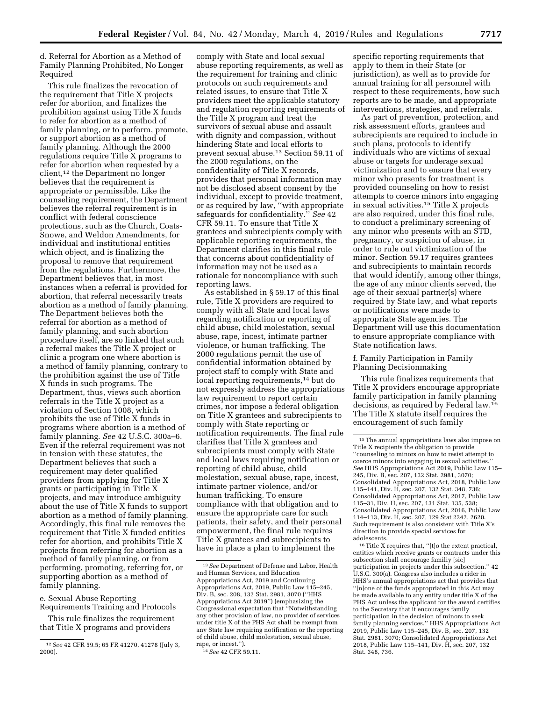d. Referral for Abortion as a Method of Family Planning Prohibited, No Longer Required

This rule finalizes the revocation of the requirement that Title X projects refer for abortion, and finalizes the prohibition against using Title X funds to refer for abortion as a method of family planning, or to perform, promote, or support abortion as a method of family planning. Although the 2000 regulations require Title X programs to refer for abortion when requested by a client,12 the Department no longer believes that the requirement is appropriate or permissible. Like the counseling requirement, the Department believes the referral requirement is in conflict with federal conscience protections, such as the Church, Coats-Snowe, and Weldon Amendments, for individual and institutional entities which object, and is finalizing the proposal to remove that requirement from the regulations. Furthermore, the Department believes that, in most instances when a referral is provided for abortion, that referral necessarily treats abortion as a method of family planning. The Department believes both the referral for abortion as a method of family planning, and such abortion procedure itself, are so linked that such a referral makes the Title X project or clinic a program one where abortion is a method of family planning, contrary to the prohibition against the use of Title X funds in such programs. The Department, thus, views such abortion referrals in the Title X project as a violation of Section 1008, which prohibits the use of Title X funds in programs where abortion is a method of family planning. *See* 42 U.S.C. 300a–6. Even if the referral requirement was not in tension with these statutes, the Department believes that such a requirement may deter qualified providers from applying for Title X grants or participating in Title X projects, and may introduce ambiguity about the use of Title X funds to support abortion as a method of family planning. Accordingly, this final rule removes the requirement that Title X funded entities refer for abortion, and prohibits Title X projects from referring for abortion as a method of family planning, or from performing, promoting, referring for, or supporting abortion as a method of family planning.

e. Sexual Abuse Reporting Requirements Training and Protocols

This rule finalizes the requirement that Title X programs and providers

comply with State and local sexual abuse reporting requirements, as well as the requirement for training and clinic protocols on such requirements and related issues, to ensure that Title X providers meet the applicable statutory and regulation reporting requirements of the Title X program and treat the survivors of sexual abuse and assault with dignity and compassion, without hindering State and local efforts to prevent sexual abuse.13 Section 59.11 of the 2000 regulations, on the confidentiality of Title X records, provides that personal information may not be disclosed absent consent by the individual, except to provide treatment, or as required by law, ''with appropriate safeguards for confidentiality.'' *See* 42 CFR 59.11. To ensure that Title X grantees and subrecipients comply with applicable reporting requirements, the Department clarifies in this final rule that concerns about confidentiality of information may not be used as a rationale for noncompliance with such reporting laws.

As established in § 59.17 of this final rule, Title X providers are required to comply with all State and local laws regarding notification or reporting of child abuse, child molestation, sexual abuse, rape, incest, intimate partner violence, or human trafficking. The 2000 regulations permit the use of confidential information obtained by project staff to comply with State and local reporting requirements,<sup>14</sup> but do not expressly address the appropriations law requirement to report certain crimes, nor impose a federal obligation on Title X grantees and subrecipients to comply with State reporting or notification requirements. The final rule clarifies that Title X grantees and subrecipients must comply with State and local laws requiring notification or reporting of child abuse, child molestation, sexual abuse, rape, incest, intimate partner violence, and/or human trafficking. To ensure compliance with that obligation and to ensure the appropriate care for such patients, their safety, and their personal empowerment, the final rule requires Title X grantees and subrecipients to have in place a plan to implement the

specific reporting requirements that apply to them in their State (or jurisdiction), as well as to provide for annual training for all personnel with respect to these requirements, how such reports are to be made, and appropriate interventions, strategies, and referrals.

As part of prevention, protection, and risk assessment efforts, grantees and subrecipients are required to include in such plans, protocols to identify individuals who are victims of sexual abuse or targets for underage sexual victimization and to ensure that every minor who presents for treatment is provided counseling on how to resist attempts to coerce minors into engaging in sexual activities.15 Title X projects are also required, under this final rule, to conduct a preliminary screening of any minor who presents with an STD, pregnancy, or suspicion of abuse, in order to rule out victimization of the minor. Section 59.17 requires grantees and subrecipients to maintain records that would identify, among other things, the age of any minor clients served, the age of their sexual partner(s) where required by State law, and what reports or notifications were made to appropriate State agencies. The Department will use this documentation to ensure appropriate compliance with State notification laws.

## f. Family Participation in Family Planning Decisionmaking

This rule finalizes requirements that Title X providers encourage appropriate family participation in family planning decisions, as required by Federal law.16 The Title X statute itself requires the encouragement of such family

16Title X requires that, ''[t]o the extent practical, entities which receive grants or contracts under this subsection shall encourage familiy [sic] participation in projects under this subsection.'' 42 U.S.C. 300(a). Congress also includes a rider in HHS's annual appropriations act that provides that ''[n]one of the funds appropriated in this Act may be made available to any entity under title X of the PHS Act unless the applicant for the award certifies to the Secretary that it encourages family participation in the decision of minors to seek family planning services.'' HHS Appropriations Act 2019, Public Law 115–245, Div. B, sec. 207, 132 Stat. 2981, 3070; Consolidated Appropriations Act 2018, Public Law 115–141, Div. H, sec. 207, 132 Stat. 348, 736.

<sup>12</sup>*See* 42 CFR 59.5; 65 FR 41270, 41278 (July 3, 2000).

<sup>13</sup>*See* Department of Defense and Labor, Health and Human Services, and Education Appropriations Act, 2019 and Continuing Appropriations Act, 2019, Public Law 115–245, Div. B, sec. 208, 132 Stat. 2981, 3070 (''HHS Appropriations Act 2019'') (emphasizing the Congressional expectation that ''Notwithstanding any other provision of law, no provider of services under title X of the PHS Act shall be exempt from any State law requiring notification or the reporting of child abuse, child molestation, sexual abuse, rape, or incest.'').

<sup>14</sup>*See* 42 CFR 59.11.

<sup>15</sup>The annual appropriations laws also impose on Title X recipients the obligation to provide ''counseling to minors on how to resist attempt to coerce minors into engaging in sexual activities.'' *See* HHS Appropriations Act 2019, Public Law 115– 245, Div. B, sec. 207, 132 Stat. 2981, 3070; Consolidated Appropriations Act, 2018, Public Law 115–141, Div. H, sec. 207, 132 Stat. 348, 736; Consolidated Appropriations Act, 2017, Public Law 115–31, Div. H, sec. 207, 131 Stat. 135, 538; Consolidated Appropriations Act, 2016, Public Law 114–113, Div. H, sec. 207, 129 Stat 2242, 2620. Such requirement is also consistent with Title X's direction to provide special services for adolescents.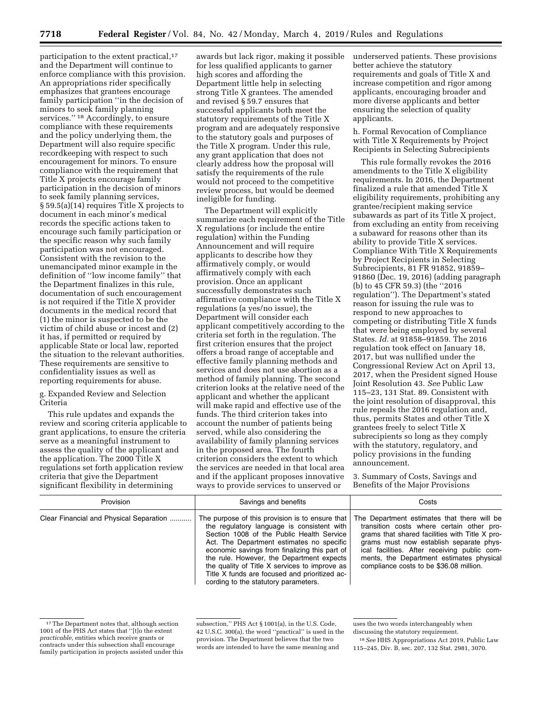participation to the extent practical,<sup>17</sup> and the Department will continue to enforce compliance with this provision. An appropriations rider specifically emphasizes that grantees encourage family participation ''in the decision of minors to seek family planning services.'' 18 Accordingly, to ensure compliance with these requirements and the policy underlying them, the Department will also require specific recordkeeping with respect to such encouragement for minors. To ensure compliance with the requirement that Title X projects encourage family participation in the decision of minors to seek family planning services, § 59.5(a)(14) requires Title X projects to document in each minor's medical records the specific actions taken to encourage such family participation or the specific reason why such family participation was not encouraged. Consistent with the revision to the unemancipated minor example in the definition of ''low income family'' that the Department finalizes in this rule, documentation of such encouragement is not required if the Title X provider documents in the medical record that (1) the minor is suspected to be the victim of child abuse or incest and (2) it has, if permitted or required by applicable State or local law, reported the situation to the relevant authorities. These requirements are sensitive to confidentiality issues as well as reporting requirements for abuse.

g. Expanded Review and Selection Criteria

This rule updates and expands the review and scoring criteria applicable to grant applications, to ensure the criteria serve as a meaningful instrument to assess the quality of the applicant and the application. The 2000 Title X regulations set forth application review criteria that give the Department significant flexibility in determining

awards but lack rigor, making it possible for less qualified applicants to garner high scores and affording the Department little help in selecting strong Title X grantees. The amended and revised § 59.7 ensures that successful applicants both meet the statutory requirements of the Title X program and are adequately responsive to the statutory goals and purposes of the Title X program. Under this rule, any grant application that does not clearly address how the proposal will satisfy the requirements of the rule would not proceed to the competitive review process, but would be deemed ineligible for funding.

The Department will explicitly summarize each requirement of the Title X regulations (or include the entire regulation) within the Funding Announcement and will require applicants to describe how they affirmatively comply, or would affirmatively comply with each provision. Once an applicant successfully demonstrates such affirmative compliance with the Title X regulations (a yes/no issue), the Department will consider each applicant competitively according to the criteria set forth in the regulation. The first criterion ensures that the project offers a broad range of acceptable and effective family planning methods and services and does not use abortion as a method of family planning. The second criterion looks at the relative need of the applicant and whether the applicant will make rapid and effective use of the funds. The third criterion takes into account the number of patients being served, while also considering the availability of family planning services in the proposed area. The fourth criterion considers the extent to which the services are needed in that local area and if the applicant proposes innovative ways to provide services to unserved or

underserved patients. These provisions better achieve the statutory requirements and goals of Title X and increase competition and rigor among applicants, encouraging broader and more diverse applicants and better ensuring the selection of quality applicants.

h. Formal Revocation of Compliance with Title X Requirements by Project Recipients in Selecting Subrecipients

This rule formally revokes the 2016 amendments to the Title X eligibility requirements. In 2016, the Department finalized a rule that amended Title X eligibility requirements, prohibiting any grantee/recipient making service subawards as part of its Title X project, from excluding an entity from receiving a subaward for reasons other than its ability to provide Title X services. Compliance With Title X Requirements by Project Recipients in Selecting Subrecipients, 81 FR 91852, 91859– 91860 (Dec. 19, 2016) (adding paragraph (b) to 45 CFR 59.3) (the ''2016 regulation''). The Department's stated reason for issuing the rule was to respond to new approaches to competing or distributing Title X funds that were being employed by several States. *Id.* at 91858–91859. The 2016 regulation took effect on January 18, 2017, but was nullified under the Congressional Review Act on April 13, 2017, when the President signed House Joint Resolution 43. *See* Public Law 115–23, 131 Stat. 89. Consistent with the joint resolution of disapproval, this rule repeals the 2016 regulation and, thus, permits States and other Title X grantees freely to select Title X subrecipients so long as they comply with the statutory, regulatory, and policy provisions in the funding announcement.

3. Summary of Costs, Savings and Benefits of the Major Provisions

| Provision                               | Savings and benefits                                                                                                                                                                                                                                                                                                                                                                                                            | Costs                                                                                                                                                                                                                                                                                                                        |
|-----------------------------------------|---------------------------------------------------------------------------------------------------------------------------------------------------------------------------------------------------------------------------------------------------------------------------------------------------------------------------------------------------------------------------------------------------------------------------------|------------------------------------------------------------------------------------------------------------------------------------------------------------------------------------------------------------------------------------------------------------------------------------------------------------------------------|
| Clear Financial and Physical Separation | The purpose of this provision is to ensure that<br>the regulatory language is consistent with<br>Section 1008 of the Public Health Service<br>Act. The Department estimates no specific<br>economic savings from finalizing this part of<br>the rule. However, the Department expects<br>the quality of Title X services to improve as<br>Title X funds are focused and prioritized ac-<br>cording to the statutory parameters. | The Department estimates that there will be<br>transition costs where certain other pro-<br>grams that shared facilities with Title X pro-<br>grams must now establish separate phys-<br>ical facilities. After receiving public com-<br>ments, the Department estimates physical<br>compliance costs to be \$36.08 million. |

<sup>&</sup>lt;sup>17</sup>The Department notes that, although section 1001 of the PHS Act states that ''[t]o the extent *practicable,* entities which receive grants or contracts under this subsection shall encourage family participation in projects assisted under this

subsection,'' PHS Act § 1001(a), in the U.S. Code, 42 U.S.C. 300(a), the word ''practical'' is used in the provision. The Department believes that the two words are intended to have the same meaning and

uses the two words interchangeably when discussing the statutory requirement.

<sup>18</sup>*See* HHS Appropriations Act 2019, Public Law 115–245, Div. B, sec. 207, 132 Stat. 2981, 3070.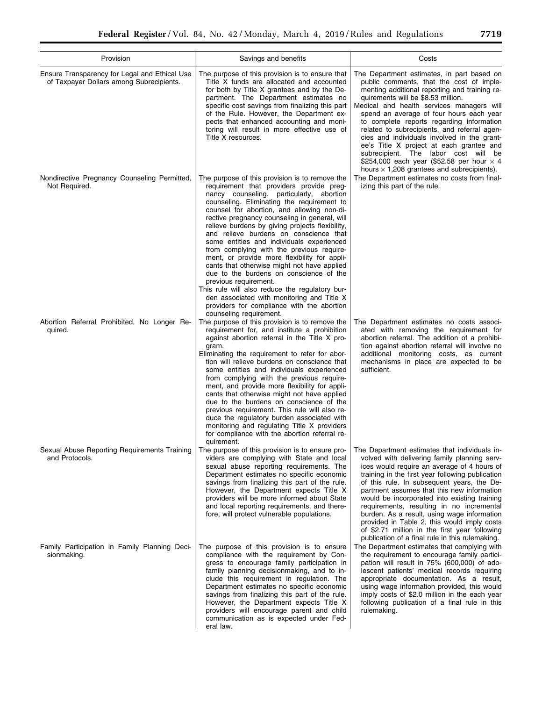| Provision                                                                                 | Savings and benefits                                                                                                                                                                                                                                                                                                                                                                                                                                                                                                                                                                                                                                                                                                                                                                                                   | Costs                                                                                                                                                                                                                                                                                                                                                                                                                                                                                                                                                                                                           |
|-------------------------------------------------------------------------------------------|------------------------------------------------------------------------------------------------------------------------------------------------------------------------------------------------------------------------------------------------------------------------------------------------------------------------------------------------------------------------------------------------------------------------------------------------------------------------------------------------------------------------------------------------------------------------------------------------------------------------------------------------------------------------------------------------------------------------------------------------------------------------------------------------------------------------|-----------------------------------------------------------------------------------------------------------------------------------------------------------------------------------------------------------------------------------------------------------------------------------------------------------------------------------------------------------------------------------------------------------------------------------------------------------------------------------------------------------------------------------------------------------------------------------------------------------------|
| Ensure Transparency for Legal and Ethical Use<br>of Taxpayer Dollars among Subrecipients. | The purpose of this provision is to ensure that<br>Title X funds are allocated and accounted<br>for both by Title X grantees and by the De-<br>partment. The Department estimates no<br>specific cost savings from finalizing this part<br>of the Rule. However, the Department ex-<br>pects that enhanced accounting and moni-<br>toring will result in more effective use of<br>Title X resources.                                                                                                                                                                                                                                                                                                                                                                                                                   | The Department estimates, in part based on<br>public comments, that the cost of imple-<br>menting additional reporting and training re-<br>quirements will be \$8.53 million.<br>Medical and health services managers will<br>spend an average of four hours each year<br>to complete reports regarding information<br>related to subrecipients, and referral agen-<br>cies and individuals involved in the grant-<br>ee's Title X project at each grantee and<br>subrecipient. The labor cost will be<br>\$254,000 each year (\$52.58 per hour $\times$ 4<br>hours $\times$ 1,208 grantees and subrecipients). |
| Nondirective Pregnancy Counseling Permitted,<br>Not Required.                             | The purpose of this provision is to remove the<br>requirement that providers provide preg-<br>nancy counseling, particularly, abortion<br>counseling. Eliminating the requirement to<br>counsel for abortion, and allowing non-di-<br>rective pregnancy counseling in general, will<br>relieve burdens by giving projects flexibility,<br>and relieve burdens on conscience that<br>some entities and individuals experienced<br>from complying with the previous require-<br>ment, or provide more flexibility for appli-<br>cants that otherwise might not have applied<br>due to the burdens on conscience of the<br>previous requirement.<br>This rule will also reduce the regulatory bur-<br>den associated with monitoring and Title X<br>providers for compliance with the abortion<br>counseling requirement. | The Department estimates no costs from final-<br>izing this part of the rule.                                                                                                                                                                                                                                                                                                                                                                                                                                                                                                                                   |
| Abortion Referral Prohibited, No Longer Re-<br>quired.                                    | The purpose of this provision is to remove the<br>requirement for, and institute a prohibition<br>against abortion referral in the Title X pro-<br>gram.<br>Eliminating the requirement to refer for abor-<br>tion will relieve burdens on conscience that<br>some entities and individuals experienced<br>from complying with the previous require-<br>ment, and provide more flexibility for appli-<br>cants that otherwise might not have applied<br>due to the burdens on conscience of the<br>previous requirement. This rule will also re-<br>duce the regulatory burden associated with<br>monitoring and regulating Title X providers<br>for compliance with the abortion referral re-<br>quirement.                                                                                                           | The Department estimates no costs associ-<br>ated with removing the requirement for<br>abortion referral. The addition of a prohibi-<br>tion against abortion referral will involve no<br>additional monitoring costs, as current<br>mechanisms in place are expected to be<br>sufficient.                                                                                                                                                                                                                                                                                                                      |
| Sexual Abuse Reporting Requirements Training<br>and Protocols.                            | The purpose of this provision is to ensure pro-<br>viders are complying with State and local<br>sexual abuse reporting requirements. The<br>Department estimates no specific economic<br>savings from finalizing this part of the rule.<br>However, the Department expects Title X<br>providers will be more informed about State<br>and local reporting requirements, and there-<br>fore, will protect vulnerable populations.                                                                                                                                                                                                                                                                                                                                                                                        | The Department estimates that individuals in-<br>volved with delivering family planning serv-<br>ices would require an average of 4 hours of<br>training in the first year following publication<br>of this rule. In subsequent years, the De-<br>partment assumes that this new information<br>would be incorporated into existing training<br>requirements, resulting in no incremental<br>burden. As a result, using wage information<br>provided in Table 2, this would imply costs<br>of \$2.71 million in the first year following                                                                        |
| Family Participation in Family Planning Deci-<br>sionmaking.                              | The purpose of this provision is to ensure<br>compliance with the requirement by Con-<br>gress to encourage family participation in<br>family planning decisionmaking, and to in-<br>clude this requirement in regulation. The<br>Department estimates no specific economic<br>savings from finalizing this part of the rule.<br>However, the Department expects Title X<br>providers will encourage parent and child<br>communication as is expected under Fed-<br>eral law.                                                                                                                                                                                                                                                                                                                                          | publication of a final rule in this rulemaking.<br>The Department estimates that complying with<br>the requirement to encourage family partici-<br>pation will result in 75% (600,000) of ado-<br>lescent patients' medical records requiring<br>appropriate documentation. As a result,<br>using wage information provided, this would<br>imply costs of \$2.0 million in the each year<br>following publication of a final rule in this<br>rulemaking.                                                                                                                                                        |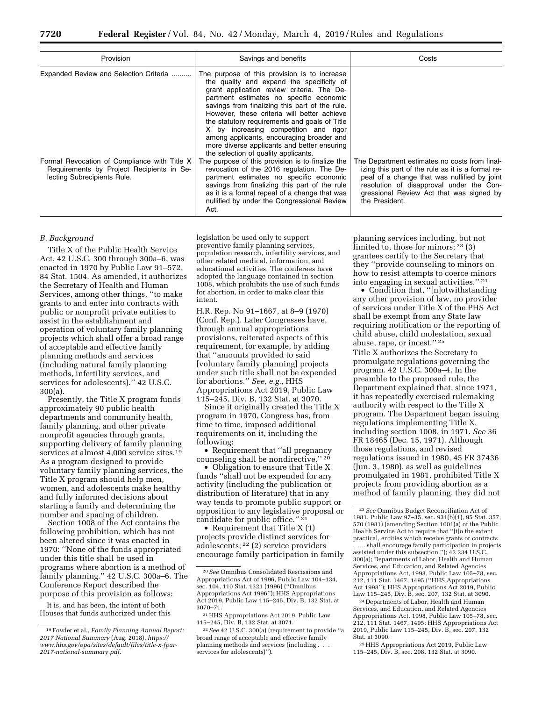| Provision                                                                                                                | Savings and benefits                                                                                                                                                                                                                                                                                                                                                                                                                                                                                              | Costs                                                                                                                                                                                                                                                        |
|--------------------------------------------------------------------------------------------------------------------------|-------------------------------------------------------------------------------------------------------------------------------------------------------------------------------------------------------------------------------------------------------------------------------------------------------------------------------------------------------------------------------------------------------------------------------------------------------------------------------------------------------------------|--------------------------------------------------------------------------------------------------------------------------------------------------------------------------------------------------------------------------------------------------------------|
| Expanded Review and Selection Criteria                                                                                   | The purpose of this provision is to increase<br>the quality and expand the specificity of<br>grant application review criteria. The De-<br>partment estimates no specific economic<br>savings from finalizing this part of the rule.<br>However, these criteria will better achieve<br>the statutory requirements and goals of Title<br>X by increasing competition and rigor<br>among applicants, encouraging broader and<br>more diverse applicants and better ensuring<br>the selection of quality applicants. |                                                                                                                                                                                                                                                              |
| Formal Revocation of Compliance with Title X<br>Requirements by Project Recipients in Se-<br>lecting Subrecipients Rule. | The purpose of this provision is to finalize the<br>revocation of the 2016 regulation. The De-<br>partment estimates no specific economic<br>savings from finalizing this part of the rule<br>as it is a formal repeal of a change that was<br>nullified by under the Congressional Review<br>Act.                                                                                                                                                                                                                | The Department estimates no costs from final-<br>izing this part of the rule as it is a formal re-<br>peal of a change that was nullified by joint<br>resolution of disapproval under the Con-<br>gressional Review Act that was signed by<br>the President. |

#### *B. Background*

Title X of the Public Health Service Act, 42 U.S.C. 300 through 300a–6, was enacted in 1970 by Public Law 91–572, 84 Stat. 1504. As amended, it authorizes the Secretary of Health and Human Services, among other things, ''to make grants to and enter into contracts with public or nonprofit private entities to assist in the establishment and operation of voluntary family planning projects which shall offer a broad range of acceptable and effective family planning methods and services (including natural family planning methods, infertility services, and services for adolescents).'' 42 U.S.C. 300(a).

Presently, the Title X program funds approximately 90 public health departments and community health, family planning, and other private nonprofit agencies through grants, supporting delivery of family planning services at almost 4,000 service sites.19 As a program designed to provide voluntary family planning services, the Title X program should help men, women, and adolescents make healthy and fully informed decisions about starting a family and determining the number and spacing of children.

Section 1008 of the Act contains the following prohibition, which has not been altered since it was enacted in 1970: ''None of the funds appropriated under this title shall be used in programs where abortion is a method of family planning.'' 42 U.S.C. 300a–6. The Conference Report described the purpose of this provision as follows:

It is, and has been, the intent of both Houses that funds authorized under this

legislation be used only to support preventive family planning services, population research, infertility services, and other related medical, information, and educational activities. The conferees have adopted the language contained in section 1008, which prohibits the use of such funds for abortion, in order to make clear this intent.

H.R. Rep. No 91–1667, at 8–9 (1970) (Conf. Rep.). Later Congresses have, through annual appropriations provisions, reiterated aspects of this requirement, for example, by adding that ''amounts provided to said [voluntary family planning] projects under such title shall not be expended for abortions.'' *See, e.g.,* HHS Appropriations Act 2019, Public Law 115–245, Div. B, 132 Stat. at 3070.

Since it originally created the Title X program in 1970, Congress has, from time to time, imposed additional requirements on it, including the following:

• Requirement that ''all pregnancy counseling shall be nondirective.'' 20

• Obligation to ensure that Title X funds ''shall not be expended for any activity (including the publication or distribution of literature) that in any way tends to promote public support or opposition to any legislative proposal or candidate for public office.'' 21

• Requirement that Title X (1) projects provide distinct services for adolescents; 22 (2) service providers encourage family participation in family

planning services including, but not limited to, those for minors; 23 (3) grantees certify to the Secretary that they ''provide counseling to minors on how to resist attempts to coerce minors into engaging in sexual activities.'' 24

• Condition that, ''[n]otwithstanding any other provision of law, no provider of services under Title X of the PHS Act shall be exempt from any State law requiring notification or the reporting of child abuse, child molestation, sexual abuse, rape, or incest.'' 25

Title X authorizes the Secretary to promulgate regulations governing the program. 42 U.S.C. 300a–4. In the preamble to the proposed rule, the Department explained that, since 1971, it has repeatedly exercised rulemaking authority with respect to the Title X program. The Department began issuing regulations implementing Title X, including section 1008, in 1971. *See* 36 FR 18465 (Dec. 15, 1971). Although those regulations, and revised regulations issued in 1980, 45 FR 37436 (Jun. 3, 1980), as well as guidelines promulgated in 1981, prohibited Title X projects from providing abortion as a method of family planning, they did not

shall encourage family participation in projects assisted under this subsection.''); 42 234 U.S.C. 300(a); Departments of Labor, Health and Human Services, and Education, and Related Agencies Appropriations Act, 1998, Public Law 105–78, sec. 212, 111 Stat. 1467, 1495 (''HHS Appropriations Act 1998''); HHS Appropriations Act 2019, Public Law 115–245, Div. B, sec. 207, 132 Stat. at 3090.

24 Departments of Labor, Health and Human Services, and Education, and Related Agencies Appropriations Act, 1998, Public Law 105–78, sec. 212, 111 Stat. 1467, 1495; HHS Appropriations Act 2019, Public Law 115–245, Div. B, sec. 207, 132 Stat. at 3090.

25HHS Appropriations Act 2019, Public Law 115–245, Div. B, sec. 208, 132 Stat. at 3090.

<sup>19</sup>Fowler et al., *Family Planning Annual Report: 2017 National Summary* (Aug. 2018), *https:// www.hhs.gov/opa/sites/default/files/title-x-fpar-2017-national-summary.pdf.* 

<sup>20</sup>*See* Omnibus Consolidated Rescissions and Appropriations Act of 1996, Public Law 104–134, sec. 104, 110 Stat. 1321 (1996) (''Omnibus Appropriations Act 1996''); HHS Appropriations Act 2019, Public Law 115–245, Div. B, 132 Stat. at 3070–71.

<sup>21</sup>HHS Appropriations Act 2019, Public Law 115–245, Div. B, 132 Stat. at 3071.

<sup>22</sup>*See* 42 U.S.C. 300(a) (requirement to provide ''a broad range of acceptable and effective family planning methods and services (including . . . services for adolescents)'').

<sup>23</sup>*See* Omnibus Budget Reconciliation Act of 1981, Public Law 97–35, sec. 931(b)(1), 95 Stat. 357, 570 (1981) (amending Section 1001(a) of the Public Health Service Act to require that ''[t]o the extent practical, entities which receive grants or contracts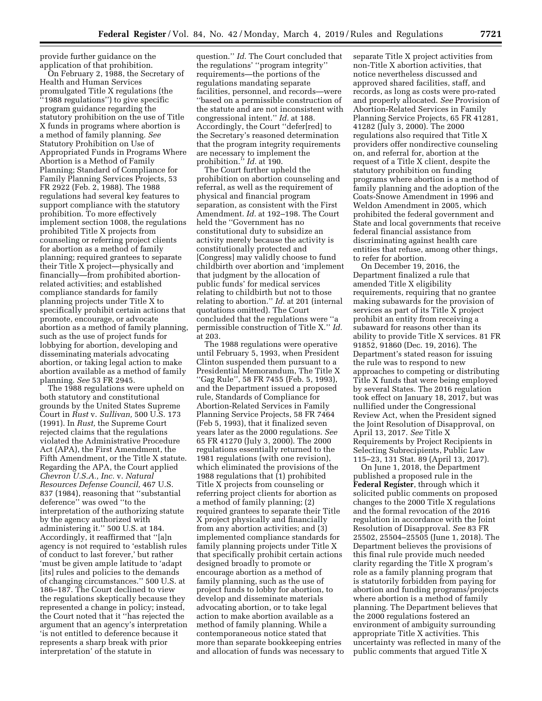provide further guidance on the application of that prohibition.

On February 2, 1988, the Secretary of Health and Human Services promulgated Title X regulations (the ''1988 regulations'') to give specific program guidance regarding the statutory prohibition on the use of Title X funds in programs where abortion is a method of family planning. *See*  Statutory Prohibition on Use of Appropriated Funds in Programs Where Abortion is a Method of Family Planning; Standard of Compliance for Family Planning Services Projects, 53 FR 2922 (Feb. 2, 1988). The 1988 regulations had several key features to support compliance with the statutory prohibition. To more effectively implement section 1008, the regulations prohibited Title X projects from counseling or referring project clients for abortion as a method of family planning; required grantees to separate their Title X project—physically and financially—from prohibited abortionrelated activities; and established compliance standards for family planning projects under Title X to specifically prohibit certain actions that promote, encourage, or advocate abortion as a method of family planning, such as the use of project funds for lobbying for abortion, developing and disseminating materials advocating abortion, or taking legal action to make abortion available as a method of family planning. *See* 53 FR 2945.

The 1988 regulations were upheld on both statutory and constitutional grounds by the United States Supreme Court in *Rust* v. *Sullivan,* 500 U.S. 173 (1991). In *Rust,* the Supreme Court rejected claims that the regulations violated the Administrative Procedure Act (APA), the First Amendment, the Fifth Amendment, or the Title X statute. Regarding the APA, the Court applied *Chevron U.S.A., Inc.* v. *Natural Resources Defense Council,* 467 U.S. 837 (1984), reasoning that ''substantial deference'' was owed ''to the interpretation of the authorizing statute by the agency authorized with administering it.'' 500 U.S. at 184. Accordingly, it reaffirmed that ''[a]n agency is not required to 'establish rules of conduct to last forever,' but rather 'must be given ample latitude to 'adapt [its] rules and policies to the demands of changing circumstances.'' 500 U.S. at 186–187. The Court declined to view the regulations skeptically because they represented a change in policy; instead, the Court noted that it ''has rejected the argument that an agency's interpretation 'is not entitled to deference because it represents a sharp break with prior interpretation' of the statute in

question.'' *Id.* The Court concluded that the regulations' ''program integrity'' requirements—the portions of the regulations mandating separate facilities, personnel, and records—were ''based on a permissible construction of the statute and are not inconsistent with congressional intent.'' *Id.* at 188. Accordingly, the Court ''defer[red] to the Secretary's reasoned determination that the program integrity requirements are necessary to implement the prohibition.<sup>5</sup> *Id.* at 190.

The Court further upheld the prohibition on abortion counseling and referral, as well as the requirement of physical and financial program separation, as consistent with the First Amendment. *Id.* at 192–198. The Court held the ''Government has no constitutional duty to subsidize an activity merely because the activity is constitutionally protected and [Congress] may validly choose to fund childbirth over abortion and 'implement that judgment by the allocation of public funds' for medical services relating to childbirth but not to those relating to abortion.'' *Id.* at 201 (internal quotations omitted). The Court concluded that the regulations were ''a permissible construction of Title X.'' *Id.*  at 203.

The 1988 regulations were operative until February 5, 1993, when President Clinton suspended them pursuant to a Presidential Memorandum, The Title X ''Gag Rule'', 58 FR 7455 (Feb. 5, 1993), and the Department issued a proposed rule, Standards of Compliance for Abortion-Related Services in Family Planning Service Projects, 58 FR 7464 (Feb 5, 1993), that it finalized seven years later as the 2000 regulations. *See*  65 FR 41270 (July 3, 2000). The 2000 regulations essentially returned to the 1981 regulations (with one revision), which eliminated the provisions of the 1988 regulations that (1) prohibited Title X projects from counseling or referring project clients for abortion as a method of family planning; (2) required grantees to separate their Title X project physically and financially from any abortion activities; and (3) implemented compliance standards for family planning projects under Title X that specifically prohibit certain actions designed broadly to promote or encourage abortion as a method of family planning, such as the use of project funds to lobby for abortion, to develop and disseminate materials advocating abortion, or to take legal action to make abortion available as a method of family planning. While a contemporaneous notice stated that more than separate bookkeeping entries and allocation of funds was necessary to separate Title X project activities from non-Title X abortion activities, that notice nevertheless discussed and approved shared facilities, staff, and records, as long as costs were pro-rated and properly allocated. *See* Provision of Abortion-Related Services in Family Planning Service Projects, 65 FR 41281, 41282 (July 3, 2000). The 2000 regulations also required that Title X providers offer nondirective counseling on, and referral for, abortion at the request of a Title X client, despite the statutory prohibition on funding programs where abortion is a method of family planning and the adoption of the Coats-Snowe Amendment in 1996 and Weldon Amendment in 2005, which prohibited the federal government and State and local governments that receive federal financial assistance from discriminating against health care entities that refuse, among other things, to refer for abortion.

On December 19, 2016, the Department finalized a rule that amended Title X eligibility requirements, requiring that no grantee making subawards for the provision of services as part of its Title X project prohibit an entity from receiving a subaward for reasons other than its ability to provide Title X services. 81 FR 91852, 91860 (Dec. 19, 2016). The Department's stated reason for issuing the rule was to respond to new approaches to competing or distributing Title X funds that were being employed by several States. The 2016 regulation took effect on January 18, 2017, but was nullified under the Congressional Review Act, when the President signed the Joint Resolution of Disapproval, on April 13, 2017. *See* Title X Requirements by Project Recipients in Selecting Subrecipients, Public Law 115–23, 131 Stat. 89 (April 13, 2017).

On June 1, 2018, the Department published a proposed rule in the **Federal Register**, through which it solicited public comments on proposed changes to the 2000 Title X regulations and the formal revocation of the 2016 regulation in accordance with the Joint Resolution of Disapproval. *See* 83 FR 25502, 25504–25505 (June 1, 2018). The Department believes the provisions of this final rule provide much needed clarity regarding the Title X program's role as a family planning program that is statutorily forbidden from paying for abortion and funding programs/projects where abortion is a method of family planning. The Department believes that the 2000 regulations fostered an environment of ambiguity surrounding appropriate Title X activities. This uncertainty was reflected in many of the public comments that argued Title X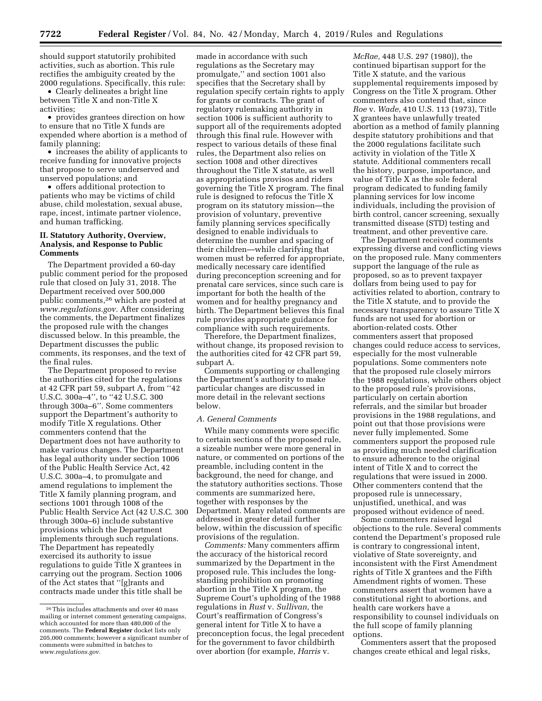should support statutorily prohibited activities, such as abortion. This rule rectifies the ambiguity created by the 2000 regulations. Specifically, this rule:

• Clearly delineates a bright line between Title X and non-Title X activities;

• provides grantees direction on how to ensure that no Title X funds are expended where abortion is a method of family planning;

• increases the ability of applicants to receive funding for innovative projects that propose to serve underserved and unserved populations; and

• offers additional protection to patients who may be victims of child abuse, child molestation, sexual abuse, rape, incest, intimate partner violence, and human trafficking.

## **II. Statutory Authority, Overview, Analysis, and Response to Public Comments**

The Department provided a 60-day public comment period for the proposed rule that closed on July 31, 2018. The Department received over 500,000 public comments,26 which are posted at *www.regulations.gov.* After considering the comments, the Department finalizes the proposed rule with the changes discussed below. In this preamble, the Department discusses the public comments, its responses, and the text of the final rules.

The Department proposed to revise the authorities cited for the regulations at 42 CFR part 59, subpart A, from ''42 U.S.C. 300a–4'', to ''42 U.S.C. 300 through 300a–6''. Some commenters support the Department's authority to modify Title X regulations. Other commenters contend that the Department does not have authority to make various changes. The Department has legal authority under section 1006 of the Public Health Service Act, 42 U.S.C. 300a–4, to promulgate and amend regulations to implement the Title X family planning program, and sections 1001 through 1008 of the Public Health Service Act (42 U.S.C. 300 through 300a–6) include substantive provisions which the Department implements through such regulations. The Department has repeatedly exercised its authority to issue regulations to guide Title X grantees in carrying out the program. Section 1006 of the Act states that ''[g]rants and contracts made under this title shall be

made in accordance with such regulations as the Secretary may promulgate,'' and section 1001 also specifies that the Secretary shall by regulation specify certain rights to apply for grants or contracts. The grant of regulatory rulemaking authority in section 1006 is sufficient authority to support all of the requirements adopted through this final rule. However with respect to various details of these final rules, the Department also relies on section 1008 and other directives throughout the Title X statute, as well as appropriations provisos and riders governing the Title X program. The final rule is designed to refocus the Title X program on its statutory mission—the provision of voluntary, preventive family planning services specifically designed to enable individuals to determine the number and spacing of their children—while clarifying that women must be referred for appropriate, medically necessary care identified during preconception screening and for prenatal care services, since such care is important for both the health of the women and for healthy pregnancy and birth. The Department believes this final rule provides appropriate guidance for compliance with such requirements.

Therefore, the Department finalizes, without change, its proposed revision to the authorities cited for 42 CFR part 59, subpart A.

Comments supporting or challenging the Department's authority to make particular changes are discussed in more detail in the relevant sections below.

# *A. General Comments*

While many comments were specific to certain sections of the proposed rule, a sizeable number were more general in nature, or commented on portions of the preamble, including content in the background, the need for change, and the statutory authorities sections. Those comments are summarized here, together with responses by the Department. Many related comments are addressed in greater detail further below, within the discussion of specific provisions of the regulation.

*Comments:* Many commenters affirm the accuracy of the historical record summarized by the Department in the proposed rule. This includes the longstanding prohibition on promoting abortion in the Title X program, the Supreme Court's upholding of the 1988 regulations in *Rust* v. *Sullivan,* the Court's reaffirmation of Congress's general intent for Title X to have a preconception focus, the legal precedent for the government to favor childbirth over abortion (for example, *Harris* v.

*McRae,* 448 U.S. 297 (1980)), the continued bipartisan support for the Title X statute, and the various supplemental requirements imposed by Congress on the Title X program. Other commenters also contend that, since *Roe* v. *Wade,* 410 U.S. 113 (1973), Title X grantees have unlawfully treated abortion as a method of family planning despite statutory prohibitions and that the 2000 regulations facilitate such activity in violation of the Title X statute. Additional commenters recall the history, purpose, importance, and value of Title X as the sole federal program dedicated to funding family planning services for low income individuals, including the provision of birth control, cancer screening, sexually transmitted disease (STD) testing and treatment, and other preventive care.

The Department received comments expressing diverse and conflicting views on the proposed rule. Many commenters support the language of the rule as proposed, so as to prevent taxpayer dollars from being used to pay for activities related to abortion, contrary to the Title X statute, and to provide the necessary transparency to assure Title X funds are not used for abortion or abortion-related costs. Other commenters assert that proposed changes could reduce access to services, especially for the most vulnerable populations. Some commenters note that the proposed rule closely mirrors the 1988 regulations, while others object to the proposed rule's provisions, particularly on certain abortion referrals, and the similar but broader provisions in the 1988 regulations, and point out that those provisions were never fully implemented. Some commenters support the proposed rule as providing much needed clarification to ensure adherence to the original intent of Title X and to correct the regulations that were issued in 2000. Other commenters contend that the proposed rule is unnecessary, unjustified, unethical, and was proposed without evidence of need.

Some commenters raised legal objections to the rule. Several comments contend the Department's proposed rule is contrary to congressional intent, violative of State sovereignty, and inconsistent with the First Amendment rights of Title X grantees and the Fifth Amendment rights of women. These commenters assert that women have a constitutional right to abortions, and health care workers have a responsibility to counsel individuals on the full scope of family planning options.

Commenters assert that the proposed changes create ethical and legal risks,

<sup>26</sup>This includes attachments and over 40 mass mailing or internet comment generating campaigns, which accounted for more than 480,000 of the comments. The **Federal Register** docket lists only 205,000 comments; however a significant number of comments were submitted in batches to *www.regulations.gov.*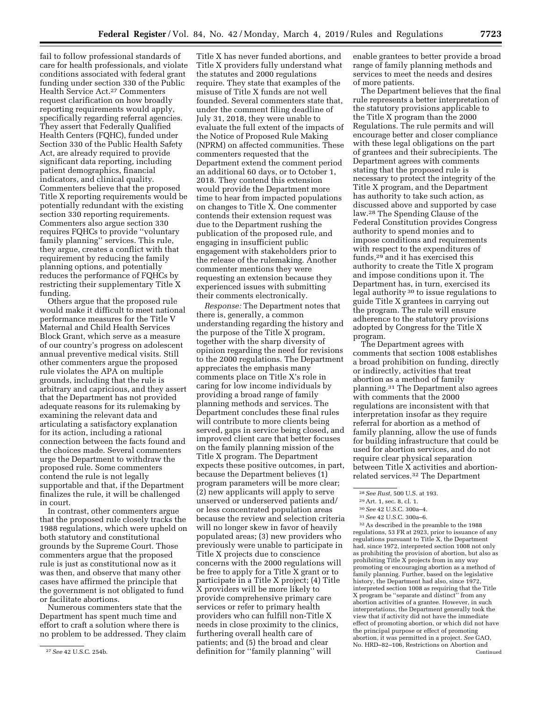fail to follow professional standards of care for health professionals, and violate conditions associated with federal grant funding under section 330 of the Public Health Service Act.27 Commenters request clarification on how broadly reporting requirements would apply, specifically regarding referral agencies. They assert that Federally Qualified Health Centers (FQHC), funded under Section 330 of the Public Health Safety Act, are already required to provide significant data reporting, including patient demographics, financial indicators, and clinical quality. Commenters believe that the proposed Title X reporting requirements would be potentially redundant with the existing section 330 reporting requirements. Commenters also argue section 330 requires FQHCs to provide ''voluntary family planning'' services. This rule, they argue, creates a conflict with that requirement by reducing the family planning options, and potentially reduces the performance of FQHCs by restricting their supplementary Title X funding.

Others argue that the proposed rule would make it difficult to meet national performance measures for the Title V Maternal and Child Health Services Block Grant, which serve as a measure of our country's progress on adolescent annual preventive medical visits. Still other commenters argue the proposed rule violates the APA on multiple grounds, including that the rule is arbitrary and capricious, and they assert that the Department has not provided adequate reasons for its rulemaking by examining the relevant data and articulating a satisfactory explanation for its action, including a rational connection between the facts found and the choices made. Several commenters urge the Department to withdraw the proposed rule. Some commenters contend the rule is not legally supportable and that, if the Department finalizes the rule, it will be challenged in court.

In contrast, other commenters argue that the proposed rule closely tracks the 1988 regulations, which were upheld on both statutory and constitutional grounds by the Supreme Court. Those commenters argue that the proposed rule is just as constitutional now as it was then, and observe that many other cases have affirmed the principle that the government is not obligated to fund or facilitate abortions.

Numerous commenters state that the Department has spent much time and effort to craft a solution where there is no problem to be addressed. They claim

Title X has never funded abortions, and Title X providers fully understand what the statutes and 2000 regulations require. They state that examples of the misuse of Title X funds are not well founded. Several commenters state that, under the comment filing deadline of July 31, 2018, they were unable to evaluate the full extent of the impacts of the Notice of Proposed Rule Making (NPRM) on affected communities. These commenters requested that the Department extend the comment period an additional 60 days, or to October 1, 2018. They contend this extension would provide the Department more time to hear from impacted populations on changes to Title X. One commenter contends their extension request was due to the Department rushing the publication of the proposed rule, and engaging in insufficient public engagement with stakeholders prior to the release of the rulemaking. Another commenter mentions they were requesting an extension because they experienced issues with submitting their comments electronically.

*Response:* The Department notes that there is, generally, a common understanding regarding the history and the purpose of the Title X program, together with the sharp diversity of opinion regarding the need for revisions to the 2000 regulations. The Department appreciates the emphasis many comments place on Title X's role in caring for low income individuals by providing a broad range of family planning methods and services. The Department concludes these final rules will contribute to more clients being served, gaps in service being closed, and improved client care that better focuses on the family planning mission of the Title X program. The Department expects these positive outcomes, in part, because the Department believes (1) program parameters will be more clear; (2) new applicants will apply to serve unserved or underserved patients and/ or less concentrated population areas because the review and selection criteria will no longer skew in favor of heavily populated areas; (3) new providers who previously were unable to participate in Title X projects due to conscience concerns with the 2000 regulations will be free to apply for a Title X grant or to participate in a Title X project; (4) Title X providers will be more likely to provide comprehensive primary care services or refer to primary health providers who can fulfill non-Title X needs in close proximity to the clinics, furthering overall health care of patients; and (5) the broad and clear definition for ''family planning'' will

enable grantees to better provide a broad range of family planning methods and services to meet the needs and desires of more patients.

The Department believes that the final rule represents a better interpretation of the statutory provisions applicable to the Title X program than the 2000 Regulations. The rule permits and will encourage better and closer compliance with these legal obligations on the part of grantees and their subrecipients. The Department agrees with comments stating that the proposed rule is necessary to protect the integrity of the Title X program, and the Department has authority to take such action, as discussed above and supported by case law.28 The Spending Clause of the Federal Constitution provides Congress authority to spend monies and to impose conditions and requirements with respect to the expenditures of funds,29 and it has exercised this authority to create the Title X program and impose conditions upon it. The Department has, in turn, exercised its legal authority 30 to issue regulations to guide Title X grantees in carrying out the program. The rule will ensure adherence to the statutory provisions adopted by Congress for the Title X program.

The Department agrees with comments that section 1008 establishes a broad prohibition on funding, directly or indirectly, activities that treat abortion as a method of family planning.31 The Department also agrees with comments that the 2000 regulations are inconsistent with that interpretation insofar as they require referral for abortion as a method of family planning, allow the use of funds for building infrastructure that could be used for abortion services, and do not require clear physical separation between Title X activities and abortionrelated services.32 The Department

32As described in the preamble to the 1988 regulations, 53 FR at 2923, prior to issuance of any regulations pursuant to Title X, the Department had, since 1972, interpreted section 1008 not only as prohibiting the provision of abortion, but also as prohibiting Title X projects from in any way promoting or encouraging abortion as a method of family planning. Further, based on the legislative history, the Department had also, since 1972, interpreted section 1008 as requiring that the Title X program be ''separate and distinct'' from any abortion activities of a grantee. However, in such interpretations, the Department generally took the view that if activity did not have the immediate effect of promoting abortion, or which did not have the principal purpose or effect of promoting abortion, it was permitted in a project. *See* GAO, No. HRD–82–106, Restrictions on Abortion and Continued

<sup>27</sup>*See* 42 U.S.C. 254b.

<sup>28</sup>*See Rust,* 500 U.S. at 193.

<sup>29</sup>Art. 1, sec. 8, cl. 1.

<sup>30</sup>*See* 42 U.S.C. 300a–4.

<sup>31</sup>*See* 42 U.S.C. 300a–6.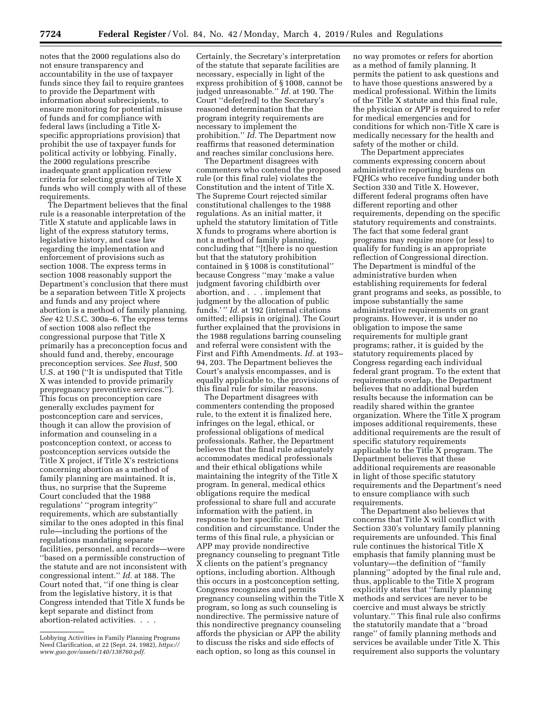notes that the 2000 regulations also do not ensure transparency and accountability in the use of taxpayer funds since they fail to require grantees to provide the Department with information about subrecipients, to ensure monitoring for potential misuse of funds and for compliance with federal laws (including a Title Xspecific appropriations provision) that prohibit the use of taxpayer funds for political activity or lobbying. Finally, the 2000 regulations prescribe inadequate grant application review criteria for selecting grantees of Title X funds who will comply with all of these requirements.

The Department believes that the final rule is a reasonable interpretation of the Title X statute and applicable laws in light of the express statutory terms, legislative history, and case law regarding the implementation and enforcement of provisions such as section 1008. The express terms in section 1008 reasonably support the Department's conclusion that there must be a separation between Title X projects and funds and any project where abortion is a method of family planning. *See* 42 U.S.C. 300a–6. The express terms of section 1008 also reflect the congressional purpose that Title X primarily has a preconception focus and should fund and, thereby, encourage preconception services. *See Rust,* 500 U.S. at 190 (''It is undisputed that Title X was intended to provide primarily prepregnancy preventive services.''). This focus on preconception care generally excludes payment for postconception care and services, though it can allow the provision of information and counseling in a postconception context, or access to postconception services outside the Title X project, if Title X's restrictions concerning abortion as a method of family planning are maintained. It is, thus, no surprise that the Supreme Court concluded that the 1988 regulations' ''program integrity'' requirements, which are substantially similar to the ones adopted in this final rule—including the portions of the regulations mandating separate facilities, personnel, and records—were ''based on a permissible construction of the statute and are not inconsistent with congressional intent.'' *Id.* at 188. The Court noted that, ''if one thing is clear from the legislative history, it is that Congress intended that Title X funds be kept separate and distinct from abortion-related activities. . . .

Certainly, the Secretary's interpretation of the statute that separate facilities are necessary, especially in light of the express prohibition of § 1008, cannot be judged unreasonable.'' *Id.* at 190. The Court ''defer[red] to the Secretary's reasoned determination that the program integrity requirements are necessary to implement the prohibition.'' *Id.* The Department now reaffirms that reasoned determination and reaches similar conclusions here.

The Department disagrees with commenters who contend the proposed rule (or this final rule) violates the Constitution and the intent of Title X. The Supreme Court rejected similar constitutional challenges to the 1988 regulations. As an initial matter, it upheld the statutory limitation of Title X funds to programs where abortion is not a method of family planning, concluding that ''[t]here is no question but that the statutory prohibition contained in § 1008 is constitutional'' because Congress ''may 'make a value judgment favoring childbirth over abortion, and . . . implement that judgment by the allocation of public funds.' '' *Id.* at 192 (internal citations omitted; ellipsis in original). The Court further explained that the provisions in the 1988 regulations barring counseling and referral were consistent with the First and Fifth Amendments. *Id.* at 193– 94, 203. The Department believes the Court's analysis encompasses, and is equally applicable to, the provisions of this final rule for similar reasons.

The Department disagrees with commenters contending the proposed rule, to the extent it is finalized here, infringes on the legal, ethical, or professional obligations of medical professionals. Rather, the Department believes that the final rule adequately accommodates medical professionals and their ethical obligations while maintaining the integrity of the Title X program. In general, medical ethics obligations require the medical professional to share full and accurate information with the patient, in response to her specific medical condition and circumstance. Under the terms of this final rule, a physician or APP may provide nondirective pregnancy counseling to pregnant Title X clients on the patient's pregnancy options, including abortion. Although this occurs in a postconception setting, Congress recognizes and permits pregnancy counseling within the Title X program, so long as such counseling is nondirective. The permissive nature of this nondirective pregnancy counseling affords the physician or APP the ability to discuss the risks and side effects of each option, so long as this counsel in

no way promotes or refers for abortion as a method of family planning. It permits the patient to ask questions and to have those questions answered by a medical professional. Within the limits of the Title X statute and this final rule, the physician or APP is required to refer for medical emergencies and for conditions for which non-Title X care is medically necessary for the health and safety of the mother or child.

The Department appreciates comments expressing concern about administrative reporting burdens on FQHCs who receive funding under both Section 330 and Title X. However, different federal programs often have different reporting and other requirements, depending on the specific statutory requirements and constraints. The fact that some federal grant programs may require more (or less) to qualify for funding is an appropriate reflection of Congressional direction. The Department is mindful of the administrative burden when establishing requirements for federal grant programs and seeks, as possible, to impose substantially the same administrative requirements on grant programs. However, it is under no obligation to impose the same requirements for multiple grant programs; rather, it is guided by the statutory requirements placed by Congress regarding each individual federal grant program. To the extent that requirements overlap, the Department believes that no additional burden results because the information can be readily shared within the grantee organization. Where the Title X program imposes additional requirements, these additional requirements are the result of specific statutory requirements applicable to the Title X program. The Department believes that these additional requirements are reasonable in light of those specific statutory requirements and the Department's need to ensure compliance with such requirements.

The Department also believes that concerns that Title X will conflict with Section 330's voluntary family planning requirements are unfounded. This final rule continues the historical Title X emphasis that family planning must be voluntary—the definition of ''family planning'' adopted by the final rule and, thus, applicable to the Title X program explicitly states that ''family planning methods and services are never to be coercive and must always be strictly voluntary.'' This final rule also confirms the statutorily mandate that a ''broad range'' of family planning methods and services be available under Title X. This requirement also supports the voluntary

Lobbying Activities in Family Planning Programs Need Clarification, at 22 (Sept. 24, 1982), *https:// www.gao.gov/assets/140/138760.pdf.*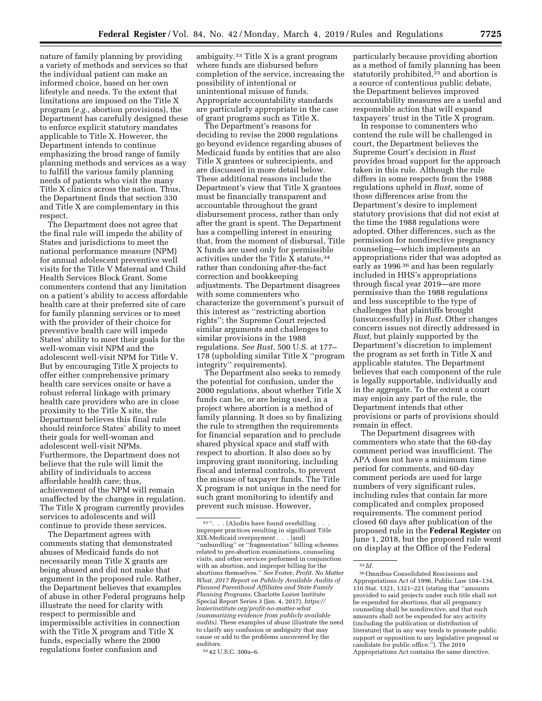nature of family planning by providing a variety of methods and services so that the individual patient can make an informed choice, based on her own lifestyle and needs. To the extent that limitations are imposed on the Title X program (*e.g.,* abortion provisions), the Department has carefully designed these to enforce explicit statutory mandates applicable to Title X. However, the Department intends to continue emphasizing the broad range of family planning methods and services as a way to fulfill the various family planning needs of patients who visit the many Title X clinics across the nation. Thus, the Department finds that section 330 and Title X are complementary in this respect.

The Department does not agree that the final rule will impede the ability of States and jurisdictions to meet the national performance measure (NPM) for annual adolescent preventive well visits for the Title V Maternal and Child Health Services Block Grant. Some commenters contend that any limitation on a patient's ability to access affordable health care at their preferred site of care for family planning services or to meet with the provider of their choice for preventive health care will impede States' ability to meet their goals for the well-woman visit NPM and the adolescent well-visit NPM for Title V. But by encouraging Title X projects to offer either comprehensive primary health care services onsite or have a robust referral linkage with primary health care providers who are in close proximity to the Title X site, the Department believes this final rule should reinforce States' ability to meet their goals for well-woman and adolescent well-visit NPMs. Furthermore, the Department does not believe that the rule will limit the ability of individuals to access affordable health care; thus, achievement of the NPM will remain unaffected by the changes in regulation. The Title X program currently provides services to adolescents and will continue to provide these services.

The Department agrees with comments stating that demonstrated abuses of Medicaid funds do not necessarily mean Title X grants are being abused and did not make that argument in the proposed rule. Rather, the Department believes that examples of abuse in other Federal programs help illustrate the need for clarity with respect to permissible and impermissible activities in connection with the Title X program and Title X funds, especially where the 2000 regulations foster confusion and

ambiguity.33 Title X is a grant program where funds are disbursed before completion of the service, increasing the possibility of intentional or unintentional misuse of funds. Appropriate accountability standards are particularly appropriate in the case of grant programs such as Title X.

The Department's reasons for deciding to revise the 2000 regulations go beyond evidence regarding abuses of Medicaid funds by entities that are also Title X grantees or subrecipients, and are discussed in more detail below. These additional reasons include the Department's view that Title X grantees must be financially transparent and accountable throughout the grant disbursement process, rather than only after the grant is spent. The Department has a compelling interest in ensuring that, from the moment of disbursal, Title X funds are used only for permissible activities under the Title X statute,34 rather than condoning after-the-fact correction and bookkeeping adjustments. The Department disagrees with some commenters who characterize the government's pursuit of this interest as ''restricting abortion rights''; the Supreme Court rejected similar arguments and challenges to similar provisions in the 1988 regulations. *See Rust,* 500 U.S. at 177– 178 (upholding similar Title X ''program integrity'' requirements).

The Department also seeks to remedy the potential for confusion, under the 2000 regulations, about whether Title X funds can be, or are being used, in a project where abortion is a method of family planning. It does so by finalizing the rule to strengthen the requirements for financial separation and to preclude shared physical space and staff with respect to abortion. It also does so by improving grant monitoring, including fiscal and internal controls, to prevent the misuse of taxpayer funds. The Title X program is not unique in the need for such grant monitoring to identify and prevent such misuse. However,

particularly because providing abortion as a method of family planning has been statutorily prohibited,35 and abortion is a source of contentious public debate, the Department believes improved accountability measures are a useful and responsible action that will expand taxpayers' trust in the Title X program.

In response to commenters who contend the rule will be challenged in court, the Department believes the Supreme Court's decision in *Rust*  provides broad support for the approach taken in this rule. Although the rule differs in some respects from the 1988 regulations upheld in *Rust,* some of those differences arise from the Department's desire to implement statutory provisions that did not exist at the time the 1988 regulations were adopted. Other differences, such as the permission for nondirective pregnancy counseling—which implements an appropriations rider that was adopted as early as 1996 36 and has been regularly included in HHS's appropriations through fiscal year 2019—are more permissive than the 1988 regulations and less susceptible to the type of challenges that plaintiffs brought (unsuccessfully) in *Rust.* Other changes concern issues not directly addressed in *Rust,* but plainly supported by the Department's discretion to implement the program as set forth in Title X and applicable statutes. The Department believes that each component of the rule is legally supportable, individually and in the aggregate. To the extent a court may enjoin any part of the rule, the Department intends that other provisions or parts of provisions should remain in effect.

The Department disagrees with commenters who state that the 60-day comment period was insufficient. The APA does not have a minimum time period for comments, and 60-day comment periods are used for large numbers of very significant rules, including rules that contain far more complicated and complex proposed requirements. The comment period closed 60 days after publication of the proposed rule in the **Federal Register** on June 1, 2018, but the proposed rule went on display at the Office of the Federal

 $33$  ". . . [A]udits have found overbilling . improper practices resulting in significant Title XIX-Medicaid overpayment . . . [and] ''unbundling'' or ''fragmentation'' billing schemes related to pre-abortion examinations, counseling visits, and other services performed in conjunction with an abortion, and improper billing for the abortions themselves.'' *See* Foster, *Profit. No Matter What, 2017 Report on Publicly Available Audits of Planned Parenthood Affiliates and State Family Planning Programs,* Charlotte Lozier Institute Special Report Series 3 (Jan. 4, 2017), *https:// lozierinstitute.org/profit-no-matter-what (summarizing evidence from publicly available audits)*. These examples of abuse illustrate the need to clarify any confusion or ambiguity that may cause or add to the problems uncovered by the auditors.

<sup>34</sup> 42 U.S.C. 300a–6.

<sup>35</sup> *Id.* 

<sup>36</sup>Omnibus Consolidated Rescissions and Appropriations Act of 1996, Public Law 104–134, 110 Stat. 1321, 1321–221 (stating that ''amounts provided to said projects under such title shall not be expended for abortions, that all pregnancy counseling shall be nondirective, and that such amounts shall not be expended for any activity (including the publication or distribution of literature) that in any way tends to promote public support or opposition to any legislative proposal or candidate for public office.''). The 2019 Appropriations Act contains the same directive.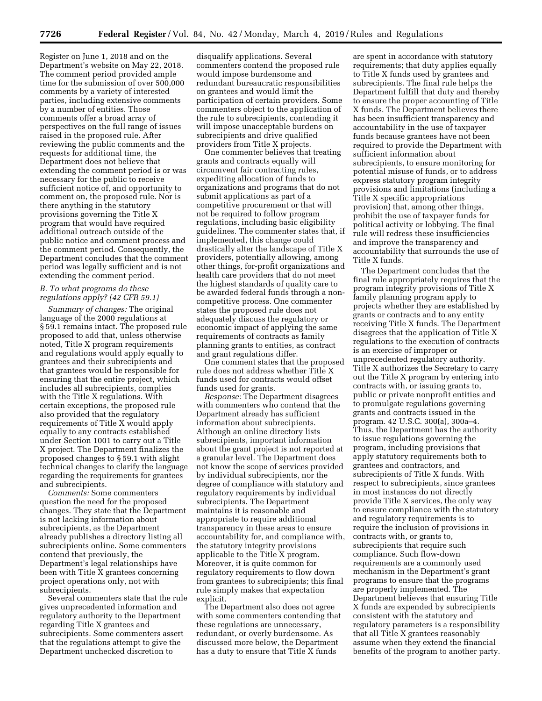Register on June 1, 2018 and on the Department's website on May 22, 2018. The comment period provided ample time for the submission of over 500,000 comments by a variety of interested parties, including extensive comments by a number of entities. Those comments offer a broad array of perspectives on the full range of issues raised in the proposed rule. After reviewing the public comments and the requests for additional time, the Department does not believe that extending the comment period is or was necessary for the public to receive sufficient notice of, and opportunity to comment on, the proposed rule. Nor is there anything in the statutory provisions governing the Title X program that would have required additional outreach outside of the public notice and comment process and the comment period. Consequently, the Department concludes that the comment period was legally sufficient and is not extending the comment period.

#### *B. To what programs do these regulations apply? (42 CFR 59.1)*

*Summary of changes:* The original language of the 2000 regulations at § 59.1 remains intact. The proposed rule proposed to add that, unless otherwise noted, Title X program requirements and regulations would apply equally to grantees and their subrecipients and that grantees would be responsible for ensuring that the entire project, which includes all subrecipients, complies with the Title X regulations. With certain exceptions, the proposed rule also provided that the regulatory requirements of Title X would apply equally to any contracts established under Section 1001 to carry out a Title X project. The Department finalizes the proposed changes to § 59.1 with slight technical changes to clarify the language regarding the requirements for grantees and subrecipients.

*Comments:* Some commenters question the need for the proposed changes. They state that the Department is not lacking information about subrecipients, as the Department already publishes a directory listing all subrecipients online. Some commenters contend that previously, the Department's legal relationships have been with Title X grantees concerning project operations only, not with subrecipients.

Several commenters state that the rule gives unprecedented information and regulatory authority to the Department regarding Title X grantees and subrecipients. Some commenters assert that the regulations attempt to give the Department unchecked discretion to

disqualify applications. Several commenters contend the proposed rule would impose burdensome and redundant bureaucratic responsibilities on grantees and would limit the participation of certain providers. Some commenters object to the application of the rule to subrecipients, contending it will impose unacceptable burdens on subrecipients and drive qualified providers from Title X projects.

One commenter believes that treating grants and contracts equally will circumvent fair contracting rules, expediting allocation of funds to organizations and programs that do not submit applications as part of a competitive procurement or that will not be required to follow program regulations, including basic eligibility guidelines. The commenter states that, if implemented, this change could drastically alter the landscape of Title X providers, potentially allowing, among other things, for-profit organizations and health care providers that do not meet the highest standards of quality care to be awarded federal funds through a noncompetitive process. One commenter states the proposed rule does not adequately discuss the regulatory or economic impact of applying the same requirements of contracts as family planning grants to entities, as contract and grant regulations differ.

One comment states that the proposed rule does not address whether Title X funds used for contracts would offset funds used for grants.

*Response:* The Department disagrees with commenters who contend that the Department already has sufficient information about subrecipients. Although an online directory lists subrecipients, important information about the grant project is not reported at a granular level. The Department does not know the scope of services provided by individual subrecipients, nor the degree of compliance with statutory and regulatory requirements by individual subrecipients. The Department maintains it is reasonable and appropriate to require additional transparency in these areas to ensure accountability for, and compliance with, the statutory integrity provisions applicable to the Title X program. Moreover, it is quite common for regulatory requirements to flow down from grantees to subrecipients; this final rule simply makes that expectation explicit.

The Department also does not agree with some commenters contending that these regulations are unnecessary, redundant, or overly burdensome. As discussed more below, the Department has a duty to ensure that Title X funds

are spent in accordance with statutory requirements; that duty applies equally to Title X funds used by grantees and subrecipients. The final rule helps the Department fulfill that duty and thereby to ensure the proper accounting of Title X funds. The Department believes there has been insufficient transparency and accountability in the use of taxpayer funds because grantees have not been required to provide the Department with sufficient information about subrecipients, to ensure monitoring for potential misuse of funds, or to address express statutory program integrity provisions and limitations (including a Title X specific appropriations provision) that, among other things, prohibit the use of taxpayer funds for political activity or lobbying. The final rule will redress these insufficiencies and improve the transparency and accountability that surrounds the use of Title X funds.

The Department concludes that the final rule appropriately requires that the program integrity provisions of Title X family planning program apply to projects whether they are established by grants or contracts and to any entity receiving Title X funds. The Department disagrees that the application of Title X regulations to the execution of contracts is an exercise of improper or unprecedented regulatory authority. Title X authorizes the Secretary to carry out the Title X program by entering into contracts with, or issuing grants to, public or private nonprofit entities and to promulgate regulations governing grants and contracts issued in the program. 42 U.S.C. 300(a), 300a–4. Thus, the Department has the authority to issue regulations governing the program, including provisions that apply statutory requirements both to grantees and contractors, and subrecipients of Title X funds. With respect to subrecipients, since grantees in most instances do not directly provide Title X services, the only way to ensure compliance with the statutory and regulatory requirements is to require the inclusion of provisions in contracts with, or grants to, subrecipients that require such compliance. Such flow-down requirements are a commonly used mechanism in the Department's grant programs to ensure that the programs are properly implemented. The Department believes that ensuring Title X funds are expended by subrecipients consistent with the statutory and regulatory parameters is a responsibility that all Title X grantees reasonably assume when they extend the financial benefits of the program to another party.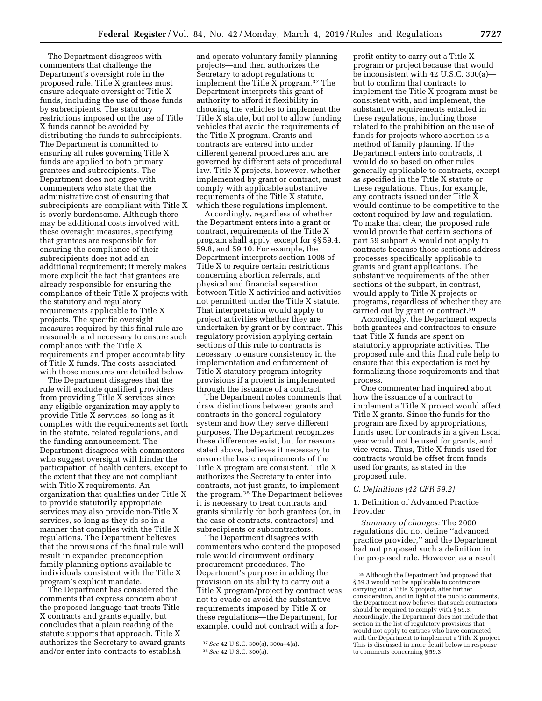The Department disagrees with commenters that challenge the Department's oversight role in the proposed rule. Title X grantees must ensure adequate oversight of Title X funds, including the use of those funds by subrecipients. The statutory restrictions imposed on the use of Title X funds cannot be avoided by distributing the funds to subrecipients. The Department is committed to ensuring all rules governing Title X funds are applied to both primary grantees and subrecipients. The Department does not agree with commenters who state that the administrative cost of ensuring that subrecipients are compliant with Title X is overly burdensome. Although there may be additional costs involved with these oversight measures, specifying that grantees are responsible for ensuring the compliance of their subrecipients does not add an additional requirement; it merely makes more explicit the fact that grantees are already responsible for ensuring the compliance of their Title X projects with the statutory and regulatory requirements applicable to Title X projects. The specific oversight measures required by this final rule are reasonable and necessary to ensure such compliance with the Title X requirements and proper accountability of Title X funds. The costs associated with those measures are detailed below.

The Department disagrees that the rule will exclude qualified providers from providing Title X services since any eligible organization may apply to provide Title X services, so long as it complies with the requirements set forth in the statute, related regulations, and the funding announcement. The Department disagrees with commenters who suggest oversight will hinder the participation of health centers, except to the extent that they are not compliant with Title X requirements. An organization that qualifies under Title X to provide statutorily appropriate services may also provide non-Title X services, so long as they do so in a manner that complies with the Title X regulations. The Department believes that the provisions of the final rule will result in expanded preconception family planning options available to individuals consistent with the Title X program's explicit mandate.

The Department has considered the comments that express concern about the proposed language that treats Title X contracts and grants equally, but concludes that a plain reading of the statute supports that approach. Title X authorizes the Secretary to award grants and/or enter into contracts to establish

and operate voluntary family planning projects—and then authorizes the Secretary to adopt regulations to implement the Title X program.37 The Department interprets this grant of authority to afford it flexibility in choosing the vehicles to implement the Title X statute, but not to allow funding vehicles that avoid the requirements of the Title X program. Grants and contracts are entered into under different general procedures and are governed by different sets of procedural law. Title X projects, however, whether implemented by grant or contract, must comply with applicable substantive requirements of the Title X statute, which these regulations implement.

Accordingly, regardless of whether the Department enters into a grant or contract, requirements of the Title X program shall apply, except for §§ 59.4, 59.8, and 59.10. For example, the Department interprets section 1008 of Title X to require certain restrictions concerning abortion referrals, and physical and financial separation between Title X activities and activities not permitted under the Title X statute. That interpretation would apply to project activities whether they are undertaken by grant or by contract. This regulatory provision applying certain sections of this rule to contracts is necessary to ensure consistency in the implementation and enforcement of Title X statutory program integrity provisions if a project is implemented through the issuance of a contract.

The Department notes comments that draw distinctions between grants and contracts in the general regulatory system and how they serve different purposes. The Department recognizes these differences exist, but for reasons stated above, believes it necessary to ensure the basic requirements of the Title X program are consistent. Title X authorizes the Secretary to enter into contracts, not just grants, to implement the program.38 The Department believes it is necessary to treat contracts and grants similarly for both grantees (or, in the case of contracts, contractors) and subrecipients or subcontractors.

The Department disagrees with commenters who contend the proposed rule would circumvent ordinary procurement procedures. The Department's purpose in adding the provision on its ability to carry out a Title X program/project by contract was not to evade or avoid the substantive requirements imposed by Title X or these regulations—the Department, for example, could not contract with a for-

profit entity to carry out a Title X program or project because that would be inconsistent with 42 U.S.C. 300(a) but to confirm that contracts to implement the Title X program must be consistent with, and implement, the substantive requirements entailed in these regulations, including those related to the prohibition on the use of funds for projects where abortion is a method of family planning. If the Department enters into contracts, it would do so based on other rules generally applicable to contracts, except as specified in the Title X statute or these regulations. Thus, for example, any contracts issued under Title X would continue to be competitive to the extent required by law and regulation. To make that clear, the proposed rule would provide that certain sections of part 59 subpart A would not apply to contracts because those sections address processes specifically applicable to grants and grant applications. The substantive requirements of the other sections of the subpart, in contrast, would apply to Title X projects or programs, regardless of whether they are carried out by grant or contract.39

Accordingly, the Department expects both grantees and contractors to ensure that Title X funds are spent on statutorily appropriate activities. The proposed rule and this final rule help to ensure that this expectation is met by formalizing those requirements and that process.

One commenter had inquired about how the issuance of a contract to implement a Title X project would affect Title X grants. Since the funds for the program are fixed by appropriations, funds used for contracts in a given fiscal year would not be used for grants, and vice versa. Thus, Title X funds used for contracts would be offset from funds used for grants, as stated in the proposed rule.

# *C. Definitions (42 CFR 59.2)*

## 1. Definition of Advanced Practice Provider

*Summary of changes:* The 2000 regulations did not define ''advanced practice provider,'' and the Department had not proposed such a definition in the proposed rule. However, as a result

<sup>37</sup>*See* 42 U.S.C. 300(a), 300a–4(a). 38*See* 42 U.S.C. 300(a).

<sup>39</sup>Although the Department had proposed that § 59.3 would not be applicable to contractors carrying out a Title X project, after further consideration, and in light of the public comments, the Department now believes that such contractors should be required to comply with § 59.3. Accordingly, the Department does not include that section in the list of regulatory provisions that would not apply to entities who have contracted with the Department to implement a Title X project. This is discussed in more detail below in response to comments concerning § 59.3.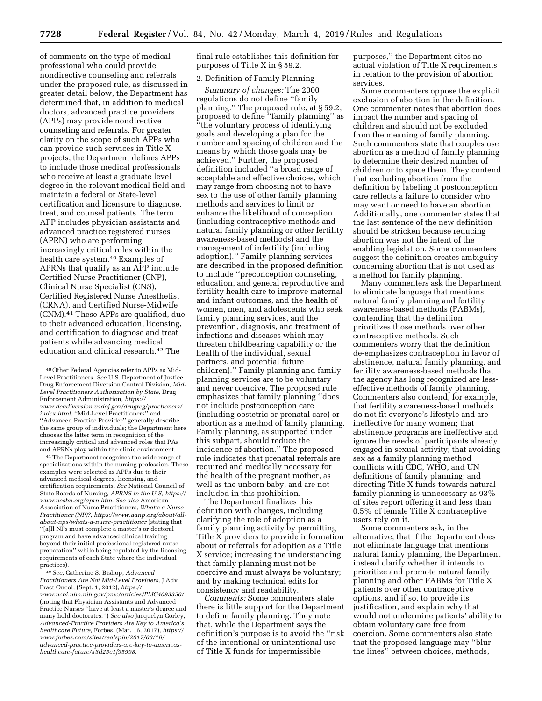of comments on the type of medical professional who could provide nondirective counseling and referrals under the proposed rule, as discussed in greater detail below, the Department has determined that, in addition to medical doctors, advanced practice providers (APPs) may provide nondirective counseling and referrals. For greater clarity on the scope of such APPs who can provide such services in Title X projects, the Department defines APPs to include those medical professionals who receive at least a graduate level degree in the relevant medical field and maintain a federal or State-level certification and licensure to diagnose, treat, and counsel patients. The term APP includes physician assistants and advanced practice registered nurses (APRN) who are performing increasingly critical roles within the health care system.40 Examples of APRNs that qualify as an APP include Certified Nurse Practitioner (CNP), Clinical Nurse Specialist (CNS), Certified Registered Nurse Anesthetist (CRNA), and Certified Nurse-Midwife (CNM).41 These APPs are qualified, due to their advanced education, licensing, and certification to diagnose and treat patients while advancing medical education and clinical research.42 The

41The Department recognizes the wide range of specializations within the nursing profession. These examples were selected as APPs due to their advanced medical degrees, licensing, and certification requirements. *See* National Council of State Boards of Nursing, *APRNS in the U.S, https:// www.ncsbn.org/aprn.htm*. *See also* American Association of Nurse Practitioners, *What's a Nurse Practitioner (NP)?, https://www.aanp.org/about/allabout-nps/whats-a-nurse-practitioner* (stating that ''[a]ll NPs must complete a master's or doctoral program and have advanced clinical training beyond their initial professional registered nurse preparation'' while being regulated by the licensing requirements of each State where the individual practices).

42*See,* Catherine S. Bishop, *Advanced Practitioners Are Not Mid-Level Providers,* J Adv Pract Oncol, (Sept. 1, 2012), *https:// www.ncbi.nlm.nih.gov/pmc/articles/PMC4093350/*  (noting that Physician Assistants and Advanced Practice Nurses ''have at least a master's degree and many hold doctorates.'') *See also* Jacquelyn Corley, *Advanced-Practice Providers Are Key to America's healthcare Future,* Forbes, (Mar. 16, 2017), *https:// www.forbes.com/sites/realspin/2017/03/16/ advanced-practice-providers-are-key-to-americashealthcare-future/#3d25c1f95998*.

final rule establishes this definition for purposes of Title X in § 59.2.

# 2. Definition of Family Planning

*Summary of changes:* The 2000 regulations do not define ''family planning.'' The proposed rule, at § 59.2, proposed to define ''family planning'' as ''the voluntary process of identifying goals and developing a plan for the number and spacing of children and the means by which those goals may be achieved.'' Further, the proposed definition included ''a broad range of acceptable and effective choices, which may range from choosing not to have sex to the use of other family planning methods and services to limit or enhance the likelihood of conception (including contraceptive methods and natural family planning or other fertility awareness-based methods) and the management of infertility (including adoption).'' Family planning services are described in the proposed definition to include ''preconception counseling, education, and general reproductive and fertility health care to improve maternal and infant outcomes, and the health of women, men, and adolescents who seek family planning services, and the prevention, diagnosis, and treatment of infections and diseases which may threaten childbearing capability or the health of the individual, sexual partners, and potential future children).'' Family planning and family planning services are to be voluntary and never coercive. The proposed rule emphasizes that family planning ''does not include postconception care (including obstetric or prenatal care) or abortion as a method of family planning. Family planning, as supported under this subpart, should reduce the incidence of abortion.'' The proposed rule indicates that prenatal referrals are required and medically necessary for the health of the pregnant mother, as well as the unborn baby, and are not included in this prohibition.

The Department finalizes this definition with changes, including clarifying the role of adoption as a family planning activity by permitting Title X providers to provide information about or referrals for adoption as a Title X service; increasing the understanding that family planning must not be coercive and must always be voluntary; and by making technical edits for consistency and readability.

*Comments:* Some commenters state there is little support for the Department to define family planning. They note that, while the Department says the definition's purpose is to avoid the ''risk of the intentional or unintentional use of Title X funds for impermissible

purposes,'' the Department cites no actual violation of Title X requirements in relation to the provision of abortion services.

Some commenters oppose the explicit exclusion of abortion in the definition. One commenter notes that abortion does impact the number and spacing of children and should not be excluded from the meaning of family planning. Such commenters state that couples use abortion as a method of family planning to determine their desired number of children or to space them. They contend that excluding abortion from the definition by labeling it postconception care reflects a failure to consider who may want or need to have an abortion. Additionally, one commenter states that the last sentence of the new definition should be stricken because reducing abortion was not the intent of the enabling legislation. Some commenters suggest the definition creates ambiguity concerning abortion that is not used as a method for family planning.

Many commenters ask the Department to eliminate language that mentions natural family planning and fertility awareness-based methods (FABMs), contending that the definition prioritizes those methods over other contraceptive methods. Such commenters worry that the definition de-emphasizes contraception in favor of abstinence, natural family planning, and fertility awareness-based methods that the agency has long recognized are lesseffective methods of family planning. Commenters also contend, for example, that fertility awareness-based methods do not fit everyone's lifestyle and are ineffective for many women; that abstinence programs are ineffective and ignore the needs of participants already engaged in sexual activity; that avoiding sex as a family planning method conflicts with CDC, WHO, and UN definitions of family planning; and directing Title X funds towards natural family planning is unnecessary as 93% of sites report offering it and less than 0.5% of female Title X contraceptive users rely on it.

Some commenters ask, in the alternative, that if the Department does not eliminate language that mentions natural family planning, the Department instead clarify whether it intends to prioritize and promote natural family planning and other FABMs for Title X patients over other contraceptive options, and if so, to provide its justification, and explain why that would not undermine patients' ability to obtain voluntary care free from coercion. Some commenters also state that the proposed language may ''blur the lines'' between choices, methods,

<sup>40</sup>Other Federal Agencies refer to APPs as Mid-Level Practitioners. *See* U.S. Department of Justice Drug Enforcement Diversion Control Division, *Mid-Level Practitioners Authorization by State,* Drug Enforcement Administration, *https:// www.deadiversion.usdoj.gov/drugreg/practioners/ index.html*. ''Mid-Level Practitioners'' and ''Advanced Practice Provider'' generally describe the same group of individuals; the Department here chooses the latter term in recognition of the increasingly critical and advanced roles that PAs and APRNs play within the clinic environment.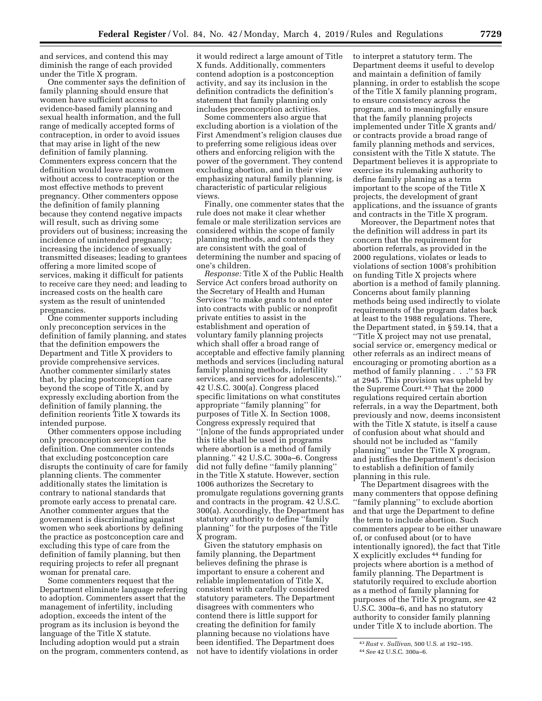and services, and contend this may diminish the range of each provided under the Title X program.

One commenter says the definition of family planning should ensure that women have sufficient access to evidence-based family planning and sexual health information, and the full range of medically accepted forms of contraception, in order to avoid issues that may arise in light of the new definition of family planning. Commenters express concern that the definition would leave many women without access to contraception or the most effective methods to prevent pregnancy. Other commenters oppose the definition of family planning because they contend negative impacts will result, such as driving some providers out of business; increasing the incidence of unintended pregnancy; increasing the incidence of sexually transmitted diseases; leading to grantees offering a more limited scope of services, making it difficult for patients to receive care they need; and leading to increased costs on the health care system as the result of unintended pregnancies.

One commenter supports including only preconception services in the definition of family planning, and states that the definition empowers the Department and Title X providers to provide comprehensive services. Another commenter similarly states that, by placing postconception care beyond the scope of Title X, and by expressly excluding abortion from the definition of family planning, the definition reorients Title X towards its intended purpose.

Other commenters oppose including only preconception services in the definition. One commenter contends that excluding postconception care disrupts the continuity of care for family planning clients. The commenter additionally states the limitation is contrary to national standards that promote early access to prenatal care. Another commenter argues that the government is discriminating against women who seek abortions by defining the practice as postconception care and excluding this type of care from the definition of family planning, but then requiring projects to refer all pregnant woman for prenatal care.

Some commenters request that the Department eliminate language referring to adoption. Commenters assert that the management of infertility, including adoption, exceeds the intent of the program as its inclusion is beyond the language of the Title X statute. Including adoption would put a strain on the program, commenters contend, as

it would redirect a large amount of Title X funds. Additionally, commenters contend adoption is a postconception activity, and say its inclusion in the definition contradicts the definition's statement that family planning only includes preconception activities.

Some commenters also argue that excluding abortion is a violation of the First Amendment's religion clauses due to preferring some religious ideas over others and enforcing religion with the power of the government. They contend excluding abortion, and in their view emphasizing natural family planning, is characteristic of particular religious views.

Finally, one commenter states that the rule does not make it clear whether female or male sterilization services are considered within the scope of family planning methods, and contends they are consistent with the goal of determining the number and spacing of one's children.

*Response:* Title X of the Public Health Service Act confers broad authority on the Secretary of Health and Human Services ''to make grants to and enter into contracts with public or nonprofit private entities to assist in the establishment and operation of voluntary family planning projects which shall offer a broad range of acceptable and effective family planning methods and services (including natural family planning methods, infertility services, and services for adolescents).'' 42 U.S.C. 300(a). Congress placed specific limitations on what constitutes appropriate ''family planning'' for purposes of Title X. In Section 1008, Congress expressly required that ''[n]one of the funds appropriated under this title shall be used in programs where abortion is a method of family planning.'' 42 U.S.C. 300a–6. Congress did not fully define ''family planning'' in the Title X statute. However, section 1006 authorizes the Secretary to promulgate regulations governing grants and contracts in the program. 42 U.S.C. 300(a). Accordingly, the Department has statutory authority to define ''family planning'' for the purposes of the Title X program.

Given the statutory emphasis on family planning, the Department believes defining the phrase is important to ensure a coherent and reliable implementation of Title X, consistent with carefully considered statutory parameters. The Department disagrees with commenters who contend there is little support for creating the definition for family planning because no violations have been identified. The Department does not have to identify violations in order to interpret a statutory term. The Department deems it useful to develop and maintain a definition of family planning, in order to establish the scope of the Title X family planning program, to ensure consistency across the program, and to meaningfully ensure that the family planning projects implemented under Title X grants and/ or contracts provide a broad range of family planning methods and services, consistent with the Title X statute. The Department believes it is appropriate to exercise its rulemaking authority to define family planning as a term important to the scope of the Title X projects, the development of grant applications, and the issuance of grants and contracts in the Title X program.

Moreover, the Department notes that the definition will address in part its concern that the requirement for abortion referrals, as provided in the 2000 regulations, violates or leads to violations of section 1008's prohibition on funding Title X projects where abortion is a method of family planning. Concerns about family planning methods being used indirectly to violate requirements of the program dates back at least to the 1988 regulations. There, the Department stated, in § 59.14, that a

''Title X project may not use prenatal, social service or, emergency medical or other referrals as an indirect means of encouraging or promoting abortion as a method of family planning . . .'' 53 FR at 2945. This provision was upheld by the Supreme Court.43 That the 2000 regulations required certain abortion referrals, in a way the Department, both previously and now, deems inconsistent with the Title X statute, is itself a cause of confusion about what should and should not be included as ''family planning'' under the Title X program, and justifies the Department's decision to establish a definition of family planning in this rule.

The Department disagrees with the many commenters that oppose defining ''family planning'' to exclude abortion and that urge the Department to define the term to include abortion. Such commenters appear to be either unaware of, or confused about (or to have intentionally ignored), the fact that Title X explicitly excludes 44 funding for projects where abortion is a method of family planning. The Department is statutorily required to exclude abortion as a method of family planning for purposes of the Title X program, *see* 42 U.S.C. 300a–6, and has no statutory authority to consider family planning under Title X to include abortion. The

<sup>43</sup>*Rust* v. *Sullivan,* 500 U.S. at 192–195.

<sup>44</sup>*See* 42 U.S.C. 300a–6.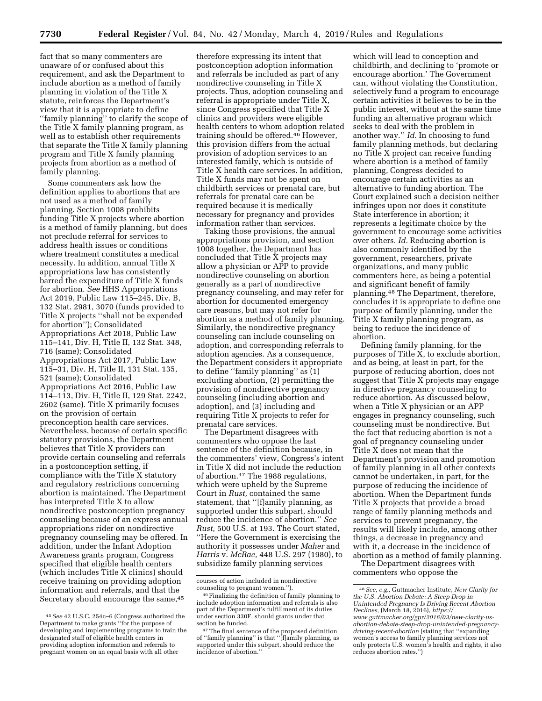fact that so many commenters are unaware of or confused about this requirement, and ask the Department to include abortion as a method of family planning in violation of the Title X statute, reinforces the Department's view that it is appropriate to define ''family planning'' to clarify the scope of the Title X family planning program, as well as to establish other requirements that separate the Title X family planning program and Title X family planning projects from abortion as a method of family planning.

Some commenters ask how the definition applies to abortions that are not used as a method of family planning. Section 1008 prohibits funding Title X projects where abortion is a method of family planning, but does not preclude referral for services to address health issues or conditions where treatment constitutes a medical necessity. In addition, annual Title X appropriations law has consistently barred the expenditure of Title X funds for abortion. *See* HHS Appropriations Act 2019, Public Law 115–245, Div. B, 132 Stat. 2981, 3070 (funds provided to Title X projects ''shall not be expended for abortion''); Consolidated Appropriations Act 2018, Public Law 115–141, Div. H, Title II, 132 Stat. 348, 716 (same); Consolidated Appropriations Act 2017, Public Law 115–31, Div. H, Title II, 131 Stat. 135, 521 (same); Consolidated Appropriations Act 2016, Public Law 114–113, Div. H, Title II, 129 Stat. 2242, 2602 (same). Title X primarily focuses on the provision of certain preconception health care services. Nevertheless, because of certain specific statutory provisions, the Department believes that Title X providers can provide certain counseling and referrals in a postconception setting, if compliance with the Title X statutory and regulatory restrictions concerning abortion is maintained. The Department has interpreted Title X to allow nondirective postconception pregnancy counseling because of an express annual appropriations rider on nondirective pregnancy counseling may be offered. In addition, under the Infant Adoption Awareness grants program, Congress specified that eligible health centers (which includes Title X clinics) should receive training on providing adoption information and referrals, and that the Secretary should encourage the same,45

therefore expressing its intent that postconception adoption information and referrals be included as part of any nondirective counseling in Title X projects. Thus, adoption counseling and referral is appropriate under Title X, since Congress specified that Title X clinics and providers were eligible health centers to whom adoption related training should be offered.46 However, this provision differs from the actual provision of adoption services to an interested family, which is outside of Title X health care services. In addition, Title X funds may not be spent on childbirth services or prenatal care, but referrals for prenatal care can be required because it is medically necessary for pregnancy and provides information rather than services.

Taking those provisions, the annual appropriations provision, and section 1008 together, the Department has concluded that Title X projects may allow a physician or APP to provide nondirective counseling on abortion generally as a part of nondirective pregnancy counseling, and may refer for abortion for documented emergency care reasons, but may not refer for abortion as a method of family planning. Similarly, the nondirective pregnancy counseling can include counseling on adoption, and corresponding referrals to adoption agencies. As a consequence, the Department considers it appropriate to define ''family planning'' as (1) excluding abortion, (2) permitting the provision of nondirective pregnancy counseling (including abortion and adoption), and (3) including and requiring Title X projects to refer for prenatal care services.

The Department disagrees with commenters who oppose the last sentence of the definition because, in the commenters' view, Congress's intent in Title X did not include the reduction of abortion.47 The 1988 regulations, which were upheld by the Supreme Court in *Rust,* contained the same statement, that ''[f]amily planning, as supported under this subpart, should reduce the incidence of abortion.'' *See Rust,* 500 U.S. at 193. The Court stated, ''Here the Government is exercising the authority it possesses under *Maher* and *Harris* v. *McRae,* 448 U.S. 297 (1980), to subsidize family planning services

which will lead to conception and childbirth, and declining to 'promote or encourage abortion.' The Government can, without violating the Constitution, selectively fund a program to encourage certain activities it believes to be in the public interest, without at the same time funding an alternative program which seeks to deal with the problem in another way.'' *Id.* In choosing to fund family planning methods, but declaring no Title X project can receive funding where abortion is a method of family planning, Congress decided to encourage certain activities as an alternative to funding abortion. The Court explained such a decision neither infringes upon nor does it constitute State interference in abortion; it represents a legitimate choice by the government to encourage some activities over others. *Id.* Reducing abortion is also commonly identified by the government, researchers, private organizations, and many public commenters here, as being a potential and significant benefit of family planning.48 The Department, therefore, concludes it is appropriate to define one purpose of family planning, under the Title X family planning program, as being to reduce the incidence of abortion.

Defining family planning, for the purposes of Title X, to exclude abortion, and as being, at least in part, for the purpose of reducing abortion, does not suggest that Title X projects may engage in directive pregnancy counseling to reduce abortion. As discussed below, when a Title X physician or an APP engages in pregnancy counseling, such counseling must be nondirective. But the fact that reducing abortion is not a goal of pregnancy counseling under Title X does not mean that the Department's provision and promotion of family planning in all other contexts cannot be undertaken, in part, for the purpose of reducing the incidence of abortion. When the Department funds Title X projects that provide a broad range of family planning methods and services to prevent pregnancy, the results will likely include, among other things, a decrease in pregnancy and with it, a decrease in the incidence of abortion as a method of family planning.

The Department disagrees with commenters who oppose the

<sup>45</sup>*See* 42 U.S.C. 254c–6 (Congress authorized the Department to make grants ''for the purpose of developing and implementing programs to train the designated staff of eligible health centers in providing adoption information and referrals to pregnant women on an equal basis with all other

courses of action included in nondirective

<sup>&</sup>lt;sup>46</sup> Finalizing the definition of family planning to include adoption information and referrals is also part of the Department's fulfillment of its duties under section 330F, should grants under that

section be funded. 47The final sentence of the proposed definition of ''family planning'' is that ''[f]amily planning, as supported under this subpart, should reduce the incidence of abortion.''

<sup>48</sup>*See, e.g.,* Guttmacher Institute, *New Clarity for the U.S. Abortion Debate: A Steep Drop in Unintended Pregnancy Is Driving Recent Abortion Declines,* (March 18, 2016), *https:// www.guttmacher.org/gpr/2016/03/new-clarity-usabortion-debate-steep-drop-unintended-pregnancydriving-recent-abortion* (stating that ''expanding women's access to family planning services not only protects U.S. women's health and rights, it also reduces abortion rates.'')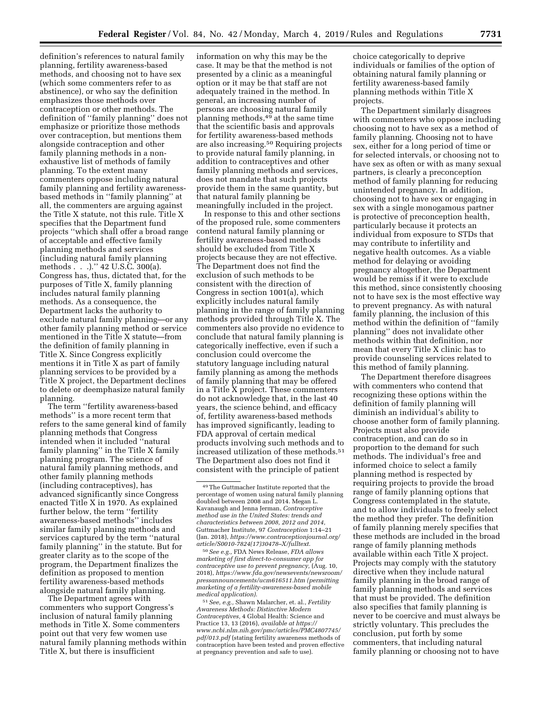definition's references to natural family planning, fertility awareness-based methods, and choosing not to have sex (which some commenters refer to as abstinence), or who say the definition emphasizes those methods over contraception or other methods. The definition of ''family planning'' does not emphasize or prioritize those methods over contraception, but mentions them alongside contraception and other family planning methods in a nonexhaustive list of methods of family planning. To the extent many commenters oppose including natural family planning and fertility awarenessbased methods in ''family planning'' at all, the commenters are arguing against the Title X statute, not this rule. Title X specifies that the Department fund projects ''which shall offer a broad range of acceptable and effective family planning methods and services (including natural family planning methods . . .).'' 42 U.S.C. 300(a). Congress has, thus, dictated that, for the purposes of Title X, family planning includes natural family planning methods. As a consequence, the Department lacks the authority to exclude natural family planning—or any other family planning method or service mentioned in the Title X statute—from the definition of family planning in Title X. Since Congress explicitly mentions it in Title X as part of family planning services to be provided by a Title X project, the Department declines to delete or deemphasize natural family planning.

The term ''fertility awareness-based methods'' is a more recent term that refers to the same general kind of family planning methods that Congress intended when it included ''natural family planning'' in the Title X family planning program. The science of natural family planning methods, and other family planning methods (including contraceptives), has advanced significantly since Congress enacted Title X in 1970. As explained further below, the term ''fertility awareness-based methods'' includes similar family planning methods and services captured by the term ''natural family planning'' in the statute. But for greater clarity as to the scope of the program, the Department finalizes the definition as proposed to mention fertility awareness-based methods alongside natural family planning.

The Department agrees with commenters who support Congress's inclusion of natural family planning methods in Title X. Some commenters point out that very few women use natural family planning methods within Title X, but there is insufficient

information on why this may be the case. It may be that the method is not presented by a clinic as a meaningful option or it may be that staff are not adequately trained in the method. In general, an increasing number of persons are choosing natural family planning methods,49 at the same time that the scientific basis and approvals for fertility awareness-based methods are also increasing.50 Requiring projects to provide natural family planning, in addition to contraceptives and other family planning methods and services, does not mandate that such projects provide them in the same quantity, but that natural family planning be meaningfully included in the project.

In response to this and other sections of the proposed rule, some commenters contend natural family planning or fertility awareness-based methods should be excluded from Title X projects because they are not effective. The Department does not find the exclusion of such methods to be consistent with the direction of Congress in section 1001(a), which explicitly includes natural family planning in the range of family planning methods provided through Title X. The commenters also provide no evidence to conclude that natural family planning is categorically ineffective, even if such a conclusion could overcome the statutory language including natural family planning as among the methods of family planning that may be offered in a Title X project. These commenters do not acknowledge that, in the last 40 years, the science behind, and efficacy of, fertility awareness-based methods has improved significantly, leading to FDA approval of certain medical products involving such methods and to increased utilization of these methods.51 The Department also does not find it consistent with the principle of patient

50*See e.g.,* FDA News Release, *FDA allows marketing of first direct-to-consumer app for contraceptive use to prevent pregnancy,* (Aug. 10, 2018), *https://www.fda.gov/newsevents/newsroom/ pressannouncements/ucm616511.htm (permitting marketing of a fertility-awareness-based mobile medical application)*.

51*See, e.g.,* Shawn Malarcher, et. al., *Fertility Awareness Methods: Distinctive Modern Contraceptives,* 4 Global Health: Science and Practice 13, 13 (2016), *available at https:// www.ncbi.nlm.nih.gov/pmc/articles/PMC4807745/ pdf/013.pdf* (stating fertility awareness methods of contraception have been tested and proven effective at pregnancy prevention and safe to use).

choice categorically to deprive individuals or families of the option of obtaining natural family planning or fertility awareness-based family planning methods within Title X projects.

The Department similarly disagrees with commenters who oppose including choosing not to have sex as a method of family planning. Choosing not to have sex, either for a long period of time or for selected intervals, or choosing not to have sex as often or with as many sexual partners, is clearly a preconception method of family planning for reducing unintended pregnancy. In addition, choosing not to have sex or engaging in sex with a single monogamous partner is protective of preconception health, particularly because it protects an individual from exposure to STDs that may contribute to infertility and negative health outcomes. As a viable method for delaying or avoiding pregnancy altogether, the Department would be remiss if it were to exclude this method, since consistently choosing not to have sex is the most effective way to prevent pregnancy. As with natural family planning, the inclusion of this method within the definition of ''family planning'' does not invalidate other methods within that definition, nor mean that every Title X clinic has to provide counseling services related to this method of family planning.

The Department therefore disagrees with commenters who contend that recognizing these options within the definition of family planning will diminish an individual's ability to choose another form of family planning. Projects must also provide contraception, and can do so in proportion to the demand for such methods. The individual's free and informed choice to select a family planning method is respected by requiring projects to provide the broad range of family planning options that Congress contemplated in the statute, and to allow individuals to freely select the method they prefer. The definition of family planning merely specifies that these methods are included in the broad range of family planning methods available within each Title X project. Projects may comply with the statutory directive when they include natural family planning in the broad range of family planning methods and services that must be provided. The definition also specifies that family planning is never to be coercive and must always be strictly voluntary. This precludes the conclusion, put forth by some commenters, that including natural family planning or choosing not to have

<sup>49</sup>The Guttmacher Institute reported that the percentage of women using natural family planning doubled between 2008 and 2014. Megan L. Kavanaugh and Jenna Jerman, *Contraceptive method use in the United States: trends and characteristics between 2008, 2012 and 2014,*  Guttmacher Institute, 97 *Contraception* 1:14–21 (Jan. 2018), *https://www.contraceptionjournal.org/ article/S0010-7824(17)30478–X/fulltext*.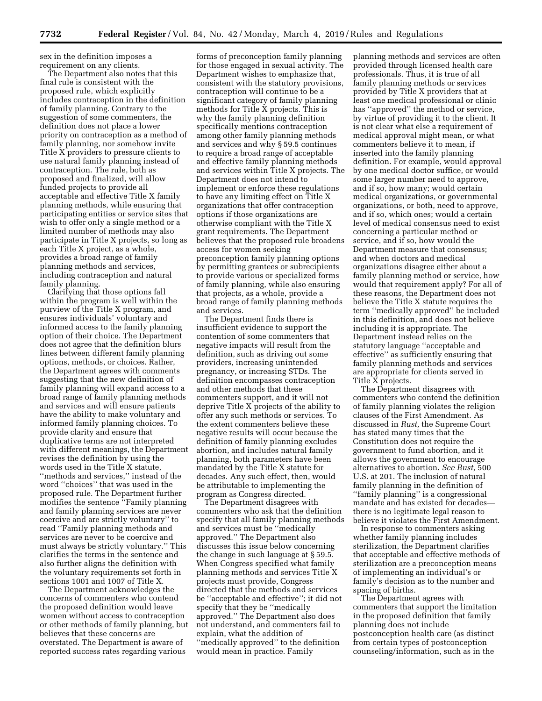sex in the definition imposes a requirement on any clients.

The Department also notes that this final rule is consistent with the proposed rule, which explicitly includes contraception in the definition of family planning. Contrary to the suggestion of some commenters, the definition does not place a lower priority on contraception as a method of family planning, nor somehow invite Title X providers to pressure clients to use natural family planning instead of contraception. The rule, both as proposed and finalized, will allow funded projects to provide all acceptable and effective Title X family planning methods, while ensuring that participating entities or service sites that wish to offer only a single method or a limited number of methods may also participate in Title X projects, so long as each Title X project, as a whole, provides a broad range of family planning methods and services, including contraception and natural family planning.

Clarifying that those options fall within the program is well within the purview of the Title X program, and ensures individuals' voluntary and informed access to the family planning option of their choice. The Department does not agree that the definition blurs lines between different family planning options, methods, or choices. Rather, the Department agrees with comments suggesting that the new definition of family planning will expand access to a broad range of family planning methods and services and will ensure patients have the ability to make voluntary and informed family planning choices. To provide clarity and ensure that duplicative terms are not interpreted with different meanings, the Department revises the definition by using the words used in the Title X statute, ''methods and services,'' instead of the word ''choices'' that was used in the proposed rule. The Department further modifies the sentence ''Family planning and family planning services are never coercive and are strictly voluntary'' to read ''Family planning methods and services are never to be coercive and must always be strictly voluntary.'' This clarifies the terms in the sentence and also further aligns the definition with the voluntary requirements set forth in sections 1001 and 1007 of Title X.

The Department acknowledges the concerns of commenters who contend the proposed definition would leave women without access to contraception or other methods of family planning, but believes that these concerns are overstated. The Department is aware of reported success rates regarding various

forms of preconception family planning for those engaged in sexual activity. The Department wishes to emphasize that, consistent with the statutory provisions, contraception will continue to be a significant category of family planning methods for Title X projects. This is why the family planning definition specifically mentions contraception among other family planning methods and services and why § 59.5 continues to require a broad range of acceptable and effective family planning methods and services within Title X projects. The Department does not intend to implement or enforce these regulations to have any limiting effect on Title X organizations that offer contraception options if those organizations are otherwise compliant with the Title X grant requirements. The Department believes that the proposed rule broadens access for women seeking preconception family planning options by permitting grantees or subrecipients to provide various or specialized forms of family planning, while also ensuring that projects, as a whole, provide a broad range of family planning methods and services.

The Department finds there is insufficient evidence to support the contention of some commenters that negative impacts will result from the definition, such as driving out some providers, increasing unintended pregnancy, or increasing STDs. The definition encompasses contraception and other methods that these commenters support, and it will not deprive Title X projects of the ability to offer any such methods or services. To the extent commenters believe these negative results will occur because the definition of family planning excludes abortion, and includes natural family planning, both parameters have been mandated by the Title X statute for decades. Any such effect, then, would be attributable to implementing the program as Congress directed.

The Department disagrees with commenters who ask that the definition specify that all family planning methods and services must be ''medically approved.'' The Department also discusses this issue below concerning the change in such language at § 59.5. When Congress specified what family planning methods and services Title X projects must provide, Congress directed that the methods and services be ''acceptable and effective''; it did not specify that they be ''medically approved.'' The Department also does not understand, and commenters fail to explain, what the addition of ''medically approved'' to the definition would mean in practice. Family

planning methods and services are often provided through licensed health care professionals. Thus, it is true of all family planning methods or services provided by Title X providers that at least one medical professional or clinic has ''approved'' the method or service, by virtue of providing it to the client. It is not clear what else a requirement of medical approval might mean, or what commenters believe it to mean, if inserted into the family planning definition. For example, would approval by one medical doctor suffice, or would some larger number need to approve, and if so, how many; would certain medical organizations, or governmental organizations, or both, need to approve, and if so, which ones; would a certain level of medical consensus need to exist concerning a particular method or service, and if so, how would the Department measure that consensus; and when doctors and medical organizations disagree either about a family planning method or service, how would that requirement apply? For all of these reasons, the Department does not believe the Title X statute requires the term ''medically approved'' be included in this definition, and does not believe including it is appropriate. The Department instead relies on the statutory language ''acceptable and effective'' as sufficiently ensuring that family planning methods and services are appropriate for clients served in Title X projects.

The Department disagrees with commenters who contend the definition of family planning violates the religion clauses of the First Amendment. As discussed in *Rust,* the Supreme Court has stated many times that the Constitution does not require the government to fund abortion, and it allows the government to encourage alternatives to abortion. *See Rust,* 500 U.S. at 201. The inclusion of natural family planning in the definition of ''family planning'' is a congressional mandate and has existed for decades there is no legitimate legal reason to believe it violates the First Amendment.

In response to commenters asking whether family planning includes sterilization, the Department clarifies that acceptable and effective methods of sterilization are a preconception means of implementing an individual's or family's decision as to the number and spacing of births.

The Department agrees with commenters that support the limitation in the proposed definition that family planning does not include postconception health care (as distinct from certain types of postconception counseling/information, such as in the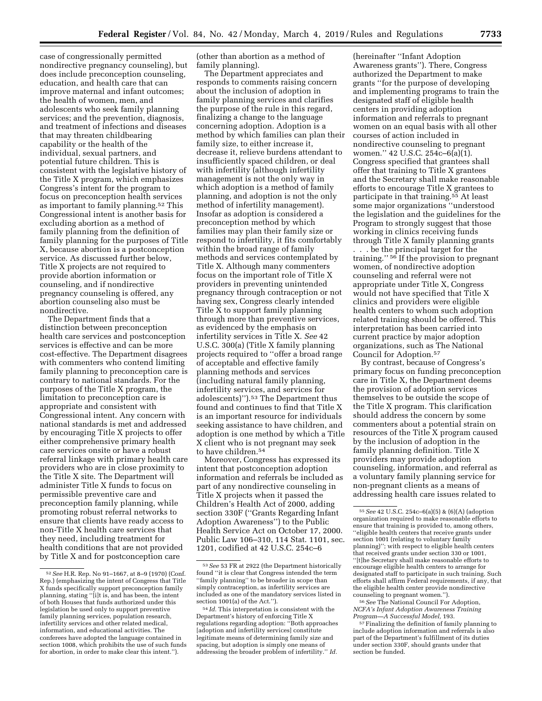case of congressionally permitted nondirective pregnancy counseling), but does include preconception counseling, education, and health care that can improve maternal and infant outcomes; the health of women, men, and adolescents who seek family planning services; and the prevention, diagnosis, and treatment of infections and diseases that may threaten childbearing capability or the health of the individual, sexual partners, and potential future children. This is consistent with the legislative history of the Title X program, which emphasizes Congress's intent for the program to focus on preconception health services as important to family planning.52 This Congressional intent is another basis for excluding abortion as a method of family planning from the definition of family planning for the purposes of Title X, because abortion is a postconception service. As discussed further below, Title X projects are not required to provide abortion information or counseling, and if nondirective pregnancy counseling is offered, any abortion counseling also must be nondirective.

The Department finds that a distinction between preconception health care services and postconception services is effective and can be more cost-effective. The Department disagrees with commenters who contend limiting family planning to preconception care is contrary to national standards. For the purposes of the Title X program, the limitation to preconception care is appropriate and consistent with Congressional intent. Any concern with national standards is met and addressed by encouraging Title X projects to offer either comprehensive primary health care services onsite or have a robust referral linkage with primary health care providers who are in close proximity to the Title X site. The Department will administer Title X funds to focus on permissible preventive care and preconception family planning, while promoting robust referral networks to ensure that clients have ready access to non-Title X health care services that they need, including treatment for health conditions that are not provided by Title X and for postconception care

(other than abortion as a method of family planning).

The Department appreciates and responds to comments raising concern about the inclusion of adoption in family planning services and clarifies the purpose of the rule in this regard, finalizing a change to the language concerning adoption. Adoption is a method by which families can plan their family size, to either increase it, decrease it, relieve burdens attendant to insufficiently spaced children, or deal with infertility (although infertility management is not the only way in which adoption is a method of family planning, and adoption is not the only method of infertility management). Insofar as adoption is considered a preconception method by which families may plan their family size or respond to infertility, it fits comfortably within the broad range of family methods and services contemplated by Title X. Although many commenters focus on the important role of Title X providers in preventing unintended pregnancy through contraception or not having sex, Congress clearly intended Title X to support family planning through more than preventive services, as evidenced by the emphasis on infertility services in Title X. *See* 42 U.S.C. 300(a) (Title X family planning projects required to ''offer a broad range of acceptable and effective family planning methods and services (including natural family planning, infertility services, and services for adolescents)'').53 The Department thus found and continues to find that Title X is an important resource for individuals seeking assistance to have children, and adoption is one method by which a Title X client who is not pregnant may seek to have children.54

Moreover, Congress has expressed its intent that postconception adoption information and referrals be included as part of any nondirective counseling in Title X projects when it passed the Children's Health Act of 2000, adding section 330F (''Grants Regarding Infant Adoption Awareness'') to the Public Health Service Act on October 17, 2000. Public Law 106–310, 114 Stat. 1101, sec. 1201, codified at 42 U.S.C. 254c–6

(hereinafter ''Infant Adoption Awareness grants''). There, Congress authorized the Department to make grants ''for the purpose of developing and implementing programs to train the designated staff of eligible health centers in providing adoption information and referrals to pregnant women on an equal basis with all other courses of action included in nondirective counseling to pregnant women.'' 42 U.S.C. 254c–6(a)(1). Congress specified that grantees shall offer that training to Title X grantees and the Secretary shall make reasonable efforts to encourage Title X grantees to participate in that training.<sup>55</sup> At least some major organizations ''understood the legislation and the guidelines for the Program to strongly suggest that those working in clinics receiving funds through Title X family planning grants

. . . be the principal target for the training.'' 56 If the provision to pregnant women, of nondirective adoption counseling and referral were not appropriate under Title X, Congress would not have specified that Title X clinics and providers were eligible health centers to whom such adoption related training should be offered. This interpretation has been carried into current practice by major adoption organizations, such as The National Council for Adoption.57

By contrast, because of Congress's primary focus on funding preconception care in Title X, the Department deems the provision of adoption services themselves to be outside the scope of the Title X program. This clarification should address the concern by some commenters about a potential strain on resources of the Title X program caused by the inclusion of adoption in the family planning definition. Title X providers may provide adoption counseling, information, and referral as a voluntary family planning service for non-pregnant clients as a means of addressing health care issues related to

56*See* The National Council For Adoption, *NCFA's Infant Adoption Awareness Training* 

<sup>57</sup> Finalizing the definition of family planning to include adoption information and referrals is also part of the Department's fulfillment of its duties under section 330F, should grants under that section be funded.

<sup>52</sup>*See* H.R. Rep. No 91–1667, at 8–9 (1970) (Conf. Rep.) (emphasizing the intent of Congress that Title X funds specifically support preconception family planning, stating ''[i]t is, and has been, the intent of both Houses that funds authorized under this legislation be used only to support preventive family planning services, population research, infertility services and other related medical, information, and educational activities. The conferees have adopted the language contained in section 1008, which prohibits the use of such funds for abortion, in order to make clear this intent.'').

<sup>53</sup>*See* 53 FR at 2922 (the Department historically found ''it is clear that Congress intended the term ''family planning'' to be broader in scope than simply contraception, as infertility services are included as one of the mandatory services listed in section 1001(a) of the Act.'').

<sup>54</sup> *Id.* This interpretation is consistent with the Department's history of enforcing Title X regulations regarding adoption: ''Both approaches [adoption and infertility services] constitute legitimate means of determining family size and spacing, but adoption is simply one means of addressing the broader problem of infertility.'' *Id.* 

<sup>55</sup>*See* 42 U.S.C. 254c–6(a)(5) & (6)(A) (adoption organization required to make reasonable efforts to ensure that training is provided to, among others, ''eligible health centers that receive grants under section 1001 (relating to voluntary family planning)''; with respect to eligible health centers that received grants under section 330 or 1001, ''[t]he Secretary shall make reasonable efforts to encourage eligible health centers to arrange for designated staff to participate in such training. Such efforts shall affirm Federal requirements, if any, that the eligible health center provide nondirective counseling to pregnant women.'').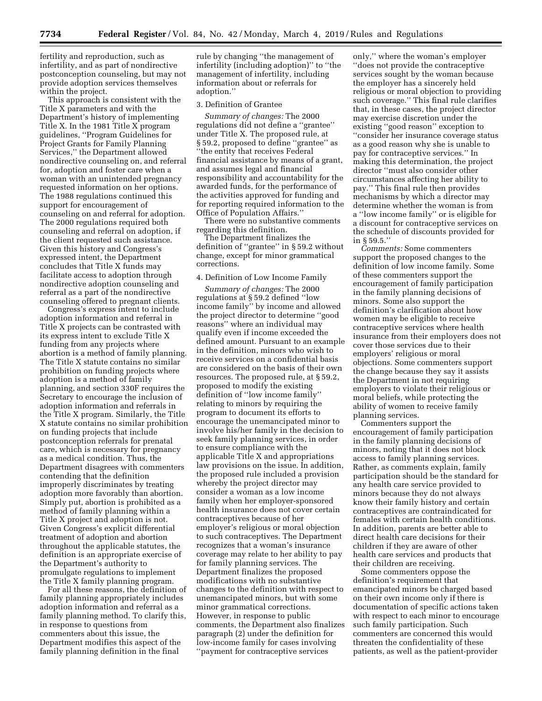fertility and reproduction, such as infertility, and as part of nondirective postconception counseling, but may not provide adoption services themselves within the project.

This approach is consistent with the Title X parameters and with the Department's history of implementing Title X. In the 1981 Title X program guidelines, ''Program Guidelines for Project Grants for Family Planning Services,'' the Department allowed nondirective counseling on, and referral for, adoption and foster care when a woman with an unintended pregnancy requested information on her options. The 1988 regulations continued this support for encouragement of counseling on and referral for adoption. The 2000 regulations required both counseling and referral on adoption, if the client requested such assistance. Given this history and Congress's expressed intent, the Department concludes that Title X funds may facilitate access to adoption through nondirective adoption counseling and referral as a part of the nondirective counseling offered to pregnant clients.

Congress's express intent to include adoption information and referral in Title X projects can be contrasted with its express intent to exclude Title X funding from any projects where abortion is a method of family planning. The Title X statute contains no similar prohibition on funding projects where adoption is a method of family planning, and section 330F requires the Secretary to encourage the inclusion of adoption information and referrals in the Title X program. Similarly, the Title X statute contains no similar prohibition on funding projects that include postconception referrals for prenatal care, which is necessary for pregnancy as a medical condition. Thus, the Department disagrees with commenters contending that the definition improperly discriminates by treating adoption more favorably than abortion. Simply put, abortion is prohibited as a method of family planning within a Title X project and adoption is not. Given Congress's explicit differential treatment of adoption and abortion throughout the applicable statutes, the definition is an appropriate exercise of the Department's authority to promulgate regulations to implement the Title X family planning program.

For all these reasons, the definition of family planning appropriately includes adoption information and referral as a family planning method. To clarify this, in response to questions from commenters about this issue, the Department modifies this aspect of the family planning definition in the final

rule by changing ''the management of infertility (including adoption)'' to ''the management of infertility, including information about or referrals for adoption.''

#### 3. Definition of Grantee

*Summary of changes:* The 2000 regulations did not define a ''grantee'' under Title X. The proposed rule, at § 59.2, proposed to define ''grantee'' as ''the entity that receives Federal financial assistance by means of a grant, and assumes legal and financial responsibility and accountability for the awarded funds, for the performance of the activities approved for funding and for reporting required information to the Office of Population Affairs.''

There were no substantive comments regarding this definition.

The Department finalizes the definition of ''grantee'' in § 59.2 without change, except for minor grammatical corrections.

#### 4. Definition of Low Income Family

*Summary of changes:* The 2000 regulations at § 59.2 defined ''low income family'' by income and allowed the project director to determine ''good reasons'' where an individual may qualify even if income exceeded the defined amount. Pursuant to an example in the definition, minors who wish to receive services on a confidential basis are considered on the basis of their own resources. The proposed rule, at § 59.2, proposed to modify the existing definition of ''low income family'' relating to minors by requiring the program to document its efforts to encourage the unemancipated minor to involve his/her family in the decision to seek family planning services, in order to ensure compliance with the applicable Title X and appropriations law provisions on the issue. In addition, the proposed rule included a provision whereby the project director may consider a woman as a low income family when her employer-sponsored health insurance does not cover certain contraceptives because of her employer's religious or moral objection to such contraceptives. The Department recognizes that a woman's insurance coverage may relate to her ability to pay for family planning services. The Department finalizes the proposed modifications with no substantive changes to the definition with respect to unemancipated minors, but with some minor grammatical corrections. However, in response to public comments, the Department also finalizes paragraph (2) under the definition for low-income family for cases involving ''payment for contraceptive services

only,'' where the woman's employer ''does not provide the contraceptive services sought by the woman because the employer has a sincerely held religious or moral objection to providing such coverage.'' This final rule clarifies that, in these cases, the project director may exercise discretion under the existing ''good reason'' exception to ''consider her insurance coverage status as a good reason why she is unable to pay for contraceptive services.'' In making this determination, the project director ''must also consider other circumstances affecting her ability to pay.'' This final rule then provides mechanisms by which a director may determine whether the woman is from a ''low income family'' or is eligible for a discount for contraceptive services on the schedule of discounts provided for in § 59.5.''

*Comments:* Some commenters support the proposed changes to the definition of low income family. Some of these commenters support the encouragement of family participation in the family planning decisions of minors. Some also support the definition's clarification about how women may be eligible to receive contraceptive services where health insurance from their employers does not cover those services due to their employers' religious or moral objections. Some commenters support the change because they say it assists the Department in not requiring employers to violate their religious or moral beliefs, while protecting the ability of women to receive family planning services.

Commenters support the encouragement of family participation in the family planning decisions of minors, noting that it does not block access to family planning services. Rather, as comments explain, family participation should be the standard for any health care service provided to minors because they do not always know their family history and certain contraceptives are contraindicated for females with certain health conditions. In addition, parents are better able to direct health care decisions for their children if they are aware of other health care services and products that their children are receiving.

Some commenters oppose the definition's requirement that emancipated minors be charged based on their own income only if there is documentation of specific actions taken with respect to each minor to encourage such family participation. Such commenters are concerned this would threaten the confidentiality of these patients, as well as the patient-provider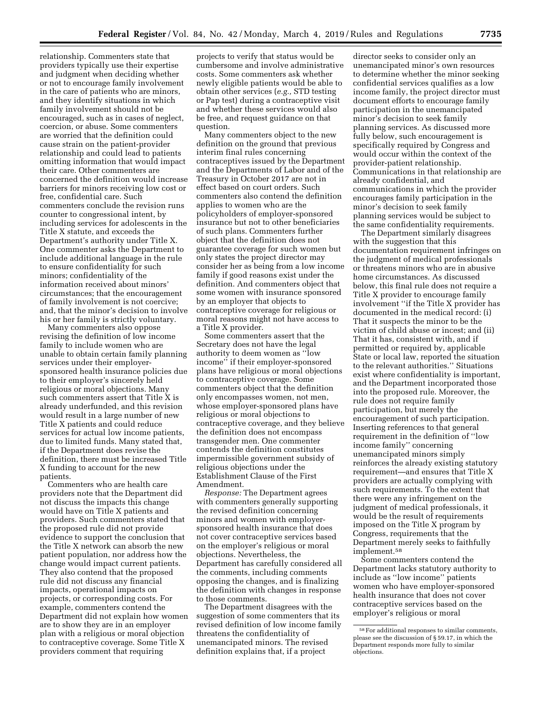relationship. Commenters state that providers typically use their expertise and judgment when deciding whether or not to encourage family involvement in the care of patients who are minors, and they identify situations in which family involvement should not be encouraged, such as in cases of neglect, coercion, or abuse. Some commenters are worried that the definition could cause strain on the patient-provider relationship and could lead to patients omitting information that would impact their care. Other commenters are concerned the definition would increase barriers for minors receiving low cost or free, confidential care. Such commenters conclude the revision runs counter to congressional intent, by including services for adolescents in the Title X statute, and exceeds the Department's authority under Title X. One commenter asks the Department to include additional language in the rule to ensure confidentiality for such minors; confidentiality of the information received about minors' circumstances; that the encouragement of family involvement is not coercive; and, that the minor's decision to involve his or her family is strictly voluntary.

Many commenters also oppose revising the definition of low income family to include women who are unable to obtain certain family planning services under their employersponsored health insurance policies due to their employer's sincerely held religious or moral objections. Many such commenters assert that Title X is already underfunded, and this revision would result in a large number of new Title X patients and could reduce services for actual low income patients, due to limited funds. Many stated that, if the Department does revise the definition, there must be increased Title X funding to account for the new patients.

Commenters who are health care providers note that the Department did not discuss the impacts this change would have on Title X patients and providers. Such commenters stated that the proposed rule did not provide evidence to support the conclusion that the Title X network can absorb the new patient population, nor address how the change would impact current patients. They also contend that the proposed rule did not discuss any financial impacts, operational impacts on projects, or corresponding costs. For example, commenters contend the Department did not explain how women are to show they are in an employer plan with a religious or moral objection to contraceptive coverage. Some Title X providers comment that requiring

projects to verify that status would be cumbersome and involve administrative costs. Some commenters ask whether newly eligible patients would be able to obtain other services (*e.g.,* STD testing or Pap test) during a contraceptive visit and whether these services would also be free, and request guidance on that question.

Many commenters object to the new definition on the ground that previous interim final rules concerning contraceptives issued by the Department and the Departments of Labor and of the Treasury in October 2017 are not in effect based on court orders. Such commenters also contend the definition applies to women who are the policyholders of employer-sponsored insurance but not to other beneficiaries of such plans. Commenters further object that the definition does not guarantee coverage for such women but only states the project director may consider her as being from a low income family if good reasons exist under the definition. And commenters object that some women with insurance sponsored by an employer that objects to contraceptive coverage for religious or moral reasons might not have access to a Title X provider.

Some commenters assert that the Secretary does not have the legal authority to deem women as ''low income'' if their employer-sponsored plans have religious or moral objections to contraceptive coverage. Some commenters object that the definition only encompasses women, not men, whose employer-sponsored plans have religious or moral objections to contraceptive coverage, and they believe the definition does not encompass transgender men. One commenter contends the definition constitutes impermissible government subsidy of religious objections under the Establishment Clause of the First Amendment.

*Response:* The Department agrees with commenters generally supporting the revised definition concerning minors and women with employersponsored health insurance that does not cover contraceptive services based on the employer's religious or moral objections. Nevertheless, the Department has carefully considered all the comments, including comments opposing the changes, and is finalizing the definition with changes in response to those comments.

The Department disagrees with the suggestion of some commenters that its revised definition of low income family threatens the confidentiality of unemancipated minors. The revised definition explains that, if a project

director seeks to consider only an unemancipated minor's own resources to determine whether the minor seeking confidential services qualifies as a low income family, the project director must document efforts to encourage family participation in the unemancipated minor's decision to seek family planning services. As discussed more fully below, such encouragement is specifically required by Congress and would occur within the context of the provider-patient relationship. Communications in that relationship are already confidential, and communications in which the provider encourages family participation in the minor's decision to seek family planning services would be subject to the same confidentiality requirements.

The Department similarly disagrees with the suggestion that this documentation requirement infringes on the judgment of medical professionals or threatens minors who are in abusive home circumstances. As discussed below, this final rule does not require a Title X provider to encourage family involvement ''if the Title X provider has documented in the medical record: (i) That it suspects the minor to be the victim of child abuse or incest; and (ii) That it has, consistent with, and if permitted or required by, applicable State or local law, reported the situation to the relevant authorities.'' Situations exist where confidentiality is important, and the Department incorporated those into the proposed rule. Moreover, the rule does not require family participation, but merely the encouragement of such participation. Inserting references to that general requirement in the definition of ''low income family'' concerning unemancipated minors simply reinforces the already existing statutory requirement—and ensures that Title X providers are actually complying with such requirements. To the extent that there were any infringement on the judgment of medical professionals, it would be the result of requirements imposed on the Title X program by Congress, requirements that the Department merely seeks to faithfully implement.58

Some commenters contend the Department lacks statutory authority to include as ''low income'' patients women who have employer-sponsored health insurance that does not cover contraceptive services based on the employer's religious or moral

<sup>58</sup>For additional responses to similar comments, please see the discussion of § 59.17, in which the Department responds more fully to similar objections.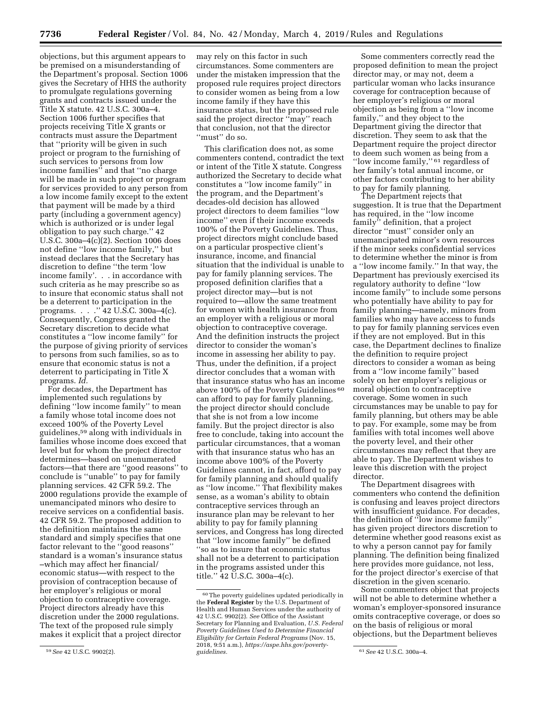objections, but this argument appears to be premised on a misunderstanding of the Department's proposal. Section 1006 gives the Secretary of HHS the authority to promulgate regulations governing grants and contracts issued under the Title X statute. 42 U.S.C. 300a–4. Section 1006 further specifies that projects receiving Title X grants or contracts must assure the Department that ''priority will be given in such project or program to the furnishing of such services to persons from low income families'' and that ''no charge will be made in such project or program for services provided to any person from a low income family except to the extent that payment will be made by a third party (including a government agency) which is authorized or is under legal obligation to pay such charge.'' 42 U.S.C. 300a–4(c)(2). Section 1006 does not define ''low income family,'' but instead declares that the Secretary has discretion to define ''the term 'low income family'. . . in accordance with such criteria as he may prescribe so as to insure that economic status shall not be a deterrent to participation in the programs. . . .  $\cdot$  42 U.S.C. 300a–4(c). Consequently, Congress granted the Secretary discretion to decide what constitutes a ''low income family'' for the purpose of giving priority of services to persons from such families, so as to ensure that economic status is not a deterrent to participating in Title X programs. *Id.* 

For decades, the Department has implemented such regulations by defining ''low income family'' to mean a family whose total income does not exceed 100% of the Poverty Level guidelines,59 along with individuals in families whose income does exceed that level but for whom the project director determines—based on unenumerated factors—that there are ''good reasons'' to conclude is ''unable'' to pay for family planning services. 42 CFR 59.2. The 2000 regulations provide the example of unemancipated minors who desire to receive services on a confidential basis. 42 CFR 59.2. The proposed addition to the definition maintains the same standard and simply specifies that one factor relevant to the ''good reasons'' standard is a woman's insurance status –which may affect her financial/ economic status—with respect to the provision of contraception because of her employer's religious or moral objection to contraceptive coverage. Project directors already have this discretion under the 2000 regulations. The text of the proposed rule simply makes it explicit that a project director

may rely on this factor in such circumstances. Some commenters are under the mistaken impression that the proposed rule requires project directors to consider women as being from a low income family if they have this insurance status, but the proposed rule said the project director ''may'' reach that conclusion, not that the director "must" do so.

This clarification does not, as some commenters contend, contradict the text or intent of the Title X statute. Congress authorized the Secretary to decide what constitutes a ''low income family'' in the program, and the Department's decades-old decision has allowed project directors to deem families ''low income'' even if their income exceeds 100% of the Poverty Guidelines. Thus, project directors might conclude based on a particular prospective client's insurance, income, and financial situation that the individual is unable to pay for family planning services. The proposed definition clarifies that a project director may—but is not required to—allow the same treatment for women with health insurance from an employer with a religious or moral objection to contraceptive coverage. And the definition instructs the project director to consider the woman's income in assessing her ability to pay. Thus, under the definition, if a project director concludes that a woman with that insurance status who has an income above 100% of the Poverty Guidelines 60 can afford to pay for family planning, the project director should conclude that she is not from a low income family. But the project director is also free to conclude, taking into account the particular circumstances, that a woman with that insurance status who has an income above 100% of the Poverty Guidelines cannot, in fact, afford to pay for family planning and should qualify as ''low income.'' That flexibility makes sense, as a woman's ability to obtain contraceptive services through an insurance plan may be relevant to her ability to pay for family planning services, and Congress has long directed that ''low income family'' be defined ''so as to insure that economic status shall not be a deterrent to participation in the programs assisted under this title.'' 42 U.S.C. 300a–4(c).

Some commenters correctly read the proposed definition to mean the project director may, or may not, deem a particular woman who lacks insurance coverage for contraception because of her employer's religious or moral objection as being from a ''low income family,'' and they object to the Department giving the director that discretion. They seem to ask that the Department require the project director to deem such women as being from a ''low income family,'' 61 regardless of her family's total annual income, or other factors contributing to her ability to pay for family planning.

The Department rejects that suggestion. It is true that the Department has required, in the ''low income family'' definition, that a project director ''must'' consider only an unemancipated minor's own resources if the minor seeks confidential services to determine whether the minor is from a ''low income family.'' In that way, the Department has previously exercised its regulatory authority to define ''low income family'' to include some persons who potentially have ability to pay for family planning—namely, minors from families who may have access to funds to pay for family planning services even if they are not employed. But in this case, the Department declines to finalize the definition to require project directors to consider a woman as being from a ''low income family'' based solely on her employer's religious or moral objection to contraceptive coverage. Some women in such circumstances may be unable to pay for family planning, but others may be able to pay. For example, some may be from families with total incomes well above the poverty level, and their other circumstances may reflect that they are able to pay. The Department wishes to leave this discretion with the project director.

The Department disagrees with commenters who contend the definition is confusing and leaves project directors with insufficient guidance. For decades, the definition of ''low income family'' has given project directors discretion to determine whether good reasons exist as to why a person cannot pay for family planning. The definition being finalized here provides more guidance, not less, for the project director's exercise of that discretion in the given scenario.

Some commenters object that projects will not be able to determine whether a woman's employer-sponsored insurance omits contraceptive coverage, or does so on the basis of religious or moral objections, but the Department believes

<sup>59</sup>*See* 42 U.S.C. 9902(2).

<sup>60</sup>The poverty guidelines updated periodically in the **Federal Register** by the U.S. Department of Health and Human Services under the authority of 42 U.S.C. 9902(2). *See* Office of the Assistant Secretary for Planning and Evaluation, *U.S. Federal Poverty Guidelines Used to Determine Financial Eligibility for Certain Federal Programs* (Nov. 15, 2018, 9:51 a.m.), *https://aspe.hhs.gov/poverty-*

*guidelines.* 61*See* 42 U.S.C. 300a–4.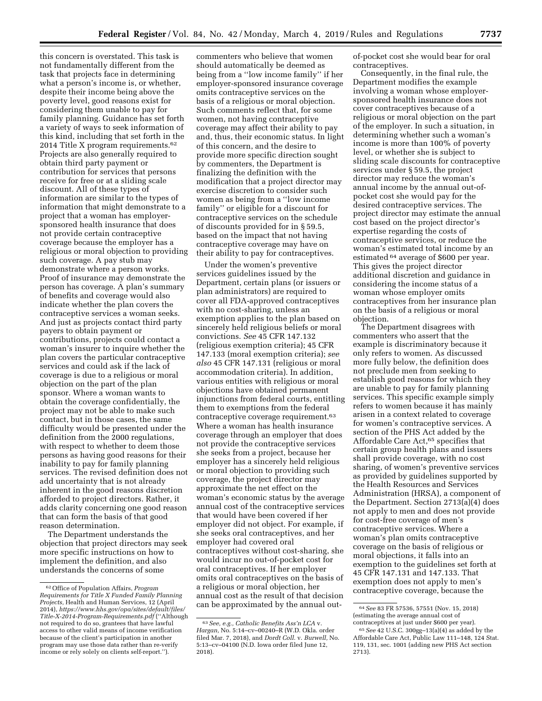this concern is overstated. This task is not fundamentally different from the task that projects face in determining what a person's income is, or whether, despite their income being above the poverty level, good reasons exist for considering them unable to pay for family planning. Guidance has set forth a variety of ways to seek information of this kind, including that set forth in the 2014 Title X program requirements.62 Projects are also generally required to obtain third party payment or contribution for services that persons receive for free or at a sliding scale discount. All of these types of information are similar to the types of information that might demonstrate to a project that a woman has employersponsored health insurance that does not provide certain contraceptive coverage because the employer has a religious or moral objection to providing such coverage. A pay stub may demonstrate where a person works. Proof of insurance may demonstrate the person has coverage. A plan's summary of benefits and coverage would also indicate whether the plan covers the contraceptive services a woman seeks. And just as projects contact third party payers to obtain payment or contributions, projects could contact a woman's insurer to inquire whether the plan covers the particular contraceptive services and could ask if the lack of coverage is due to a religious or moral objection on the part of the plan sponsor. Where a woman wants to obtain the coverage confidentially, the project may not be able to make such contact, but in those cases, the same difficulty would be presented under the definition from the 2000 regulations, with respect to whether to deem those persons as having good reasons for their inability to pay for family planning services. The revised definition does not add uncertainty that is not already inherent in the good reasons discretion afforded to project directors. Rather, it adds clarity concerning one good reason that can form the basis of that good reason determination.

The Department understands the objection that project directors may seek more specific instructions on how to implement the definition, and also understands the concerns of some

commenters who believe that women should automatically be deemed as being from a ''low income family'' if her employer-sponsored insurance coverage omits contraceptive services on the basis of a religious or moral objection. Such comments reflect that, for some women, not having contraceptive coverage may affect their ability to pay and, thus, their economic status. In light of this concern, and the desire to provide more specific direction sought by commenters, the Department is finalizing the definition with the modification that a project director may exercise discretion to consider such women as being from a ''low income family'' or eligible for a discount for contraceptive services on the schedule of discounts provided for in § 59.5, based on the impact that not having contraceptive coverage may have on their ability to pay for contraceptives.

Under the women's preventive services guidelines issued by the Department, certain plans (or issuers or plan administrators) are required to cover all FDA-approved contraceptives with no cost-sharing, unless an exemption applies to the plan based on sincerely held religious beliefs or moral convictions. *See* 45 CFR 147.132 (religious exemption criteria); 45 CFR 147.133 (moral exemption criteria); *see also* 45 CFR 147.131 (religious or moral accommodation criteria). In addition, various entities with religious or moral objections have obtained permanent injunctions from federal courts, entitling them to exemptions from the federal contraceptive coverage requirement.63 Where a woman has health insurance coverage through an employer that does not provide the contraceptive services she seeks from a project, because her employer has a sincerely held religious or moral objection to providing such coverage, the project director may approximate the net effect on the woman's economic status by the average annual cost of the contraceptive services that would have been covered if her employer did not object. For example, if she seeks oral contraceptives, and her employer had covered oral contraceptives without cost-sharing, she would incur no out-of-pocket cost for oral contraceptives. If her employer omits oral contraceptives on the basis of a religious or moral objection, her annual cost as the result of that decision can be approximated by the annual outof-pocket cost she would bear for oral contraceptives.

Consequently, in the final rule, the Department modifies the example involving a woman whose employersponsored health insurance does not cover contraceptives because of a religious or moral objection on the part of the employer. In such a situation, in determining whether such a woman's income is more than 100% of poverty level, or whether she is subject to sliding scale discounts for contraceptive services under § 59.5, the project director may reduce the woman's annual income by the annual out-ofpocket cost she would pay for the desired contraceptive services. The project director may estimate the annual cost based on the project director's expertise regarding the costs of contraceptive services, or reduce the woman's estimated total income by an estimated 64 average of \$600 per year. This gives the project director additional discretion and guidance in considering the income status of a woman whose employer omits contraceptives from her insurance plan on the basis of a religious or moral objection.

The Department disagrees with commenters who assert that the example is discriminatory because it only refers to women. As discussed more fully below, the definition does not preclude men from seeking to establish good reasons for which they are unable to pay for family planning services. This specific example simply refers to women because it has mainly arisen in a context related to coverage for women's contraceptive services. A section of the PHS Act added by the Affordable Care Act,<sup>65</sup> specifies that certain group health plans and issuers shall provide coverage, with no cost sharing, of women's preventive services as provided by guidelines supported by the Health Resources and Services Administration (HRSA), a component of the Department. Section 2713(a)(4) does not apply to men and does not provide for cost-free coverage of men's contraceptive services. Where a woman's plan omits contraceptive coverage on the basis of religious or moral objections, it falls into an exemption to the guidelines set forth at 45 CFR 147.131 and 147.133. That exemption does not apply to men's contraceptive coverage, because the

<sup>62</sup>Office of Population Affairs, *Program Requirements for Title X Funded Family Planning Projects,* Health and Human Services, 12 (April 2014), *https://www.hhs.gov/opa/sites/default/files/ Title-X-2014-Program-Requirements.pdf* (''Although not required to do so, grantees that have lawful access to other valid means of income verification because of the client's participation in another program may use those data rather than re-verify income or rely solely on clients self-report.'').

<sup>63</sup>*See, e.g., Catholic Benefits Ass'n LCA* v. *Hargan,* No. 5:14–cv–00240–R (W.D. Okla. order filed Mar. 7, 2018), and *Dordt Coll.* v. *Burwell,* No. 5:13–cv–04100 (N.D. Iowa order filed June 12, 2018).

<sup>64</sup>*See* 83 FR 57536, 57551 (Nov. 15, 2018) (estimating the average annual cost of contraceptives at just under \$600 per year).

<sup>65</sup>*See* 42 U.S.C. 300gg–13(a)(4) as added by the Affordable Care Act, Public Law 111–148, 124 Stat. 119, 131, sec. 1001 (adding new PHS Act section 2713).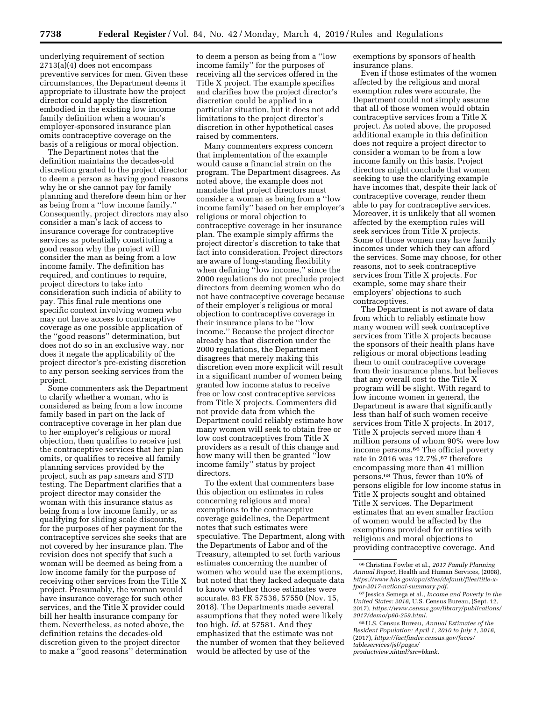underlying requirement of section 2713(a)(4) does not encompass preventive services for men. Given these circumstances, the Department deems it appropriate to illustrate how the project director could apply the discretion embodied in the existing low income family definition when a woman's employer-sponsored insurance plan omits contraceptive coverage on the basis of a religious or moral objection.

The Department notes that the definition maintains the decades-old discretion granted to the project director to deem a person as having good reasons why he or she cannot pay for family planning and therefore deem him or her as being from a ''low income family.'' Consequently, project directors may also consider a man's lack of access to insurance coverage for contraceptive services as potentially constituting a good reason why the project will consider the man as being from a low income family. The definition has required, and continues to require, project directors to take into consideration such indicia of ability to pay. This final rule mentions one specific context involving women who may not have access to contraceptive coverage as one possible application of the ''good reasons'' determination, but does not do so in an exclusive way, nor does it negate the applicability of the project director's pre-existing discretion to any person seeking services from the project.

Some commenters ask the Department to clarify whether a woman, who is considered as being from a low income family based in part on the lack of contraceptive coverage in her plan due to her employer's religious or moral objection, then qualifies to receive just the contraceptive services that her plan omits, or qualifies to receive all family planning services provided by the project, such as pap smears and STD testing. The Department clarifies that a project director may consider the woman with this insurance status as being from a low income family, or as qualifying for sliding scale discounts, for the purposes of her payment for the contraceptive services she seeks that are not covered by her insurance plan. The revision does not specify that such a woman will be deemed as being from a low income family for the purpose of receiving other services from the Title X project. Presumably, the woman would have insurance coverage for such other services, and the Title X provider could bill her health insurance company for them. Nevertheless, as noted above, the definition retains the decades-old discretion given to the project director to make a ''good reasons'' determination

to deem a person as being from a ''low income family'' for the purposes of receiving all the services offered in the Title X project. The example specifies and clarifies how the project director's discretion could be applied in a particular situation, but it does not add limitations to the project director's discretion in other hypothetical cases raised by commenters.

Many commenters express concern that implementation of the example would cause a financial strain on the program. The Department disagrees. As noted above, the example does not mandate that project directors must consider a woman as being from a ''low income family'' based on her employer's religious or moral objection to contraceptive coverage in her insurance plan. The example simply affirms the project director's discretion to take that fact into consideration. Project directors are aware of long-standing flexibility when defining ''low income,'' since the 2000 regulations do not preclude project directors from deeming women who do not have contraceptive coverage because of their employer's religious or moral objection to contraceptive coverage in their insurance plans to be ''low income.'' Because the project director already has that discretion under the 2000 regulations, the Department disagrees that merely making this discretion even more explicit will result in a significant number of women being granted low income status to receive free or low cost contraceptive services from Title X projects. Commenters did not provide data from which the Department could reliably estimate how many women will seek to obtain free or low cost contraceptives from Title X providers as a result of this change and how many will then be granted ''low income family'' status by project directors.

To the extent that commenters base this objection on estimates in rules concerning religious and moral exemptions to the contraceptive coverage guidelines, the Department notes that such estimates were speculative. The Department, along with the Departments of Labor and of the Treasury, attempted to set forth various estimates concerning the number of women who would use the exemptions, but noted that they lacked adequate data to know whether those estimates were accurate. 83 FR 57536, 57550 (Nov. 15, 2018). The Departments made several assumptions that they noted were likely too high. *Id.* at 57581. And they emphasized that the estimate was not the number of women that they believed would be affected by use of the

exemptions by sponsors of health insurance plans.

Even if those estimates of the women affected by the religious and moral exemption rules were accurate, the Department could not simply assume that all of those women would obtain contraceptive services from a Title X project. As noted above, the proposed additional example in this definition does not require a project director to consider a woman to be from a low income family on this basis. Project directors might conclude that women seeking to use the clarifying example have incomes that, despite their lack of contraceptive coverage, render them able to pay for contraceptive services. Moreover, it is unlikely that all women affected by the exemption rules will seek services from Title X projects. Some of those women may have family incomes under which they can afford the services. Some may choose, for other reasons, not to seek contraceptive services from Title X projects. For example, some may share their employers' objections to such contraceptives.

The Department is not aware of data from which to reliably estimate how many women will seek contraceptive services from Title X projects because the sponsors of their health plans have religious or moral objections leading them to omit contraceptive coverage from their insurance plans, but believes that any overall cost to the Title X program will be slight. With regard to low income women in general, the Department is aware that significantly less than half of such women receive services from Title X projects. In 2017, Title X projects served more than 4 million persons of whom 90% were low income persons.66 The official poverty rate in 2016 was  $12.7\%$ ,  $67$  therefore encompassing more than 41 million persons.68 Thus, fewer than 10% of persons eligible for low income status in Title X projects sought and obtained Title X services. The Department estimates that an even smaller fraction of women would be affected by the exemptions provided for entities with religious and moral objections to providing contraceptive coverage. And

<sup>66</sup>Christina Fowler et al., *2017 Family Planning Annual Report,* Health and Human Services, (2008), *https://www.hhs.gov/opa/sites/default/files/title-xfpar-2017-national-summary.pdf.* 

<sup>67</sup> Jessica Semega et al., *Income and Poverty in the United States: 2016,* U.S. Census Bureau, (Sept. 12, 2017), *https://www.census.gov/library/publications/ 2017/demo/p60-259.html.* 

<sup>68</sup>U.S. Census Bureau, *Annual Estimates of the Resident Population: April 1, 2010 to July 1, 2016,*  (2017), *https://factfinder.census.gov/faces/ tableservices/jsf/pages/ productview.xhtml?src=bkmk.*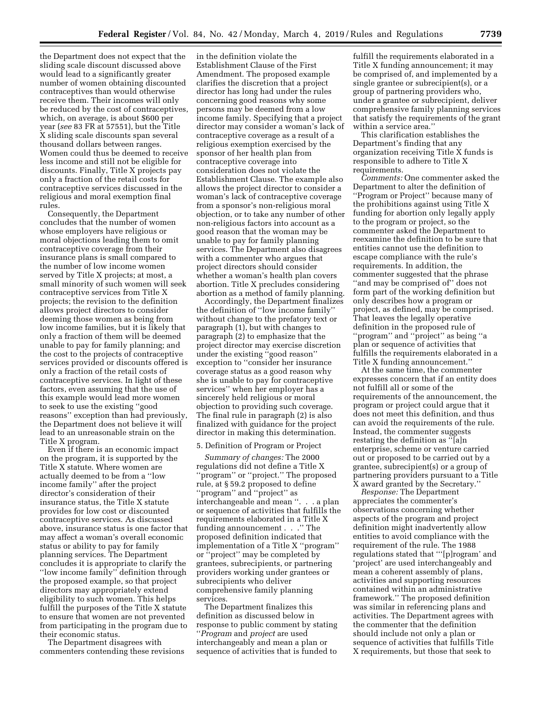the Department does not expect that the sliding scale discount discussed above would lead to a significantly greater number of women obtaining discounted contraceptives than would otherwise receive them. Their incomes will only be reduced by the cost of contraceptives, which, on average, is about \$600 per year (*see* 83 FR at 57551), but the Title X sliding scale discounts span several thousand dollars between ranges. Women could thus be deemed to receive less income and still not be eligible for discounts. Finally, Title X projects pay only a fraction of the retail costs for contraceptive services discussed in the religious and moral exemption final rules.

Consequently, the Department concludes that the number of women whose employers have religious or moral objections leading them to omit contraceptive coverage from their insurance plans is small compared to the number of low income women served by Title X projects; at most, a small minority of such women will seek contraceptive services from Title X projects; the revision to the definition allows project directors to consider deeming those women as being from low income families, but it is likely that only a fraction of them will be deemed unable to pay for family planning; and the cost to the projects of contraceptive services provided or discounts offered is only a fraction of the retail costs of contraceptive services. In light of these factors, even assuming that the use of this example would lead more women to seek to use the existing ''good reasons'' exception than had previously, the Department does not believe it will lead to an unreasonable strain on the Title X program.

Even if there is an economic impact on the program, it is supported by the Title X statute. Where women are actually deemed to be from a ''low income family'' after the project director's consideration of their insurance status, the Title X statute provides for low cost or discounted contraceptive services. As discussed above, insurance status is one factor that may affect a woman's overall economic status or ability to pay for family planning services. The Department concludes it is appropriate to clarify the ''low income family'' definition through the proposed example, so that project directors may appropriately extend eligibility to such women. This helps fulfill the purposes of the Title X statute to ensure that women are not prevented from participating in the program due to their economic status.

The Department disagrees with commenters contending these revisions in the definition violate the Establishment Clause of the First Amendment. The proposed example clarifies the discretion that a project director has long had under the rules concerning good reasons why some persons may be deemed from a low income family. Specifying that a project director may consider a woman's lack of contraceptive coverage as a result of a religious exemption exercised by the sponsor of her health plan from contraceptive coverage into consideration does not violate the Establishment Clause. The example also allows the project director to consider a woman's lack of contraceptive coverage from a sponsor's non-religious moral objection, or to take any number of other non-religious factors into account as a good reason that the woman may be unable to pay for family planning services. The Department also disagrees with a commenter who argues that project directors should consider whether a woman's health plan covers abortion. Title X precludes considering abortion as a method of family planning.

Accordingly, the Department finalizes the definition of ''low income family'' without change to the prefatory text or paragraph (1), but with changes to paragraph (2) to emphasize that the project director may exercise discretion under the existing ''good reason'' exception to ''consider her insurance coverage status as a good reason why she is unable to pay for contraceptive services'' when her employer has a sincerely held religious or moral objection to providing such coverage. The final rule in paragraph (2) is also finalized with guidance for the project director in making this determination.

#### 5. Definition of Program or Project

*Summary of changes:* The 2000 regulations did not define a Title X ''program'' or ''project.'' The proposed rule, at § 59.2 proposed to define ''program'' and ''project'' as interchangeable and mean ''. . . a plan or sequence of activities that fulfills the requirements elaborated in a Title X funding announcement . . .'' The proposed definition indicated that implementation of a Title X ''program'' or ''project'' may be completed by grantees, subrecipients, or partnering providers working under grantees or subrecipients who deliver comprehensive family planning services.

The Department finalizes this definition as discussed below in response to public comment by stating ''*Program* and *project* are used interchangeably and mean a plan or sequence of activities that is funded to

fulfill the requirements elaborated in a Title X funding announcement; it may be comprised of, and implemented by a single grantee or subrecipient(s), or a group of partnering providers who, under a grantee or subrecipient, deliver comprehensive family planning services that satisfy the requirements of the grant within a service area.''

This clarification establishes the Department's finding that any organization receiving Title X funds is responsible to adhere to Title X requirements.

*Comments:* One commenter asked the Department to alter the definition of ''Program or Project'' because many of the prohibitions against using Title X funding for abortion only legally apply to the program or project, so the commenter asked the Department to reexamine the definition to be sure that entities cannot use the definition to escape compliance with the rule's requirements. In addition, the commenter suggested that the phrase "and may be comprised of" does not form part of the working definition but only describes how a program or project, as defined, may be comprised. That leaves the legally operative definition in the proposed rule of ''program'' and ''project'' as being ''a plan or sequence of activities that fulfills the requirements elaborated in a Title X funding announcement.''

At the same time, the commenter expresses concern that if an entity does not fulfill all or some of the requirements of the announcement, the program or project could argue that it does not meet this definition, and thus can avoid the requirements of the rule. Instead, the commenter suggests restating the definition as ''[a]n enterprise, scheme or venture carried out or proposed to be carried out by a grantee, subrecipient(s) or a group of partnering providers pursuant to a Title X award granted by the Secretary.''

*Response:* The Department appreciates the commenter's observations concerning whether aspects of the program and project definition might inadvertently allow entities to avoid compliance with the requirement of the rule. The 1988 regulations stated that '''[p]rogram' and 'project' are used interchangeably and mean a coherent assembly of plans, activities and supporting resources contained within an administrative framework.'' The proposed definition was similar in referencing plans and activities. The Department agrees with the commenter that the definition should include not only a plan or sequence of activities that fulfills Title X requirements, but those that seek to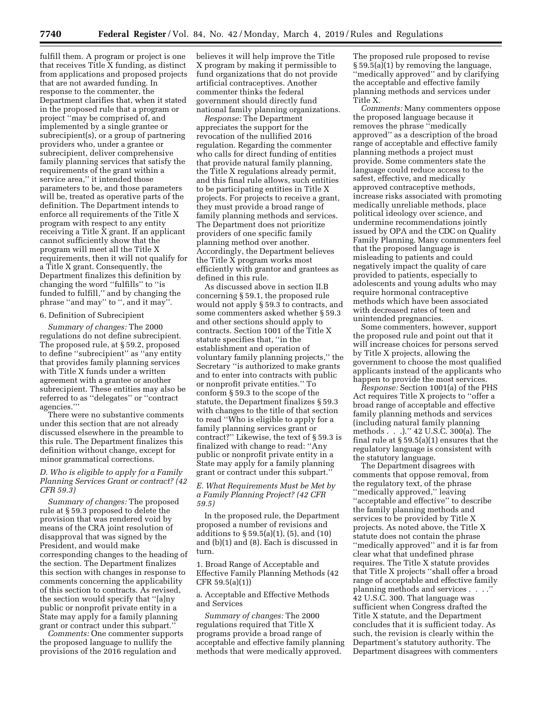fulfill them. A program or project is one that receives Title X funding, as distinct from applications and proposed projects that are not awarded funding. In response to the commenter, the Department clarifies that, when it stated in the proposed rule that a program or project ''may be comprised of, and implemented by a single grantee or subrecipient(s), or a group of partnering providers who, under a grantee or subrecipient, deliver comprehensive family planning services that satisfy the requirements of the grant within a service area,'' it intended those parameters to be, and those parameters will be, treated as operative parts of the definition. The Department intends to enforce all requirements of the Title X program with respect to any entity receiving a Title X grant. If an applicant cannot sufficiently show that the program will meet all the Title X requirements, then it will not qualify for a Title X grant. Consequently, the Department finalizes this definition by changing the word ''fulfills'' to ''is funded to fulfill,'' and by changing the phrase ''and may'' to '', and it may''.

#### 6. Definition of Subrecipient

*Summary of changes:* The 2000 regulations do not define subrecipient. The proposed rule, at § 59.2, proposed to define ''subrecipient'' as ''any entity that provides family planning services with Title X funds under a written agreement with a grantee or another subrecipient. These entities may also be referred to as ''delegates'' or ''contract agencies.'''

There were no substantive comments under this section that are not already discussed elsewhere in the preamble to this rule. The Department finalizes this definition without change, except for minor grammatical corrections.

## *D. Who is eligible to apply for a Family Planning Services Grant or contract? (42 CFR 59.3)*

*Summary of changes:* The proposed rule at § 59.3 proposed to delete the provision that was rendered void by means of the CRA joint resolution of disapproval that was signed by the President, and would make corresponding changes to the heading of the section. The Department finalizes this section with changes in response to comments concerning the applicability of this section to contracts. As revised, the section would specify that ''[a]ny public or nonprofit private entity in a State may apply for a family planning grant or contract under this subpart.''

*Comments:* One commenter supports the proposed language to nullify the provisions of the 2016 regulation and

believes it will help improve the Title X program by making it permissible to fund organizations that do not provide artificial contraceptives. Another commenter thinks the federal government should directly fund national family planning organizations.

*Response:* The Department appreciates the support for the revocation of the nullified 2016 regulation. Regarding the commenter who calls for direct funding of entities that provide natural family planning, the Title X regulations already permit, and this final rule allows, such entities to be participating entities in Title X projects. For projects to receive a grant, they must provide a broad range of family planning methods and services. The Department does not prioritize providers of one specific family planning method over another. Accordingly, the Department believes the Title X program works most efficiently with grantor and grantees as defined in this rule.

As discussed above in section II.B concerning § 59.1, the proposed rule would not apply § 59.3 to contracts, and some commenters asked whether § 59.3 and other sections should apply to contracts. Section 1001 of the Title X statute specifies that, ''in the establishment and operation of voluntary family planning projects,'' the Secretary ''is authorized to make grants and to enter into contracts with public or nonprofit private entities.'' To conform § 59.3 to the scope of the statute, the Department finalizes § 59.3 with changes to the title of that section to read ''Who is eligible to apply for a family planning services grant or contract?'' Likewise, the text of § 59.3 is finalized with change to read: ''Any public or nonprofit private entity in a State may apply for a family planning grant or contract under this subpart.''

## *E. What Requirements Must be Met by a Family Planning Project? (42 CFR 59.5)*

In the proposed rule, the Department proposed a number of revisions and additions to § 59.5(a)(1), (5), and (10) and (b)(1) and (8). Each is discussed in turn.

1. Broad Range of Acceptable and Effective Family Planning Methods (42 CFR 59.5(a)(1))

a. Acceptable and Effective Methods and Services

*Summary of changes:* The 2000 regulations required that Title X programs provide a broad range of acceptable and effective family planning methods that were medically approved.

The proposed rule proposed to revise § 59.5(a)(1) by removing the language, ''medically approved'' and by clarifying the acceptable and effective family planning methods and services under Title X.

*Comments:* Many commenters oppose the proposed language because it removes the phrase ''medically approved'' as a description of the broad range of acceptable and effective family planning methods a project must provide. Some commenters state the language could reduce access to the safest, effective, and medically approved contraceptive methods, increase risks associated with promoting medically unreliable methods, place political ideology over science, and undermine recommendations jointly issued by OPA and the CDC on Quality Family Planning. Many commenters feel that the proposed language is misleading to patients and could negatively impact the quality of care provided to patients, especially to adolescents and young adults who may require hormonal contraceptive methods which have been associated with decreased rates of teen and unintended pregnancies.

Some commenters, however, support the proposed rule and point out that it will increase choices for persons served by Title X projects, allowing the government to choose the most qualified applicants instead of the applicants who happen to provide the most services.

*Response:* Section 1001(a) of the PHS Act requires Title X projects to ''offer a broad range of acceptable and effective family planning methods and services (including natural family planning methods . . .).'' 42 U.S.C. 300(a). The final rule at § 59.5(a)(1) ensures that the regulatory language is consistent with the statutory language.

The Department disagrees with comments that oppose removal, from the regulatory text, of the phrase ''medically approved,'' leaving ''acceptable and effective'' to describe the family planning methods and services to be provided by Title X projects. As noted above, the Title X statute does not contain the phrase ''medically approved'' and it is far from clear what that undefined phrase requires. The Title X statute provides that Title X projects ''shall offer a broad range of acceptable and effective family planning methods and services . . . .'' 42 U.S.C. 300. That language was sufficient when Congress drafted the Title X statute, and the Department concludes that it is sufficient today. As such, the revision is clearly within the Department's statutory authority. The Department disagrees with commenters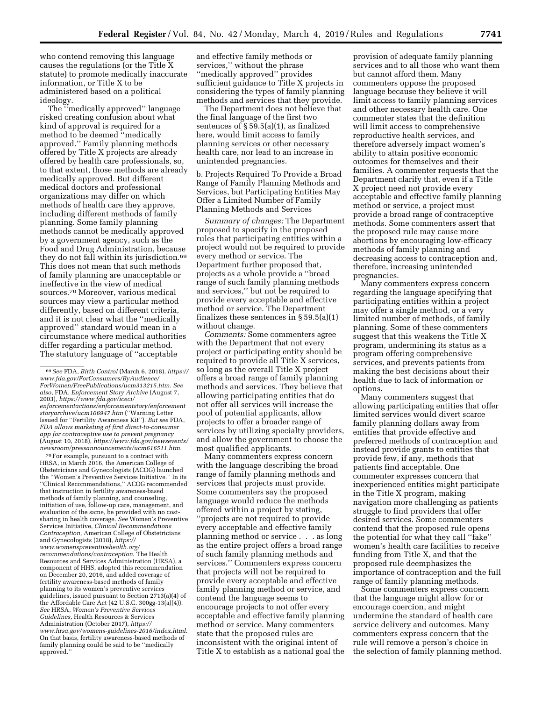who contend removing this language causes the regulations (or the Title X statute) to promote medically inaccurate information, or Title X to be administered based on a political ideology.

The ''medically approved'' language risked creating confusion about what kind of approval is required for a method to be deemed ''medically approved.'' Family planning methods offered by Title X projects are already offered by health care professionals, so, to that extent, those methods are already medically approved. But different medical doctors and professional organizations may differ on which methods of health care they approve, including different methods of family planning. Some family planning methods cannot be medically approved by a government agency, such as the Food and Drug Administration, because they do not fall within its jurisdiction.69 This does not mean that such methods of family planning are unacceptable or ineffective in the view of medical sources.70 Moreover, various medical sources may view a particular method differently, based on different criteria, and it is not clear what the ''medically approved'' standard would mean in a circumstance where medical authorities differ regarding a particular method. The statutory language of ''acceptable

70For example, pursuant to a contract with HRSA, in March 2016, the American College of Obstetricians and Gynecologists (ACOG) launched the ''Women's Preventive Services Initiative.'' In its ''Clinical Recommendations,'' ACOG recommended that instruction in fertility awareness-based methods of family planning, and counseling, initiation of use, follow-up care, management, and evaluation of the same, be provided with no costsharing in health coverage. *See* Women's Preventive Services Initiative, *Clinical Recommendations Contraception,* American College of Obstetricians and Gynecologists (2018), *https:// www.womenspreventivehealth.org/ recommendations/contraception*. The Health Resources and Services Administration (HRSA), a component of HHS, adopted this recommendation on December 20, 2016, and added coverage of fertility awareness-based methods of family planning to its women's preventive services guidelines, issued pursuant to Section 2713(a)(4) of the Affordable Care Act (42 U.S.C. 300gg-13(a)(4)). *See* HRSA, *Women's Preventive Services Guidelines,* Health Resources & Services Administration (October 2017), *https:// www.hrsa.gov/womens-guidelines-2016/index.html*. On that basis, fertility awareness-based methods of family planning could be said to be ''medically approved.''

and effective family methods or services,'' without the phrase ''medically approved'' provides sufficient guidance to Title X projects in considering the types of family planning methods and services that they provide.

The Department does not believe that the final language of the first two sentences of § 59.5(a)(1), as finalized here, would limit access to family planning services or other necessary health care, nor lead to an increase in unintended pregnancies.

b. Projects Required To Provide a Broad Range of Family Planning Methods and Services, but Participating Entities May Offer a Limited Number of Family Planning Methods and Services

*Summary of changes:* The Department proposed to specify in the proposed rules that participating entities within a project would not be required to provide every method or service. The Department further proposed that, projects as a whole provide a ''broad range of such family planning methods and services,'' but not be required to provide every acceptable and effective method or service. The Department finalizes these sentences in  $\S 59.5(a)(1)$ without change.

*Comments:* Some commenters agree with the Department that not every project or participating entity should be required to provide all Title X services, so long as the overall Title X project offers a broad range of family planning methods and services. They believe that allowing participating entities that do not offer all services will increase the pool of potential applicants, allow projects to offer a broader range of services by utilizing specialty providers, and allow the government to choose the most qualified applicants.

Many commenters express concern with the language describing the broad range of family planning methods and services that projects must provide. Some commenters say the proposed language would reduce the methods offered within a project by stating, ''projects are not required to provide every acceptable and effective family planning method or service . . . as long as the entire project offers a broad range of such family planning methods and services.'' Commenters express concern that projects will not be required to provide every acceptable and effective family planning method or service, and contend the language seems to encourage projects to not offer every acceptable and effective family planning method or service. Many commenters state that the proposed rules are inconsistent with the original intent of Title X to establish as a national goal the

provision of adequate family planning services and to all those who want them but cannot afford them. Many commenters oppose the proposed language because they believe it will limit access to family planning services and other necessary health care. One commenter states that the definition will limit access to comprehensive reproductive health services, and therefore adversely impact women's ability to attain positive economic outcomes for themselves and their families. A commenter requests that the Department clarify that, even if a Title X project need not provide every acceptable and effective family planning method or service, a project must provide a broad range of contraceptive methods. Some commenters assert that the proposed rule may cause more abortions by encouraging low-efficacy methods of family planning and decreasing access to contraception and, therefore, increasing unintended pregnancies.

Many commenters express concern regarding the language specifying that participating entities within a project may offer a single method, or a very limited number of methods, of family planning. Some of these commenters suggest that this weakens the Title X program, undermining its status as a program offering comprehensive services, and prevents patients from making the best decisions about their health due to lack of information or options.

Many commenters suggest that allowing participating entities that offer limited services would divert scarce family planning dollars away from entities that provide effective and preferred methods of contraception and instead provide grants to entities that provide few, if any, methods that patients find acceptable. One commenter expresses concern that inexperienced entities might participate in the Title X program, making navigation more challenging as patients struggle to find providers that offer desired services. Some commenters contend that the proposed rule opens the potential for what they call ''fake'' women's health care facilities to receive funding from Title X, and that the proposed rule deemphasizes the importance of contraception and the full range of family planning methods.

Some commenters express concern that the language might allow for or encourage coercion, and might undermine the standard of health care service delivery and outcomes. Many commenters express concern that the rule will remove a person's choice in the selection of family planning method.

<sup>69</sup>*See* FDA, *Birth Control* (March 6, 2018), *https:// www.fda.gov/ForConsumers/ByAudience/ ForWomen/FreePublications/ucm313215.htm. See also,* FDA, *Enforcement Story Archive* (August 7, 2003), *https://www.fda.gov/iceci/ enforcementactions/enforcementstory/enforcement storyarchive/ucm106947.htm* (''Warning Letter Issued for ''Fertility Awareness Kit''). *But see* FDA, *FDA allows marketing of first direct-to-consumer app for contraceptive use to prevent pregnancy*  (August 10, 2018), *https://www.fda.gov/newsevents/ newsroom/pressannouncements/ucm616511.htm*.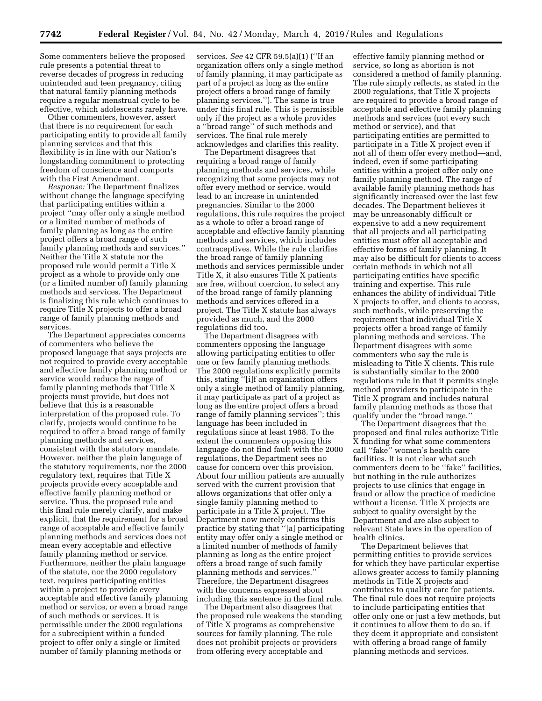Some commenters believe the proposed rule presents a potential threat to reverse decades of progress in reducing unintended and teen pregnancy, citing that natural family planning methods require a regular menstrual cycle to be effective, which adolescents rarely have.

Other commenters, however, assert that there is no requirement for each participating entity to provide all family planning services and that this flexibility is in line with our Nation's longstanding commitment to protecting freedom of conscience and comports with the First Amendment.

*Response:* The Department finalizes without change the language specifying that participating entities within a project ''may offer only a single method or a limited number of methods of family planning as long as the entire project offers a broad range of such family planning methods and services.'' Neither the Title X statute nor the proposed rule would permit a Title X project as a whole to provide only one (or a limited number of) family planning methods and services. The Department is finalizing this rule which continues to require Title X projects to offer a broad range of family planning methods and services.

The Department appreciates concerns of commenters who believe the proposed language that says projects are not required to provide every acceptable and effective family planning method or service would reduce the range of family planning methods that Title X projects must provide, but does not believe that this is a reasonable interpretation of the proposed rule. To clarify, projects would continue to be required to offer a broad range of family planning methods and services, consistent with the statutory mandate. However, neither the plain language of the statutory requirements, nor the 2000 regulatory text, requires that Title X projects provide every acceptable and effective family planning method or service. Thus, the proposed rule and this final rule merely clarify, and make explicit, that the requirement for a broad range of acceptable and effective family planning methods and services does not mean every acceptable and effective family planning method or service. Furthermore, neither the plain language of the statute, nor the 2000 regulatory text, requires participating entities within a project to provide every acceptable and effective family planning method or service, or even a broad range of such methods or services. It is permissible under the 2000 regulations for a subrecipient within a funded project to offer only a single or limited number of family planning methods or

services. *See* 42 CFR 59.5(a)(1) (''If an organization offers only a single method of family planning, it may participate as part of a project as long as the entire project offers a broad range of family planning services.''). The same is true under this final rule. This is permissible only if the project as a whole provides a ''broad range'' of such methods and services. The final rule merely acknowledges and clarifies this reality.

The Department disagrees that requiring a broad range of family planning methods and services, while recognizing that some projects may not offer every method or service, would lead to an increase in unintended pregnancies. Similar to the 2000 regulations, this rule requires the project as a whole to offer a broad range of acceptable and effective family planning methods and services, which includes contraceptives. While the rule clarifies the broad range of family planning methods and services permissible under Title X, it also ensures Title X patients are free, without coercion, to select any of the broad range of family planning methods and services offered in a project. The Title X statute has always provided as much, and the 2000 regulations did too.

The Department disagrees with commenters opposing the language allowing participating entities to offer one or few family planning methods. The 2000 regulations explicitly permits this, stating ''[i]f an organization offers only a single method of family planning, it may participate as part of a project as long as the entire project offers a broad range of family planning services''; this language has been included in regulations since at least 1988. To the extent the commenters opposing this language do not find fault with the 2000 regulations, the Department sees no cause for concern over this provision. About four million patients are annually served with the current provision that allows organizations that offer only a single family planning method to participate in a Title X project. The Department now merely confirms this practice by stating that ''[a] participating entity may offer only a single method or a limited number of methods of family planning as long as the entire project offers a broad range of such family planning methods and services.'' Therefore, the Department disagrees with the concerns expressed about including this sentence in the final rule.

The Department also disagrees that the proposed rule weakens the standing of Title X programs as comprehensive sources for family planning. The rule does not prohibit projects or providers from offering every acceptable and

effective family planning method or service, so long as abortion is not considered a method of family planning. The rule simply reflects, as stated in the 2000 regulations, that Title X projects are required to provide a broad range of acceptable and effective family planning methods and services (not every such method or service), and that participating entities are permitted to participate in a Title X project even if not all of them offer every method—and, indeed, even if some participating entities within a project offer only one family planning method. The range of available family planning methods has significantly increased over the last few decades. The Department believes it may be unreasonably difficult or expensive to add a new requirement that all projects and all participating entities must offer all acceptable and effective forms of family planning. It may also be difficult for clients to access certain methods in which not all participating entities have specific training and expertise. This rule enhances the ability of individual Title X projects to offer, and clients to access, such methods, while preserving the requirement that individual Title X projects offer a broad range of family planning methods and services. The Department disagrees with some commenters who say the rule is misleading to Title X clients. This rule is substantially similar to the 2000 regulations rule in that it permits single method providers to participate in the Title X program and includes natural family planning methods as those that qualify under the ''broad range.''

The Department disagrees that the proposed and final rules authorize Title X funding for what some commenters call ''fake'' women's health care facilities. It is not clear what such commenters deem to be ''fake'' facilities, but nothing in the rule authorizes projects to use clinics that engage in fraud or allow the practice of medicine without a license. Title X projects are subject to quality oversight by the Department and are also subject to relevant State laws in the operation of health clinics.

The Department believes that permitting entities to provide services for which they have particular expertise allows greater access to family planning methods in Title X projects and contributes to quality care for patients. The final rule does not require projects to include participating entities that offer only one or just a few methods, but it continues to allow them to do so, if they deem it appropriate and consistent with offering a broad range of family planning methods and services.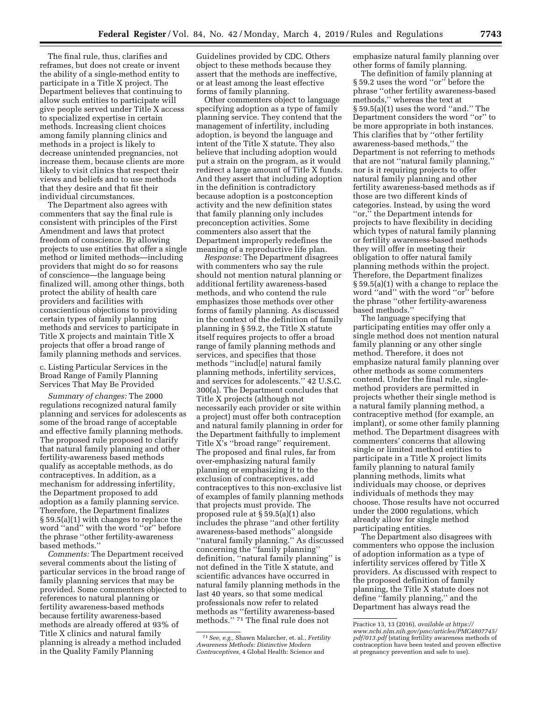The final rule, thus, clarifies and reframes, but does not create or invent the ability of a single-method entity to participate in a Title X project. The Department believes that continuing to allow such entities to participate will give people served under Title X access to specialized expertise in certain methods. Increasing client choices among family planning clinics and methods in a project is likely to decrease unintended pregnancies, not increase them, because clients are more likely to visit clinics that respect their views and beliefs and to use methods that they desire and that fit their

individual circumstances. The Department also agrees with commenters that say the final rule is consistent with principles of the First Amendment and laws that protect freedom of conscience. By allowing projects to use entities that offer a single method or limited methods—including providers that might do so for reasons of conscience—the language being finalized will, among other things, both protect the ability of health care providers and facilities with conscientious objections to providing certain types of family planning methods and services to participate in Title X projects and maintain Title X projects that offer a broad range of family planning methods and services.

c. Listing Particular Services in the Broad Range of Family Planning Services That May Be Provided

*Summary of changes:* The 2000 regulations recognized natural family planning and services for adolescents as some of the broad range of acceptable and effective family planning methods. The proposed rule proposed to clarify that natural family planning and other fertility-awareness based methods qualify as acceptable methods, as do contraceptives. In addition, as a mechanism for addressing infertility, the Department proposed to add adoption as a family planning service. Therefore, the Department finalizes § 59.5(a)(1) with changes to replace the word ''and'' with the word ''or'' before the phrase ''other fertility-awareness based methods.''

*Comments:* The Department received several comments about the listing of particular services in the broad range of family planning services that may be provided. Some commenters objected to references to natural planning or fertility awareness-based methods because fertility awareness-based methods are already offered at 93% of Title X clinics and natural family planning is already a method included in the Quality Family Planning

Guidelines provided by CDC. Others object to these methods because they assert that the methods are ineffective, or at least among the least effective forms of family planning.

Other commenters object to language specifying adoption as a type of family planning service. They contend that the management of infertility, including adoption, is beyond the language and intent of the Title X statute. They also believe that including adoption would put a strain on the program, as it would redirect a large amount of Title X funds. And they assert that including adoption in the definition is contradictory because adoption is a postconception activity and the new definition states that family planning only includes preconception activities. Some commenters also assert that the Department improperly redefines the meaning of a reproductive life plan.

*Response:* The Department disagrees with commenters who say the rule should not mention natural planning or additional fertility awareness-based methods, and who contend the rule emphasizes those methods over other forms of family planning. As discussed in the context of the definition of family planning in § 59.2, the Title X statute itself requires projects to offer a broad range of family planning methods and services, and specifies that those methods ''includ[e] natural family planning methods, infertility services, and services for adolescents.'' 42 U.S.C. 300(a). The Department concludes that Title X projects (although not necessarily each provider or site within a project) must offer both contraception and natural family planning in order for the Department faithfully to implement Title X's ''broad range'' requirement. The proposed and final rules, far from over-emphasizing natural family planning or emphasizing it to the exclusion of contraceptives, add contraceptives to this non-exclusive list of examples of family planning methods that projects must provide. The proposed rule at § 59.5(a)(1) also includes the phrase ''and other fertility awareness-based methods'' alongside ''natural family planning.'' As discussed concerning the ''family planning'' definition, ''natural family planning'' is not defined in the Title X statute, and scientific advances have occurred in natural family planning methods in the last 40 years, so that some medical professionals now refer to related methods as ''fertility awareness-based methods.'' 71 The final rule does not

emphasize natural family planning over other forms of family planning.

The definition of family planning at § 59.2 uses the word "or" before the phrase ''other fertility awareness-based methods,'' whereas the text at  $\S 59.5(a)(1)$  uses the word "and." The Department considers the word ''or'' to be more appropriate in both instances. This clarifies that by ''other fertility awareness-based methods,'' the Department is not referring to methods that are not ''natural family planning,'' nor is it requiring projects to offer natural family planning and other fertility awareness-based methods as if those are two different kinds of categories. Instead, by using the word "or," the Department intends for projects to have flexibility in deciding which types of natural family planning or fertility awareness-based methods they will offer in meeting their obligation to offer natural family planning methods within the project. Therefore, the Department finalizes § 59.5(a)(1) with a change to replace the word ''and'' with the word ''or'' before the phrase ''other fertility-awareness based methods.''

The language specifying that participating entities may offer only a single method does not mention natural family planning or any other single method. Therefore, it does not emphasize natural family planning over other methods as some commenters contend. Under the final rule, singlemethod providers are permitted in projects whether their single method is a natural family planning method, a contraceptive method (for example, an implant), or some other family planning method. The Department disagrees with commenters' concerns that allowing single or limited method entities to participate in a Title X project limits family planning to natural family planning methods, limits what individuals may choose, or deprives individuals of methods they may choose. Those results have not occurred under the 2000 regulations, which already allow for single method participating entities.

The Department also disagrees with commenters who oppose the inclusion of adoption information as a type of infertility services offered by Title X providers. As discussed with respect to the proposed definition of family planning, the Title X statute does not define ''family planning,'' and the Department has always read the

<sup>71</sup>*See, e.g.,* Shawn Malarcher, et. al., *Fertility Awareness Methods: Distinctive Modern Contraceptives,* 4 Global Health: Science and

Practice 13, 13 (2016), *available at https:// www.ncbi.nlm.nih.gov/pmc/articles/PMC4807745/ pdf/013.pdf* (stating fertility awareness methods of contraception have been tested and proven effective at pregnancy prevention and safe to use).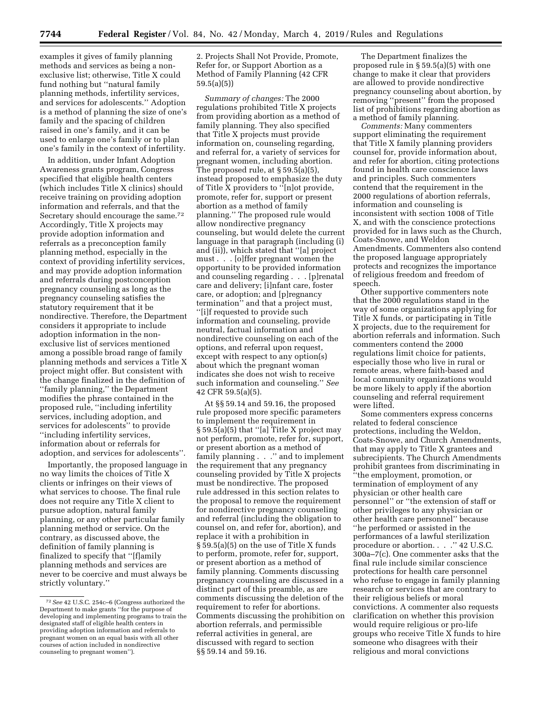examples it gives of family planning methods and services as being a nonexclusive list; otherwise, Title X could fund nothing but ''natural family planning methods, infertility services, and services for adolescents.'' Adoption is a method of planning the size of one's family and the spacing of children raised in one's family, and it can be used to enlarge one's family or to plan one's family in the context of infertility.

In addition, under Infant Adoption Awareness grants program, Congress specified that eligible health centers (which includes Title X clinics) should receive training on providing adoption information and referrals, and that the Secretary should encourage the same.72 Accordingly, Title X projects may provide adoption information and referrals as a preconception family planning method, especially in the context of providing infertility services, and may provide adoption information and referrals during postconception pregnancy counseling as long as the pregnancy counseling satisfies the statutory requirement that it be nondirective. Therefore, the Department considers it appropriate to include adoption information in the nonexclusive list of services mentioned among a possible broad range of family planning methods and services a Title X project might offer. But consistent with the change finalized in the definition of ''family planning,'' the Department modifies the phrase contained in the proposed rule, ''including infertility services, including adoption, and services for adolescents'' to provide ''including infertility services, information about or referrals for adoption, and services for adolescents''.

Importantly, the proposed language in no way limits the choices of Title X clients or infringes on their views of what services to choose. The final rule does not require any Title X client to pursue adoption, natural family planning, or any other particular family planning method or service. On the contrary, as discussed above, the definition of family planning is finalized to specify that ''[f]amily planning methods and services are never to be coercive and must always be strictly voluntary.''

2. Projects Shall Not Provide, Promote, Refer for, or Support Abortion as a Method of Family Planning (42 CFR 59.5(a)(5))

*Summary of changes:* The 2000 regulations prohibited Title X projects from providing abortion as a method of family planning. They also specified that Title X projects must provide information on, counseling regarding, and referral for, a variety of services for pregnant women, including abortion. The proposed rule, at  $\S 59.5(a)(5)$ , instead proposed to emphasize the duty of Title X providers to ''[n]ot provide, promote, refer for, support or present abortion as a method of family planning.'' The proposed rule would allow nondirective pregnancy counseling, but would delete the current language in that paragraph (including (i) and (ii)), which stated that ''[a] project must . . . [o]ffer pregnant women the opportunity to be provided information and counseling regarding . . . [p]renatal care and delivery; [i]nfant care, foster care, or adoption; and [p]regnancy termination'' and that a project must, ''[i]f requested to provide such information and counseling, provide neutral, factual information and nondirective counseling on each of the options, and referral upon request, except with respect to any option(s) about which the pregnant woman indicates she does not wish to receive such information and counseling.'' *See*  42 CFR 59.5(a)(5).

At §§ 59.14 and 59.16, the proposed rule proposed more specific parameters to implement the requirement in § 59.5(a)(5) that ''[a] Title X project may not perform, promote, refer for, support, or present abortion as a method of family planning . . .'' and to implement the requirement that any pregnancy counseling provided by Title X projects must be nondirective. The proposed rule addressed in this section relates to the proposal to remove the requirement for nondirective pregnancy counseling and referral (including the obligation to counsel on, and refer for, abortion), and replace it with a prohibition in § 59.5(a)(5) on the use of Title X funds to perform, promote, refer for, support, or present abortion as a method of family planning. Comments discussing pregnancy counseling are discussed in a distinct part of this preamble, as are comments discussing the deletion of the requirement to refer for abortions. Comments discussing the prohibition on abortion referrals, and permissible referral activities in general, are discussed with regard to section §§ 59.14 and 59.16.

The Department finalizes the proposed rule in § 59.5(a)(5) with one change to make it clear that providers are allowed to provide nondirective pregnancy counseling about abortion, by removing ''present'' from the proposed list of prohibitions regarding abortion as a method of family planning.

*Comments:* Many commenters support eliminating the requirement that Title X family planning providers counsel for, provide information about, and refer for abortion, citing protections found in health care conscience laws and principles. Such commenters contend that the requirement in the 2000 regulations of abortion referrals, information and counseling is inconsistent with section 1008 of Title X, and with the conscience protections provided for in laws such as the Church, Coats-Snowe, and Weldon Amendments. Commenters also contend the proposed language appropriately protects and recognizes the importance of religious freedom and freedom of speech.

Other supportive commenters note that the 2000 regulations stand in the way of some organizations applying for Title X funds, or participating in Title X projects, due to the requirement for abortion referrals and information. Such commenters contend the 2000 regulations limit choice for patients, especially those who live in rural or remote areas, where faith-based and local community organizations would be more likely to apply if the abortion counseling and referral requirement were lifted.

Some commenters express concerns related to federal conscience protections, including the Weldon, Coats-Snowe, and Church Amendments, that may apply to Title X grantees and subrecipients. The Church Amendments prohibit grantees from discriminating in ''the employment, promotion, or termination of employment of any physician or other health care personnel'' or ''the extension of staff or other privileges to any physician or other health care personnel'' because ''he performed or assisted in the performances of a lawful sterilization procedure or abortion. . . . " 42 U.S.C. 300a–7(c). One commenter asks that the final rule include similar conscience protections for health care personnel who refuse to engage in family planning research or services that are contrary to their religious beliefs or moral convictions. A commenter also requests clarification on whether this provision would require religious or pro-life groups who receive Title X funds to hire someone who disagrees with their religious and moral convictions

<sup>72</sup>*See* 42 U.S.C. 254c–6 (Congress authorized the Department to make grants ''for the purpose of developing and implementing programs to train the designated staff of eligible health centers in providing adoption information and referrals to pregnant women on an equal basis with all other courses of action included in nondirective counseling to pregnant women'').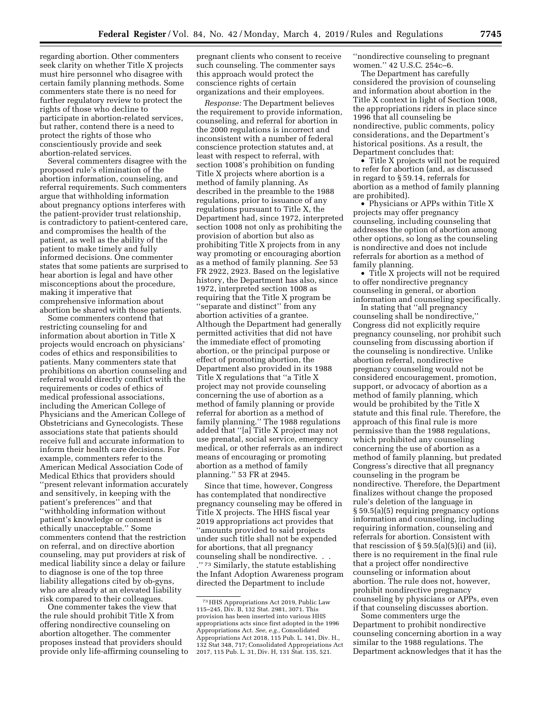regarding abortion. Other commenters seek clarity on whether Title X projects must hire personnel who disagree with certain family planning methods. Some commenters state there is no need for further regulatory review to protect the rights of those who decline to participate in abortion-related services, but rather, contend there is a need to protect the rights of those who conscientiously provide and seek abortion-related services.

Several commenters disagree with the proposed rule's elimination of the abortion information, counseling, and referral requirements. Such commenters argue that withholding information about pregnancy options interferes with the patient-provider trust relationship, is contradictory to patient-centered care, and compromises the health of the patient, as well as the ability of the patient to make timely and fully informed decisions. One commenter states that some patients are surprised to hear abortion is legal and have other misconceptions about the procedure, making it imperative that comprehensive information about abortion be shared with those patients.

Some commenters contend that restricting counseling for and information about abortion in Title X projects would encroach on physicians' codes of ethics and responsibilities to patients. Many commenters state that prohibitions on abortion counseling and referral would directly conflict with the requirements or codes of ethics of medical professional associations, including the American College of Physicians and the American College of Obstetricians and Gynecologists. These associations state that patients should receive full and accurate information to inform their health care decisions. For example, commenters refer to the American Medical Association Code of Medical Ethics that providers should ''present relevant information accurately and sensitively, in keeping with the patient's preferences'' and that

''withholding information without patient's knowledge or consent is ethically unacceptable.'' Some commenters contend that the restriction on referral, and on directive abortion counseling, may put providers at risk of medical liability since a delay or failure to diagnose is one of the top three liability allegations cited by ob-gyns, who are already at an elevated liability risk compared to their colleagues.

One commenter takes the view that the rule should prohibit Title X from offering nondirective counseling on abortion altogether. The commenter proposes instead that providers should provide only life-affirming counseling to

pregnant clients who consent to receive such counseling. The commenter says this approach would protect the conscience rights of certain organizations and their employees.

*Response:* The Department believes the requirement to provide information, counseling, and referral for abortion in the 2000 regulations is incorrect and inconsistent with a number of federal conscience protection statutes and, at least with respect to referral, with section 1008's prohibition on funding Title X projects where abortion is a method of family planning. As described in the preamble to the 1988 regulations, prior to issuance of any regulations pursuant to Title X, the Department had, since 1972, interpreted section 1008 not only as prohibiting the provision of abortion but also as prohibiting Title X projects from in any way promoting or encouraging abortion as a method of family planning. *See* 53 FR 2922, 2923. Based on the legislative history, the Department has also, since 1972, interpreted section 1008 as requiring that the Title X program be ''separate and distinct'' from any abortion activities of a grantee. Although the Department had generally permitted activities that did not have the immediate effect of promoting abortion, or the principal purpose or effect of promoting abortion, the Department also provided in its 1988 Title X regulations that ''a Title X project may not provide counseling concerning the use of abortion as a method of family planning or provide referral for abortion as a method of family planning.'' The 1988 regulations added that ''[a] Title X project may not use prenatal, social service, emergency medical, or other referrals as an indirect means of encouraging or promoting abortion as a method of family planning.'' 53 FR at 2945.

Since that time, however, Congress has contemplated that nondirective pregnancy counseling may be offered in Title X projects. The HHS fiscal year 2019 appropriations act provides that ''amounts provided to said projects under such title shall not be expended for abortions, that all pregnancy counseling shall be nondirective. . . ."<sup>73</sup> Similarly, the statute establishing the Infant Adoption Awareness program directed the Department to include

''nondirective counseling to pregnant women.'' 42 U.S.C. 254c–6.

The Department has carefully considered the provision of counseling and information about abortion in the Title X context in light of Section 1008, the appropriations riders in place since 1996 that all counseling be nondirective, public comments, policy considerations, and the Department's historical positions. As a result, the Department concludes that:

• Title X projects will not be required to refer for abortion (and, as discussed in regard to § 59.14, referrals for abortion as a method of family planning are prohibited).

• Physicians or APPs within Title X projects may offer pregnancy counseling, including counseling that addresses the option of abortion among other options, so long as the counseling is nondirective and does not include referrals for abortion as a method of family planning.

• Title X projects will not be required to offer nondirective pregnancy counseling in general, or abortion information and counseling specifically.

In stating that ''all pregnancy counseling shall be nondirective,'' Congress did not explicitly require pregnancy counseling, nor prohibit such counseling from discussing abortion if the counseling is nondirective. Unlike abortion referral, nondirective pregnancy counseling would not be considered encouragement, promotion, support, or advocacy of abortion as a method of family planning, which would be prohibited by the Title X statute and this final rule. Therefore, the approach of this final rule is more permissive than the 1988 regulations, which prohibited any counseling concerning the use of abortion as a method of family planning, but predated Congress's directive that all pregnancy counseling in the program be nondirective. Therefore, the Department finalizes without change the proposed rule's deletion of the language in § 59.5(a)(5) requiring pregnancy options information and counseling, including requiring information, counseling and referrals for abortion. Consistent with that rescission of  $\S 59.5(a)(5)(i)$  and (ii), there is no requirement in the final rule that a project offer nondirective counseling or information about abortion. The rule does not, however, prohibit nondirective pregnancy counseling by physicians or APPs, even if that counseling discusses abortion.

Some commenters urge the Department to prohibit nondirective counseling concerning abortion in a way similar to the 1988 regulations. The Department acknowledges that it has the

<sup>73</sup>HHS Appropriations Act 2019, Public Law 115–245, Div. B, 132 Stat. 2981, 3071. This provision has been inserted into various HHS appropriations acts since first adopted in the 1996 Appropriations Act. *See, e.g.,* Consolidated Appropriations Act 2018, 115 Pub. L. 141, Div. H., 132 Stat 348, 717; Consolidated Appropriations Act 2017, 115 Pub. L. 31, Div. H, 131 Stat. 135, 521.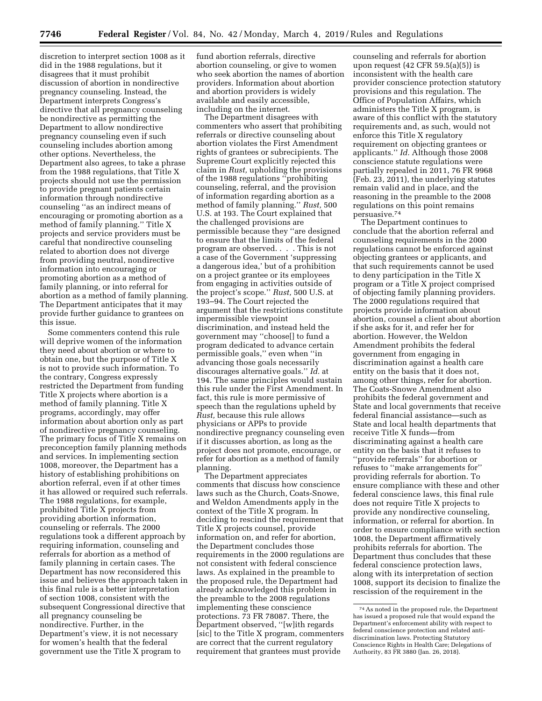discretion to interpret section 1008 as it did in the 1988 regulations, but it disagrees that it must prohibit discussion of abortion in nondirective pregnancy counseling. Instead, the Department interprets Congress's directive that all pregnancy counseling be nondirective as permitting the Department to allow nondirective pregnancy counseling even if such counseling includes abortion among other options. Nevertheless, the Department also agrees, to take a phrase from the 1988 regulations, that Title X projects should not use the permission to provide pregnant patients certain information through nondirective counseling ''as an indirect means of encouraging or promoting abortion as a method of family planning.'' Title X projects and service providers must be careful that nondirective counseling related to abortion does not diverge from providing neutral, nondirective information into encouraging or promoting abortion as a method of family planning, or into referral for abortion as a method of family planning. The Department anticipates that it may provide further guidance to grantees on this issue.

Some commenters contend this rule will deprive women of the information they need about abortion or where to obtain one, but the purpose of Title X is not to provide such information. To the contrary, Congress expressly restricted the Department from funding Title X projects where abortion is a method of family planning. Title X programs, accordingly, may offer information about abortion only as part of nondirective pregnancy counseling. The primary focus of Title X remains on preconception family planning methods and services. In implementing section 1008, moreover, the Department has a history of establishing prohibitions on abortion referral, even if at other times it has allowed or required such referrals. The 1988 regulations, for example, prohibited Title X projects from providing abortion information, counseling or referrals. The 2000 regulations took a different approach by requiring information, counseling and referrals for abortion as a method of family planning in certain cases. The Department has now reconsidered this issue and believes the approach taken in this final rule is a better interpretation of section 1008, consistent with the subsequent Congressional directive that all pregnancy counseling be nondirective. Further, in the Department's view, it is not necessary for women's health that the federal government use the Title X program to

fund abortion referrals, directive abortion counseling, or give to women who seek abortion the names of abortion providers. Information about abortion and abortion providers is widely available and easily accessible, including on the internet.

The Department disagrees with commenters who assert that prohibiting referrals or directive counseling about abortion violates the First Amendment rights of grantees or subrecipients. The Supreme Court explicitly rejected this claim in *Rust,* upholding the provisions of the 1988 regulations ''prohibiting counseling, referral, and the provision of information regarding abortion as a method of family planning.'' *Rust,* 500 U.S. at 193. The Court explained that the challenged provisions are permissible because they ''are designed to ensure that the limits of the federal program are observed. . . . This is not a case of the Government 'suppressing a dangerous idea,' but of a prohibition on a project grantee or its employees from engaging in activities outside of the project's scope.'' *Rust,* 500 U.S. at 193–94. The Court rejected the argument that the restrictions constitute impermissible viewpoint discrimination, and instead held the government may ''choose[] to fund a program dedicated to advance certain permissible goals,'' even when ''in advancing those goals necessarily discourages alternative goals.'' *Id.* at 194. The same principles would sustain this rule under the First Amendment. In fact, this rule is more permissive of speech than the regulations upheld by *Rust,* because this rule allows physicians or APPs to provide nondirective pregnancy counseling even if it discusses abortion, as long as the project does not promote, encourage, or refer for abortion as a method of family planning.

The Department appreciates comments that discuss how conscience laws such as the Church, Coats-Snowe, and Weldon Amendments apply in the context of the Title X program. In deciding to rescind the requirement that Title X projects counsel, provide information on, and refer for abortion, the Department concludes those requirements in the 2000 regulations are not consistent with federal conscience laws. As explained in the preamble to the proposed rule, the Department had already acknowledged this problem in the preamble to the 2008 regulations implementing these conscience protections. 73 FR 78087. There, the Department observed, ''[w]ith regards [sic] to the Title X program, commenters are correct that the current regulatory requirement that grantees must provide

counseling and referrals for abortion upon request (42 CFR 59.5(a)(5)) is inconsistent with the health care provider conscience protection statutory provisions and this regulation. The Office of Population Affairs, which administers the Title X program, is aware of this conflict with the statutory requirements and, as such, would not enforce this Title X regulatory requirement on objecting grantees or applicants.'' *Id.* Although those 2008 conscience statute regulations were partially repealed in 2011, 76 FR 9968 (Feb. 23, 2011), the underlying statutes remain valid and in place, and the reasoning in the preamble to the 2008 regulations on this point remains persuasive.74

The Department continues to conclude that the abortion referral and counseling requirements in the 2000 regulations cannot be enforced against objecting grantees or applicants, and that such requirements cannot be used to deny participation in the Title X program or a Title X project comprised of objecting family planning providers. The 2000 regulations required that projects provide information about abortion, counsel a client about abortion if she asks for it, and refer her for abortion. However, the Weldon Amendment prohibits the federal government from engaging in discrimination against a health care entity on the basis that it does not, among other things, refer for abortion. The Coats-Snowe Amendment also prohibits the federal government and State and local governments that receive federal financial assistance—such as State and local health departments that receive Title X funds—from discriminating against a health care entity on the basis that it refuses to ''provide referrals'' for abortion or refuses to ''make arrangements for'' providing referrals for abortion. To ensure compliance with these and other federal conscience laws, this final rule does not require Title X projects to provide any nondirective counseling, information, or referral for abortion. In order to ensure compliance with section 1008, the Department affirmatively prohibits referrals for abortion. The Department thus concludes that these federal conscience protection laws, along with its interpretation of section 1008, support its decision to finalize the rescission of the requirement in the

<sup>74</sup>As noted in the proposed rule, the Department has issued a proposed rule that would expand the Department's enforcement ability with respect to federal conscience protection and related antidiscrimination laws. Protecting Statutory Conscience Rights in Health Care; Delegations of Authority, 83 FR 3880 (Jan. 26, 2018).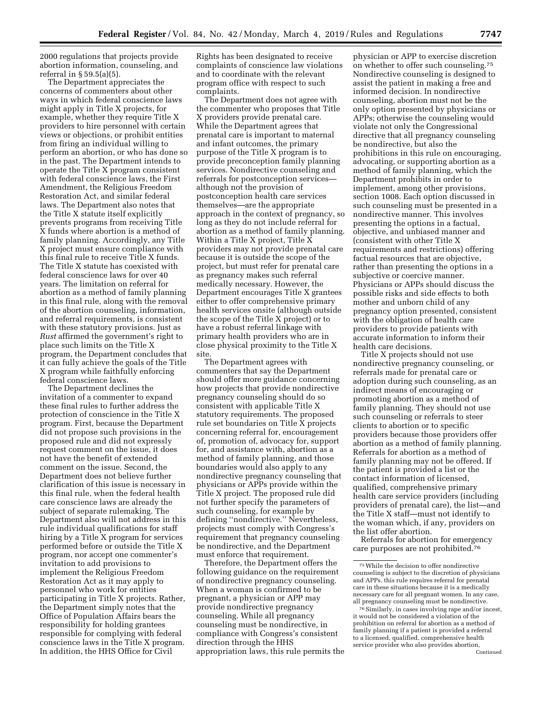2000 regulations that projects provide abortion information, counseling, and referral in § 59.5(a)(5).

The Department appreciates the concerns of commenters about other ways in which federal conscience laws might apply in Title X projects, for example, whether they require Title X providers to hire personnel with certain views or objections, or prohibit entities from firing an individual willing to perform an abortion, or who has done so in the past. The Department intends to operate the Title X program consistent with federal conscience laws, the First Amendment, the Religious Freedom Restoration Act, and similar federal laws. The Department also notes that the Title X statute itself explicitly prevents programs from receiving Title X funds where abortion is a method of family planning. Accordingly, any Title X project must ensure compliance with this final rule to receive Title X funds. The Title X statute has coexisted with federal conscience laws for over 40 years. The limitation on referral for abortion as a method of family planning in this final rule, along with the removal of the abortion counseling, information, and referral requirements, is consistent with these statutory provisions. Just as *Rust* affirmed the government's right to place such limits on the Title X program, the Department concludes that it can fully achieve the goals of the Title X program while faithfully enforcing federal conscience laws.

The Department declines the invitation of a commenter to expand these final rules to further address the protection of conscience in the Title X program. First, because the Department did not propose such provisions in the proposed rule and did not expressly request comment on the issue, it does not have the benefit of extended comment on the issue. Second, the Department does not believe further clarification of this issue is necessary in this final rule, when the federal health care conscience laws are already the subject of separate rulemaking. The Department also will not address in this rule individual qualifications for staff hiring by a Title X program for services performed before or outside the Title X program, nor accept one commenter's invitation to add provisions to implement the Religious Freedom Restoration Act as it may apply to personnel who work for entities participating in Title X projects. Rather, the Department simply notes that the Office of Population Affairs bears the responsibility for holding grantees responsible for complying with federal conscience laws in the Title X program. In addition, the HHS Office for Civil

Rights has been designated to receive complaints of conscience law violations and to coordinate with the relevant program office with respect to such complaints.

The Department does not agree with the commenter who proposes that Title X providers provide prenatal care. While the Department agrees that prenatal care is important to maternal and infant outcomes, the primary purpose of the Title X program is to provide preconception family planning services. Nondirective counseling and referrals for postconception services although not the provision of postconception health care services themselves—are the appropriate approach in the context of pregnancy, so long as they do not include referral for abortion as a method of family planning. Within a Title X project, Title X providers may not provide prenatal care because it is outside the scope of the project, but must refer for prenatal care as pregnancy makes such referral medically necessary. However, the Department encourages Title X grantees either to offer comprehensive primary health services onsite (although outside the scope of the Title X project) or to have a robust referral linkage with primary health providers who are in close physical proximity to the Title X site.

The Department agrees with commenters that say the Department should offer more guidance concerning how projects that provide nondirective pregnancy counseling should do so consistent with applicable Title X statutory requirements. The proposed rule set boundaries on Title X projects concerning referral for, encouragement of, promotion of, advocacy for, support for, and assistance with, abortion as a method of family planning, and those boundaries would also apply to any nondirective pregnancy counseling that physicians or APPs provide within the Title X project. The proposed rule did not further specify the parameters of such counseling, for example by defining ''nondirective.'' Nevertheless, projects must comply with Congress's requirement that pregnancy counseling be nondirective, and the Department must enforce that requirement.

Therefore, the Department offers the following guidance on the requirement of nondirective pregnancy counseling. When a woman is confirmed to be pregnant, a physician or APP may provide nondirective pregnancy counseling. While all pregnancy counseling must be nondirective, in compliance with Congress's consistent direction through the HHS appropriation laws, this rule permits the

physician or APP to exercise discretion on whether to offer such counseling.75 Nondirective counseling is designed to assist the patient in making a free and informed decision. In nondirective counseling, abortion must not be the only option presented by physicians or APPs; otherwise the counseling would violate not only the Congressional directive that all pregnancy counseling be nondirective, but also the prohibitions in this rule on encouraging, advocating, or supporting abortion as a method of family planning, which the Department prohibits in order to implement, among other provisions, section 1008. Each option discussed in such counseling must be presented in a nondirective manner. This involves presenting the options in a factual, objective, and unbiased manner and (consistent with other Title X requirements and restrictions) offering factual resources that are objective, rather than presenting the options in a subjective or coercive manner. Physicians or APPs should discuss the possible risks and side effects to both mother and unborn child of any pregnancy option presented, consistent with the obligation of health care providers to provide patients with accurate information to inform their health care decisions.

Title X projects should not use nondirective pregnancy counseling, or referrals made for prenatal care or adoption during such counseling, as an indirect means of encouraging or promoting abortion as a method of family planning. They should not use such counseling or referrals to steer clients to abortion or to specific providers because those providers offer abortion as a method of family planning. Referrals for abortion as a method of family planning may not be offered. If the patient is provided a list or the contact information of licensed, qualified, comprehensive primary health care service providers (including providers of prenatal care), the list—and the Title X staff—must not identify to the woman which, if any, providers on the list offer abortion.

Referrals for abortion for emergency care purposes are not prohibited.76

<sup>75</sup>While the decision to offer nondirective counseling is subject to the discretion of physicians and APPs, this rule requires referral for prenatal care in these situations because it is a medically necessary care for all pregnant women. In any case, all pregnancy counseling must be nondirective.

<sup>76</sup>Similarly, in cases involving rape and/or incest, it would not be considered a violation of the prohibition on referral for abortion as a method of family planning if a patient is provided a referral to a licensed, qualified, comprehensive health service provider who also provides abortion, Continued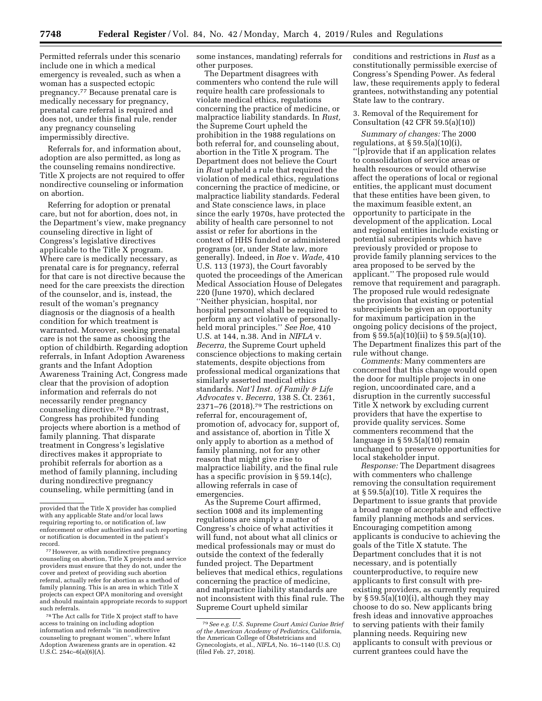Permitted referrals under this scenario include one in which a medical emergency is revealed, such as when a woman has a suspected ectopic pregnancy.77 Because prenatal care is medically necessary for pregnancy, prenatal care referral is required and does not, under this final rule, render any pregnancy counseling impermissibly directive.

Referrals for, and information about, adoption are also permitted, as long as the counseling remains nondirective. Title X projects are not required to offer nondirective counseling or information on abortion.

Referring for adoption or prenatal care, but not for abortion, does not, in the Department's view, make pregnancy counseling directive in light of Congress's legislative directives applicable to the Title X program. Where care is medically necessary, as prenatal care is for pregnancy, referral for that care is not directive because the need for the care preexists the direction of the counselor, and is, instead, the result of the woman's pregnancy diagnosis or the diagnosis of a health condition for which treatment is warranted. Moreover, seeking prenatal care is not the same as choosing the option of childbirth. Regarding adoption referrals, in Infant Adoption Awareness grants and the Infant Adoption Awareness Training Act, Congress made clear that the provision of adoption information and referrals do not necessarily render pregnancy counseling directive.<sup>78</sup> By contrast, Congress has prohibited funding projects where abortion is a method of family planning. That disparate treatment in Congress's legislative directives makes it appropriate to prohibit referrals for abortion as a method of family planning, including during nondirective pregnancy counseling, while permitting (and in

78The Act calls for Title X project staff to have access to training on including adoption information and referrals ''in nondirective counseling to pregnant women'', where Infant Adoption Awareness grants are in operation. 42 U.S.C. 254c–6(a)(6)(A).

some instances, mandating) referrals for other purposes.

The Department disagrees with commenters who contend the rule will require health care professionals to violate medical ethics, regulations concerning the practice of medicine, or malpractice liability standards. In *Rust,*  the Supreme Court upheld the prohibition in the 1988 regulations on both referral for, and counseling about, abortion in the Title X program. The Department does not believe the Court in *Rust* upheld a rule that required the violation of medical ethics, regulations concerning the practice of medicine, or malpractice liability standards. Federal and State conscience laws, in place since the early 1970s, have protected the ability of health care personnel to not assist or refer for abortions in the context of HHS funded or administered programs (or, under State law, more generally). Indeed, in *Roe* v. *Wade,* 410 U.S. 113 (1973), the Court favorably quoted the proceedings of the American Medical Association House of Delegates 220 (June 1970), which declared ''Neither physician, hospital, nor hospital personnel shall be required to perform any act violative of personallyheld moral principles.'' *See Roe,* 410 U.S. at 144, n.38. And in *NIFLA* v. *Becerra,* the Supreme Court upheld conscience objections to making certain statements, despite objections from professional medical organizations that similarly asserted medical ethics standards. *Nat'l Inst. of Family & Life Advocates* v. *Becerra,* 138 S. Ct. 2361, 2371–76 (2018).79 The restrictions on referral for, encouragement of, promotion of, advocacy for, support of, and assistance of, abortion in Title X only apply to abortion as a method of family planning, not for any other reason that might give rise to malpractice liability, and the final rule has a specific provision in § 59.14(c), allowing referrals in case of emergencies.

As the Supreme Court affirmed, section 1008 and its implementing regulations are simply a matter of Congress's choice of what activities it will fund, not about what all clinics or medical professionals may or must do outside the context of the federally funded project. The Department believes that medical ethics, regulations concerning the practice of medicine, and malpractice liability standards are not inconsistent with this final rule. The Supreme Court upheld similar

conditions and restrictions in *Rust* as a constitutionally permissible exercise of Congress's Spending Power. As federal law, these requirements apply to federal grantees, notwithstanding any potential State law to the contrary.

### 3. Removal of the Requirement for Consultation (42 CFR 59.5(a)(10))

*Summary of changes:* The 2000 regulations, at  $\S 59.5(a)(10)(i)$ , ''[p]rovide that if an application relates to consolidation of service areas or health resources or would otherwise affect the operations of local or regional entities, the applicant must document that these entities have been given, to the maximum feasible extent, an opportunity to participate in the development of the application. Local and regional entities include existing or potential subrecipients which have previously provided or propose to provide family planning services to the area proposed to be served by the applicant.'' The proposed rule would remove that requirement and paragraph. The proposed rule would redesignate the provision that existing or potential subrecipients be given an opportunity for maximum participation in the ongoing policy decisions of the project, from  $\S$  59.5(a)(10)(ii) to  $\S$  59.5(a)(10). The Department finalizes this part of the rule without change.

*Comments:* Many commenters are concerned that this change would open the door for multiple projects in one region, uncoordinated care, and a disruption in the currently successful Title X network by excluding current providers that have the expertise to provide quality services. Some commenters recommend that the language in § 59.5(a)(10) remain unchanged to preserve opportunities for local stakeholder input.

*Response:* The Department disagrees with commenters who challenge removing the consultation requirement at § 59.5(a)(10). Title X requires the Department to issue grants that provide a broad range of acceptable and effective family planning methods and services. Encouraging competition among applicants is conducive to achieving the goals of the Title X statute. The Department concludes that it is not necessary, and is potentially counterproductive, to require new applicants to first consult with preexisting providers, as currently required by § 59.5(a)(10)(i), although they may choose to do so. New applicants bring fresh ideas and innovative approaches to serving patients with their family planning needs. Requiring new applicants to consult with previous or current grantees could have the

provided that the Title X provider has complied with any applicable State and/or local laws requiring reporting to, or notification of, law enforcement or other authorities and such reporting or notification is documented in the patient's record.

<sup>77</sup>However, as with nondirective pregnancy counseling on abortion, Title X projects and service providers must ensure that they do not, under the cover and pretext of providing such abortion referral, actually refer for abortion as a method of family planning. This is an area in which Title X projects can expect OPA monitoring and oversight and should maintain appropriate records to support such referrals.

<sup>79</sup>*See e.g. U.S. Supreme Court Amici Curiae Brief of the American Academy of Pediatrics,* California, the American College of Obstetricians and Gynecologists, et al., *NIFLA,* No. 16–1140 (U.S. Ct) (filed Feb. 27, 2018).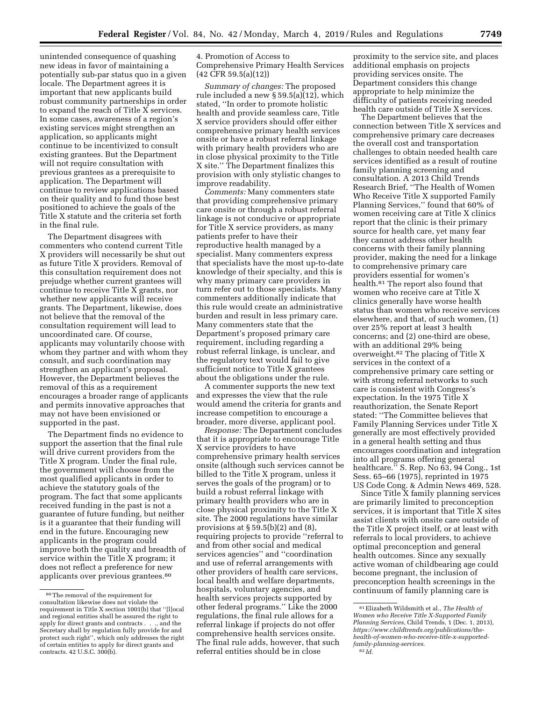unintended consequence of quashing new ideas in favor of maintaining a potentially sub-par status quo in a given locale. The Department agrees it is important that new applicants build robust community partnerships in order to expand the reach of Title X services. In some cases, awareness of a region's existing services might strengthen an application, so applicants might continue to be incentivized to consult existing grantees. But the Department will not require consultation with previous grantees as a prerequisite to application. The Department will continue to review applications based on their quality and to fund those best positioned to achieve the goals of the Title X statute and the criteria set forth in the final rule.

The Department disagrees with commenters who contend current Title X providers will necessarily be shut out as future Title X providers. Removal of this consultation requirement does not prejudge whether current grantees will continue to receive Title X grants, nor whether new applicants will receive grants. The Department, likewise, does not believe that the removal of the consultation requirement will lead to uncoordinated care. Of course, applicants may voluntarily choose with whom they partner and with whom they consult, and such coordination may strengthen an applicant's proposal. However, the Department believes the removal of this as a requirement encourages a broader range of applicants and permits innovative approaches that may not have been envisioned or supported in the past.

The Department finds no evidence to support the assertion that the final rule will drive current providers from the Title X program. Under the final rule, the government will choose from the most qualified applicants in order to achieve the statutory goals of the program. The fact that some applicants received funding in the past is not a guarantee of future funding, but neither is it a guarantee that their funding will end in the future. Encouraging new applicants in the program could improve both the quality and breadth of service within the Title X program; it does not reflect a preference for new applicants over previous grantees.<sup>80</sup>

4. Promotion of Access to Comprehensive Primary Health Services (42 CFR 59.5(a)(12))

*Summary of changes:* The proposed rule included a new § 59.5(a)(12), which stated, ''In order to promote holistic health and provide seamless care, Title X service providers should offer either comprehensive primary health services onsite or have a robust referral linkage with primary health providers who are in close physical proximity to the Title X site.'' The Department finalizes this provision with only stylistic changes to improve readability.

*Comments:* Many commenters state that providing comprehensive primary care onsite or through a robust referral linkage is not conducive or appropriate for Title X service providers, as many patients prefer to have their reproductive health managed by a specialist. Many commenters express that specialists have the most up-to-date knowledge of their specialty, and this is why many primary care providers in turn refer out to those specialists. Many commenters additionally indicate that this rule would create an administrative burden and result in less primary care. Many commenters state that the Department's proposed primary care requirement, including regarding a robust referral linkage, is unclear, and the regulatory text would fail to give sufficient notice to Title X grantees about the obligations under the rule.

A commenter supports the new text and expresses the view that the rule would amend the criteria for grants and increase competition to encourage a broader, more diverse, applicant pool.

*Response:* The Department concludes that it is appropriate to encourage Title X service providers to have comprehensive primary health services onsite (although such services cannot be billed to the Title X program, unless it serves the goals of the program) or to build a robust referral linkage with primary health providers who are in close physical proximity to the Title X site. The 2000 regulations have similar provisions at  $\S 59.5(b)(2)$  and  $(8)$ , requiring projects to provide ''referral to and from other social and medical services agencies'' and ''coordination and use of referral arrangements with other providers of health care services, local health and welfare departments, hospitals, voluntary agencies, and health services projects supported by other federal programs.'' Like the 2000 regulations, the final rule allows for a referral linkage if projects do not offer comprehensive health services onsite. The final rule adds, however, that such referral entities should be in close

proximity to the service site, and places additional emphasis on projects providing services onsite. The Department considers this change appropriate to help minimize the difficulty of patients receiving needed health care outside of Title X services.

The Department believes that the connection between Title X services and comprehensive primary care decreases the overall cost and transportation challenges to obtain needed health care services identified as a result of routine family planning screening and consultation. A 2013 Child Trends Research Brief, ''The Health of Women Who Receive Title X supported Family Planning Services,'' found that 60% of women receiving care at Title X clinics report that the clinic is their primary source for health care, yet many fear they cannot address other health concerns with their family planning provider, making the need for a linkage to comprehensive primary care providers essential for women's health.81 The report also found that women who receive care at Title X clinics generally have worse health status than women who receive services elsewhere, and that, of such women, (1) over 25% report at least 3 health concerns; and (2) one-third are obese, with an additional 29% being overweight.82 The placing of Title X services in the context of a comprehensive primary care setting or with strong referral networks to such care is consistent with Congress's expectation. In the 1975 Title X reauthorization, the Senate Report stated: ''The Committee believes that Family Planning Services under Title X generally are most effectively provided in a general health setting and thus encourages coordination and integration into all programs offering general healthcare.'' S. Rep. No 63, 94 Cong., 1st Sess. 65–66 (1975), reprinted in 1975 US Code Cong. & Admin News 469, 528.

Since Title X family planning services are primarily limited to preconception services, it is important that Title X sites assist clients with onsite care outside of the Title X project itself, or at least with referrals to local providers, to achieve optimal preconception and general health outcomes. Since any sexually active woman of childbearing age could become pregnant, the inclusion of preconception health screenings in the continuum of family planning care is

<sup>80</sup>The removal of the requirement for consultation likewise does not violate the requirement in Title X section 1001(b) that ''[l]ocal and regional entities shall be assured the right to apply for direct grants and contracts . . ., and the Secretary shall by regulation fully provide for and protect such right'', which only addresses the right of certain entities to apply for direct grants and contracts. 42 U.S.C. 300(b).

<sup>81</sup>Elizabeth Wildsmith et al., *The Health of Women who Receive Title X-Supported Family Planning Services,* Child Trends, 1 (Dec. 1, 2013), *https://www.childtrends.org/publications/thehealth-of-women-who-receive-title-x-supportedfamily-planning-services*. 82 *Id.*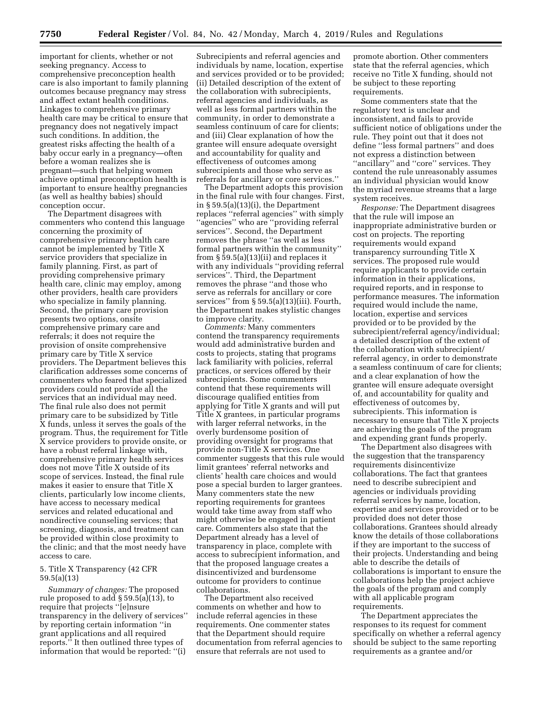important for clients, whether or not seeking pregnancy. Access to comprehensive preconception health care is also important to family planning outcomes because pregnancy may stress and affect extant health conditions. Linkages to comprehensive primary health care may be critical to ensure that pregnancy does not negatively impact such conditions. In addition, the greatest risks affecting the health of a baby occur early in a pregnancy—often before a woman realizes she is pregnant—such that helping women achieve optimal preconception health is important to ensure healthy pregnancies (as well as healthy babies) should conception occur.

The Department disagrees with commenters who contend this language concerning the proximity of comprehensive primary health care cannot be implemented by Title X service providers that specialize in family planning. First, as part of providing comprehensive primary health care, clinic may employ, among other providers, health care providers who specialize in family planning. Second, the primary care provision presents two options, onsite comprehensive primary care and referrals; it does not require the provision of onsite comprehensive primary care by Title X service providers. The Department believes this clarification addresses some concerns of commenters who feared that specialized providers could not provide all the services that an individual may need. The final rule also does not permit primary care to be subsidized by Title X funds, unless it serves the goals of the program. Thus, the requirement for Title X service providers to provide onsite, or have a robust referral linkage with, comprehensive primary health services does not move Title X outside of its scope of services. Instead, the final rule makes it easier to ensure that Title X clients, particularly low income clients, have access to necessary medical services and related educational and nondirective counseling services; that screening, diagnosis, and treatment can be provided within close proximity to the clinic; and that the most needy have access to care.

## 5. Title X Transparency (42 CFR 59.5(a)(13)

*Summary of changes:* The proposed rule proposed to add § 59.5(a)(13), to require that projects ''[e]nsure transparency in the delivery of services'' by reporting certain information ''in grant applications and all required reports.'' It then outlined three types of information that would be reported: ''(i)

Subrecipients and referral agencies and individuals by name, location, expertise and services provided or to be provided; (ii) Detailed description of the extent of the collaboration with subrecipients, referral agencies and individuals, as well as less formal partners within the community, in order to demonstrate a seamless continuum of care for clients; and (iii) Clear explanation of how the grantee will ensure adequate oversight and accountability for quality and effectiveness of outcomes among subrecipients and those who serve as referrals for ancillary or core services.''

The Department adopts this provision in the final rule with four changes. First, in § 59.5(a)(13)(i), the Department replaces ''referral agencies'' with simply ''agencies'' who are ''providing referral services''. Second, the Department removes the phrase ''as well as less formal partners within the community'' from § 59.5(a)(13)(ii) and replaces it with any individuals ''providing referral services''. Third, the Department removes the phrase ''and those who serve as referrals for ancillary or core services'' from § 59.5(a)(13)(iii). Fourth, the Department makes stylistic changes to improve clarity.

*Comments:* Many commenters contend the transparency requirements would add administrative burden and costs to projects, stating that programs lack familiarity with policies, referral practices, or services offered by their subrecipients. Some commenters contend that these requirements will discourage qualified entities from applying for Title X grants and will put Title X grantees, in particular programs with larger referral networks, in the overly burdensome position of providing oversight for programs that provide non-Title X services. One commenter suggests that this rule would limit grantees' referral networks and clients' health care choices and would pose a special burden to larger grantees. Many commenters state the new reporting requirements for grantees would take time away from staff who might otherwise be engaged in patient care. Commenters also state that the Department already has a level of transparency in place, complete with access to subrecipient information, and that the proposed language creates a disincentivized and burdensome outcome for providers to continue collaborations.

The Department also received comments on whether and how to include referral agencies in these requirements. One commenter states that the Department should require documentation from referral agencies to ensure that referrals are not used to

promote abortion. Other commenters state that the referral agencies, which receive no Title X funding, should not be subject to these reporting requirements.

Some commenters state that the regulatory text is unclear and inconsistent, and fails to provide sufficient notice of obligations under the rule. They point out that it does not define ''less formal partners'' and does not express a distinction between ''ancillary'' and ''core'' services. They contend the rule unreasonably assumes an individual physician would know the myriad revenue streams that a large system receives.

*Response:* The Department disagrees that the rule will impose an inappropriate administrative burden or cost on projects. The reporting requirements would expand transparency surrounding Title X services. The proposed rule would require applicants to provide certain information in their applications, required reports, and in response to performance measures. The information required would include the name, location, expertise and services provided or to be provided by the subrecipient/referral agency/individual; a detailed description of the extent of the collaboration with subrecipient/ referral agency, in order to demonstrate a seamless continuum of care for clients; and a clear explanation of how the grantee will ensure adequate oversight of, and accountability for quality and effectiveness of outcomes by, subrecipients. This information is necessary to ensure that Title X projects are achieving the goals of the program and expending grant funds properly.

The Department also disagrees with the suggestion that the transparency requirements disincentivize collaborations. The fact that grantees need to describe subrecipient and agencies or individuals providing referral services by name, location, expertise and services provided or to be provided does not deter those collaborations. Grantees should already know the details of those collaborations if they are important to the success of their projects. Understanding and being able to describe the details of collaborations is important to ensure the collaborations help the project achieve the goals of the program and comply with all applicable program requirements.

The Department appreciates the responses to its request for comment specifically on whether a referral agency should be subject to the same reporting requirements as a grantee and/or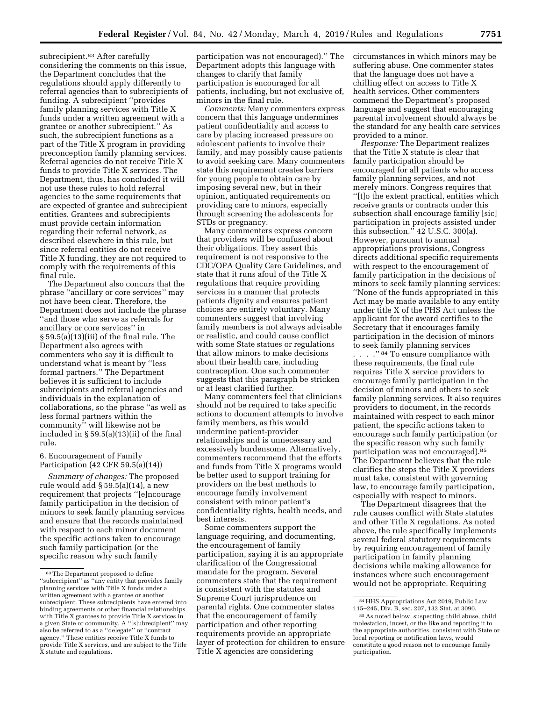subrecipient.<sup>83</sup> After carefully considering the comments on this issue, the Department concludes that the regulations should apply differently to referral agencies than to subrecipients of funding. A subrecipient ''provides family planning services with Title X funds under a written agreement with a grantee or another subrecipient.'' As such, the subrecipient functions as a part of the Title X program in providing preconception family planning services. Referral agencies do not receive Title X funds to provide Title X services. The Department, thus, has concluded it will not use these rules to hold referral agencies to the same requirements that are expected of grantee and subrecipient entities. Grantees and subrecipients must provide certain information regarding their referral network, as described elsewhere in this rule, but since referral entities do not receive Title X funding, they are not required to comply with the requirements of this final rule.

The Department also concurs that the phrase ''ancillary or core services'' may not have been clear. Therefore, the Department does not include the phrase ''and those who serve as referrals for ancillary or core services'' in § 59.5(a)(13)(iii) of the final rule. The Department also agrees with commenters who say it is difficult to understand what is meant by ''less formal partners.'' The Department believes it is sufficient to include subrecipients and referral agencies and individuals in the explanation of collaborations, so the phrase ''as well as less formal partners within the community'' will likewise not be included in § 59.5(a)(13)(ii) of the final rule.

## 6. Encouragement of Family Participation (42 CFR 59.5(a)(14))

*Summary of changes:* The proposed rule would add § 59.5(a)(14), a new requirement that projects ''[e]ncourage family participation in the decision of minors to seek family planning services and ensure that the records maintained with respect to each minor document the specific actions taken to encourage such family participation (or the specific reason why such family

participation was not encouraged).'' The Department adopts this language with changes to clarify that family participation is encouraged for all patients, including, but not exclusive of, minors in the final rule.

*Comments:* Many commenters express concern that this language undermines patient confidentiality and access to care by placing increased pressure on adolescent patients to involve their family, and may possibly cause patients to avoid seeking care. Many commenters state this requirement creates barriers for young people to obtain care by imposing several new, but in their opinion, antiquated requirements on providing care to minors, especially through screening the adolescents for STDs or pregnancy.

Many commenters express concern that providers will be confused about their obligations. They assert this requirement is not responsive to the CDC/OPA Quality Care Guidelines, and state that it runs afoul of the Title X regulations that require providing services in a manner that protects patients dignity and ensures patient choices are entirely voluntary. Many commenters suggest that involving family members is not always advisable or realistic, and could cause conflict with some State statues or regulations that allow minors to make decisions about their health care, including contraception. One such commenter suggests that this paragraph be stricken or at least clarified further.

Many commenters feel that clinicians should not be required to take specific actions to document attempts to involve family members, as this would undermine patient-provider relationships and is unnecessary and excessively burdensome. Alternatively, commenters recommend that the efforts and funds from Title X programs would be better used to support training for providers on the best methods to encourage family involvement consistent with minor patient's confidentiality rights, health needs, and best interests.

Some commenters support the language requiring, and documenting, the encouragement of family participation, saying it is an appropriate clarification of the Congressional mandate for the program. Several commenters state that the requirement is consistent with the statutes and Supreme Court jurisprudence on parental rights. One commenter states that the encouragement of family participation and other reporting requirements provide an appropriate layer of protection for children to ensure Title X agencies are considering

circumstances in which minors may be suffering abuse. One commenter states that the language does not have a chilling effect on access to Title X health services. Other commenters commend the Department's proposed language and suggest that encouraging parental involvement should always be the standard for any health care services provided to a minor.

*Response:* The Department realizes that the Title X statute is clear that family participation should be encouraged for all patients who access family planning services, and not merely minors. Congress requires that ''[t]o the extent practical, entities which receive grants or contracts under this subsection shall encourage familiy [sic] participation in projects assisted under this subsection.'' 42 U.S.C. 300(a). However, pursuant to annual appropriations provisions, Congress directs additional specific requirements with respect to the encouragement of family participation in the decisions of minors to seek family planning services: ''None of the funds appropriated in this Act may be made available to any entity under title X of the PHS Act unless the applicant for the award certifies to the Secretary that it encourages family participation in the decision of minors to seek family planning services

. . . "<sup>84</sup> To ensure compliance with these requirements, the final rule requires Title X service providers to encourage family participation in the decision of minors and others to seek family planning services. It also requires providers to document, in the records maintained with respect to each minor patient, the specific actions taken to encourage such family participation (or the specific reason why such family participation was not encouraged).<sup>85</sup> The Department believes that the rule clarifies the steps the Title X providers must take, consistent with governing law, to encourage family participation, especially with respect to minors.

The Department disagrees that the rule causes conflict with State statutes and other Title X regulations. As noted above, the rule specifically implements several federal statutory requirements by requiring encouragement of family participation in family planning decisions while making allowance for instances where such encouragement would not be appropriate. Requiring

<sup>83</sup>The Department proposed to define ''subrecipient'' as ''any entity that provides family planning services with Title X funds under a written agreement with a grantee or another subrecipient. These subrecipients have entered into binding agreements or other financial relationships with Title X grantees to provide Title X services in a given State or community. A ''[s]ubrecipient'' may also be referred to as a ''delegate'' or ''contract agency.'' These entities receive Title X funds to provide Title X services, and are subject to the Title X statute and regulations.

<sup>84</sup>HHS Appropriations Act 2019, Public Law 115–245, Div. B, sec. 207, 132 Stat. at 3090.

<sup>85</sup>As noted below, suspecting child abuse, child molestation, incest, or the like and reporting it to the appropriate authorities, consistent with State or local reporting or notification laws, would constitute a good reason not to encourage family participation.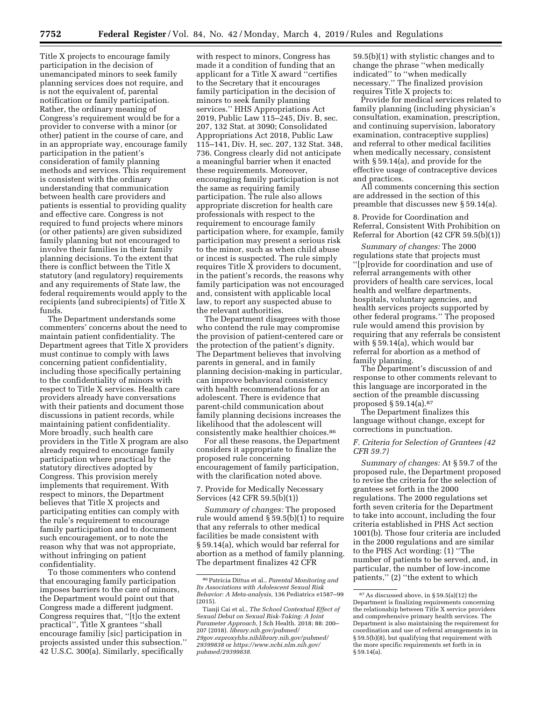Title X projects to encourage family participation in the decision of unemancipated minors to seek family planning services does not require, and is not the equivalent of, parental notification or family participation. Rather, the ordinary meaning of Congress's requirement would be for a provider to converse with a minor (or other) patient in the course of care, and in an appropriate way, encourage family participation in the patient's consideration of family planning methods and services. This requirement is consistent with the ordinary understanding that communication between health care providers and patients is essential to providing quality and effective care. Congress is not required to fund projects where minors (or other patients) are given subsidized family planning but not encouraged to involve their families in their family planning decisions. To the extent that there is conflict between the Title X statutory (and regulatory) requirements and any requirements of State law, the federal requirements would apply to the recipients (and subrecipients) of Title X funds.

The Department understands some commenters' concerns about the need to maintain patient confidentiality. The Department agrees that Title X providers must continue to comply with laws concerning patient confidentiality, including those specifically pertaining to the confidentiality of minors with respect to Title X services. Health care providers already have conversations with their patients and document those discussions in patient records, while maintaining patient confidentiality. More broadly, such health care providers in the Title X program are also already required to encourage family participation where practical by the statutory directives adopted by Congress. This provision merely implements that requirement. With respect to minors, the Department believes that Title X projects and participating entities can comply with the rule's requirement to encourage family participation and to document such encouragement, or to note the reason why that was not appropriate, without infringing on patient confidentiality.

To those commenters who contend that encouraging family participation imposes barriers to the care of minors, the Department would point out that Congress made a different judgment. Congress requires that, ''[t]o the extent practical'', Title X grantees ''shall encourage familiy [sic] participation in projects assisted under this subsection.'' 42 U.S.C. 300(a). Similarly, specifically

with respect to minors, Congress has made it a condition of funding that an applicant for a Title X award ''certifies to the Secretary that it encourages family participation in the decision of minors to seek family planning services.'' HHS Appropriations Act 2019, Public Law 115–245, Div. B, sec. 207, 132 Stat. at 3090; Consolidated Appropriations Act 2018, Public Law 115–141, Div. H, sec. 207, 132 Stat. 348, 736. Congress clearly did not anticipate a meaningful barrier when it enacted these requirements. Moreover, encouraging family participation is not the same as requiring family participation. The rule also allows appropriate discretion for health care professionals with respect to the requirement to encourage family participation where, for example, family participation may present a serious risk to the minor, such as when child abuse or incest is suspected. The rule simply requires Title X providers to document, in the patient's records, the reasons why family participation was not encouraged and, consistent with applicable local law, to report any suspected abuse to the relevant authorities.

The Department disagrees with those who contend the rule may compromise the provision of patient-centered care or the protection of the patient's dignity. The Department believes that involving parents in general, and in family planning decision-making in particular, can improve behavioral consistency with health recommendations for an adolescent. There is evidence that parent-child communication about family planning decisions increases the likelihood that the adolescent will consistently make healthier choices.86

For all these reasons, the Department considers it appropriate to finalize the proposed rule concerning encouragement of family participation, with the clarification noted above.

7. Provide for Medically Necessary Services (42 CFR 59.5(b)(1))

*Summary of changes:* The proposed rule would amend § 59.5(b)(1) to require that any referrals to other medical facilities be made consistent with § 59.14(a), which would bar referral for abortion as a method of family planning. The department finalizes 42 CFR

59.5(b)(1) with stylistic changes and to change the phrase ''when medically indicated'' to ''when medically necessary.'' The finalized provision requires Title X projects to:

Provide for medical services related to family planning (including physician's consultation, examination, prescription, and continuing supervision, laboratory examination, contraceptive supplies) and referral to other medical facilities when medically necessary, consistent with § 59.14(a), and provide for the effective usage of contraceptive devices and practices.

All comments concerning this section are addressed in the section of this preamble that discusses new § 59.14(a).

8. Provide for Coordination and Referral, Consistent With Prohibition on Referral for Abortion (42 CFR 59.5(b)(1))

*Summary of changes:* The 2000 regulations state that projects must ''[p]rovide for coordination and use of referral arrangements with other providers of health care services, local health and welfare departments, hospitals, voluntary agencies, and health services projects supported by other federal programs.'' The proposed rule would amend this provision by requiring that any referrals be consistent with § 59.14(a), which would bar referral for abortion as a method of family planning.

The Department's discussion of and response to other comments relevant to this language are incorporated in the section of the preamble discussing proposed § 59.14(a).87

The Department finalizes this language without change, except for corrections in punctuation.

# *F. Criteria for Selection of Grantees (42 CFR 59.7)*

*Summary of changes:* At § 59.7 of the proposed rule, the Department proposed to revise the criteria for the selection of grantees set forth in the 2000 regulations. The 2000 regulations set forth seven criteria for the Department to take into account, including the four criteria established in PHS Act section 1001(b). Those four criteria are included in the 2000 regulations and are similar to the PHS Act wording: (1) ''The number of patients to be served, and, in particular, the number of low-income patients,'' (2) ''the extent to which

<sup>86</sup>Patricia Dittus et al., *Parental Monitoring and Its Associations with Adolescent Sexual Risk Behavior: A Meta-analysis,* 136 Pediatrics e1587–99 (2015).

Tianji Cai et al., *The School Contextual Effect of Sexual Debut on Sexual Risk-Taking: A Joint Parameter Approach,* J Sch Health. 2018; 88: 200– 207 (2018). *library.nih.gov/pubmed/ 29gov.ezproxyhhs.nihlibrary.nih.gov/pubmed/ 29399838* or *https://www.ncbi.nlm.nih.gov/ pubmed/29399838.* 

<sup>87</sup>As discussed above, in § 59.5(a)(12) the Department is finalizing requirements concerning the relationship between Title X service providers and comprehensive primary health services. The Department is also maintaining the requirement for coordination and use of referral arrangements in in § 59.5(b)(8), but qualifying that requirement with the more specific requirements set forth in in § 59.14(a).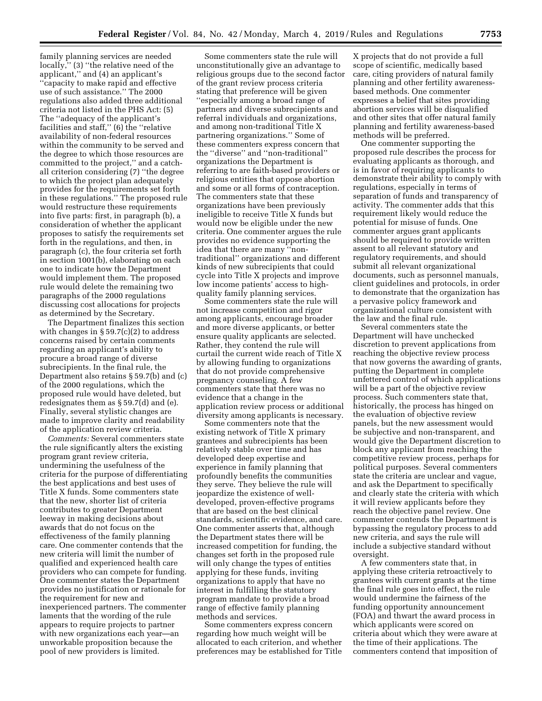family planning services are needed locally,'' (3) ''the relative need of the applicant,'' and (4) an applicant's ''capacity to make rapid and effective use of such assistance.'' The 2000 regulations also added three additional criteria not listed in the PHS Act: (5) The ''adequacy of the applicant's facilities and staff,'' (6) the ''relative availability of non-federal resources within the community to be served and the degree to which those resources are committed to the project,'' and a catchall criterion considering (7) ''the degree to which the project plan adequately provides for the requirements set forth in these regulations.'' The proposed rule would restructure these requirements into five parts: first, in paragraph (b), a consideration of whether the applicant proposes to satisfy the requirements set forth in the regulations, and then, in paragraph (c), the four criteria set forth in section 1001(b), elaborating on each one to indicate how the Department would implement them. The proposed rule would delete the remaining two paragraphs of the 2000 regulations discussing cost allocations for projects as determined by the Secretary.

The Department finalizes this section with changes in  $\S 59.7(c)(2)$  to address concerns raised by certain comments regarding an applicant's ability to procure a broad range of diverse subrecipients. In the final rule, the Department also retains § 59.7(b) and (c) of the 2000 regulations, which the proposed rule would have deleted, but redesignates them as § 59.7(d) and (e). Finally, several stylistic changes are made to improve clarity and readability of the application review criteria.

*Comments:* Several commenters state the rule significantly alters the existing program grant review criteria, undermining the usefulness of the criteria for the purpose of differentiating the best applications and best uses of Title X funds. Some commenters state that the new, shorter list of criteria contributes to greater Department leeway in making decisions about awards that do not focus on the effectiveness of the family planning care. One commenter contends that the new criteria will limit the number of qualified and experienced health care providers who can compete for funding. One commenter states the Department provides no justification or rationale for the requirement for new and inexperienced partners. The commenter laments that the wording of the rule appears to require projects to partner with new organizations each year—an unworkable proposition because the pool of new providers is limited.

Some commenters state the rule will unconstitutionally give an advantage to religious groups due to the second factor of the grant review process criteria stating that preference will be given ''especially among a broad range of partners and diverse subrecipients and referral individuals and organizations, and among non-traditional Title X partnering organizations.'' Some of these commenters express concern that the ''diverse'' and ''non-traditional'' organizations the Department is referring to are faith-based providers or religious entities that oppose abortion and some or all forms of contraception. The commenters state that these organizations have been previously ineligible to receive Title X funds but would now be eligible under the new criteria. One commenter argues the rule provides no evidence supporting the idea that there are many ''nontraditional'' organizations and different kinds of new subrecipients that could cycle into Title X projects and improve low income patients' access to highquality family planning services.

Some commenters state the rule will not increase competition and rigor among applicants, encourage broader and more diverse applicants, or better ensure quality applicants are selected. Rather, they contend the rule will curtail the current wide reach of Title X by allowing funding to organizations that do not provide comprehensive pregnancy counseling. A few commenters state that there was no evidence that a change in the application review process or additional diversity among applicants is necessary.

Some commenters note that the existing network of Title X primary grantees and subrecipients has been relatively stable over time and has developed deep expertise and experience in family planning that profoundly benefits the communities they serve. They believe the rule will jeopardize the existence of welldeveloped, proven-effective programs that are based on the best clinical standards, scientific evidence, and care. One commenter asserts that, although the Department states there will be increased competition for funding, the changes set forth in the proposed rule will only change the types of entities applying for these funds, inviting organizations to apply that have no interest in fulfilling the statutory program mandate to provide a broad range of effective family planning methods and services.

Some commenters express concern regarding how much weight will be allocated to each criterion, and whether preferences may be established for Title

X projects that do not provide a full scope of scientific, medically based care, citing providers of natural family planning and other fertility awarenessbased methods. One commenter expresses a belief that sites providing abortion services will be disqualified and other sites that offer natural family planning and fertility awareness-based methods will be preferred.

One commenter supporting the proposed rule describes the process for evaluating applicants as thorough, and is in favor of requiring applicants to demonstrate their ability to comply with regulations, especially in terms of separation of funds and transparency of activity. The commenter adds that this requirement likely would reduce the potential for misuse of funds. One commenter argues grant applicants should be required to provide written assent to all relevant statutory and regulatory requirements, and should submit all relevant organizational documents, such as personnel manuals, client guidelines and protocols, in order to demonstrate that the organization has a pervasive policy framework and organizational culture consistent with the law and the final rule.

Several commenters state the Department will have unchecked discretion to prevent applications from reaching the objective review process that now governs the awarding of grants, putting the Department in complete unfettered control of which applications will be a part of the objective review process. Such commenters state that, historically, the process has hinged on the evaluation of objective review panels, but the new assessment would be subjective and non-transparent, and would give the Department discretion to block any applicant from reaching the competitive review process, perhaps for political purposes. Several commenters state the criteria are unclear and vague, and ask the Department to specifically and clearly state the criteria with which it will review applicants before they reach the objective panel review. One commenter contends the Department is bypassing the regulatory process to add new criteria, and says the rule will include a subjective standard without oversight.

A few commenters state that, in applying these criteria retroactively to grantees with current grants at the time the final rule goes into effect, the rule would undermine the fairness of the funding opportunity announcement (FOA) and thwart the award process in which applicants were scored on criteria about which they were aware at the time of their applications. The commenters contend that imposition of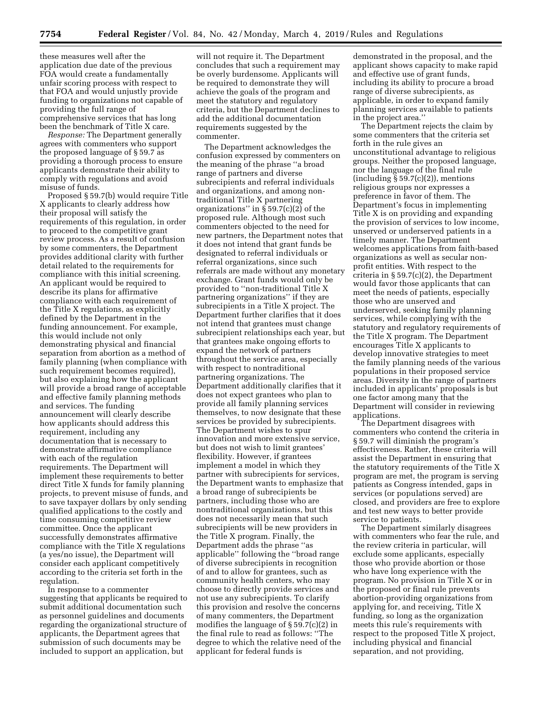these measures well after the application due date of the previous FOA would create a fundamentally unfair scoring process with respect to that FOA and would unjustly provide funding to organizations not capable of providing the full range of comprehensive services that has long been the benchmark of Title X care.

*Response:* The Department generally agrees with commenters who support the proposed language of § 59.7 as providing a thorough process to ensure applicants demonstrate their ability to comply with regulations and avoid misuse of funds.

Proposed § 59.7(b) would require Title X applicants to clearly address how their proposal will satisfy the requirements of this regulation, in order to proceed to the competitive grant review process. As a result of confusion by some commenters, the Department provides additional clarity with further detail related to the requirements for compliance with this initial screening. An applicant would be required to describe its plans for affirmative compliance with each requirement of the Title X regulations, as explicitly defined by the Department in the funding announcement. For example, this would include not only demonstrating physical and financial separation from abortion as a method of family planning (when compliance with such requirement becomes required), but also explaining how the applicant will provide a broad range of acceptable and effective family planning methods and services. The funding announcement will clearly describe how applicants should address this requirement, including any documentation that is necessary to demonstrate affirmative compliance with each of the regulation requirements. The Department will implement these requirements to better direct Title X funds for family planning projects, to prevent misuse of funds, and to save taxpayer dollars by only sending qualified applications to the costly and time consuming competitive review committee. Once the applicant successfully demonstrates affirmative compliance with the Title X regulations (a yes/no issue), the Department will consider each applicant competitively according to the criteria set forth in the regulation.

In response to a commenter suggesting that applicants be required to submit additional documentation such as personnel guidelines and documents regarding the organizational structure of applicants, the Department agrees that submission of such documents may be included to support an application, but

will not require it. The Department concludes that such a requirement may be overly burdensome. Applicants will be required to demonstrate they will achieve the goals of the program and meet the statutory and regulatory criteria, but the Department declines to add the additional documentation requirements suggested by the commenter.

The Department acknowledges the confusion expressed by commenters on the meaning of the phrase ''a broad range of partners and diverse subrecipients and referral individuals and organizations, and among nontraditional Title X partnering organizations" in  $\S$  59.7(c)(2) of the proposed rule. Although most such commenters objected to the need for new partners, the Department notes that it does not intend that grant funds be designated to referral individuals or referral organizations, since such referrals are made without any monetary exchange. Grant funds would only be provided to ''non-traditional Title X partnering organizations'' if they are subrecipients in a Title X project. The Department further clarifies that it does not intend that grantees must change subrecipient relationships each year, but that grantees make ongoing efforts to expand the network of partners throughout the service area, especially with respect to nontraditional partnering organizations. The Department additionally clarifies that it does not expect grantees who plan to provide all family planning services themselves, to now designate that these services be provided by subrecipients. The Department wishes to spur innovation and more extensive service, but does not wish to limit grantees' flexibility. However, if grantees implement a model in which they partner with subrecipients for services, the Department wants to emphasize that a broad range of subrecipients be partners, including those who are nontraditional organizations, but this does not necessarily mean that such subrecipients will be new providers in the Title X program. Finally, the Department adds the phrase ''as applicable'' following the ''broad range of diverse subrecipients in recognition of and to allow for grantees, such as community health centers, who may choose to directly provide services and not use any subrecipients. To clarify this provision and resolve the concerns of many commenters, the Department modifies the language of § 59.7(c)(2) in the final rule to read as follows: ''The degree to which the relative need of the applicant for federal funds is

demonstrated in the proposal, and the applicant shows capacity to make rapid and effective use of grant funds, including its ability to procure a broad range of diverse subrecipients, as applicable, in order to expand family planning services available to patients in the project area.''

The Department rejects the claim by some commenters that the criteria set forth in the rule gives an unconstitutional advantage to religious groups. Neither the proposed language, nor the language of the final rule  $(including § 59.7(c)(2))$ , mentions religious groups nor expresses a preference in favor of them. The Department's focus in implementing Title X is on providing and expanding the provision of services to low income, unserved or underserved patients in a timely manner. The Department welcomes applications from faith-based organizations as well as secular nonprofit entities. With respect to the criteria in § 59.7(c)(2), the Department would favor those applicants that can meet the needs of patients, especially those who are unserved and underserved, seeking family planning services, while complying with the statutory and regulatory requirements of the Title X program. The Department encourages Title X applicants to develop innovative strategies to meet the family planning needs of the various populations in their proposed service areas. Diversity in the range of partners included in applicants' proposals is but one factor among many that the Department will consider in reviewing applications.

The Department disagrees with commenters who contend the criteria in § 59.7 will diminish the program's effectiveness. Rather, these criteria will assist the Department in ensuring that the statutory requirements of the Title X program are met, the program is serving patients as Congress intended, gaps in services (or populations served) are closed, and providers are free to explore and test new ways to better provide service to patients.

The Department similarly disagrees with commenters who fear the rule, and the review criteria in particular, will exclude some applicants, especially those who provide abortion or those who have long experience with the program. No provision in Title X or in the proposed or final rule prevents abortion-providing organizations from applying for, and receiving, Title X funding, so long as the organization meets this rule's requirements with respect to the proposed Title X project, including physical and financial separation, and not providing,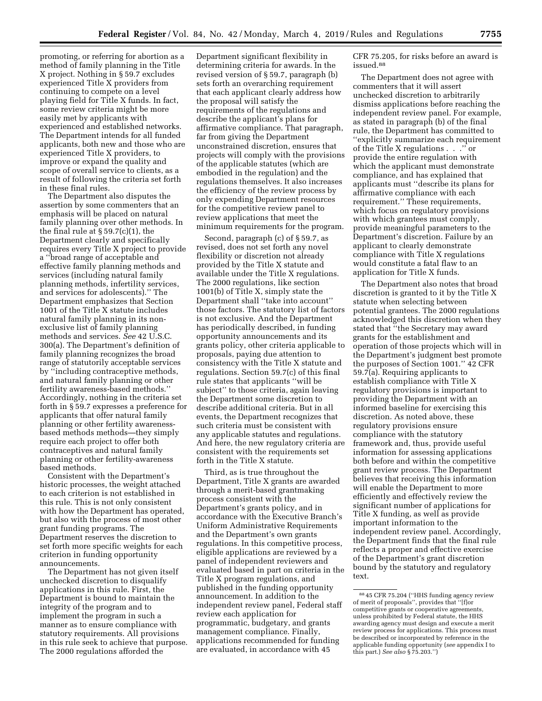promoting, or referring for abortion as a method of family planning in the Title X project. Nothing in § 59.7 excludes experienced Title X providers from continuing to compete on a level playing field for Title X funds. In fact, some review criteria might be more easily met by applicants with experienced and established networks. The Department intends for all funded applicants, both new and those who are experienced Title X providers, to improve or expand the quality and scope of overall service to clients, as a result of following the criteria set forth in these final rules.

The Department also disputes the assertion by some commenters that an emphasis will be placed on natural family planning over other methods. In the final rule at  $\S 59.7(c)(1)$ , the Department clearly and specifically requires every Title X project to provide a ''broad range of acceptable and effective family planning methods and services (including natural family planning methods, infertility services, and services for adolescents).'' The Department emphasizes that Section 1001 of the Title X statute includes natural family planning in its nonexclusive list of family planning methods and services. *See* 42 U.S.C. 300(a). The Department's definition of family planning recognizes the broad range of statutorily acceptable services by ''including contraceptive methods, and natural family planning or other fertility awareness-based methods.'' Accordingly, nothing in the criteria set forth in § 59.7 expresses a preference for applicants that offer natural family planning or other fertility awarenessbased methods methods—they simply require each project to offer both contraceptives and natural family planning or other fertility-awareness based methods.

Consistent with the Department's historic processes, the weight attached to each criterion is not established in this rule. This is not only consistent with how the Department has operated, but also with the process of most other grant funding programs. The Department reserves the discretion to set forth more specific weights for each criterion in funding opportunity announcements.

The Department has not given itself unchecked discretion to disqualify applications in this rule. First, the Department is bound to maintain the integrity of the program and to implement the program in such a manner as to ensure compliance with statutory requirements. All provisions in this rule seek to achieve that purpose. The 2000 regulations afforded the

Department significant flexibility in determining criteria for awards. In the revised version of § 59.7, paragraph (b) sets forth an overarching requirement that each applicant clearly address how the proposal will satisfy the requirements of the regulations and describe the applicant's plans for affirmative compliance. That paragraph, far from giving the Department unconstrained discretion, ensures that projects will comply with the provisions of the applicable statutes (which are embodied in the regulation) and the regulations themselves. It also increases the efficiency of the review process by only expending Department resources for the competitive review panel to review applications that meet the minimum requirements for the program.

Second, paragraph (c) of § 59.7, as revised, does not set forth any novel flexibility or discretion not already provided by the Title X statute and available under the Title X regulations. The 2000 regulations, like section 1001(b) of Title X, simply state the Department shall ''take into account'' those factors. The statutory list of factors is not exclusive. And the Department has periodically described, in funding opportunity announcements and its grants policy, other criteria applicable to proposals, paying due attention to consistency with the Title X statute and regulations. Section 59.7(c) of this final rule states that applicants ''will be subject'' to those criteria, again leaving the Department some discretion to describe additional criteria. But in all events, the Department recognizes that such criteria must be consistent with any applicable statutes and regulations. And here, the new regulatory criteria are consistent with the requirements set forth in the Title X statute.

Third, as is true throughout the Department, Title X grants are awarded through a merit-based grantmaking process consistent with the Department's grants policy, and in accordance with the Executive Branch's Uniform Administrative Requirements and the Department's own grants regulations. In this competitive process, eligible applications are reviewed by a panel of independent reviewers and evaluated based in part on criteria in the Title X program regulations, and published in the funding opportunity announcement. In addition to the independent review panel, Federal staff review each application for programmatic, budgetary, and grants management compliance. Finally, applications recommended for funding are evaluated, in accordance with 45

CFR 75.205, for risks before an award is issued.88

The Department does not agree with commenters that it will assert unchecked discretion to arbitrarily dismiss applications before reaching the independent review panel. For example, as stated in paragraph (b) of the final rule, the Department has committed to ''explicitly summarize each requirement of the Title X regulations . . .'' or provide the entire regulation with which the applicant must demonstrate compliance, and has explained that applicants must ''describe its plans for affirmative compliance with each requirement.'' These requirements, which focus on regulatory provisions with which grantees must comply, provide meaningful parameters to the Department's discretion. Failure by an applicant to clearly demonstrate compliance with Title X regulations would constitute a fatal flaw to an application for Title X funds.

The Department also notes that broad discretion is granted to it by the Title X statute when selecting between potential grantees. The 2000 regulations acknowledged this discretion when they stated that ''the Secretary may award grants for the establishment and operation of those projects which will in the Department's judgment best promote the purposes of Section 1001.'' 42 CFR 59.7(a). Requiring applicants to establish compliance with Title X regulatory provisions is important to providing the Department with an informed baseline for exercising this discretion. As noted above, these regulatory provisions ensure compliance with the statutory framework and, thus, provide useful information for assessing applications both before and within the competitive grant review process. The Department believes that receiving this information will enable the Department to more efficiently and effectively review the significant number of applications for Title X funding, as well as provide important information to the independent review panel. Accordingly, the Department finds that the final rule reflects a proper and effective exercise of the Department's grant discretion bound by the statutory and regulatory text.

<sup>88</sup> 45 CFR 75.204 (''HHS funding agency review of merit of proposals'', provides that ''[f]or competitive grants or cooperative agreements, unless prohibited by Federal statute, the HHS awarding agency must design and execute a merit review process for applications. This process must be described or incorporated by reference in the applicable funding opportunity (*see* appendix I to this part.) *See also* § 75.203.'')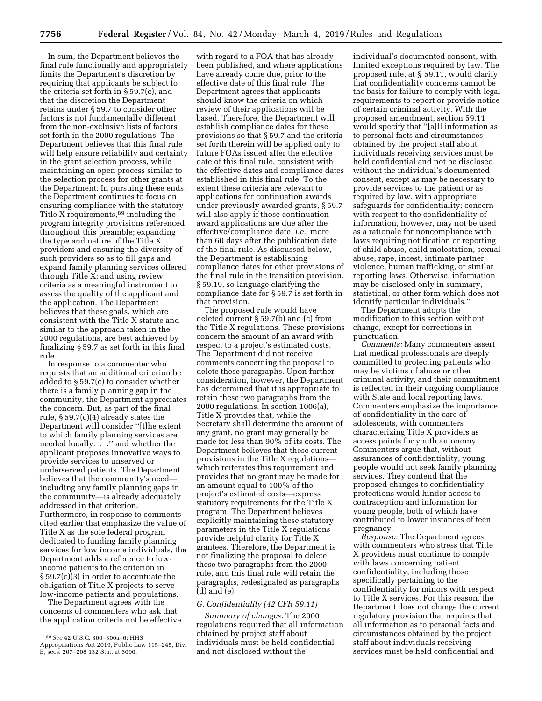In sum, the Department believes the final rule functionally and appropriately limits the Department's discretion by requiring that applicants be subject to the criteria set forth in § 59.7(c), and that the discretion the Department retains under § 59.7 to consider other factors is not fundamentally different from the non-exclusive lists of factors set forth in the 2000 regulations. The Department believes that this final rule will help ensure reliability and certainty in the grant selection process, while maintaining an open process similar to the selection process for other grants at the Department. In pursuing these ends, the Department continues to focus on ensuring compliance with the statutory Title X requirements,<sup>89</sup> including the program integrity provisions referenced throughout this preamble; expanding the type and nature of the Title X providers and ensuring the diversity of such providers so as to fill gaps and expand family planning services offered through Title X; and using review criteria as a meaningful instrument to assess the quality of the applicant and the application. The Department believes that these goals, which are consistent with the Title X statute and similar to the approach taken in the 2000 regulations, are best achieved by finalizing § 59.7 as set forth in this final rule.

In response to a commenter who requests that an additional criterion be added to § 59.7(c) to consider whether there is a family planning gap in the community, the Department appreciates the concern. But, as part of the final rule, § 59.7(c)(4) already states the Department will consider ''[t]he extent to which family planning services are needed locally. . .'' and whether the applicant proposes innovative ways to provide services to unserved or underserved patients. The Department believes that the community's need including any family planning gaps in the community—is already adequately addressed in that criterion. Furthermore, in response to comments cited earlier that emphasize the value of Title X as the sole federal program dedicated to funding family planning services for low income individuals, the Department adds a reference to lowincome patients to the criterion in § 59.7(c)(3) in order to accentuate the obligation of Title X projects to serve low-income patients and populations.

The Department agrees with the concerns of commenters who ask that the application criteria not be effective

with regard to a FOA that has already been published, and where applications have already come due, prior to the effective date of this final rule. The Department agrees that applicants should know the criteria on which review of their applications will be based. Therefore, the Department will establish compliance dates for these provisions so that § 59.7 and the criteria set forth therein will be applied only to future FOAs issued after the effective date of this final rule, consistent with the effective dates and compliance dates established in this final rule. To the extent these criteria are relevant to applications for continuation awards under previously awarded grants, § 59.7 will also apply if those continuation award applications are due after the effective/compliance date, *i.e.,* more than 60 days after the publication date of the final rule. As discussed below, the Department is establishing compliance dates for other provisions of the final rule in the transition provision, § 59.19, so language clarifying the compliance date for § 59.7 is set forth in that provision.

The proposed rule would have deleted current § 59.7(b) and (c) from the Title X regulations. These provisions concern the amount of an award with respect to a project's estimated costs. The Department did not receive comments concerning the proposal to delete these paragraphs. Upon further consideration, however, the Department has determined that it is appropriate to retain these two paragraphs from the 2000 regulations. In section 1006(a), Title X provides that, while the Secretary shall determine the amount of any grant, no grant may generally be made for less than 90% of its costs. The Department believes that these current provisions in the Title X regulations which reiterates this requirement and provides that no grant may be made for an amount equal to 100% of the project's estimated costs—express statutory requirements for the Title X program. The Department believes explicitly maintaining these statutory parameters in the Title X regulations provide helpful clarity for Title X grantees. Therefore, the Department is not finalizing the proposal to delete these two paragraphs from the 2000 rule, and this final rule will retain the paragraphs, redesignated as paragraphs (d) and (e).

## *G. Confidentiality (42 CFR 59.11)*

*Summary of changes:* The 2000 regulations required that all information obtained by project staff about individuals must be held confidential and not disclosed without the

individual's documented consent, with limited exceptions required by law. The proposed rule, at § 59.11, would clarify that confidentiality concerns cannot be the basis for failure to comply with legal requirements to report or provide notice of certain criminal activity. With the proposed amendment, section 59.11 would specify that ''[a]ll information as to personal facts and circumstances obtained by the project staff about individuals receiving services must be held confidential and not be disclosed without the individual's documented consent, except as may be necessary to provide services to the patient or as required by law, with appropriate safeguards for confidentiality; concern with respect to the confidentiality of information, however, may not be used as a rationale for noncompliance with laws requiring notification or reporting of child abuse, child molestation, sexual abuse, rape, incest, intimate partner violence, human trafficking, or similar reporting laws. Otherwise, information may be disclosed only in summary, statistical, or other form which does not identify particular individuals.''

The Department adopts the modification to this section without change, except for corrections in punctuation.

*Comments:* Many commenters assert that medical professionals are deeply committed to protecting patients who may be victims of abuse or other criminal activity, and their commitment is reflected in their ongoing compliance with State and local reporting laws. Commenters emphasize the importance of confidentiality in the care of adolescents, with commenters characterizing Title X providers as access points for youth autonomy. Commenters argue that, without assurances of confidentiality, young people would not seek family planning services. They contend that the proposed changes to confidentiality protections would hinder access to contraception and information for young people, both of which have contributed to lower instances of teen pregnancy.

*Response:* The Department agrees with commenters who stress that Title X providers must continue to comply with laws concerning patient confidentiality, including those specifically pertaining to the confidentiality for minors with respect to Title X services. For this reason, the Department does not change the current regulatory provision that requires that all information as to personal facts and circumstances obtained by the project staff about individuals receiving services must be held confidential and

<sup>89</sup>*See* 42 U.S.C. 300–300a–6; HHS Appropriations Act 2019, Public Law 115–245, Div. B, secs. 207–208 132 Stat. at 3090.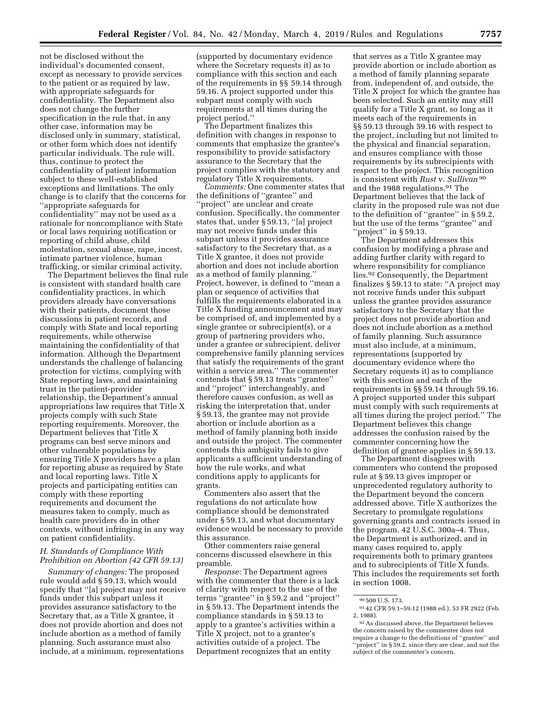not be disclosed without the individual's documented consent, except as necessary to provide services to the patient or as required by law, with appropriate safeguards for confidentiality. The Department also does not change the further specification in the rule that, in any other case, information may be disclosed only in summary, statistical, or other form which does not identify particular individuals. The rule will, thus, continue to protect the confidentiality of patient information subject to these well-established exceptions and limitations. The only change is to clarify that the concerns for ''appropriate safeguards for confidentiality'' may not be used as a rationale for noncompliance with State or local laws requiring notification or reporting of child abuse, child molestation, sexual abuse, rape, incest, intimate partner violence, human trafficking, or similar criminal activity.

The Department believes the final rule is consistent with standard health care confidentiality practices, in which providers already have conversations with their patients, document those discussions in patient records, and comply with State and local reporting requirements, while otherwise maintaining the confidentiality of that information. Although the Department understands the challenge of balancing protection for victims, complying with State reporting laws, and maintaining trust in the patient-provider relationship, the Department's annual appropriations law requires that Title X projects comply with such State reporting requirements. Moreover, the Department believes that Title X programs can best serve minors and other vulnerable populations by ensuring Title X providers have a plan for reporting abuse as required by State and local reporting laws. Title X projects and participating entities can comply with these reporting requirements and document the measures taken to comply, much as health care providers do in other contexts, without infringing in any way on patient confidentiality.

# *H. Standards of Compliance With Prohibition on Abortion (42 CFR 59.13)*

*Summary of changes:* The proposed rule would add § 59.13, which would specify that ''[a] project may not receive funds under this subpart unless it provides assurance satisfactory to the Secretary that, as a Title X grantee, it does not provide abortion and does not include abortion as a method of family planning. Such assurance must also include, at a minimum, representations

(supported by documentary evidence where the Secretary requests it) as to compliance with this section and each of the requirements in §§ 59.14 through 59.16. A project supported under this subpart must comply with such requirements at all times during the project period.''

The Department finalizes this definition with changes in response to comments that emphasize the grantee's responsibility to provide satisfactory assurance to the Secretary that the project complies with the statutory and regulatory Title X requirements.

*Comments:* One commenter states that the definitions of ''grantee'' and ''project'' are unclear and create confusion. Specifically, the commenter states that, under § 59.13, ''[a] project may not receive funds under this subpart unless it provides assurance satisfactory to the Secretary that, as a Title X grantee, it does not provide abortion and does not include abortion as a method of family planning.'' Project, however, is defined to ''mean a plan or sequence of activities that fulfills the requirements elaborated in a Title X funding announcement and may be comprised of, and implemented by a single grantee or subrecipient(s), or a group of partnering providers who, under a grantee or subrecipient, deliver comprehensive family planning services that satisfy the requirements of the grant within a service area.'' The commenter contends that § 59.13 treats ''grantee'' and ''project'' interchangeably, and therefore causes confusion, as well as risking the interpretation that, under § 59.13, the grantee may not provide abortion or include abortion as a method of family planning both inside and outside the project. The commenter contends this ambiguity fails to give applicants a sufficient understanding of how the rule works, and what conditions apply to applicants for grants.

Commenters also assert that the regulations do not articulate how compliance should be demonstrated under § 59.13, and what documentary evidence would be necessary to provide this assurance.

Other commenters raise general concerns discussed elsewhere in this preamble.

*Response:* The Department agrees with the commenter that there is a lack of clarity with respect to the use of the terms ''grantee'' in § 59.2 and ''project'' in § 59.13. The Department intends the compliance standards in § 59.13 to apply to a grantee's activities within a Title X project, not to a grantee's activities outside of a project. The Department recognizes that an entity

that serves as a Title X grantee may provide abortion or include abortion as a method of family planning separate from, independent of, and outside, the Title X project for which the grantee has been selected. Such an entity may still qualify for a Title X grant, so long as it meets each of the requirements in §§ 59.13 through 59.16 with respect to the project, including but not limited to the physical and financial separation, and ensures compliance with those requirements by its subrecipients with respect to the project. This recognition is consistent with *Rust* v. *Sullivan* 90 and the 1988 regulations.91 The Department believes that the lack of clarity in the proposed rule was not due to the definition of ''grantee'' in § 59.2, but the use of the terms ''grantee'' and "project" in  $\S 59.13$ .

The Department addresses this confusion by modifying a phrase and adding further clarity with regard to where responsibility for compliance lies.92 Consequently, the Department finalizes § 59.13 to state: ''A project may not receive funds under this subpart unless the grantee provides assurance satisfactory to the Secretary that the project does not provide abortion and does not include abortion as a method of family planning. Such assurance must also include, at a minimum, representations (supported by documentary evidence where the Secretary requests it) as to compliance with this section and each of the requirements in §§ 59.14 through 59.16. A project supported under this subpart must comply with such requirements at all times during the project period.'' The Department believes this change addresses the confusion raised by the commenter concerning how the definition of grantee applies in § 59.13.

The Department disagrees with commenters who contend the proposed rule at § 59.13 gives improper or unprecedented regulatory authority to the Department beyond the concern addressed above. Title X authorizes the Secretary to promulgate regulations governing grants and contracts issued in the program. 42 U.S.C. 300a–4. Thus, the Department is authorized, and in many cases required to, apply requirements both to primary grantees and to subrecipients of Title X funds. This includes the requirements set forth in section 1008.

<sup>90</sup> 500 U.S. 173.

<sup>91</sup> 42 CFR 59.1–59.12 (1988 ed.), 53 FR 2922 (Feb. 2, 1988).

<sup>92</sup>As discussed above, the Department believes the concern raised by the commenter does not require a change to the definitions of ''grantee'' and ''project'' in § 59.2, since they are clear, and not the subject of the commenter's concern.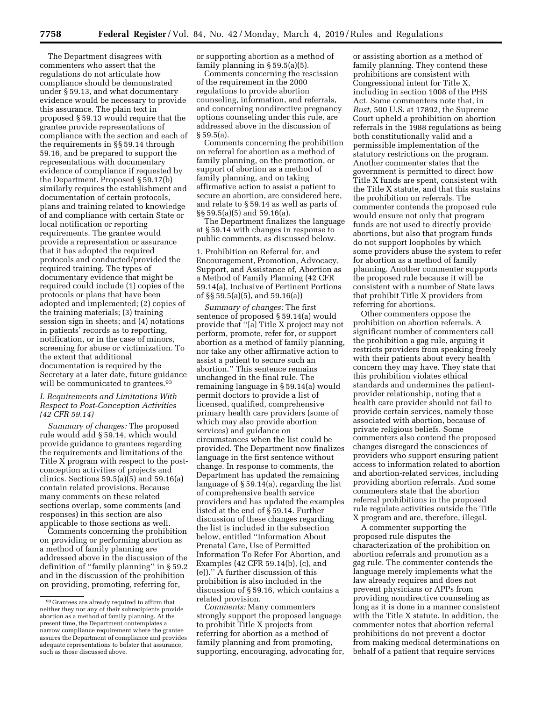The Department disagrees with commenters who assert that the regulations do not articulate how compliance should be demonstrated under § 59.13, and what documentary evidence would be necessary to provide this assurance. The plain text in proposed § 59.13 would require that the grantee provide representations of compliance with the section and each of the requirements in §§ 59.14 through 59.16, and be prepared to support the representations with documentary evidence of compliance if requested by the Department. Proposed § 59.17(b) similarly requires the establishment and documentation of certain protocols, plans and training related to knowledge of and compliance with certain State or local notification or reporting requirements. The grantee would provide a representation or assurance that it has adopted the required protocols and conducted/provided the required training. The types of documentary evidence that might be required could include (1) copies of the protocols or plans that have been adopted and implemented; (2) copies of the training materials; (3) training session sign in sheets; and (4) notations in patients' records as to reporting, notification, or in the case of minors, screening for abuse or victimization. To the extent that additional documentation is required by the Secretary at a later date, future guidance will be communicated to grantees.<sup>93</sup>

# *I. Requirements and Limitations With Respect to Post-Conception Activities (42 CFR 59.14)*

*Summary of changes:* The proposed rule would add § 59.14, which would provide guidance to grantees regarding the requirements and limitations of the Title X program with respect to the postconception activities of projects and clinics. Sections 59.5(a)(5) and 59.16(a) contain related provisions. Because many comments on these related sections overlap, some comments (and responses) in this section are also applicable to those sections as well.

Comments concerning the prohibition on providing or performing abortion as a method of family planning are addressed above in the discussion of the definition of ''family planning'' in § 59.2 and in the discussion of the prohibition on providing, promoting, referring for,

or supporting abortion as a method of family planning in § 59.5(a)(5).

Comments concerning the rescission of the requirement in the 2000 regulations to provide abortion counseling, information, and referrals, and concerning nondirective pregnancy options counseling under this rule, are addressed above in the discussion of  $§ 59.5(a).$ 

Comments concerning the prohibition on referral for abortion as a method of family planning, on the promotion, or support of abortion as a method of family planning, and on taking affirmative action to assist a patient to secure an abortion, are considered here, and relate to § 59.14 as well as parts of §§ 59.5(a)(5) and 59.16(a).

The Department finalizes the language at § 59.14 with changes in response to public comments, as discussed below.

1. Prohibition on Referral for, and Encouragement, Promotion, Advocacy, Support, and Assistance of, Abortion as a Method of Family Planning (42 CFR 59.14(a), Inclusive of Pertinent Portions of §§ 59.5(a)(5), and 59.16(a))

*Summary of changes:* The first sentence of proposed § 59.14(a) would provide that ''[a] Title X project may not perform, promote, refer for, or support abortion as a method of family planning, nor take any other affirmative action to assist a patient to secure such an abortion.'' This sentence remains unchanged in the final rule. The remaining language in § 59.14(a) would permit doctors to provide a list of licensed, qualified, comprehensive primary health care providers (some of which may also provide abortion services) and guidance on circumstances when the list could be provided. The Department now finalizes language in the first sentence without change. In response to comments, the Department has updated the remaining language of § 59.14(a), regarding the list of comprehensive health service providers and has updated the examples listed at the end of § 59.14. Further discussion of these changes regarding the list is included in the subsection below, entitled ''Information About Prenatal Care, Use of Permitted Information To Refer For Abortion, and Examples (42 CFR 59.14(b), (c), and (e)).'' A further discussion of this prohibition is also included in the discussion of § 59.16, which contains a related provision.

*Comments:* Many commenters strongly support the proposed language to prohibit Title X projects from referring for abortion as a method of family planning and from promoting, supporting, encouraging, advocating for,

or assisting abortion as a method of family planning. They contend these prohibitions are consistent with Congressional intent for Title X, including in section 1008 of the PHS Act. Some commenters note that, in *Rust,* 500 U.S. at 17892, the Supreme Court upheld a prohibition on abortion referrals in the 1988 regulations as being both constitutionally valid and a permissible implementation of the statutory restrictions on the program. Another commenter states that the government is permitted to direct how Title X funds are spent, consistent with the Title X statute, and that this sustains the prohibition on referrals. The commenter contends the proposed rule would ensure not only that program funds are not used to directly provide abortions, but also that program funds do not support loopholes by which some providers abuse the system to refer for abortion as a method of family planning. Another commenter supports the proposed rule because it will be consistent with a number of State laws that prohibit Title X providers from referring for abortions.

Other commenters oppose the prohibition on abortion referrals. A significant number of commenters call the prohibition a gag rule, arguing it restricts providers from speaking freely with their patients about every health concern they may have. They state that this prohibition violates ethical standards and undermines the patientprovider relationship, noting that a health care provider should not fail to provide certain services, namely those associated with abortion, because of private religious beliefs. Some commenters also contend the proposed changes disregard the consciences of providers who support ensuring patient access to information related to abortion and abortion-related services, including providing abortion referrals. And some commenters state that the abortion referral prohibitions in the proposed rule regulate activities outside the Title X program and are, therefore, illegal.

A commenter supporting the proposed rule disputes the characterization of the prohibition on abortion referrals and promotion as a gag rule. The commenter contends the language merely implements what the law already requires and does not prevent physicians or APPs from providing nondirective counseling as long as it is done in a manner consistent with the Title X statute. In addition, the commenter notes that abortion referral prohibitions do not prevent a doctor from making medical determinations on behalf of a patient that require services

<sup>93</sup> Grantees are already required to affirm that neither they nor any of their subrecipients provide abortion as a method of family planning. At the present time, the Department contemplates a narrow compliance requirement where the grantee assures the Department of compliance and provides adequate representations to bolster that assurance, such as those discussed above.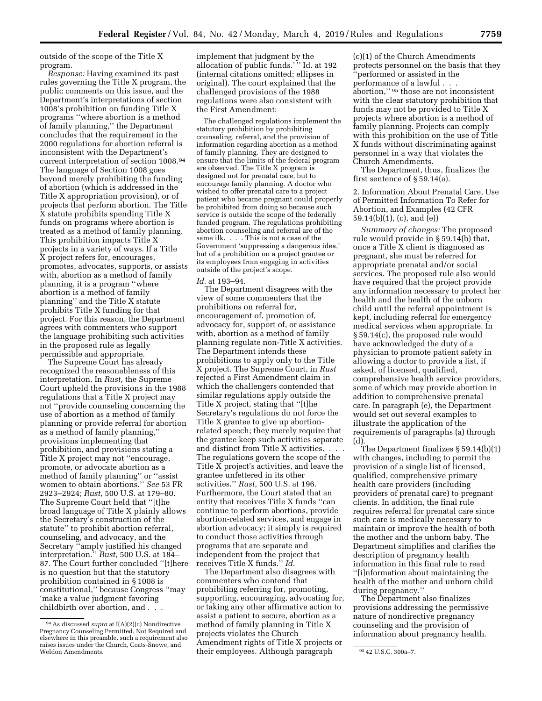outside of the scope of the Title X program.

*Response:* Having examined its past rules governing the Title X program, the public comments on this issue, and the Department's interpretations of section 1008's prohibition on funding Title X programs ''where abortion is a method of family planning,'' the Department concludes that the requirement in the 2000 regulations for abortion referral is inconsistent with the Department's current interpretation of section 1008.94 The language of Section 1008 goes beyond merely prohibiting the funding of abortion (which is addressed in the Title X appropriation provision), or of projects that perform abortion. The Title X statute prohibits spending Title X funds on programs where abortion is treated as a method of family planning. This prohibition impacts Title X projects in a variety of ways. If a Title X project refers for, encourages, promotes, advocates, supports, or assists with, abortion as a method of family planning, it is a program ''where abortion is a method of family planning'' and the Title X statute prohibits Title X funding for that project. For this reason, the Department agrees with commenters who support the language prohibiting such activities in the proposed rule as legally permissible and appropriate.

The Supreme Court has already recognized the reasonableness of this interpretation. In *Rust,* the Supreme Court upheld the provisions in the 1988 regulations that a Title X project may not ''provide counseling concerning the use of abortion as a method of family planning or provide referral for abortion as a method of family planning,'' provisions implementing that prohibition, and provisions stating a Title X project may not ''encourage, promote, or advocate abortion as a method of family planning'' or ''assist women to obtain abortions.'' *See* 53 FR 2923–2924; *Rust,* 500 U.S. at 179–80. The Supreme Court held that ''[t]he broad language of Title X plainly allows the Secretary's construction of the statute'' to prohibit abortion referral, counseling, and advocacy, and the Secretary ''amply justified his changed interpretation.'' *Rust,* 500 U.S. at 184– 87. The Court further concluded ''[t]here is no question but that the statutory prohibition contained in § 1008 is constitutional,'' because Congress ''may 'make a value judgment favoring childbirth over abortion, and . . .

implement that judgment by the allocation of public funds.' '' Id. at 192 (internal citations omitted; ellipses in original). The court explained that the challenged provisions of the 1988 regulations were also consistent with the First Amendment:

The challenged regulations implement the statutory prohibition by prohibiting counseling, referral, and the provision of information regarding abortion as a method of family planning. They are designed to ensure that the limits of the federal program are observed. The Title X program is designed not for prenatal care, but to encourage family planning. A doctor who wished to offer prenatal care to a project patient who became pregnant could properly be prohibited from doing so because such service is outside the scope of the federally funded program. The regulations prohibiting abortion counseling and referral are of the same ilk. . . . This is not a case of the Government 'suppressing a dangerous idea,' but of a prohibition on a project grantee or its employees from engaging in activities outside of the project's scope.

# *Id.* at 193–94.

The Department disagrees with the view of some commenters that the prohibitions on referral for, encouragement of, promotion of, advocacy for, support of, or assistance with, abortion as a method of family planning regulate non-Title X activities. The Department intends these prohibitions to apply only to the Title X project. The Supreme Court, in *Rust*  rejected a First Amendment claim in which the challengers contended that similar regulations apply outside the Title X project, stating that ''[t]he Secretary's regulations do not force the Title X grantee to give up abortionrelated speech; they merely require that the grantee keep such activities separate and distinct from Title X activities. . . . The regulations govern the scope of the Title X project's activities, and leave the grantee unfettered in its other activities.'' *Rust,* 500 U.S. at 196. Furthermore, the Court stated that an entity that receives Title X funds ''can continue to perform abortions, provide abortion-related services, and engage in abortion advocacy; it simply is required to conduct those activities through programs that are separate and independent from the project that receives Title X funds.'' *Id.* 

Weldon Amendments. 95 42 U.S.C. 300a–7. their employees. Although paragraph The Department also disagrees with commenters who contend that prohibiting referring for, promoting, supporting, encouraging, advocating for, or taking any other affirmative action to assist a patient to secure, abortion as a method of family planning in Title X projects violates the Church Amendment rights of Title X projects or

(c)(1) of the Church Amendments protects personnel on the basis that they ''performed or assisted in the performance of a lawful . . . abortion,'' 95 those are not inconsistent with the clear statutory prohibition that funds may not be provided to Title X projects where abortion is a method of family planning. Projects can comply with this prohibition on the use of Title X funds without discriminating against personnel in a way that violates the Church Amendments.

The Department, thus, finalizes the first sentence of § 59.14(a).

2. Information About Prenatal Care, Use of Permitted Information To Refer for Abortion, and Examples (42 CFR 59.14(b)(1), (c), and (e))

*Summary of changes:* The proposed rule would provide in § 59.14(b) that, once a Title X client is diagnosed as pregnant, she must be referred for appropriate prenatal and/or social services. The proposed rule also would have required that the project provide any information necessary to protect her health and the health of the unborn child until the referral appointment is kept, including referral for emergency medical services when appropriate. In § 59.14(c), the proposed rule would have acknowledged the duty of a physician to promote patient safety in allowing a doctor to provide a list, if asked, of licensed, qualified, comprehensive health service providers, some of which may provide abortion in addition to comprehensive prenatal care. In paragraph (e), the Department would set out several examples to illustrate the application of the requirements of paragraphs (a) through (d).

The Department finalizes § 59.14(b)(1) with changes, including to permit the provision of a single list of licensed, qualified, comprehensive primary health care providers (including providers of prenatal care) to pregnant clients. In addition, the final rule requires referral for prenatal care since such care is medically necessary to maintain or improve the health of both the mother and the unborn baby. The Department simplifies and clarifies the description of pregnancy health information in this final rule to read ''[i]nformation about maintaining the health of the mother and unborn child during pregnancy.''

The Department also finalizes provisions addressing the permissive nature of nondirective pregnancy counseling and the provision of information about pregnancy health.

<sup>94</sup>As discussed *supra* at I(A)(2)(c) Nondirective Pregnancy Counseling Permitted, Not Required and elsewhere in this preamble, such a requirement also raises issues under the Church, Coats-Snowe, and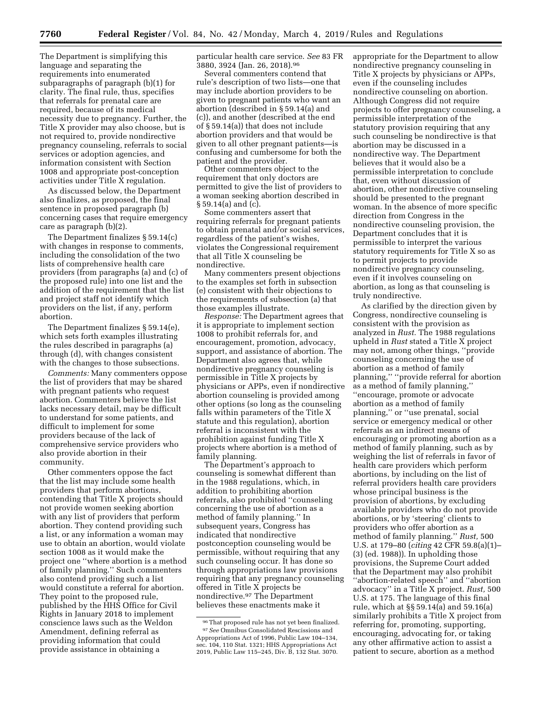The Department is simplifying this language and separating the requirements into enumerated subparagraphs of paragraph (b)(1) for clarity. The final rule, thus, specifies that referrals for prenatal care are required, because of its medical necessity due to pregnancy. Further, the Title X provider may also choose, but is not required to, provide nondirective pregnancy counseling, referrals to social services or adoption agencies, and information consistent with Section 1008 and appropriate post-conception activities under Title X regulation.

As discussed below, the Department also finalizes, as proposed, the final sentence in proposed paragraph (b) concerning cases that require emergency care as paragraph (b)(2).

The Department finalizes § 59.14(c) with changes in response to comments, including the consolidation of the two lists of comprehensive health care providers (from paragraphs (a) and (c) of the proposed rule) into one list and the addition of the requirement that the list and project staff not identify which providers on the list, if any, perform abortion.

The Department finalizes § 59.14(e), which sets forth examples illustrating the rules described in paragraphs (a) through (d), with changes consistent with the changes to those subsections.

*Comments:* Many commenters oppose the list of providers that may be shared with pregnant patients who request abortion. Commenters believe the list lacks necessary detail, may be difficult to understand for some patients, and difficult to implement for some providers because of the lack of comprehensive service providers who also provide abortion in their community.

Other commenters oppose the fact that the list may include some health providers that perform abortions, contending that Title X projects should not provide women seeking abortion with any list of providers that perform abortion. They contend providing such a list, or any information a woman may use to obtain an abortion, would violate section 1008 as it would make the project one ''where abortion is a method of family planning.'' Such commenters also contend providing such a list would constitute a referral for abortion. They point to the proposed rule, published by the HHS Office for Civil Rights in January 2018 to implement conscience laws such as the Weldon Amendment, defining referral as providing information that could provide assistance in obtaining a

particular health care service. *See* 83 FR 3880, 3924 (Jan. 26, 2018).96

Several commenters contend that rule's description of two lists—one that may include abortion providers to be given to pregnant patients who want an abortion (described in § 59.14(a) and (c)), and another (described at the end of § 59.14(a)) that does not include abortion providers and that would be given to all other pregnant patients—is confusing and cumbersome for both the patient and the provider.

Other commenters object to the requirement that only doctors are permitted to give the list of providers to a woman seeking abortion described in § 59.14(a) and (c).

Some commenters assert that requiring referrals for pregnant patients to obtain prenatal and/or social services, regardless of the patient's wishes, violates the Congressional requirement that all Title X counseling be nondirective.

Many commenters present objections to the examples set forth in subsection (e) consistent with their objections to the requirements of subsection (a) that those examples illustrate.

*Response:* The Department agrees that it is appropriate to implement section 1008 to prohibit referrals for, and encouragement, promotion, advocacy, support, and assistance of abortion. The Department also agrees that, while nondirective pregnancy counseling is permissible in Title X projects by physicians or APPs, even if nondirective abortion counseling is provided among other options (so long as the counseling falls within parameters of the Title X statute and this regulation), abortion referral is inconsistent with the prohibition against funding Title X projects where abortion is a method of family planning.

The Department's approach to counseling is somewhat different than in the 1988 regulations, which, in addition to prohibiting abortion referrals, also prohibited ''counseling concerning the use of abortion as a method of family planning.'' In subsequent years, Congress has indicated that nondirective postconception counseling would be permissible, without requiring that any such counseling occur. It has done so through appropriations law provisions requiring that any pregnancy counseling offered in Title X projects be nondirective.97 The Department believes these enactments make it

appropriate for the Department to allow nondirective pregnancy counseling in Title X projects by physicians or APPs, even if the counseling includes nondirective counseling on abortion. Although Congress did not require projects to offer pregnancy counseling, a permissible interpretation of the statutory provision requiring that any such counseling be nondirective is that abortion may be discussed in a nondirective way. The Department believes that it would also be a permissible interpretation to conclude that, even without discussion of abortion, other nondirective counseling should be presented to the pregnant woman. In the absence of more specific direction from Congress in the nondirective counseling provision, the Department concludes that it is permissible to interpret the various statutory requirements for Title X so as to permit projects to provide nondirective pregnancy counseling, even if it involves counseling on abortion, as long as that counseling is truly nondirective.

As clarified by the direction given by Congress, nondirective counseling is consistent with the provision as analyzed in *Rust.* The 1988 regulations upheld in *Rust* stated a Title X project may not, among other things, ''provide counseling concerning the use of abortion as a method of family planning,'' ''provide referral for abortion as a method of family planning,'' ''encourage, promote or advocate abortion as a method of family planning,'' or ''use prenatal, social service or emergency medical or other referrals as an indirect means of encouraging or promoting abortion as a method of family planning, such as by weighing the list of referrals in favor of health care providers which perform abortions, by including on the list of referral providers health care providers whose principal business is the provision of abortions, by excluding available providers who do not provide abortions, or by 'steering' clients to providers who offer abortion as a method of family planning.'' *Rust,* 500 U.S. at 179–80 (*citing* 42 CFR 59.8(a)(1)– (3) (ed. 1988)). In upholding those provisions, the Supreme Court added that the Department may also prohibit ''abortion-related speech'' and ''abortion advocacy'' in a Title X project. *Rust,* 500 U.S. at 175. The language of this final rule, which at §§ 59.14(a) and 59.16(a) similarly prohibits a Title X project from referring for, promoting, supporting, encouraging, advocating for, or taking any other affirmative action to assist a patient to secure, abortion as a method

<sup>96</sup>That proposed rule has not yet been finalized. 97*See* Omnibus Consolidated Rescissions and Appropriations Act of 1996, Public Law 104–134, sec. 104, 110 Stat. 1321; HHS Appropriations Act 2019, Public Law 115–245, Div. B, 132 Stat. 3070.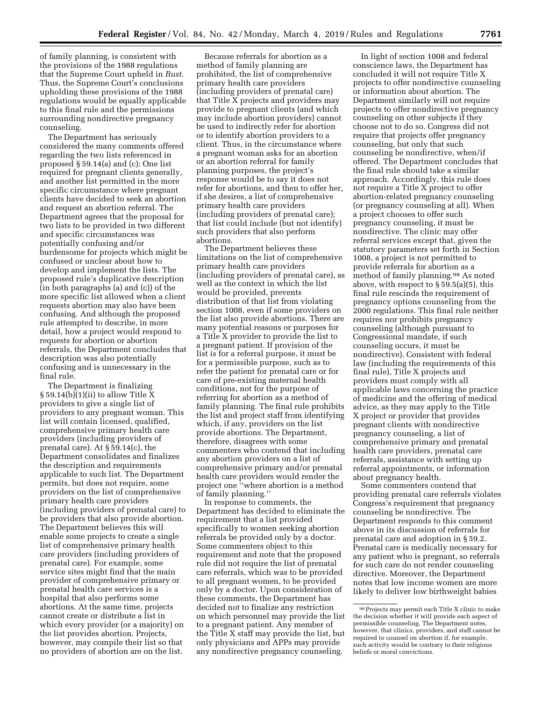of family planning, is consistent with the provisions of the 1988 regulations that the Supreme Court upheld in *Rust.*  Thus, the Supreme Court's conclusions upholding these provisions of the 1988 regulations would be equally applicable to this final rule and the permissions surrounding nondirective pregnancy counseling.

The Department has seriously considered the many comments offered regarding the two lists referenced in proposed § 59.14(a) and (c): One list required for pregnant clients generally, and another list permitted in the more specific circumstance where pregnant clients have decided to seek an abortion and request an abortion referral. The Department agrees that the proposal for two lists to be provided in two different and specific circumstances was potentially confusing and/or burdensome for projects which might be confused or unclear about how to develop and implement the lists. The proposed rule's duplicative description (in both paragraphs (a) and (c)) of the more specific list allowed when a client requests abortion may also have been confusing. And although the proposed rule attempted to describe, in more detail, how a project would respond to requests for abortion or abortion referrals, the Department concludes that description was also potentially confusing and is unnecessary in the final rule.

The Department is finalizing  $\S 59.14(b)(1)(ii)$  to allow Title X providers to give a single list of providers to any pregnant woman. This list will contain licensed, qualified, comprehensive primary health care providers (including providers of prenatal care). At § 59.14(c), the Department consolidates and finalizes the description and requirements applicable to such list. The Department permits, but does not require, some providers on the list of comprehensive primary health care providers (including providers of prenatal care) to be providers that also provide abortion. The Department believes this will enable some projects to create a single list of comprehensive primary health care providers (including providers of prenatal care). For example, some service sites might find that the main provider of comprehensive primary or prenatal health care services is a hospital that also performs some abortions. At the same time, projects cannot create or distribute a list in which every provider (or a majority) on the list provides abortion. Projects, however, may compile their list so that no providers of abortion are on the list.

Because referrals for abortion as a method of family planning are prohibited, the list of comprehensive primary health care providers (including providers of prenatal care) that Title X projects and providers may provide to pregnant clients (and which may include abortion providers) cannot be used to indirectly refer for abortion or to identify abortion providers to a client. Thus, in the circumstance where a pregnant woman asks for an abortion or an abortion referral for family planning purposes, the project's response would be to say it does not refer for abortions, and then to offer her, if she desires, a list of comprehensive primary health care providers (including providers of prenatal care); that list could include (but not identify) such providers that also perform abortions.

The Department believes these limitations on the list of comprehensive primary health care providers (including providers of prenatal care), as well as the context in which the list would be provided, prevents distribution of that list from violating section 1008, even if some providers on the list also provide abortions. There are many potential reasons or purposes for a Title X provider to provide the list to a pregnant patient. If provision of the list is for a referral purpose, it must be for a permissible purpose, such as to refer the patient for prenatal care or for care of pre-existing maternal health conditions, not for the purpose of referring for abortion as a method of family planning. The final rule prohibits the list and project staff from identifying which, if any, providers on the list provide abortions. The Department, therefore, disagrees with some commenters who contend that including any abortion providers on a list of comprehensive primary and/or prenatal health care providers would render the project one ''where abortion is a method of family planning.''

In response to comments, the Department has decided to eliminate the requirement that a list provided specifically to women seeking abortion referrals be provided only by a doctor. Some commenters object to this requirement and note that the proposed rule did not require the list of prenatal care referrals, which was to be provided to all pregnant women, to be provided only by a doctor. Upon consideration of these comments, the Department has decided not to finalize any restriction on which personnel may provide the list to a pregnant patient. Any member of the Title X staff may provide the list, but only physicians and APPs may provide any nondirective pregnancy counseling.

In light of section 1008 and federal conscience laws, the Department has concluded it will not require Title X projects to offer nondirective counseling or information about abortion. The Department similarly will not require projects to offer nondirective pregnancy counseling on other subjects if they choose not to do so. Congress did not require that projects offer pregnancy counseling, but only that such counseling be nondirective, when/if offered. The Department concludes that the final rule should take a similar approach. Accordingly, this rule does not require a Title X project to offer abortion-related pregnancy counseling (or pregnancy counseling at all). When a project chooses to offer such pregnancy counseling, it must be nondirective. The clinic may offer referral services except that, given the statutory parameters set forth in Section 1008, a project is not permitted to provide referrals for abortion as a method of family planning.98 As noted above, with respect to § 59.5(a)(5), this final rule rescinds the requirement of pregnancy options counseling from the 2000 regulations. This final rule neither requires nor prohibits pregnancy counseling (although pursuant to Congressional mandate, if such counseling occurs, it must be nondirective). Consistent with federal law (including the requirements of this final rule), Title X projects and providers must comply with all applicable laws concerning the practice of medicine and the offering of medical advice, as they may apply to the Title X project or provider that provides pregnant clients with nondirective pregnancy counseling, a list of comprehensive primary and prenatal health care providers, prenatal care referrals, assistance with setting up referral appointments, or information about pregnancy health.

Some commenters contend that providing prenatal care referrals violates Congress's requirement that pregnancy counseling be nondirective. The Department responds to this comment above in its discussion of referrals for prenatal care and adoption in § 59.2. Prenatal care is medically necessary for any patient who is pregnant, so referrals for such care do not render counseling directive. Moreover, the Department notes that low income women are more likely to deliver low birthweight babies

<sup>98</sup>Projects may permit each Title X clinic to make the decision whether it will provide each aspect of permissible counseling. The Department notes, however, that clinics, providers, and staff cannot be required to counsel on abortion if, for example, such activity would be contrary to their religious beliefs or moral convictions.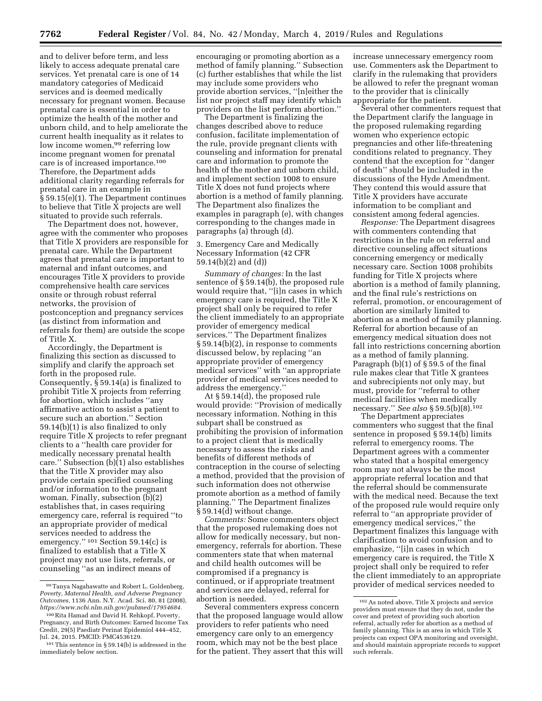and to deliver before term, and less likely to access adequate prenatal care services. Yet prenatal care is one of 14 mandatory categories of Medicaid services and is deemed medically necessary for pregnant women. Because prenatal care is essential in order to optimize the health of the mother and unborn child, and to help ameliorate the current health inequality as it relates to low income women,<sup>99</sup> referring low income pregnant women for prenatal care is of increased importance.100 Therefore, the Department adds additional clarity regarding referrals for prenatal care in an example in § 59.15(e)(1). The Department continues to believe that Title X projects are well situated to provide such referrals.

The Department does not, however, agree with the commenter who proposes that Title X providers are responsible for prenatal care. While the Department agrees that prenatal care is important to maternal and infant outcomes, and encourages Title X providers to provide comprehensive health care services onsite or through robust referral networks, the provision of postconception and pregnancy services (as distinct from information and referrals for them) are outside the scope of Title X.

Accordingly, the Department is finalizing this section as discussed to simplify and clarify the approach set forth in the proposed rule. Consequently, § 59.14(a) is finalized to prohibit Title X projects from referring for abortion, which includes ''any affirmative action to assist a patient to secure such an abortion.'' Section 59.14(b)(1) is also finalized to only require Title X projects to refer pregnant clients to a ''health care provider for medically necessary prenatal health care." Subsection  $(b)(1)$  also establishes that the Title X provider may also provide certain specified counseling and/or information to the pregnant woman. Finally, subsection (b)(2) establishes that, in cases requiring emergency care, referral is required ''to an appropriate provider of medical services needed to address the emergency.'' 101 Section 59.14(c) is finalized to establish that a Title X project may not use lists, referrals, or counseling ''as an indirect means of

encouraging or promoting abortion as a method of family planning.'' Subsection (c) further establishes that while the list may include some providers who provide abortion services, ''[n]either the list nor project staff may identify which providers on the list perform abortion.''

The Department is finalizing the changes described above to reduce confusion, facilitate implementation of the rule, provide pregnant clients with counseling and information for prenatal care and information to promote the health of the mother and unborn child, and implement section 1008 to ensure Title X does not fund projects where abortion is a method of family planning. The Department also finalizes the examples in paragraph (e), with changes corresponding to the changes made in paragraphs (a) through (d).

## 3. Emergency Care and Medically Necessary Information (42 CFR 59.14(b)(2) and (d))

*Summary of changes:* In the last sentence of § 59.14(b), the proposed rule would require that, ''[i]n cases in which emergency care is required, the Title X project shall only be required to refer the client immediately to an appropriate provider of emergency medical services.'' The Department finalizes § 59.14(b)(2), in response to comments discussed below, by replacing ''an appropriate provider of emergency medical services'' with ''an appropriate provider of medical services needed to address the emergency.''

At § 59.14(d), the proposed rule would provide: ''Provision of medically necessary information. Nothing in this subpart shall be construed as prohibiting the provision of information to a project client that is medically necessary to assess the risks and benefits of different methods of contraception in the course of selecting a method, provided that the provision of such information does not otherwise promote abortion as a method of family planning.'' The Department finalizes § 59.14(d) without change.

*Comments:* Some commenters object that the proposed rulemaking does not allow for medically necessary, but nonemergency, referrals for abortion. These commenters state that when maternal and child health outcomes will be compromised if a pregnancy is continued, or if appropriate treatment and services are delayed, referral for abortion is needed.

increase unnecessary emergency room use. Commenters ask the Department to clarify in the rulemaking that providers be allowed to refer the pregnant woman to the provider that is clinically appropriate for the patient.

Several other commenters request that the Department clarify the language in the proposed rulemaking regarding women who experience ectopic pregnancies and other life-threatening conditions related to pregnancy. They contend that the exception for ''danger of death'' should be included in the discussions of the Hyde Amendment. They contend this would assure that Title X providers have accurate information to be compliant and consistent among federal agencies.

*Response:* The Department disagrees with commenters contending that restrictions in the rule on referral and directive counseling affect situations concerning emergency or medically necessary care. Section 1008 prohibits funding for Title X projects where abortion is a method of family planning, and the final rule's restrictions on referral, promotion, or encouragement of abortion are similarly limited to abortion as a method of family planning. Referral for abortion because of an emergency medical situation does not fall into restrictions concerning abortion as a method of family planning. Paragraph (b)(1) of § 59.5 of the final rule makes clear that Title X grantees and subrecipients not only may, but must, provide for ''referral to other medical facilities when medically necessary.'' *See also* § 59.5(b)(8).102

The Department appreciates commenters who suggest that the final sentence in proposed § 59.14(b) limits referral to emergency rooms. The Department agrees with a commenter who stated that a hospital emergency room may not always be the most appropriate referral location and that the referral should be commensurate with the medical need. Because the text of the proposed rule would require only referral to ''an appropriate provider of emergency medical services,'' the Department finalizes this language with clarification to avoid confusion and to emphasize, ''[i]n cases in which emergency care is required, the Title X project shall only be required to refer the client immediately to an appropriate provider of medical services needed to

<sup>99</sup>Tanya Nagahawatte and Robert L. Goldenberg, *Poverty, Maternal Health, and Adverse Pregnancy Outcomes,* 1136 Ann. N.Y. Acad. Sci. 80, 81 (2008), *https://www.ncbi.nlm.nih.gov/pubmed/17954684.* 

<sup>100</sup>Rita Hamad and David H. Rehkopf, Poverty, Pregnancy, and Birth Outcomes: Earned Income Tax Credit, 29(5) Paediatr Perinat Epidemiol 444–452, Jul. 24, 2015. PMCID: PMC4536129.

<sup>101</sup>This sentence in § 59.14(b) is addressed in the immediately below section.

Several commenters express concern that the proposed language would allow providers to refer patients who need emergency care only to an emergency room, which may not be the best place for the patient. They assert that this will

 $^{\rm 102}\, \rm As$  noted above, Title X projects and service providers must ensure that they do not, under the cover and pretext of providing such abortion referral, actually refer for abortion as a method of family planning. This is an area in which Title X projects can expect OPA monitoring and oversight, and should maintain appropriate records to support such referrals.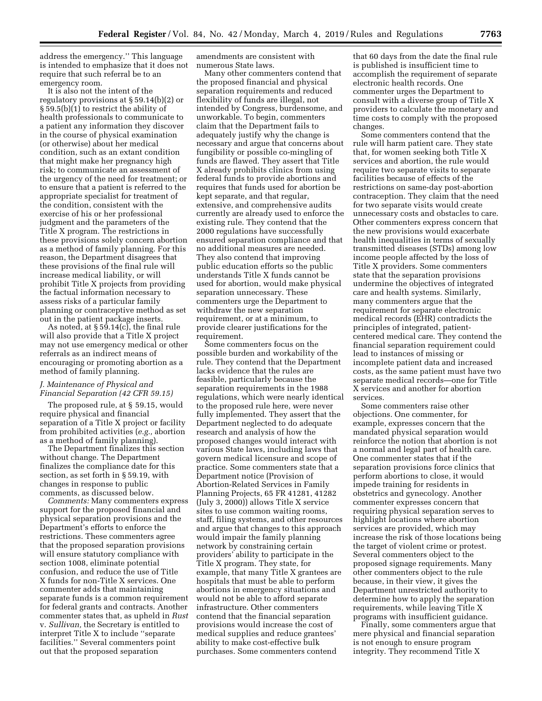address the emergency.'' This language is intended to emphasize that it does not require that such referral be to an emergency room.

It is also not the intent of the regulatory provisions at § 59.14(b)(2) or § 59.5(b)(1) to restrict the ability of health professionals to communicate to a patient any information they discover in the course of physical examination (or otherwise) about her medical condition, such as an extant condition that might make her pregnancy high risk; to communicate an assessment of the urgency of the need for treatment; or to ensure that a patient is referred to the appropriate specialist for treatment of the condition, consistent with the exercise of his or her professional judgment and the parameters of the Title X program. The restrictions in these provisions solely concern abortion as a method of family planning. For this reason, the Department disagrees that these provisions of the final rule will increase medical liability, or will prohibit Title X projects from providing the factual information necessary to assess risks of a particular family planning or contraceptive method as set out in the patient package inserts.

As noted, at  $\S 5\overline{9}.14(c)$ , the final rule will also provide that a Title X project may not use emergency medical or other referrals as an indirect means of encouraging or promoting abortion as a method of family planning.

## *J. Maintenance of Physical and Financial Separation (42 CFR 59.15)*

The proposed rule, at § 59.15, would require physical and financial separation of a Title X project or facility from prohibited activities (*e.g.,* abortion as a method of family planning).

The Department finalizes this section without change. The Department finalizes the compliance date for this section, as set forth in § 59.19, with changes in response to public comments, as discussed below.

*Comments:* Many commenters express support for the proposed financial and physical separation provisions and the Department's efforts to enforce the restrictions. These commenters agree that the proposed separation provisions will ensure statutory compliance with section 1008, eliminate potential confusion, and reduce the use of Title X funds for non-Title X services. One commenter adds that maintaining separate funds is a common requirement for federal grants and contracts. Another commenter states that, as upheld in *Rust*  v. *Sullivan,* the Secretary is entitled to interpret Title X to include ''separate facilities.'' Several commenters point out that the proposed separation

amendments are consistent with numerous State laws.

Many other commenters contend that the proposed financial and physical separation requirements and reduced flexibility of funds are illegal, not intended by Congress, burdensome, and unworkable. To begin, commenters claim that the Department fails to adequately justify why the change is necessary and argue that concerns about fungibility or possible co-mingling of funds are flawed. They assert that Title X already prohibits clinics from using federal funds to provide abortions and requires that funds used for abortion be kept separate, and that regular, extensive, and comprehensive audits currently are already used to enforce the existing rule. They contend that the 2000 regulations have successfully ensured separation compliance and that no additional measures are needed. They also contend that improving public education efforts so the public understands Title X funds cannot be used for abortion, would make physical separation unnecessary. These commenters urge the Department to withdraw the new separation requirement, or at a minimum, to provide clearer justifications for the requirement.

Some commenters focus on the possible burden and workability of the rule. They contend that the Department lacks evidence that the rules are feasible, particularly because the separation requirements in the 1988 regulations, which were nearly identical to the proposed rule here, were never fully implemented. They assert that the Department neglected to do adequate research and analysis of how the proposed changes would interact with various State laws, including laws that govern medical licensure and scope of practice. Some commenters state that a Department notice (Provision of Abortion-Related Services in Family Planning Projects, 65 FR 41281, 41282 (July 3, 2000)) allows Title X service sites to use common waiting rooms, staff, filing systems, and other resources and argue that changes to this approach would impair the family planning network by constraining certain providers' ability to participate in the Title X program. They state, for example, that many Title X grantees are hospitals that must be able to perform abortions in emergency situations and would not be able to afford separate infrastructure. Other commenters contend that the financial separation provisions would increase the cost of medical supplies and reduce grantees' ability to make cost-effective bulk purchases. Some commenters contend

that 60 days from the date the final rule is published is insufficient time to accomplish the requirement of separate electronic health records. One commenter urges the Department to consult with a diverse group of Title X providers to calculate the monetary and time costs to comply with the proposed changes.

Some commenters contend that the rule will harm patient care. They state that, for women seeking both Title X services and abortion, the rule would require two separate visits to separate facilities because of effects of the restrictions on same-day post-abortion contraception. They claim that the need for two separate visits would create unnecessary costs and obstacles to care. Other commenters express concern that the new provisions would exacerbate health inequalities in terms of sexually transmitted diseases (STDs) among low income people affected by the loss of Title X providers. Some commenters state that the separation provisions undermine the objectives of integrated care and health systems. Similarly, many commenters argue that the requirement for separate electronic medical records (EHR) contradicts the principles of integrated, patientcentered medical care. They contend the financial separation requirement could lead to instances of missing or incomplete patient data and increased costs, as the same patient must have two separate medical records—one for Title X services and another for abortion services.

Some commenters raise other objections. One commenter, for example, expresses concern that the mandated physical separation would reinforce the notion that abortion is not a normal and legal part of health care. One commenter states that if the separation provisions force clinics that perform abortions to close, it would impede training for residents in obstetrics and gynecology. Another commenter expresses concern that requiring physical separation serves to highlight locations where abortion services are provided, which may increase the risk of those locations being the target of violent crime or protest. Several commenters object to the proposed signage requirements. Many other commenters object to the rule because, in their view, it gives the Department unrestricted authority to determine how to apply the separation requirements, while leaving Title X programs with insufficient guidance.

Finally, some commenters argue that mere physical and financial separation is not enough to ensure program integrity. They recommend Title X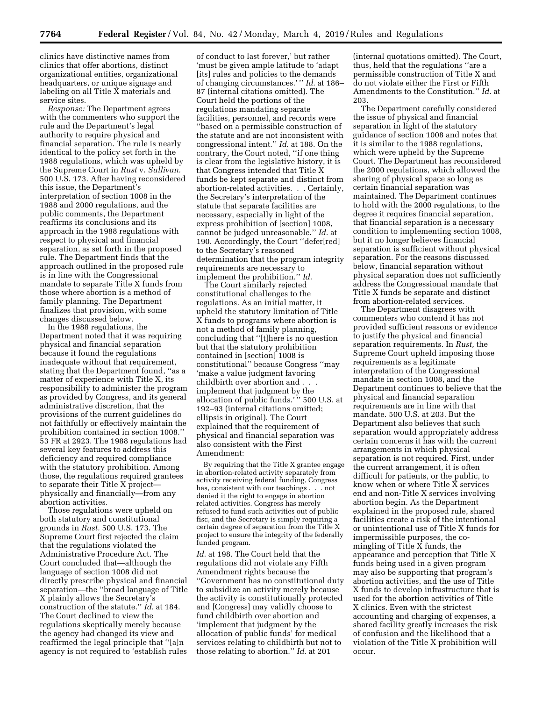clinics have distinctive names from clinics that offer abortions, distinct organizational entities, organizational headquarters, or unique signage and labeling on all Title  $\bar{X}$  materials and service sites.

*Response:* The Department agrees with the commenters who support the rule and the Department's legal authority to require physical and financial separation. The rule is nearly identical to the policy set forth in the 1988 regulations, which was upheld by the Supreme Court in *Rust* v. *Sullivan.*  500 U.S. 173. After having reconsidered this issue, the Department's interpretation of section 1008 in the 1988 and 2000 regulations, and the public comments, the Department reaffirms its conclusions and its approach in the 1988 regulations with respect to physical and financial separation, as set forth in the proposed rule. The Department finds that the approach outlined in the proposed rule is in line with the Congressional mandate to separate Title X funds from those where abortion is a method of family planning. The Department finalizes that provision, with some changes discussed below.

In the 1988 regulations, the Department noted that it was requiring physical and financial separation because it found the regulations inadequate without that requirement, stating that the Department found, ''as a matter of experience with Title X, its responsibility to administer the program as provided by Congress, and its general administrative discretion, that the provisions of the current guidelines do not faithfully or effectively maintain the prohibition contained in section 1008.'' 53 FR at 2923. The 1988 regulations had several key features to address this deficiency and required compliance with the statutory prohibition. Among those, the regulations required grantees to separate their Title X project physically and financially—from any abortion activities.

Those regulations were upheld on both statutory and constitutional grounds in *Rust.* 500 U.S. 173. The Supreme Court first rejected the claim that the regulations violated the Administrative Procedure Act. The Court concluded that—although the language of section 1008 did not directly prescribe physical and financial separation—the ''broad language of Title X plainly allows the Secretary's construction of the statute.'' *Id.* at 184. The Court declined to view the regulations skeptically merely because the agency had changed its view and reaffirmed the legal principle that ''[a]n agency is not required to 'establish rules

of conduct to last forever,' but rather 'must be given ample latitude to 'adapt [its] rules and policies to the demands of changing circumstances.' '' *Id.* at 186– 87 (internal citations omitted). The Court held the portions of the regulations mandating separate facilities, personnel, and records were ''based on a permissible construction of the statute and are not inconsistent with congressional intent.'' *Id.* at 188. On the contrary, the Court noted, ''if one thing is clear from the legislative history, it is that Congress intended that Title X funds be kept separate and distinct from abortion-related activities. . . Certainly, the Secretary's interpretation of the statute that separate facilities are necessary, especially in light of the express prohibition of [section] 1008, cannot be judged unreasonable.'' *Id.* at 190. Accordingly, the Court ''defer[red] to the Secretary's reasoned determination that the program integrity requirements are necessary to implement the prohibition.'' *Id.* 

The Court similarly rejected constitutional challenges to the regulations. As an initial matter, it upheld the statutory limitation of Title X funds to programs where abortion is not a method of family planning, concluding that ''[t]here is no question but that the statutory prohibition contained in [section] 1008 is constitutional'' because Congress ''may 'make a value judgment favoring childbirth over abortion and . . . implement that judgment by the allocation of public funds.'" 500 U.S. at 192–93 (internal citations omitted; ellipsis in original). The Court explained that the requirement of physical and financial separation was also consistent with the First Amendment:

By requiring that the Title X grantee engage in abortion-related activity separately from activity receiving federal funding, Congress has, consistent with our teachings . . . not denied it the right to engage in abortion related activities. Congress has merely refused to fund such activities out of public fisc, and the Secretary is simply requiring a certain degree of separation from the Title X project to ensure the integrity of the federally funded program.

*Id.* at 198. The Court held that the regulations did not violate any Fifth Amendment rights because the ''Government has no constitutional duty to subsidize an activity merely because the activity is constitutionally protected and [Congress] may validly choose to fund childbirth over abortion and 'implement that judgment by the allocation of public funds' for medical services relating to childbirth but not to those relating to abortion.'' *Id.* at 201

(internal quotations omitted). The Court, thus, held that the regulations ''are a permissible construction of Title X and do not violate either the First or Fifth Amendments to the Constitution.'' *Id.* at 203.

The Department carefully considered the issue of physical and financial separation in light of the statutory guidance of section 1008 and notes that it is similar to the 1988 regulations, which were upheld by the Supreme Court. The Department has reconsidered the 2000 regulations, which allowed the sharing of physical space so long as certain financial separation was maintained. The Department continues to hold with the 2000 regulations, to the degree it requires financial separation, that financial separation is a necessary condition to implementing section 1008, but it no longer believes financial separation is sufficient without physical separation. For the reasons discussed below, financial separation without physical separation does not sufficiently address the Congressional mandate that Title X funds be separate and distinct from abortion-related services.

The Department disagrees with commenters who contend it has not provided sufficient reasons or evidence to justify the physical and financial separation requirements. In *Rust,* the Supreme Court upheld imposing those requirements as a legitimate interpretation of the Congressional mandate in section 1008, and the Department continues to believe that the physical and financial separation requirements are in line with that mandate. 500 U.S. at 203. But the Department also believes that such separation would appropriately address certain concerns it has with the current arrangements in which physical separation is not required. First, under the current arrangement, it is often difficult for patients, or the public, to know when or where Title X services end and non-Title X services involving abortion begin. As the Department explained in the proposed rule, shared facilities create a risk of the intentional or unintentional use of Title X funds for impermissible purposes, the comingling of Title X funds, the appearance and perception that Title X funds being used in a given program may also be supporting that program's abortion activities, and the use of Title X funds to develop infrastructure that is used for the abortion activities of Title X clinics. Even with the strictest accounting and charging of expenses, a shared facility greatly increases the risk of confusion and the likelihood that a violation of the Title X prohibition will occur.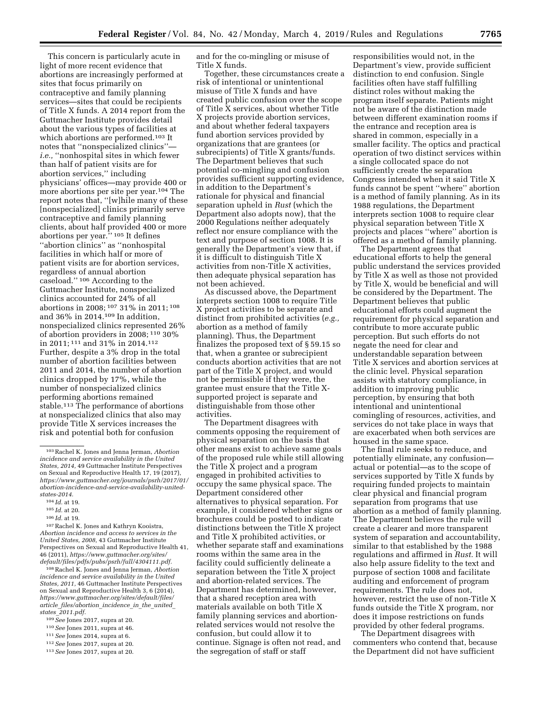This concern is particularly acute in light of more recent evidence that abortions are increasingly performed at sites that focus primarily on contraceptive and family planning services—sites that could be recipients of Title X funds. A 2014 report from the Guttmacher Institute provides detail about the various types of facilities at which abortions are performed.103 It notes that ''nonspecialized clinics'' *i.e.,* ''nonhospital sites in which fewer than half of patient visits are for abortion services,'' including physicians' offices—may provide 400 or more abortions per site per year.104 The report notes that, ''[w]hile many of these [nonspecialized] clinics primarily serve contraceptive and family planning clients, about half provided 400 or more abortions per year.'' 105 It defines ''abortion clinics'' as ''nonhospital facilities in which half or more of patient visits are for abortion services, regardless of annual abortion caseload.'' 106 According to the Guttmacher Institute, nonspecialized clinics accounted for 24% of all abortions in 2008; 107 31% in 2011; 108 and 36% in 2014.109 In addition, nonspecialized clinics represented 26% of abortion providers in 2008; 110 30% in 2011; 111 and 31% in 2014.112 Further, despite a 3% drop in the total number of abortion facilities between 2011 and 2014, the number of abortion clinics dropped by 17%, while the number of nonspecialized clinics performing abortions remained stable.113 The performance of abortions at nonspecialized clinics that also may provide Title X services increases the risk and potential both for confusion

107Rachel K. Jones and Kathryn Kooistra, *Abortion incidence and access to services in the United States, 2008,* 43 Guttmacher Institute Perspectives on Sexual and Reproductive Health 41, 46 (2011), *https://www.guttmacher.org/sites/ default/files/pdfs/pubs/psrh/full/4304111.pdf.* 

108Rachel K. Jones and Jenna Jerman, *Abortion incidence and service availability in the United States, 2011,* 46 Guttmacher Institute Perspectives on Sexual and Reproductive Health 3, 6 (2014), *https://www.guttmacher.org/sites/default/files/ article*\_*files/abortion*\_*incidence*\_*in*\_*the*\_*united*\_ *states*\_*2011.pdf.* 

- 109*See* Jones 2017, supra at 20.
- 110*See* Jones 2011, supra at 46.
- 111*See* Jones 2014, supra at 6.

113*See* Jones 2017, supra at 20.

and for the co-mingling or misuse of Title X funds.

Together, these circumstances create a risk of intentional or unintentional misuse of Title X funds and have created public confusion over the scope of Title X services, about whether Title X projects provide abortion services, and about whether federal taxpayers fund abortion services provided by organizations that are grantees (or subrecipients) of Title X grants/funds. The Department believes that such potential co-mingling and confusion provides sufficient supporting evidence, in addition to the Department's rationale for physical and financial separation upheld in *Rust* (which the Department also adopts now), that the 2000 Regulations neither adequately reflect nor ensure compliance with the text and purpose of section 1008. It is generally the Department's view that, if it is difficult to distinguish Title X activities from non-Title X activities, then adequate physical separation has not been achieved.

As discussed above, the Department interprets section 1008 to require Title X project activities to be separate and distinct from prohibited activities (*e.g.,*  abortion as a method of family planning). Thus, the Department finalizes the proposed text of § 59.15 so that, when a grantee or subrecipient conducts abortion activities that are not part of the Title X project, and would not be permissible if they were, the grantee must ensure that the Title Xsupported project is separate and distinguishable from those other activities.

The Department disagrees with comments opposing the requirement of physical separation on the basis that other means exist to achieve same goals of the proposed rule while still allowing the Title X project and a program engaged in prohibited activities to occupy the same physical space. The Department considered other alternatives to physical separation. For example, it considered whether signs or brochures could be posted to indicate distinctions between the Title X project and Title X prohibited activities, or whether separate staff and examinations rooms within the same area in the facility could sufficiently delineate a separation between the Title X project and abortion-related services. The Department has determined, however, that a shared reception area with materials available on both Title X family planning services and abortionrelated services would not resolve the confusion, but could allow it to continue. Signage is often not read, and the segregation of staff or staff

responsibilities would not, in the Department's view, provide sufficient distinction to end confusion. Single facilities often have staff fulfilling distinct roles without making the program itself separate. Patients might not be aware of the distinction made between different examination rooms if the entrance and reception area is shared in common, especially in a smaller facility. The optics and practical operation of two distinct services within a single collocated space do not sufficiently create the separation Congress intended when it said Title X funds cannot be spent ''where'' abortion is a method of family planning. As in its 1988 regulations, the Department interprets section 1008 to require clear physical separation between Title X projects and places ''where'' abortion is offered as a method of family planning.

The Department agrees that educational efforts to help the general public understand the services provided by Title X as well as those not provided by Title X, would be beneficial and will be considered by the Department. The Department believes that public educational efforts could augment the requirement for physical separation and contribute to more accurate public perception. But such efforts do not negate the need for clear and understandable separation between Title X services and abortion services at the clinic level. Physical separation assists with statutory compliance, in addition to improving public perception, by ensuring that both intentional and unintentional comingling of resources, activities, and services do not take place in ways that are exacerbated when both services are housed in the same space.

The final rule seeks to reduce, and potentially eliminate, any confusion actual or potential—as to the scope of services supported by Title X funds by requiring funded projects to maintain clear physical and financial program separation from programs that use abortion as a method of family planning. The Department believes the rule will create a clearer and more transparent system of separation and accountability, similar to that established by the 1988 regulations and affirmed in *Rust.* It will also help assure fidelity to the text and purpose of section 1008 and facilitate auditing and enforcement of program requirements. The rule does not, however, restrict the use of non-Title X funds outside the Title X program, nor does it impose restrictions on funds provided by other federal programs.

The Department disagrees with commenters who contend that, because the Department did not have sufficient

<sup>103</sup>Rachel K. Jones and Jenna Jerman, *Abortion incidence and service availability in the United States, 2014,* 49 Guttmacher Institute Perspectives on Sexual and Reproductive Health 17, 19 (2017), *https://www.guttmacher.org/journals/psrh/2017/01/ abortion-incidence-and-service-availability-unitedstates-2014.* 

<sup>104</sup> *Id.* at 19.

<sup>105</sup> *Id.* at 20.

<sup>106</sup> *Id.* at 19.

<sup>112</sup>*See* Jones 2017, supra at 20.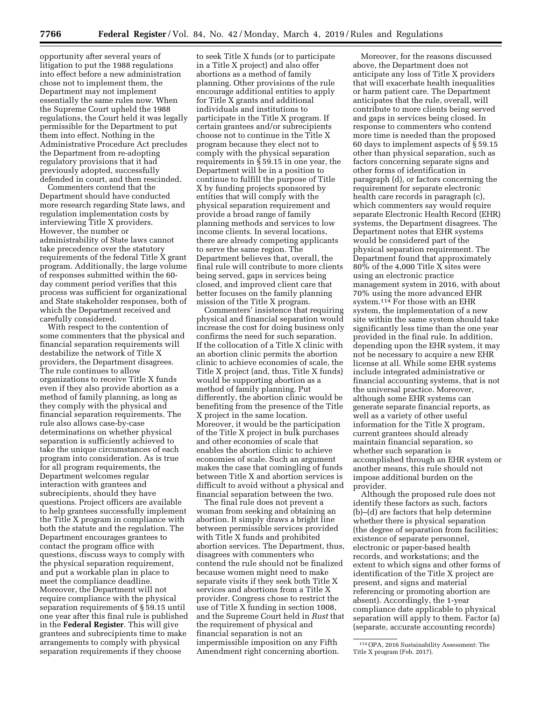opportunity after several years of litigation to put the 1988 regulations into effect before a new administration chose not to implement them, the Department may not implement essentially the same rules now. When the Supreme Court upheld the 1988 regulations, the Court held it was legally permissible for the Department to put them into effect. Nothing in the Administrative Procedure Act precludes the Department from re-adopting regulatory provisions that it had previously adopted, successfully defended in court, and then rescinded.

Commenters contend that the Department should have conducted more research regarding State laws, and regulation implementation costs by interviewing Title X providers. However, the number or administrability of State laws cannot take precedence over the statutory requirements of the federal Title X grant program. Additionally, the large volume of responses submitted within the 60 day comment period verifies that this process was sufficient for organizational and State stakeholder responses, both of which the Department received and carefully considered.

With respect to the contention of some commenters that the physical and financial separation requirements will destabilize the network of Title X providers, the Department disagrees. The rule continues to allow organizations to receive Title X funds even if they also provide abortion as a method of family planning, as long as they comply with the physical and financial separation requirements. The rule also allows case-by-case determinations on whether physical separation is sufficiently achieved to take the unique circumstances of each program into consideration. As is true for all program requirements, the Department welcomes regular interaction with grantees and subrecipients, should they have questions. Project officers are available to help grantees successfully implement the Title X program in compliance with both the statute and the regulation. The Department encourages grantees to contact the program office with questions, discuss ways to comply with the physical separation requirement, and put a workable plan in place to meet the compliance deadline. Moreover, the Department will not require compliance with the physical separation requirements of § 59.15 until one year after this final rule is published in the **Federal Register**. This will give grantees and subrecipients time to make arrangements to comply with physical separation requirements if they choose

to seek Title X funds (or to participate in a Title X project) and also offer abortions as a method of family planning. Other provisions of the rule encourage additional entities to apply for Title X grants and additional individuals and institutions to participate in the Title X program. If certain grantees and/or subrecipients choose not to continue in the Title X program because they elect not to comply with the physical separation requirements in § 59.15 in one year, the Department will be in a position to continue to fulfill the purpose of Title X by funding projects sponsored by entities that will comply with the physical separation requirement and provide a broad range of family planning methods and services to low income clients. In several locations, there are already competing applicants to serve the same region. The Department believes that, overall, the final rule will contribute to more clients being served, gaps in services being closed, and improved client care that better focuses on the family planning mission of the Title X program.

Commenters' insistence that requiring physical and financial separation would increase the cost for doing business only confirms the need for such separation. If the collocation of a Title X clinic with an abortion clinic permits the abortion clinic to achieve economies of scale, the Title X project (and, thus, Title X funds) would be supporting abortion as a method of family planning. Put differently, the abortion clinic would be benefiting from the presence of the Title X project in the same location. Moreover, it would be the participation of the Title X project in bulk purchases and other economies of scale that enables the abortion clinic to achieve economies of scale. Such an argument makes the case that comingling of funds between Title X and abortion services is difficult to avoid without a physical and financial separation between the two.

The final rule does not prevent a woman from seeking and obtaining an abortion. It simply draws a bright line between permissible services provided with Title X funds and prohibited abortion services. The Department, thus, disagrees with commenters who contend the rule should not be finalized because women might need to make separate visits if they seek both Title X services and abortions from a Title X provider. Congress chose to restrict the use of Title X funding in section 1008, and the Supreme Court held in *Rust* that the requirement of physical and financial separation is not an impermissible imposition on any Fifth Amendment right concerning abortion.

Moreover, for the reasons discussed above, the Department does not anticipate any loss of Title X providers that will exacerbate health inequalities or harm patient care. The Department anticipates that the rule, overall, will contribute to more clients being served and gaps in services being closed. In response to commenters who contend more time is needed than the proposed 60 days to implement aspects of § 59.15 other than physical separation, such as factors concerning separate signs and other forms of identification in paragraph (d), or factors concerning the requirement for separate electronic health care records in paragraph (c), which commenters say would require separate Electronic Health Record (EHR) systems, the Department disagrees. The Department notes that EHR systems would be considered part of the physical separation requirement. The Department found that approximately 80% of the 4,000 Title X sites were using an electronic practice management system in 2016, with about 70% using the more advanced EHR system.114 For those with an EHR system, the implementation of a new site within the same system should take significantly less time than the one year provided in the final rule. In addition, depending upon the EHR system, it may not be necessary to acquire a new EHR license at all. While some EHR systems include integrated administrative or financial accounting systems, that is not the universal practice. Moreover, although some EHR systems can generate separate financial reports, as well as a variety of other useful information for the Title X program, current grantees should already maintain financial separation, so whether such separation is accomplished through an EHR system or another means, this rule should not impose additional burden on the provider.

Although the proposed rule does not identify these factors as such, factors (b)–(d) are factors that help determine whether there is physical separation (the degree of separation from facilities; existence of separate personnel, electronic or paper-based health records, and workstations; and the extent to which signs and other forms of identification of the Title X project are present, and signs and material referencing or promoting abortion are absent). Accordingly, the 1-year compliance date applicable to physical separation will apply to them. Factor (a) (separate, accurate accounting records)

<sup>114</sup>OPA, 2016 Sustainability Assessment: The Title X program (Feb. 2017).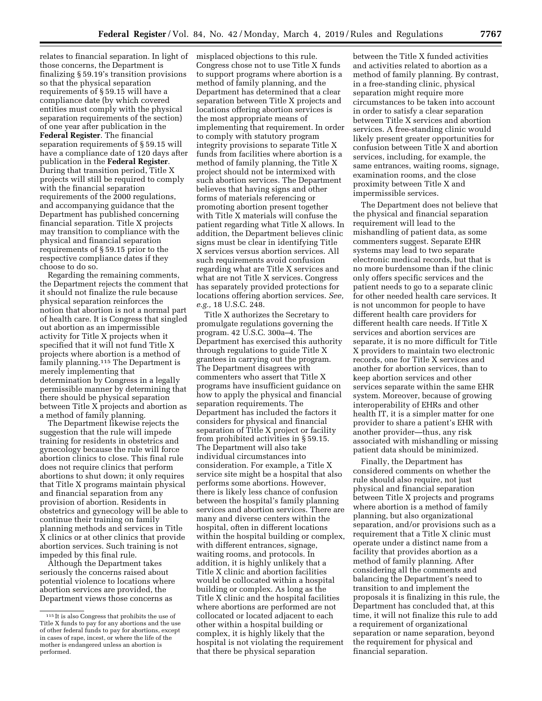relates to financial separation. In light of those concerns, the Department is finalizing § 59.19's transition provisions so that the physical separation requirements of § 59.15 will have a compliance date (by which covered entities must comply with the physical separation requirements of the section) of one year after publication in the **Federal Register**. The financial separation requirements of § 59.15 will have a compliance date of 120 days after publication in the **Federal Register**. During that transition period, Title X projects will still be required to comply with the financial separation requirements of the 2000 regulations, and accompanying guidance that the Department has published concerning financial separation. Title X projects may transition to compliance with the physical and financial separation requirements of § 59.15 prior to the respective compliance dates if they choose to do so.

Regarding the remaining comments, the Department rejects the comment that it should not finalize the rule because physical separation reinforces the notion that abortion is not a normal part of health care. It is Congress that singled out abortion as an impermissible activity for Title X projects when it specified that it will not fund Title X projects where abortion is a method of family planning.<sup>115</sup> The Department is merely implementing that determination by Congress in a legally permissible manner by determining that there should be physical separation between Title X projects and abortion as a method of family planning.

The Department likewise rejects the suggestion that the rule will impede training for residents in obstetrics and gynecology because the rule will force abortion clinics to close. This final rule does not require clinics that perform abortions to shut down; it only requires that Title X programs maintain physical and financial separation from any provision of abortion. Residents in obstetrics and gynecology will be able to continue their training on family planning methods and services in Title X clinics or at other clinics that provide abortion services. Such training is not impeded by this final rule.

Although the Department takes seriously the concerns raised about potential violence to locations where abortion services are provided, the Department views those concerns as

misplaced objections to this rule. Congress chose not to use Title X funds to support programs where abortion is a method of family planning, and the Department has determined that a clear separation between Title X projects and locations offering abortion services is the most appropriate means of implementing that requirement. In order to comply with statutory program integrity provisions to separate Title X funds from facilities where abortion is a method of family planning, the Title X project should not be intermixed with such abortion services. The Department believes that having signs and other forms of materials referencing or promoting abortion present together with Title X materials will confuse the patient regarding what Title X allows. In addition, the Department believes clinic signs must be clear in identifying Title X services versus abortion services. All such requirements avoid confusion regarding what are Title X services and what are not Title X services. Congress has separately provided protections for locations offering abortion services. *See, e.g.,* 18 U.S.C. 248.

Title X authorizes the Secretary to promulgate regulations governing the program. 42 U.S.C. 300a–4. The Department has exercised this authority through regulations to guide Title X grantees in carrying out the program. The Department disagrees with commenters who assert that Title X programs have insufficient guidance on how to apply the physical and financial separation requirements. The Department has included the factors it considers for physical and financial separation of Title X project or facility from prohibited activities in § 59.15. The Department will also take individual circumstances into consideration. For example, a Title X service site might be a hospital that also performs some abortions. However, there is likely less chance of confusion between the hospital's family planning services and abortion services. There are many and diverse centers within the hospital, often in different locations within the hospital building or complex, with different entrances, signage, waiting rooms, and protocols. In addition, it is highly unlikely that a Title X clinic and abortion facilities would be collocated within a hospital building or complex. As long as the Title X clinic and the hospital facilities where abortions are performed are not collocated or located adjacent to each other within a hospital building or complex, it is highly likely that the hospital is not violating the requirement that there be physical separation

between the Title X funded activities and activities related to abortion as a method of family planning. By contrast, in a free-standing clinic, physical separation might require more circumstances to be taken into account in order to satisfy a clear separation between Title X services and abortion services. A free-standing clinic would likely present greater opportunities for confusion between Title X and abortion services, including, for example, the same entrances, waiting rooms, signage, examination rooms, and the close proximity between Title X and impermissible services.

The Department does not believe that the physical and financial separation requirement will lead to the mishandling of patient data, as some commenters suggest. Separate EHR systems may lead to two separate electronic medical records, but that is no more burdensome than if the clinic only offers specific services and the patient needs to go to a separate clinic for other needed health care services. It is not uncommon for people to have different health care providers for different health care needs. If Title X services and abortion services are separate, it is no more difficult for Title X providers to maintain two electronic records, one for Title X services and another for abortion services, than to keep abortion services and other services separate within the same EHR system. Moreover, because of growing interoperability of EHRs and other health IT, it is a simpler matter for one provider to share a patient's EHR with another provider—thus, any risk associated with mishandling or missing patient data should be minimized.

Finally, the Department has considered comments on whether the rule should also require, not just physical and financial separation between Title X projects and programs where abortion is a method of family planning, but also organizational separation, and/or provisions such as a requirement that a Title X clinic must operate under a distinct name from a facility that provides abortion as a method of family planning. After considering all the comments and balancing the Department's need to transition to and implement the proposals it is finalizing in this rule, the Department has concluded that, at this time, it will not finalize this rule to add a requirement of organizational separation or name separation, beyond the requirement for physical and financial separation.

<sup>115</sup> It is also Congress that prohibits the use of Title X funds to pay for any abortions and the use of other federal funds to pay for abortions, except in cases of rape, incest, or where the life of the mother is endangered unless an abortion is performed.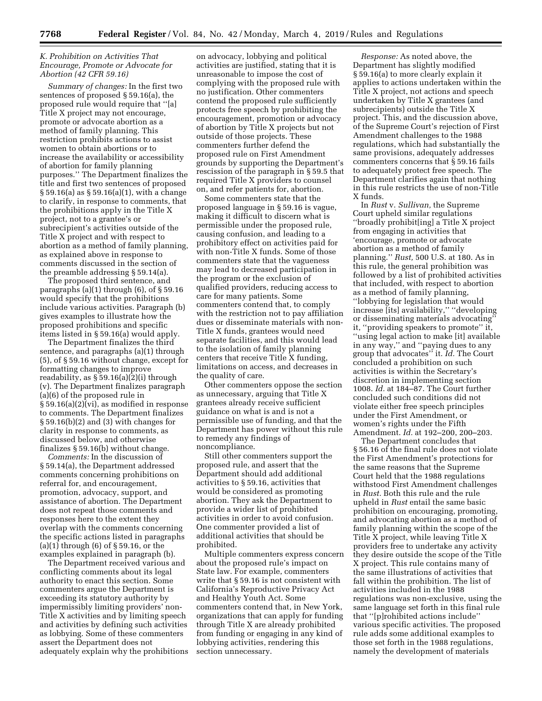## *K. Prohibition on Activities That Encourage, Promote or Advocate for Abortion (42 CFR 59.16)*

*Summary of changes:* In the first two sentences of proposed § 59.16(a), the proposed rule would require that ''[a] Title X project may not encourage, promote or advocate abortion as a method of family planning. This restriction prohibits actions to assist women to obtain abortions or to increase the availability or accessibility of abortion for family planning purposes.'' The Department finalizes the title and first two sentences of proposed § 59.16(a) as § 59.16(a)(1), with a change to clarify, in response to comments, that the prohibitions apply in the Title X project, not to a grantee's or subrecipient's activities outside of the Title X project and with respect to abortion as a method of family planning, as explained above in response to comments discussed in the section of the preamble addressing § 59.14(a).

The proposed third sentence, and paragraphs (a)(1) through (6), of § 59.16 would specify that the prohibitions include various activities. Paragraph (b) gives examples to illustrate how the proposed prohibitions and specific items listed in § 59.16(a) would apply.

The Department finalizes the third sentence, and paragraphs (a)(1) through (5), of § 59.16 without change, except for formatting changes to improve readability, as § 59.16(a)(2)(i) through (v). The Department finalizes paragraph (a)(6) of the proposed rule in § 59.16(a)(2)(vi), as modified in response to comments. The Department finalizes § 59.16(b)(2) and (3) with changes for clarity in response to comments, as discussed below, and otherwise finalizes § 59.16(b) without change.

*Comments:* In the discussion of § 59.14(a), the Department addressed comments concerning prohibitions on referral for, and encouragement, promotion, advocacy, support, and assistance of abortion. The Department does not repeat those comments and responses here to the extent they overlap with the comments concerning the specific actions listed in paragraphs (a)(1) through (6) of § 59.16, or the examples explained in paragraph (b).

The Department received various and conflicting comments about its legal authority to enact this section. Some commenters argue the Department is exceeding its statutory authority by impermissibly limiting providers' non-Title X activities and by limiting speech and activities by defining such activities as lobbying. Some of these commenters assert the Department does not adequately explain why the prohibitions

on advocacy, lobbying and political activities are justified, stating that it is unreasonable to impose the cost of complying with the proposed rule with no justification. Other commenters contend the proposed rule sufficiently protects free speech by prohibiting the encouragement, promotion or advocacy of abortion by Title X projects but not outside of those projects. These commenters further defend the proposed rule on First Amendment grounds by supporting the Department's rescission of the paragraph in § 59.5 that required Title X providers to counsel on, and refer patients for, abortion.

Some commenters state that the proposed language in § 59.16 is vague, making it difficult to discern what is permissible under the proposed rule, causing confusion, and leading to a prohibitory effect on activities paid for with non-Title X funds. Some of those commenters state that the vagueness may lead to decreased participation in the program or the exclusion of qualified providers, reducing access to care for many patients. Some commenters contend that, to comply with the restriction not to pay affiliation dues or disseminate materials with non-Title X funds, grantees would need separate facilities, and this would lead to the isolation of family planning centers that receive Title X funding, limitations on access, and decreases in the quality of care.

Other commenters oppose the section as unnecessary, arguing that Title X grantees already receive sufficient guidance on what is and is not a permissible use of funding, and that the Department has power without this rule to remedy any findings of noncompliance.

Still other commenters support the proposed rule, and assert that the Department should add additional activities to § 59.16, activities that would be considered as promoting abortion. They ask the Department to provide a wider list of prohibited activities in order to avoid confusion. One commenter provided a list of additional activities that should be prohibited.

Multiple commenters express concern about the proposed rule's impact on State law. For example, commenters write that § 59.16 is not consistent with California's Reproductive Privacy Act and Healthy Youth Act. Some commenters contend that, in New York, organizations that can apply for funding through Title X are already prohibited from funding or engaging in any kind of lobbying activities, rendering this section unnecessary.

*Response:* As noted above, the Department has slightly modified § 59.16(a) to more clearly explain it applies to actions undertaken within the Title X project, not actions and speech undertaken by Title X grantees (and subrecipients) outside the Title X project. This, and the discussion above, of the Supreme Court's rejection of First Amendment challenges to the 1988 regulations, which had substantially the same provisions, adequately addresses commenters concerns that § 59.16 fails to adequately protect free speech. The Department clarifies again that nothing in this rule restricts the use of non-Title X funds.

In *Rust* v. *Sullivan,* the Supreme Court upheld similar regulations ''broadly prohibit[ing] a Title X project from engaging in activities that 'encourage, promote or advocate abortion as a method of family planning.'' *Rust,* 500 U.S. at 180. As in this rule, the general prohibition was followed by a list of prohibited activities that included, with respect to abortion as a method of family planning, ''lobbying for legislation that would increase [its] availability,'' ''developing or disseminating materials advocating'' it, ''providing speakers to promote'' it, ''using legal action to make [it] available in any way,'' and ''paying dues to any group that advocates'' it. *Id.* The Court concluded a prohibition on such activities is within the Secretary's discretion in implementing section 1008. *Id.* at 184–87. The Court further concluded such conditions did not violate either free speech principles under the First Amendment, or women's rights under the Fifth Amendment. *Id.* at 192–200, 200–203.

The Department concludes that § 56.16 of the final rule does not violate the First Amendment's protections for the same reasons that the Supreme Court held that the 1988 regulations withstood First Amendment challenges in *Rust.* Both this rule and the rule upheld in *Rust* entail the same basic prohibition on encouraging, promoting, and advocating abortion as a method of family planning within the scope of the Title X project, while leaving Title X providers free to undertake any activity they desire outside the scope of the Title X project. This rule contains many of the same illustrations of activities that fall within the prohibition. The list of activities included in the 1988 regulations was non-exclusive, using the same language set forth in this final rule that ''[p]rohibited actions include'' various specific activities. The proposed rule adds some additional examples to those set forth in the 1988 regulations, namely the development of materials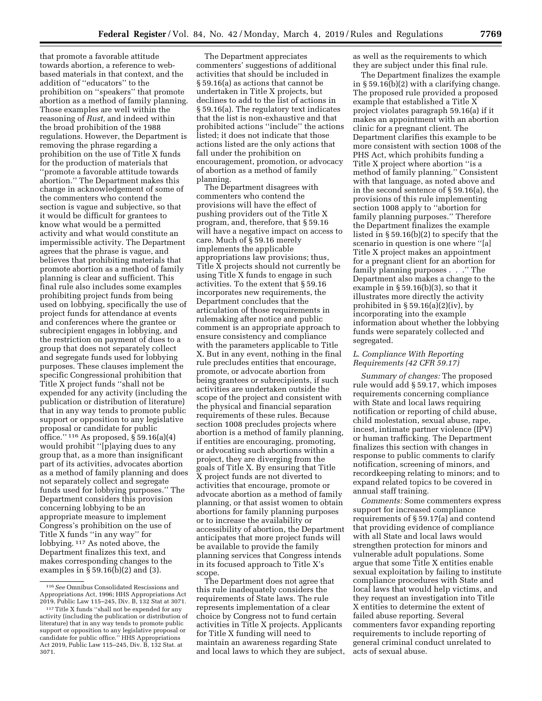that promote a favorable attitude towards abortion, a reference to webbased materials in that context, and the addition of ''educators'' to the prohibition on ''speakers'' that promote abortion as a method of family planning. Those examples are well within the reasoning of *Rust,* and indeed within the broad prohibition of the 1988 regulations. However, the Department is removing the phrase regarding a prohibition on the use of Title X funds for the production of materials that ''promote a favorable attitude towards abortion.'' The Department makes this change in acknowledgement of some of the commenters who contend the section is vague and subjective, so that it would be difficult for grantees to know what would be a permitted activity and what would constitute an impermissible activity. The Department agrees that the phrase is vague, and believes that prohibiting materials that promote abortion as a method of family planning is clear and sufficient. This final rule also includes some examples prohibiting project funds from being used on lobbying, specifically the use of project funds for attendance at events and conferences where the grantee or subrecipient engages in lobbying, and the restriction on payment of dues to a group that does not separately collect and segregate funds used for lobbying purposes. These clauses implement the specific Congressional prohibition that Title X project funds ''shall not be expended for any activity (including the publication or distribution of literature) that in any way tends to promote public support or opposition to any legislative proposal or candidate for public office.'' 116 As proposed, § 59.16(a)(4) would prohibit ''[p]aying dues to any group that, as a more than insignificant part of its activities, advocates abortion as a method of family planning and does not separately collect and segregate funds used for lobbying purposes.'' The Department considers this provision concerning lobbying to be an appropriate measure to implement Congress's prohibition on the use of Title X funds ''in any way'' for lobbying. 117 As noted above, the Department finalizes this text, and makes corresponding changes to the examples in § 59.16(b)(2) and (3).

The Department appreciates commenters' suggestions of additional activities that should be included in § 59.16(a) as actions that cannot be undertaken in Title X projects, but declines to add to the list of actions in § 59.16(a). The regulatory text indicates that the list is non-exhaustive and that prohibited actions ''include'' the actions listed; it does not indicate that those actions listed are the only actions that fall under the prohibition on encouragement, promotion, or advocacy of abortion as a method of family planning.

The Department disagrees with commenters who contend the provisions will have the effect of pushing providers out of the Title X program, and, therefore, that § 59.16 will have a negative impact on access to care. Much of § 59.16 merely implements the applicable appropriations law provisions; thus, Title  $\tilde{X}$  projects should not currently be using Title X funds to engage in such activities. To the extent that § 59.16 incorporates new requirements, the Department concludes that the articulation of those requirements in rulemaking after notice and public comment is an appropriate approach to ensure consistency and compliance with the parameters applicable to Title X. But in any event, nothing in the final rule precludes entities that encourage, promote, or advocate abortion from being grantees or subrecipients, if such activities are undertaken outside the scope of the project and consistent with the physical and financial separation requirements of these rules. Because section 1008 precludes projects where abortion is a method of family planning, if entities are encouraging, promoting, or advocating such abortions within a project, they are diverging from the goals of Title X. By ensuring that Title X project funds are not diverted to activities that encourage, promote or advocate abortion as a method of family planning, or that assist women to obtain abortions for family planning purposes or to increase the availability or accessibility of abortion, the Department anticipates that more project funds will be available to provide the family planning services that Congress intends in its focused approach to Title X's scope.

The Department does not agree that this rule inadequately considers the requirements of State laws. The rule represents implementation of a clear choice by Congress not to fund certain activities in Title X projects. Applicants for Title X funding will need to maintain an awareness regarding State and local laws to which they are subject, as well as the requirements to which they are subject under this final rule.

The Department finalizes the example in § 59.16(b)(2) with a clarifying change. The proposed rule provided a proposed example that established a Title X project violates paragraph 59.16(a) if it makes an appointment with an abortion clinic for a pregnant client. The Department clarifies this example to be more consistent with section 1008 of the PHS Act, which prohibits funding a Title X project where abortion ''is a method of family planning.'' Consistent with that language, as noted above and in the second sentence of § 59.16(a), the provisions of this rule implementing section 1008 apply to ''abortion for family planning purposes.'' Therefore the Department finalizes the example listed in § 59.16(b)(2) to specify that the scenario in question is one where ''[a] Title X project makes an appointment for a pregnant client for an abortion for family planning purposes . . .'' The Department also makes a change to the example in § 59.16(b)(3), so that it illustrates more directly the activity prohibited in  $\S 59.16(a)(2)(iv)$ , by incorporating into the example information about whether the lobbying funds were separately collected and segregated.

## *L. Compliance With Reporting Requirements (42 CFR 59.17)*

*Summary of changes:* The proposed rule would add § 59.17, which imposes requirements concerning compliance with State and local laws requiring notification or reporting of child abuse, child molestation, sexual abuse, rape, incest, intimate partner violence (IPV) or human trafficking. The Department finalizes this section with changes in response to public comments to clarify notification, screening of minors, and recordkeeping relating to minors; and to expand related topics to be covered in annual staff training.

*Comments:* Some commenters express support for increased compliance requirements of § 59.17(a) and contend that providing evidence of compliance with all State and local laws would strengthen protection for minors and vulnerable adult populations. Some argue that some Title X entities enable sexual exploitation by failing to institute compliance procedures with State and local laws that would help victims, and they request an investigation into Title X entities to determine the extent of failed abuse reporting. Several commenters favor expanding reporting requirements to include reporting of general criminal conduct unrelated to acts of sexual abuse.

<sup>116</sup>*See* Omnibus Consolidated Rescissions and Appropriations Act, 1996; HHS Appropriations Act 2019, Public Law 115–245, Div. B, 132 Stat at 3071.

<sup>117</sup>Title X funds ''shall not be expended for any activity (including the publication or distribution of literature) that in any way tends to promote public support or opposition to any legislative proposal or candidate for public office.'' HHS Appropriations Act 2019, Public Law 115–245, Div. B, 132 Stat. at 3071.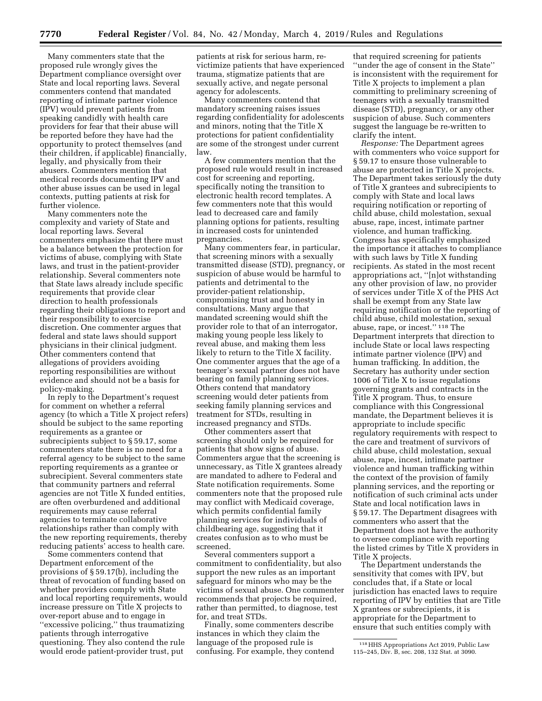Many commenters state that the proposed rule wrongly gives the Department compliance oversight over State and local reporting laws. Several commenters contend that mandated reporting of intimate partner violence (IPV) would prevent patients from speaking candidly with health care providers for fear that their abuse will be reported before they have had the opportunity to protect themselves (and their children, if applicable) financially, legally, and physically from their abusers. Commenters mention that medical records documenting IPV and other abuse issues can be used in legal contexts, putting patients at risk for further violence.

Many commenters note the complexity and variety of State and local reporting laws. Several commenters emphasize that there must be a balance between the protection for victims of abuse, complying with State laws, and trust in the patient-provider relationship. Several commenters note that State laws already include specific requirements that provide clear direction to health professionals regarding their obligations to report and their responsibility to exercise discretion. One commenter argues that federal and state laws should support physicians in their clinical judgment. Other commenters contend that allegations of providers avoiding reporting responsibilities are without evidence and should not be a basis for policy-making.

In reply to the Department's request for comment on whether a referral agency (to which a Title X project refers) should be subject to the same reporting requirements as a grantee or subrecipients subject to § 59.17, some commenters state there is no need for a referral agency to be subject to the same reporting requirements as a grantee or subrecipient. Several commenters state that community partners and referral agencies are not Title X funded entities, are often overburdened and additional requirements may cause referral agencies to terminate collaborative relationships rather than comply with the new reporting requirements, thereby reducing patients' access to health care.

Some commenters contend that Department enforcement of the provisions of § 59.17(b), including the threat of revocation of funding based on whether providers comply with State and local reporting requirements, would increase pressure on Title X projects to over-report abuse and to engage in ''excessive policing,'' thus traumatizing patients through interrogative questioning. They also contend the rule would erode patient-provider trust, put

patients at risk for serious harm, revictimize patients that have experienced trauma, stigmatize patients that are sexually active, and negate personal agency for adolescents.

Many commenters contend that mandatory screening raises issues regarding confidentiality for adolescents and minors, noting that the Title X protections for patient confidentiality are some of the strongest under current law.

A few commenters mention that the proposed rule would result in increased cost for screening and reporting, specifically noting the transition to electronic health record templates. A few commenters note that this would lead to decreased care and family planning options for patients, resulting in increased costs for unintended pregnancies.

Many commenters fear, in particular, that screening minors with a sexually transmitted disease (STD), pregnancy, or suspicion of abuse would be harmful to patients and detrimental to the provider-patient relationship, compromising trust and honesty in consultations. Many argue that mandated screening would shift the provider role to that of an interrogator, making young people less likely to reveal abuse, and making them less likely to return to the Title X facility. One commenter argues that the age of a teenager's sexual partner does not have bearing on family planning services. Others contend that mandatory screening would deter patients from seeking family planning services and treatment for STDs, resulting in increased pregnancy and STDs.

Other commenters assert that screening should only be required for patients that show signs of abuse. Commenters argue that the screening is unnecessary, as Title X grantees already are mandated to adhere to Federal and State notification requirements. Some commenters note that the proposed rule may conflict with Medicaid coverage, which permits confidential family planning services for individuals of childbearing age, suggesting that it creates confusion as to who must be screened.

Several commenters support a commitment to confidentiality, but also support the new rules as an important safeguard for minors who may be the victims of sexual abuse. One commenter recommends that projects be required, rather than permitted, to diagnose, test for, and treat STDs.

Finally, some commenters describe instances in which they claim the language of the proposed rule is confusing. For example, they contend

that required screening for patients ''under the age of consent in the State'' is inconsistent with the requirement for Title X projects to implement a plan committing to preliminary screening of teenagers with a sexually transmitted disease (STD), pregnancy, or any other suspicion of abuse. Such commenters suggest the language be re-written to clarify the intent.

*Response:* The Department agrees with commenters who voice support for § 59.17 to ensure those vulnerable to abuse are protected in Title X projects. The Department takes seriously the duty of Title X grantees and subrecipients to comply with State and local laws requiring notification or reporting of child abuse, child molestation, sexual abuse, rape, incest, intimate partner violence, and human trafficking. Congress has specifically emphasized the importance it attaches to compliance with such laws by Title X funding recipients. As stated in the most recent appropriations act, ''[n]ot withstanding any other provision of law, no provider of services under Title X of the PHS Act shall be exempt from any State law requiring notification or the reporting of child abuse, child molestation, sexual abuse, rape, or incest.'' 118 The Department interprets that direction to include State or local laws respecting intimate partner violence (IPV) and human trafficking. In addition, the Secretary has authority under section 1006 of Title X to issue regulations governing grants and contracts in the Title X program. Thus, to ensure compliance with this Congressional mandate, the Department believes it is appropriate to include specific regulatory requirements with respect to the care and treatment of survivors of child abuse, child molestation, sexual abuse, rape, incest, intimate partner violence and human trafficking within the context of the provision of family planning services, and the reporting or notification of such criminal acts under State and local notification laws in § 59.17. The Department disagrees with commenters who assert that the Department does not have the authority to oversee compliance with reporting the listed crimes by Title X providers in Title X projects.

The Department understands the sensitivity that comes with IPV, but concludes that, if a State or local jurisdiction has enacted laws to require reporting of IPV by entities that are Title X grantees or subrecipients, it is appropriate for the Department to ensure that such entities comply with

<sup>118</sup>HHS Appropriations Act 2019, Public Law 115–245, Div. B, sec. 208, 132 Stat. at 3090.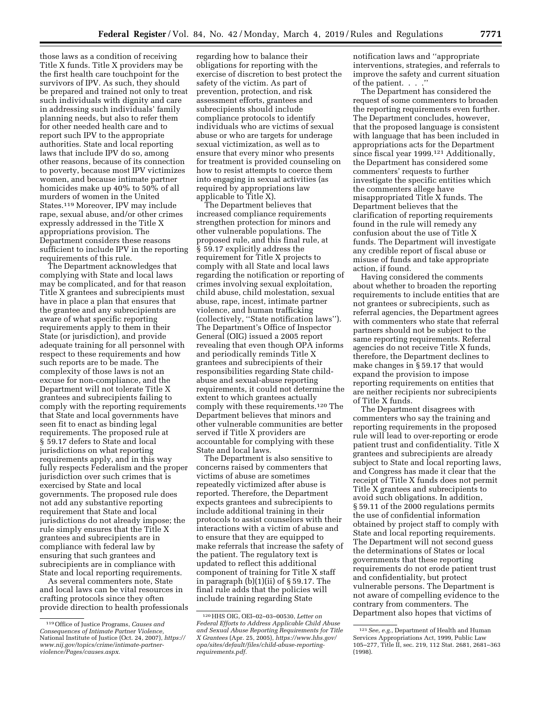those laws as a condition of receiving Title X funds. Title X providers may be the first health care touchpoint for the survivors of IPV. As such, they should be prepared and trained not only to treat such individuals with dignity and care in addressing such individuals' family planning needs, but also to refer them for other needed health care and to report such IPV to the appropriate authorities. State and local reporting laws that include IPV do so, among other reasons, because of its connection to poverty, because most IPV victimizes women, and because intimate partner homicides make up 40% to 50% of all murders of women in the United States.119 Moreover, IPV may include rape, sexual abuse, and/or other crimes expressly addressed in the Title X appropriations provision. The Department considers these reasons sufficient to include IPV in the reporting requirements of this rule.

The Department acknowledges that complying with State and local laws may be complicated, and for that reason Title X grantees and subrecipients must have in place a plan that ensures that the grantee and any subrecipients are aware of what specific reporting requirements apply to them in their State (or jurisdiction), and provide adequate training for all personnel with respect to these requirements and how such reports are to be made. The complexity of those laws is not an excuse for non-compliance, and the Department will not tolerate Title X grantees and subrecipients failing to comply with the reporting requirements that State and local governments have seen fit to enact as binding legal requirements. The proposed rule at § 59.17 defers to State and local jurisdictions on what reporting requirements apply, and in this way fully respects Federalism and the proper jurisdiction over such crimes that is exercised by State and local governments. The proposed rule does not add any substantive reporting requirement that State and local jurisdictions do not already impose; the rule simply ensures that the Title X grantees and subrecipients are in compliance with federal law by ensuring that such grantees and subrecipients are in compliance with State and local reporting requirements.

As several commenters note, State and local laws can be vital resources in crafting protocols since they often provide direction to health professionals regarding how to balance their obligations for reporting with the exercise of discretion to best protect the safety of the victim. As part of prevention, protection, and risk assessment efforts, grantees and subrecipients should include compliance protocols to identify individuals who are victims of sexual abuse or who are targets for underage sexual victimization, as well as to ensure that every minor who presents for treatment is provided counseling on how to resist attempts to coerce them into engaging in sexual activities (as required by appropriations law applicable to Title X).

The Department believes that increased compliance requirements strengthen protection for minors and other vulnerable populations. The proposed rule, and this final rule, at § 59.17 explicitly address the requirement for Title X projects to comply with all State and local laws regarding the notification or reporting of crimes involving sexual exploitation, child abuse, child molestation, sexual abuse, rape, incest, intimate partner violence, and human trafficking (collectively, ''State notification laws''). The Department's Office of Inspector General (OIG) issued a 2005 report revealing that even though OPA informs and periodically reminds Title X grantees and subrecipients of their responsibilities regarding State childabuse and sexual-abuse reporting requirements, it could not determine the extent to which grantees actually comply with these requirements.120 The Department believes that minors and other vulnerable communities are better served if Title X providers are accountable for complying with these State and local laws.

The Department is also sensitive to concerns raised by commenters that victims of abuse are sometimes repeatedly victimized after abuse is reported. Therefore, the Department expects grantees and subrecipients to include additional training in their protocols to assist counselors with their interactions with a victim of abuse and to ensure that they are equipped to make referrals that increase the safety of the patient. The regulatory text is updated to reflect this additional component of training for Title X staff in paragraph (b)(1)(ii) of § 59.17. The final rule adds that the policies will include training regarding State

notification laws and ''appropriate interventions, strategies, and referrals to improve the safety and current situation of the patient. . . .''

The Department has considered the request of some commenters to broaden the reporting requirements even further. The Department concludes, however, that the proposed language is consistent with language that has been included in appropriations acts for the Department since fiscal year 1999.<sup>121</sup> Additionally, the Department has considered some commenters' requests to further investigate the specific entities which the commenters allege have misappropriated Title X funds. The Department believes that the clarification of reporting requirements found in the rule will remedy any confusion about the use of Title X funds. The Department will investigate any credible report of fiscal abuse or misuse of funds and take appropriate action, if found.

Having considered the comments about whether to broaden the reporting requirements to include entities that are not grantees or subrecipients, such as referral agencies, the Department agrees with commenters who state that referral partners should not be subject to the same reporting requirements. Referral agencies do not receive Title X funds, therefore, the Department declines to make changes in § 59.17 that would expand the provision to impose reporting requirements on entities that are neither recipients nor subrecipients of Title X funds.

The Department disagrees with commenters who say the training and reporting requirements in the proposed rule will lead to over-reporting or erode patient trust and confidentiality. Title X grantees and subrecipients are already subject to State and local reporting laws, and Congress has made it clear that the receipt of Title X funds does not permit Title X grantees and subrecipients to avoid such obligations. In addition, § 59.11 of the 2000 regulations permits the use of confidential information obtained by project staff to comply with State and local reporting requirements. The Department will not second guess the determinations of States or local governments that these reporting requirements do not erode patient trust and confidentiality, but protect vulnerable persons. The Department is not aware of compelling evidence to the contrary from commenters. The Department also hopes that victims of

<sup>119</sup>Office of Justice Programs, *Causes and Consequences of Intimate Partner Violence,*  National Institute of Justice (Oct. 24, 2007), *https:// www.nij.gov/topics/crime/intimate-partnerviolence/Pages/causes.aspx.* 

<sup>120</sup>HHS OIG, OEI–02–03–00530, *Letter on Federal Efforts to Address Applicable Child Abuse and Sexual Abuse Reporting Requirements for Title X Grantees* (Apr. 25, 2005), *https://www.hhs.gov/ opa/sites/default/files/child-abuse-reportingrequirements.pdf.* 

<sup>121</sup>*See, e.g.,* Department of Health and Human Services Appropriations Act, 1999, Public Law 105–277, Title II, sec. 219, 112 Stat. 2681, 2681–363 (1998).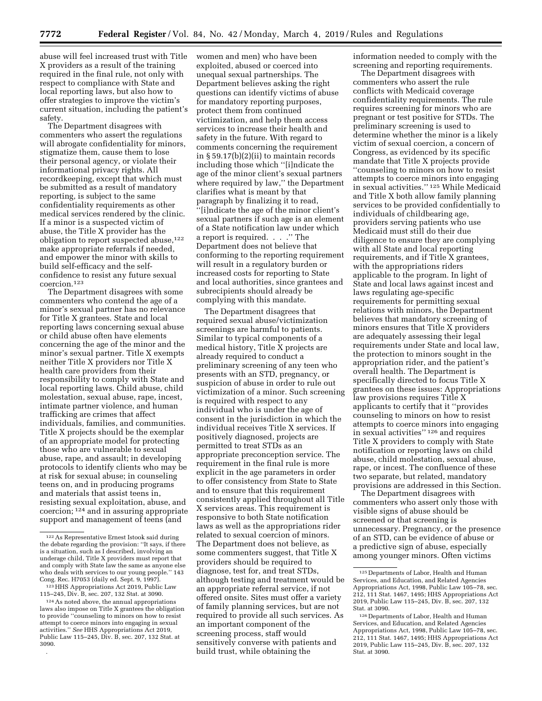abuse will feel increased trust with Title X providers as a result of the training required in the final rule, not only with respect to compliance with State and local reporting laws, but also how to offer strategies to improve the victim's current situation, including the patient's safety.

The Department disagrees with commenters who assert the regulations will abrogate confidentiality for minors, stigmatize them, cause them to lose their personal agency, or violate their informational privacy rights. All recordkeeping, except that which must be submitted as a result of mandatory reporting, is subject to the same confidentiality requirements as other medical services rendered by the clinic. If a minor is a suspected victim of abuse, the Title X provider has the obligation to report suspected abuse,122 make appropriate referrals if needed, and empower the minor with skills to build self-efficacy and the selfconfidence to resist any future sexual coercion.123

The Department disagrees with some commenters who contend the age of a minor's sexual partner has no relevance for Title X grantees. State and local reporting laws concerning sexual abuse or child abuse often have elements concerning the age of the minor and the minor's sexual partner. Title X exempts neither Title X providers nor Title X health care providers from their responsibility to comply with State and local reporting laws. Child abuse, child molestation, sexual abuse, rape, incest, intimate partner violence, and human trafficking are crimes that affect individuals, families, and communities. Title X projects should be the exemplar of an appropriate model for protecting those who are vulnerable to sexual abuse, rape, and assault; in developing protocols to identify clients who may be at risk for sexual abuse; in counseling teens on, and in producing programs and materials that assist teens in, resisting sexual exploitation, abuse, and coercion; 124 and in assuring appropriate support and management of teens (and

.

women and men) who have been exploited, abused or coerced into unequal sexual partnerships. The Department believes asking the right questions can identify victims of abuse for mandatory reporting purposes, protect them from continued victimization, and help them access services to increase their health and safety in the future. With regard to comments concerning the requirement in § 59.17(b)(2)(ii) to maintain records including those which ''[i]ndicate the age of the minor client's sexual partners where required by law,'' the Department clarifies what is meant by that paragraph by finalizing it to read, ''[i]ndicate the age of the minor client's sexual partners if such age is an element of a State notification law under which a report is required. . . .'' The Department does not believe that conforming to the reporting requirement will result in a regulatory burden or increased costs for reporting to State and local authorities, since grantees and subrecipients should already be complying with this mandate.

The Department disagrees that required sexual abuse/victimization screenings are harmful to patients. Similar to typical components of a medical history, Title X projects are already required to conduct a preliminary screening of any teen who presents with an STD, pregnancy, or suspicion of abuse in order to rule out victimization of a minor. Such screening is required with respect to any individual who is under the age of consent in the jurisdiction in which the individual receives Title X services. If positively diagnosed, projects are permitted to treat STDs as an appropriate preconception service. The requirement in the final rule is more explicit in the age parameters in order to offer consistency from State to State and to ensure that this requirement consistently applied throughout all Title X services areas. This requirement is responsive to both State notification laws as well as the appropriations rider related to sexual coercion of minors. The Department does not believe, as some commenters suggest, that Title X providers should be required to diagnose, test for, and treat STDs, although testing and treatment would be an appropriate referral service, if not offered onsite. Sites must offer a variety of family planning services, but are not required to provide all such services. As an important component of the screening process, staff would sensitively converse with patients and build trust, while obtaining the

information needed to comply with the screening and reporting requirements.

The Department disagrees with commenters who assert the rule conflicts with Medicaid coverage confidentiality requirements. The rule requires screening for minors who are pregnant or test positive for STDs. The preliminary screening is used to determine whether the minor is a likely victim of sexual coercion, a concern of Congress, as evidenced by its specific mandate that Title X projects provide ''counseling to minors on how to resist attempts to coerce minors into engaging in sexual activities.'' 125 While Medicaid and Title X both allow family planning services to be provided confidentially to individuals of childbearing age, providers serving patients who use Medicaid must still do their due diligence to ensure they are complying with all State and local reporting requirements, and if Title X grantees, with the appropriations riders applicable to the program. In light of State and local laws against incest and laws regulating age-specific requirements for permitting sexual relations with minors, the Department believes that mandatory screening of minors ensures that Title X providers are adequately assessing their legal requirements under State and local law, the protection to minors sought in the appropriation rider, and the patient's overall health. The Department is specifically directed to focus Title X grantees on these issues: Appropriations law provisions requires Title X applicants to certify that it ''provides counseling to minors on how to resist attempts to coerce minors into engaging in sexual activities'' 126 and requires Title X providers to comply with State notification or reporting laws on child abuse, child molestation, sexual abuse, rape, or incest. The confluence of these two separate, but related, mandatory provisions are addressed in this Section.

The Department disagrees with commenters who assert only those with visible signs of abuse should be screened or that screening is unnecessary. Pregnancy, or the presence of an STD, can be evidence of abuse or a predictive sign of abuse, especially among younger minors. Often victims

<sup>122</sup>As Representative Ernest Istook said during the debate regarding the provision: ''It says, if there is a situation, such as I described, involving an underage child, Title X providers must report that and comply with State law the same as anyone else who deals with services to our young people.'' 143 Cong. Rec. H7053 (daily ed. Sept. 9, 1997).

<sup>123</sup>HHS Appropriations Act 2019, Public Law 115–245, Div. B, sec. 207, 132 Stat. at 3090.

<sup>124</sup>As noted above, the annual appropriations laws also impose on Title X grantees the obligation to provide ''counseling to minors on how to resist attempt to coerce minors into engaging in sexual activities.'' *See* HHS Appropriations Act 2019, Public Law 115–245, Div. B, sec. 207, 132 Stat. at 3090.

<sup>125</sup> Departments of Labor, Health and Human Services, and Education, and Related Agencies Appropriations Act, 1998, Public Law 105–78, sec. 212, 111 Stat. 1467, 1495; HHS Appropriations Act 2019, Public Law 115–245, Div. B, sec. 207, 132 Stat. at 3090.

<sup>126</sup> Departments of Labor, Health and Human Services, and Education, and Related Agencies Appropriations Act, 1998, Public Law 105–78, sec. 212, 111 Stat. 1467, 1495; HHS Appropriations Act 2019, Public Law 115–245, Div. B, sec. 207, 132 Stat. at 3090.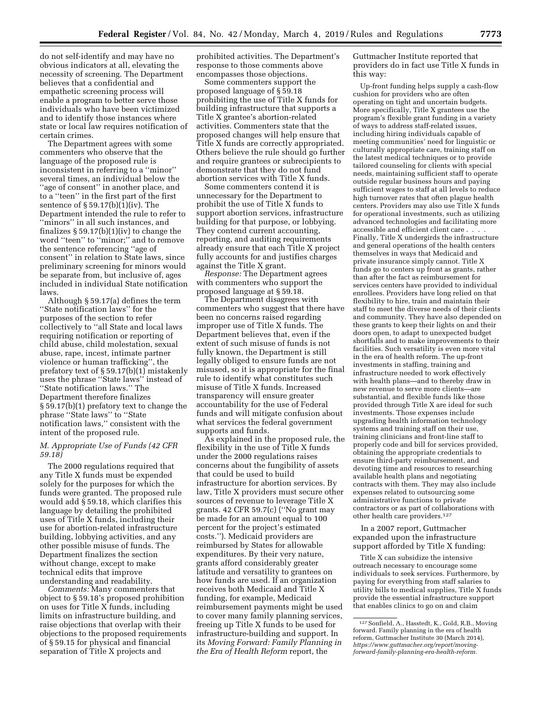do not self-identify and may have no obvious indicators at all, elevating the necessity of screening. The Department believes that a confidential and empathetic screening process will enable a program to better serve those individuals who have been victimized and to identify those instances where state or local law requires notification of certain crimes.

The Department agrees with some commenters who observe that the language of the proposed rule is inconsistent in referring to a ''minor'' several times, an individual below the "age of consent" in another place, and to a ''teen'' in the first part of the first sentence of  $\S 59.17(b)(1)(iv)$ . The Department intended the rule to refer to ''minors'' in all such instances, and finalizes  $\S 59.17(b)(1)(iv)$  to change the word ''teen'' to ''minor;'' and to remove the sentence referencing ''age of consent'' in relation to State laws, since preliminary screening for minors would be separate from, but inclusive of, ages included in individual State notification laws.

Although § 59.17(a) defines the term ''State notification laws'' for the purposes of the section to refer collectively to ''all State and local laws requiring notification or reporting of child abuse, child molestation, sexual abuse, rape, incest, intimate partner violence or human trafficking'', the prefatory text of § 59.17(b)(1) mistakenly uses the phrase ''State laws'' instead of ''State notification laws.'' The Department therefore finalizes § 59.17(b)(1) prefatory text to change the phrase ''State laws'' to ''State notification laws,'' consistent with the intent of the proposed rule.

## *M. Appropriate Use of Funds (42 CFR 59.18)*

The 2000 regulations required that any Title X funds must be expended solely for the purposes for which the funds were granted. The proposed rule would add § 59.18, which clarifies this language by detailing the prohibited uses of Title X funds, including their use for abortion-related infrastructure building, lobbying activities, and any other possible misuse of funds. The Department finalizes the section without change, except to make technical edits that improve understanding and readability.

*Comments:* Many commenters that object to § 59.18's proposed prohibition on uses for Title X funds, including limits on infrastructure building, and raise objections that overlap with their objections to the proposed requirements of § 59.15 for physical and financial separation of Title X projects and

prohibited activities. The Department's response to those comments above encompasses those objections.

Some commenters support the proposed language of § 59.18 prohibiting the use of Title X funds for building infrastructure that supports a Title X grantee's abortion-related activities. Commenters state that the proposed changes will help ensure that Title X funds are correctly appropriated. Others believe the rule should go further and require grantees or subrecipients to demonstrate that they do not fund abortion services with Title X funds.

Some commenters contend it is unnecessary for the Department to prohibit the use of Title X funds to support abortion services, infrastructure building for that purpose, or lobbying. They contend current accounting, reporting, and auditing requirements already ensure that each Title X project fully accounts for and justifies charges against the Title X grant.

*Response:* The Department agrees with commenters who support the proposed language at § 59.18.

The Department disagrees with commenters who suggest that there have been no concerns raised regarding improper use of Title X funds. The Department believes that, even if the extent of such misuse of funds is not fully known, the Department is still legally obliged to ensure funds are not misused, so it is appropriate for the final rule to identify what constitutes such misuse of Title X funds. Increased transparency will ensure greater accountability for the use of Federal funds and will mitigate confusion about what services the federal government supports and funds.

As explained in the proposed rule, the flexibility in the use of Title X funds under the 2000 regulations raises concerns about the fungibility of assets that could be used to build infrastructure for abortion services. By law, Title X providers must secure other sources of revenue to leverage Title X grants. 42 CFR 59.7(c) (''No grant may be made for an amount equal to 100 percent for the project's estimated costs.''). Medicaid providers are reimbursed by States for allowable expenditures. By their very nature, grants afford considerably greater latitude and versatility to grantees on how funds are used. If an organization receives both Medicaid and Title X funding, for example, Medicaid reimbursement payments might be used to cover many family planning services, freeing up Title X funds to be used for infrastructure-building and support. In its *Moving Forward: Family Planning in the Era of Health Reform* report, the

Guttmacher Institute reported that providers do in fact use Title X funds in this way:

Up-front funding helps supply a cash-flow cushion for providers who are often operating on tight and uncertain budgets. More specifically, Title X grantees use the program's flexible grant funding in a variety of ways to address staff-related issues, including hiring individuals capable of meeting communities' need for linguistic or culturally appropriate care, training staff on the latest medical techniques or to provide tailored counseling for clients with special needs, maintaining sufficient staff to operate outside regular business hours and paying sufficient wages to staff at all levels to reduce high turnover rates that often plague health centers. Providers may also use Title X funds for operational investments, such as utilizing advanced technologies and facilitating more accessible and efficient client care . . . . Finally, Title X undergirds the infrastructure and general operations of the health centers themselves in ways that Medicaid and private insurance simply cannot. Title X funds go to centers up front as grants, rather than after the fact as reimbursement for services centers have provided to individual enrollees. Providers have long relied on that flexibility to hire, train and maintain their staff to meet the diverse needs of their clients and community. They have also depended on these grants to keep their lights on and their doors open, to adapt to unexpected budget shortfalls and to make improvements to their facilities. Such versatility is even more vital in the era of health reform. The up-front investments in staffing, training and infrastructure needed to work effectively with health plans—and to thereby draw in new revenue to serve more clients—are substantial, and flexible funds like those provided through Title X are ideal for such investments. Those expenses include upgrading health information technology systems and training staff on their use, training clinicians and front-line staff to properly code and bill for services provided, obtaining the appropriate credentials to ensure third-party reimbursement, and devoting time and resources to researching available health plans and negotiating contracts with them. They may also include expenses related to outsourcing some administrative functions to private contractors or as part of collaborations with other health care providers.127

In a 2007 report, Guttmacher expanded upon the infrastructure support afforded by Title X funding:

Title X can subsidize the intensive outreach necessary to encourage some individuals to seek services. Furthermore, by paying for everything from staff salaries to utility bills to medical supplies, Title X funds provide the essential infrastructure support that enables clinics to go on and claim

<sup>127</sup>Sonfield, A., Hasstedt, K., Gold, R.B., Moving forward. Family planning in the era of health reform, Guttmacher Institute 30 (March 2014), *https://www.guttmacher.org/report/movingforward-family-planning-era-health-reform.*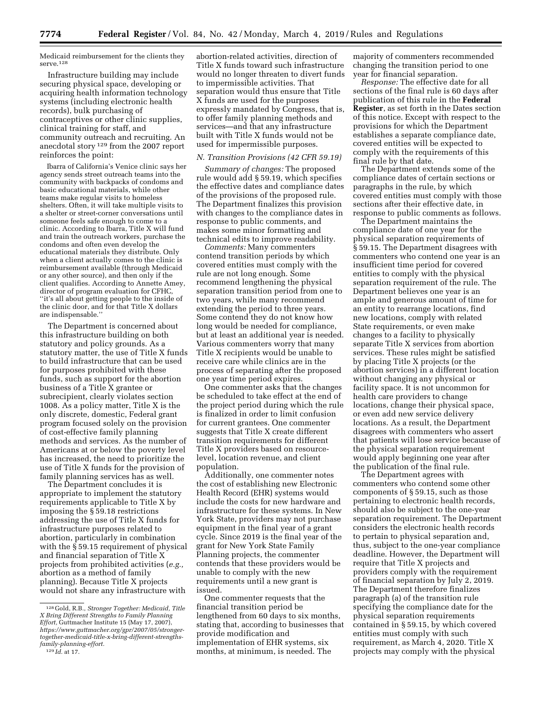Medicaid reimbursement for the clients they serve.128

Infrastructure building may include securing physical space, developing or acquiring health information technology systems (including electronic health records), bulk purchasing of contraceptives or other clinic supplies, clinical training for staff, and community outreach and recruiting. An anecdotal story 129 from the 2007 report reinforces the point:

Ibarra of California's Venice clinic says her agency sends street outreach teams into the community with backpacks of condoms and basic educational materials, while other teams make regular visits to homeless shelters. Often, it will take multiple visits to a shelter or street-corner conversations until someone feels safe enough to come to a clinic. According to Ibarra, Title X will fund and train the outreach workers, purchase the condoms and often even develop the educational materials they distribute. Only when a client actually comes to the clinic is reimbursement available (through Medicaid or any other source), and then only if the client qualifies. According to Annette Amey, director of program evaluation for CFHC, ''it's all about getting people to the inside of the clinic door, and for that Title X dollars are indispensable.''

The Department is concerned about this infrastructure building on both statutory and policy grounds. As a statutory matter, the use of Title X funds to build infrastructure that can be used for purposes prohibited with these funds, such as support for the abortion business of a Title X grantee or subrecipient, clearly violates section 1008. As a policy matter, Title X is the only discrete, domestic, Federal grant program focused solely on the provision of cost-effective family planning methods and services. As the number of Americans at or below the poverty level has increased, the need to prioritize the use of Title X funds for the provision of family planning services has as well.

The Department concludes it is appropriate to implement the statutory requirements applicable to Title X by imposing the § 59.18 restrictions addressing the use of Title X funds for infrastructure purposes related to abortion, particularly in combination with the § 59.15 requirement of physical and financial separation of Title X projects from prohibited activities (*e.g.,*  abortion as a method of family planning). Because Title X projects would not share any infrastructure with

abortion-related activities, direction of Title X funds toward such infrastructure would no longer threaten to divert funds to impermissible activities. That separation would thus ensure that Title X funds are used for the purposes expressly mandated by Congress, that is, to offer family planning methods and services—and that any infrastructure built with Title X funds would not be used for impermissible purposes.

#### *N. Transition Provisions (42 CFR 59.19)*

*Summary of changes:* The proposed rule would add § 59.19, which specifies the effective dates and compliance dates of the provisions of the proposed rule. The Department finalizes this provision with changes to the compliance dates in response to public comments, and makes some minor formatting and technical edits to improve readability.

*Comments:* Many commenters contend transition periods by which covered entities must comply with the rule are not long enough. Some recommend lengthening the physical separation transition period from one to two years, while many recommend extending the period to three years. Some contend they do not know how long would be needed for compliance, but at least an additional year is needed. Various commenters worry that many Title X recipients would be unable to receive care while clinics are in the process of separating after the proposed one year time period expires.

One commenter asks that the changes be scheduled to take effect at the end of the project period during which the rule is finalized in order to limit confusion for current grantees. One commenter suggests that Title X create different transition requirements for different Title X providers based on resourcelevel, location revenue, and client population.

Additionally, one commenter notes the cost of establishing new Electronic Health Record (EHR) systems would include the costs for new hardware and infrastructure for these systems. In New York State, providers may not purchase equipment in the final year of a grant cycle. Since 2019 is the final year of the grant for New York State Family Planning projects, the commenter contends that these providers would be unable to comply with the new requirements until a new grant is issued.

One commenter requests that the financial transition period be lengthened from 60 days to six months, stating that, according to businesses that provide modification and implementation of EHR systems, six months, at minimum, is needed. The

majority of commenters recommended changing the transition period to one year for financial separation.

*Response:* The effective date for all sections of the final rule is 60 days after publication of this rule in the **Federal Register**, as set forth in the Dates section of this notice. Except with respect to the provisions for which the Department establishes a separate compliance date, covered entities will be expected to comply with the requirements of this final rule by that date.

The Department extends some of the compliance dates of certain sections or paragraphs in the rule, by which covered entities must comply with those sections after their effective date, in response to public comments as follows.

The Department maintains the compliance date of one year for the physical separation requirements of § 59.15. The Department disagrees with commenters who contend one year is an insufficient time period for covered entities to comply with the physical separation requirement of the rule. The Department believes one year is an ample and generous amount of time for an entity to rearrange locations, find new locations, comply with related State requirements, or even make changes to a facility to physically separate Title X services from abortion services. These rules might be satisfied by placing Title X projects (or the abortion services) in a different location without changing any physical or facility space. It is not uncommon for health care providers to change locations, change their physical space, or even add new service delivery locations. As a result, the Department disagrees with commenters who assert that patients will lose service because of the physical separation requirement would apply beginning one year after the publication of the final rule.

The Department agrees with commenters who contend some other components of § 59.15, such as those pertaining to electronic health records, should also be subject to the one-year separation requirement. The Department considers the electronic health records to pertain to physical separation and, thus, subject to the one-year compliance deadline. However, the Department will require that Title X projects and providers comply with the requirement of financial separation by July 2, 2019. The Department therefore finalizes paragraph (a) of the transition rule specifying the compliance date for the physical separation requirements contained in § 59.15, by which covered entities must comply with such requirement, as March 4, 2020. Title X projects may comply with the physical

<sup>128</sup> Gold, R.B., *Stronger Together: Medicaid, Title X Bring Different Strengths to Family Planning Effort,* Guttmacher Institute 15 (May 17, 2007), *https://www.guttmacher.org/gpr/2007/05/strongertogether-medicaid-title-x-bring-different-strengthsfamily-planning-effort.* 

<sup>129</sup> *Id.* at 17.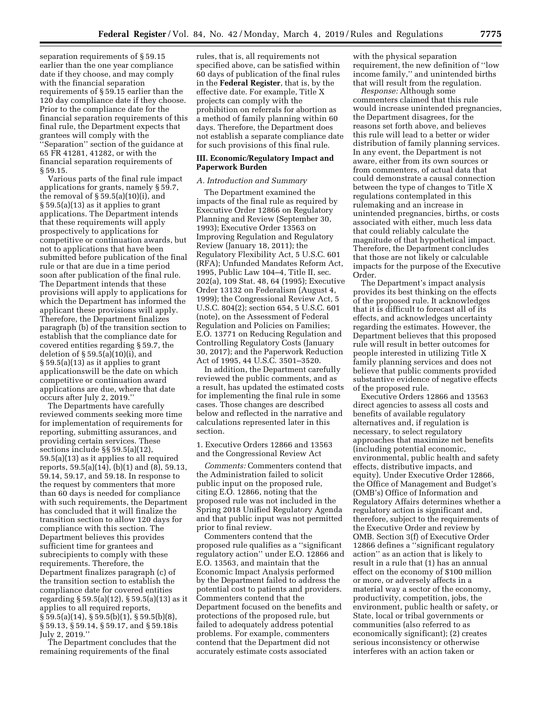separation requirements of § 59.15 earlier than the one year compliance date if they choose, and may comply with the financial separation requirements of § 59.15 earlier than the 120 day compliance date if they choose. Prior to the compliance date for the financial separation requirements of this final rule, the Department expects that grantees will comply with the ''Separation'' section of the guidance at 65 FR 41281, 41282, or with the financial separation requirements of § 59.15.

Various parts of the final rule impact applications for grants, namely § 59.7, the removal of  $\S 59.5(a)(10)(i)$ , and § 59.5(a)(13) as it applies to grant applications. The Department intends that these requirements will apply prospectively to applications for competitive or continuation awards, but not to applications that have been submitted before publication of the final rule or that are due in a time period soon after publication of the final rule. The Department intends that these provisions will apply to applications for which the Department has informed the applicant these provisions will apply. Therefore, the Department finalizes paragraph (b) of the transition section to establish that the compliance date for covered entities regarding § 59.7, the deletion of § 59.5(a)(10)(i), and § 59.5(a)(13) as it applies to grant applicationswill be the date on which competitive or continuation award applications are due, where that date occurs after July 2, 2019.''

The Departments have carefully reviewed comments seeking more time for implementation of requirements for reporting, submitting assurances, and providing certain services. These sections include §§ 59.5(a)(12), 59.5(a)(13) as it applies to all required reports, 59.5(a)(14), (b)(1) and (8), 59.13, 59.14, 59.17, and 59.18. In response to the request by commenters that more than 60 days is needed for compliance with such requirements, the Department has concluded that it will finalize the transition section to allow 120 days for compliance with this section. The Department believes this provides sufficient time for grantees and subrecipients to comply with these requirements. Therefore, the Department finalizes paragraph (c) of the transition section to establish the compliance date for covered entities regarding § 59.5(a)(12), § 59.5(a)(13) as it applies to all required reports, § 59.5(a)(14), § 59.5(b)(1), § 59.5(b)(8), § 59.13, § 59.14, § 59.17, and § 59.18is July 2, 2019.''

The Department concludes that the remaining requirements of the final

rules, that is, all requirements not specified above, can be satisfied within 60 days of publication of the final rules in the **Federal Register**, that is, by the effective date. For example, Title X projects can comply with the prohibition on referrals for abortion as a method of family planning within 60 days. Therefore, the Department does not establish a separate compliance date for such provisions of this final rule.

## **III. Economic/Regulatory Impact and Paperwork Burden**

#### *A. Introduction and Summary*

The Department examined the impacts of the final rule as required by Executive Order 12866 on Regulatory Planning and Review (September 30, 1993); Executive Order 13563 on Improving Regulation and Regulatory Review (January 18, 2011); the Regulatory Flexibility Act, 5 U.S.C. 601 (RFA); Unfunded Mandates Reform Act, 1995, Public Law 104–4, Title II, sec. 202(a), 109 Stat. 48, 64 (1995); Executive Order 13132 on Federalism (August 4, 1999); the Congressional Review Act, 5 U.S.C. 804(2); section 654, 5 U.S.C. 601 (note), on the Assessment of Federal Regulation and Policies on Families; E.O. 13771 on Reducing Regulation and Controlling Regulatory Costs (January 30, 2017); and the Paperwork Reduction Act of 1995, 44 U.S.C. 3501–3520.

In addition, the Department carefully reviewed the public comments, and as a result, has updated the estimated costs for implementing the final rule in some cases. Those changes are described below and reflected in the narrative and calculations represented later in this section.

## 1. Executive Orders 12866 and 13563 and the Congressional Review Act

*Comments:* Commenters contend that the Administration failed to solicit public input on the proposed rule, citing E.O. 12866, noting that the proposed rule was not included in the Spring 2018 Unified Regulatory Agenda and that public input was not permitted prior to final review.

Commenters contend that the proposed rule qualifies as a ''significant regulatory action'' under E.O. 12866 and E.O. 13563, and maintain that the Economic Impact Analysis performed by the Department failed to address the potential cost to patients and providers. Commenters contend that the Department focused on the benefits and protections of the proposed rule, but failed to adequately address potential problems. For example, commenters contend that the Department did not accurately estimate costs associated

with the physical separation requirement, the new definition of ''low income family,'' and unintended births that will result from the regulation.

*Response:* Although some commenters claimed that this rule would increase unintended pregnancies, the Department disagrees, for the reasons set forth above, and believes this rule will lead to a better or wider distribution of family planning services. In any event, the Department is not aware, either from its own sources or from commenters, of actual data that could demonstrate a causal connection between the type of changes to Title X regulations contemplated in this rulemaking and an increase in unintended pregnancies, births, or costs associated with either, much less data that could reliably calculate the magnitude of that hypothetical impact. Therefore, the Department concludes that those are not likely or calculable impacts for the purpose of the Executive Order.

The Department's impact analysis provides its best thinking on the effects of the proposed rule. It acknowledges that it is difficult to forecast all of its effects, and acknowledges uncertainty regarding the estimates. However, the Department believes that this proposed rule will result in better outcomes for people interested in utilizing Title X family planning services and does not believe that public comments provided substantive evidence of negative effects of the proposed rule.

Executive Orders 12866 and 13563 direct agencies to assess all costs and benefits of available regulatory alternatives and, if regulation is necessary, to select regulatory approaches that maximize net benefits (including potential economic, environmental, public health and safety effects, distributive impacts, and equity). Under Executive Order 12866, the Office of Management and Budget's (OMB's) Office of Information and Regulatory Affairs determines whether a regulatory action is significant and, therefore, subject to the requirements of the Executive Order and review by OMB. Section 3(f) of Executive Order 12866 defines a ''significant regulatory action'' as an action that is likely to result in a rule that (1) has an annual effect on the economy of \$100 million or more, or adversely affects in a material way a sector of the economy, productivity, competition, jobs, the environment, public health or safety, or State, local or tribal governments or communities (also referred to as economically significant); (2) creates serious inconsistency or otherwise interferes with an action taken or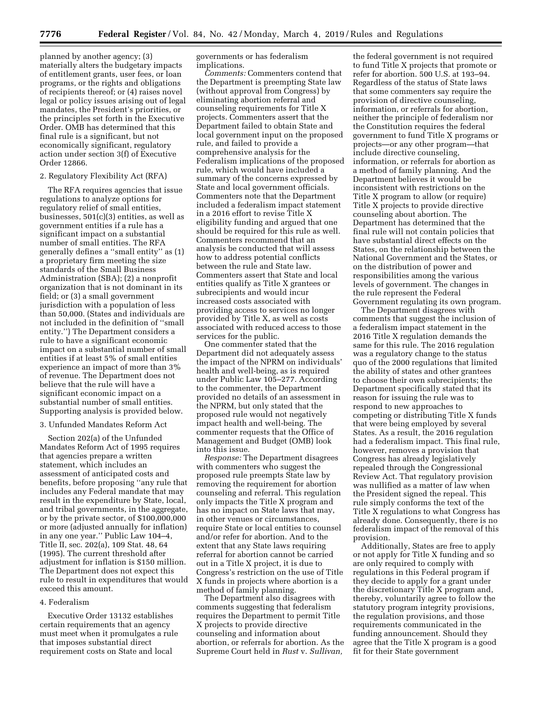planned by another agency; (3) materially alters the budgetary impacts of entitlement grants, user fees, or loan programs, or the rights and obligations of recipients thereof; or (4) raises novel legal or policy issues arising out of legal mandates, the President's priorities, or the principles set forth in the Executive Order. OMB has determined that this final rule is a significant, but not economically significant, regulatory action under section 3(f) of Executive Order 12866.

### 2. Regulatory Flexibility Act (RFA)

The RFA requires agencies that issue regulations to analyze options for regulatory relief of small entities, businesses, 501(c)(3) entities, as well as government entities if a rule has a significant impact on a substantial number of small entities. The RFA generally defines a ''small entity'' as (1) a proprietary firm meeting the size standards of the Small Business Administration (SBA); (2) a nonprofit organization that is not dominant in its field; or (3) a small government jurisdiction with a population of less than 50,000. (States and individuals are not included in the definition of ''small entity.'') The Department considers a rule to have a significant economic impact on a substantial number of small entities if at least 5% of small entities experience an impact of more than 3% of revenue. The Department does not believe that the rule will have a significant economic impact on a substantial number of small entities. Supporting analysis is provided below.

### 3. Unfunded Mandates Reform Act

Section 202(a) of the Unfunded Mandates Reform Act of 1995 requires that agencies prepare a written statement, which includes an assessment of anticipated costs and benefits, before proposing ''any rule that includes any Federal mandate that may result in the expenditure by State, local, and tribal governments, in the aggregate, or by the private sector, of \$100,000,000 or more (adjusted annually for inflation) in any one year.'' Public Law 104–4, Title II, sec. 202(a), 109 Stat. 48, 64 (1995). The current threshold after adjustment for inflation is \$150 million. The Department does not expect this rule to result in expenditures that would exceed this amount.

## 4. Federalism

Executive Order 13132 establishes certain requirements that an agency must meet when it promulgates a rule that imposes substantial direct requirement costs on State and local

governments or has federalism implications.

*Comments:* Commenters contend that the Department is preempting State law (without approval from Congress) by eliminating abortion referral and counseling requirements for Title X projects. Commenters assert that the Department failed to obtain State and local government input on the proposed rule, and failed to provide a comprehensive analysis for the Federalism implications of the proposed rule, which would have included a summary of the concerns expressed by State and local government officials. Commenters note that the Department included a federalism impact statement in a 2016 effort to revise Title X eligibility funding and argued that one should be required for this rule as well. Commenters recommend that an analysis be conducted that will assess how to address potential conflicts between the rule and State law. Commenters assert that State and local entities qualify as Title X grantees or subrecipients and would incur increased costs associated with providing access to services no longer provided by Title X, as well as costs associated with reduced access to those services for the public.

One commenter stated that the Department did not adequately assess the impact of the NPRM on individuals' health and well-being, as is required under Public Law 105–277. According to the commenter, the Department provided no details of an assessment in the NPRM, but only stated that the proposed rule would not negatively impact health and well-being. The commenter requests that the Office of Management and Budget (OMB) look into this issue.

*Response:* The Department disagrees with commenters who suggest the proposed rule preempts State law by removing the requirement for abortion counseling and referral. This regulation only impacts the Title X program and has no impact on State laws that may, in other venues or circumstances, require State or local entities to counsel and/or refer for abortion. And to the extent that any State laws requiring referral for abortion cannot be carried out in a Title X project, it is due to Congress's restriction on the use of Title X funds in projects where abortion is a method of family planning.

The Department also disagrees with comments suggesting that federalism requires the Department to permit Title X projects to provide directive counseling and information about abortion, or referrals for abortion. As the Supreme Court held in *Rust* v. *Sullivan,* 

the federal government is not required to fund Title X projects that promote or refer for abortion. 500 U.S. at 193–94. Regardless of the status of State laws that some commenters say require the provision of directive counseling, information, or referrals for abortion, neither the principle of federalism nor the Constitution requires the federal government to fund Title X programs or projects—or any other program—that include directive counseling, information, or referrals for abortion as a method of family planning. And the Department believes it would be inconsistent with restrictions on the Title X program to allow (or require) Title X projects to provide directive counseling about abortion. The Department has determined that the final rule will not contain policies that have substantial direct effects on the States, on the relationship between the National Government and the States, or on the distribution of power and responsibilities among the various levels of government. The changes in the rule represent the Federal Government regulating its own program.

The Department disagrees with comments that suggest the inclusion of a federalism impact statement in the 2016 Title X regulation demands the same for this rule. The 2016 regulation was a regulatory change to the status quo of the 2000 regulations that limited the ability of states and other grantees to choose their own subrecipients; the Department specifically stated that its reason for issuing the rule was to respond to new approaches to competing or distributing Title X funds that were being employed by several States. As a result, the 2016 regulation had a federalism impact. This final rule, however, removes a provision that Congress has already legislatively repealed through the Congressional Review Act. That regulatory provision was nullified as a matter of law when the President signed the repeal. This rule simply conforms the text of the Title X regulations to what Congress has already done. Consequently, there is no federalism impact of the removal of this provision.

Additionally, States are free to apply or not apply for Title X funding and so are only required to comply with regulations in this Federal program if they decide to apply for a grant under the discretionary Title X program and, thereby, voluntarily agree to follow the statutory program integrity provisions, the regulation provisions, and those requirements communicated in the funding announcement. Should they agree that the Title X program is a good fit for their State government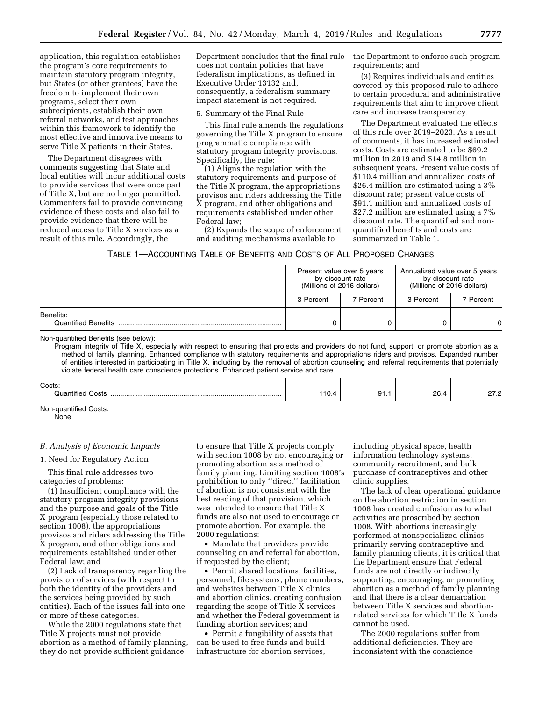application, this regulation establishes the program's core requirements to maintain statutory program integrity, but States (or other grantees) have the freedom to implement their own programs, select their own subrecipients, establish their own referral networks, and test approaches within this framework to identify the most effective and innovative means to serve Title X patients in their States.

The Department disagrees with comments suggesting that State and local entities will incur additional costs to provide services that were once part of Title X, but are no longer permitted. Commenters fail to provide convincing evidence of these costs and also fail to provide evidence that there will be reduced access to Title X services as a result of this rule. Accordingly, the

Department concludes that the final rule does not contain policies that have federalism implications, as defined in Executive Order 13132 and, consequently, a federalism summary impact statement is not required.

5. Summary of the Final Rule

This final rule amends the regulations governing the Title X program to ensure programmatic compliance with statutory program integrity provisions. Specifically, the rule:

(1) Aligns the regulation with the statutory requirements and purpose of the Title X program, the appropriations provisos and riders addressing the Title X program, and other obligations and requirements established under other Federal law;

(2) Expands the scope of enforcement and auditing mechanisms available to

the Department to enforce such program requirements; and

(3) Requires individuals and entities covered by this proposed rule to adhere to certain procedural and administrative requirements that aim to improve client care and increase transparency.

The Department evaluated the effects of this rule over 2019–2023. As a result of comments, it has increased estimated costs. Costs are estimated to be \$69.2 million in 2019 and \$14.8 million in subsequent years. Present value costs of \$110.4 million and annualized costs of \$26.4 million are estimated using a 3% discount rate; present value costs of \$91.1 million and annualized costs of \$27.2 million are estimated using a 7% discount rate. The quantified and nonquantified benefits and costs are summarized in Table 1.

| TABLE 1—ACCOUNTING TABLE OF BENEFITS AND COSTS OF ALL PROPOSED CHANGES |  |  |  |
|------------------------------------------------------------------------|--|--|--|
|------------------------------------------------------------------------|--|--|--|

|                                         | Present value over 5 years<br>by discount rate<br>(Millions of 2016 dollars) |           | Annualized value over 5 years<br>by discount rate<br>(Millions of 2016 dollars) |           |
|-----------------------------------------|------------------------------------------------------------------------------|-----------|---------------------------------------------------------------------------------|-----------|
|                                         | 3 Percent                                                                    | 7 Percent | 3 Percent                                                                       | 7 Percent |
| Benefits:<br><b>Quantified Benefits</b> |                                                                              |           |                                                                                 | 0         |

Non-quantified Benefits (see below):

Program integrity of Title X, especially with respect to ensuring that projects and providers do not fund, support, or promote abortion as a method of family planning. Enhanced compliance with statutory requirements and appropriations riders and provisos. Expanded number of entities interested in participating in Title X, including by the removal of abortion counseling and referral requirements that potentially violate federal health care conscience protections. Enhanced patient service and care.

| Costs:<br><b>Quantified Costs</b> | 110.4 | 91.1 | 26.4 | 27 D<br>ے. اے |
|-----------------------------------|-------|------|------|---------------|
| Non-quantified Costs:<br>None     |       |      |      |               |

# *B. Analysis of Economic Impacts*

#### 1. Need for Regulatory Action

This final rule addresses two categories of problems:

(1) Insufficient compliance with the statutory program integrity provisions and the purpose and goals of the Title X program (especially those related to section 1008), the appropriations provisos and riders addressing the Title X program, and other obligations and requirements established under other Federal law; and

(2) Lack of transparency regarding the provision of services (with respect to both the identity of the providers and the services being provided by such entities). Each of the issues fall into one or more of these categories.

While the 2000 regulations state that Title X projects must not provide abortion as a method of family planning, they do not provide sufficient guidance

to ensure that Title X projects comply with section 1008 by not encouraging or promoting abortion as a method of family planning. Limiting section 1008's prohibition to only ''direct'' facilitation of abortion is not consistent with the best reading of that provision, which was intended to ensure that Title X funds are also not used to encourage or promote abortion. For example, the 2000 regulations:

• Mandate that providers provide counseling on and referral for abortion, if requested by the client;

• Permit shared locations, facilities, personnel, file systems, phone numbers, and websites between Title X clinics and abortion clinics, creating confusion regarding the scope of Title X services and whether the Federal government is funding abortion services; and

• Permit a fungibility of assets that can be used to free funds and build infrastructure for abortion services,

including physical space, health information technology systems, community recruitment, and bulk purchase of contraceptives and other clinic supplies.

The lack of clear operational guidance on the abortion restriction in section 1008 has created confusion as to what activities are proscribed by section 1008. With abortions increasingly performed at nonspecialized clinics primarily serving contraceptive and family planning clients, it is critical that the Department ensure that Federal funds are not directly or indirectly supporting, encouraging, or promoting abortion as a method of family planning and that there is a clear demarcation between Title X services and abortionrelated services for which Title X funds cannot be used.

The 2000 regulations suffer from additional deficiencies. They are inconsistent with the conscience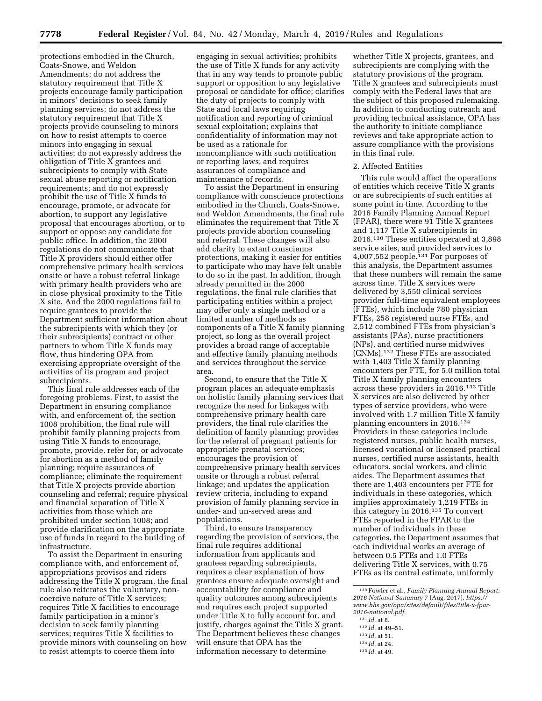protections embodied in the Church, Coats-Snowe, and Weldon Amendments; do not address the statutory requirement that Title X projects encourage family participation in minors' decisions to seek family planning services; do not address the statutory requirement that Title X projects provide counseling to minors on how to resist attempts to coerce minors into engaging in sexual activities; do not expressly address the obligation of Title X grantees and subrecipients to comply with State sexual abuse reporting or notification requirements; and do not expressly prohibit the use of Title X funds to encourage, promote, or advocate for abortion, to support any legislative proposal that encourages abortion, or to support or oppose any candidate for public office. In addition, the 2000 regulations do not communicate that Title X providers should either offer comprehensive primary health services onsite or have a robust referral linkage with primary health providers who are in close physical proximity to the Title X site. And the 2000 regulations fail to require grantees to provide the Department sufficient information about the subrecipients with which they (or their subrecipients) contract or other partners to whom Title X funds may flow, thus hindering OPA from exercising appropriate oversight of the activities of its program and project subrecipients.

This final rule addresses each of the foregoing problems. First, to assist the Department in ensuring compliance with, and enforcement of, the section 1008 prohibition, the final rule will prohibit family planning projects from using Title X funds to encourage, promote, provide, refer for, or advocate for abortion as a method of family planning; require assurances of compliance; eliminate the requirement that Title X projects provide abortion counseling and referral; require physical and financial separation of Title X activities from those which are prohibited under section 1008; and provide clarification on the appropriate use of funds in regard to the building of infrastructure.

To assist the Department in ensuring compliance with, and enforcement of, appropriations provisos and riders addressing the Title X program, the final rule also reiterates the voluntary, noncoercive nature of Title X services; requires Title X facilities to encourage family participation in a minor's decision to seek family planning services; requires Title X facilities to provide minors with counseling on how to resist attempts to coerce them into

engaging in sexual activities; prohibits the use of Title X funds for any activity that in any way tends to promote public support or opposition to any legislative proposal or candidate for office; clarifies the duty of projects to comply with State and local laws requiring notification and reporting of criminal sexual exploitation; explains that confidentiality of information may not be used as a rationale for noncompliance with such notification or reporting laws; and requires assurances of compliance and maintenance of records.

To assist the Department in ensuring compliance with conscience protections embodied in the Church, Coats-Snowe, and Weldon Amendments, the final rule eliminates the requirement that Title X projects provide abortion counseling and referral. These changes will also add clarity to extant conscience protections, making it easier for entities to participate who may have felt unable to do so in the past. In addition, though already permitted in the 2000 regulations, the final rule clarifies that participating entities within a project may offer only a single method or a limited number of methods as components of a Title X family planning project, so long as the overall project provides a broad range of acceptable and effective family planning methods and services throughout the service area.

Second, to ensure that the Title X program places an adequate emphasis on holistic family planning services that recognize the need for linkages with comprehensive primary health care providers, the final rule clarifies the definition of family planning; provides for the referral of pregnant patients for appropriate prenatal services; encourages the provision of comprehensive primary health services onsite or through a robust referral linkage; and updates the application review criteria, including to expand provision of family planning service in under- and un-served areas and populations.

Third, to ensure transparency regarding the provision of services, the final rule requires additional information from applicants and grantees regarding subrecipients, requires a clear explanation of how grantees ensure adequate oversight and accountability for compliance and quality outcomes among subrecipients and requires each project supported under Title X to fully account for, and justify, charges against the Title X grant. The Department believes these changes will ensure that OPA has the information necessary to determine

whether Title X projects, grantees, and subrecipients are complying with the statutory provisions of the program. Title X grantees and subrecipients must comply with the Federal laws that are the subject of this proposed rulemaking. In addition to conducting outreach and providing technical assistance, OPA has the authority to initiate compliance reviews and take appropriate action to assure compliance with the provisions in this final rule.

## 2. Affected Entities

This rule would affect the operations of entities which receive Title X grants or are subrecipients of such entities at some point in time. According to the 2016 Family Planning Annual Report (FPAR), there were 91 Title X grantees and 1,117 Title X subrecipients in 2016.130 These entities operated at 3,898 service sites, and provided services to 4,007,552 people.131 For purposes of this analysis, the Department assumes that these numbers will remain the same across time. Title X services were delivered by 3,550 clinical services provider full-time equivalent employees (FTEs), which include 780 physician FTEs, 258 registered nurse FTEs, and 2,512 combined FTEs from physician's assistants (PAs), nurse practitioners (NPs), and certified nurse midwives (CNMs).132 These FTEs are associated with 1,403 Title X family planning encounters per FTE, for 5.0 million total Title X family planning encounters across these providers in 2016.133 Title X services are also delivered by other types of service providers, who were involved with 1.7 million Title X family planning encounters in 2016.134 Providers in these categories include registered nurses, public health nurses, licensed vocational or licensed practical nurses, certified nurse assistants, health educators, social workers, and clinic aides. The Department assumes that there are 1,403 encounters per FTE for individuals in these categories, which implies approximately 1,219 FTEs in this category in 2016.135 To convert FTEs reported in the FPAR to the number of individuals in these categories, the Department assumes that each individual works an average of between 0.5 FTEs and 1.0 FTEs delivering Title X services, with 0.75 FTEs as its central estimate, uniformly

130Fowler et al., *Family Planning Annual Report: 2016 National Summary* 7 (Aug. 2017), *https:// www.hhs.gov/opa/sites/default/files/title-x-fpar-2016-national.pdf.* 

- 131 *Id.* at 8.
- 132 *Id.* at 49–51.
- 133 *Id.* at 51.
- 134 *Id.* at 24.
- 135 *Id.* at 49.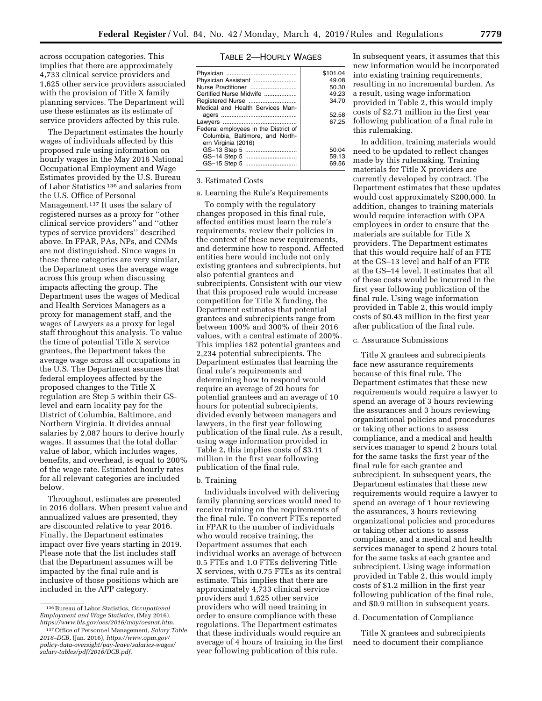across occupation categories. This implies that there are approximately 4,733 clinical service providers and 1,625 other service providers associated with the provision of Title X family planning services. The Department will use these estimates as its estimate of service providers affected by this rule.

The Department estimates the hourly wages of individuals affected by this proposed rule using information on hourly wages in the May 2016 National Occupational Employment and Wage Estimates provided by the U.S. Bureau of Labor Statistics 136 and salaries from the U.S. Office of Personal Management.137 It uses the salary of registered nurses as a proxy for ''other clinical service providers'' and ''other types of service providers'' described above. In FPAR, PAs, NPs, and CNMs are not distinguished. Since wages in these three categories are very similar, the Department uses the average wage across this group when discussing impacts affecting the group. The Department uses the wages of Medical and Health Services Managers as a proxy for management staff, and the wages of Lawyers as a proxy for legal staff throughout this analysis. To value the time of potential Title X service grantees, the Department takes the average wage across all occupations in the U.S. The Department assumes that federal employees affected by the proposed changes to the Title X regulation are Step 5 within their GSlevel and earn locality pay for the District of Columbia, Baltimore, and Northern Virginia. It divides annual salaries by 2,087 hours to derive hourly wages. It assumes that the total dollar value of labor, which includes wages, benefits, and overhead, is equal to 200% of the wage rate. Estimated hourly rates for all relevant categories are included below.

Throughout, estimates are presented in 2016 dollars. When present value and annualized values are presented, they are discounted relative to year 2016. Finally, the Department estimates impact over five years starting in 2019. Please note that the list includes staff that the Department assumes will be impacted by the final rule and is inclusive of those positions which are included in the APP category.

# TABLE 2—HOURLY WAGES

|                                      | \$101.04 |
|--------------------------------------|----------|
| Physician Assistant                  | 49.08    |
| Nurse Practitioner                   | 50.30    |
| Certified Nurse Midwife              | 49.23    |
| Registered Nurse                     | 34.70    |
| Medical and Health Services Man-     |          |
|                                      | 52.58    |
|                                      | 67.25    |
| Federal employees in the District of |          |
| Columbia, Baltimore, and North-      |          |
| ern Virginia (2016)                  |          |
|                                      | 50.04    |
| GS-14 Step 5                         | 59.13    |
| GS-15 Step 5                         | 69.56    |
|                                      |          |

# 3. Estimated Costs

## a. Learning the Rule's Requirements

To comply with the regulatory changes proposed in this final rule, affected entities must learn the rule's requirements, review their policies in the context of these new requirements, and determine how to respond. Affected entities here would include not only existing grantees and subrecipients, but also potential grantees and subrecipients. Consistent with our view that this proposed rule would increase competition for Title X funding, the Department estimates that potential grantees and subrecipients range from between 100% and 300% of their 2016 values, with a central estimate of 200%. This implies 182 potential grantees and 2,234 potential subrecipients. The Department estimates that learning the final rule's requirements and determining how to respond would require an average of 20 hours for potential grantees and an average of 10 hours for potential subrecipients, divided evenly between managers and lawyers, in the first year following publication of the final rule. As a result, using wage information provided in Table 2, this implies costs of \$3.11 million in the first year following publication of the final rule.

# b. Training

Individuals involved with delivering family planning services would need to receive training on the requirements of the final rule. To convert FTEs reported in FPAR to the number of individuals who would receive training, the Department assumes that each individual works an average of between 0.5 FTEs and 1.0 FTEs delivering Title X services, with 0.75 FTEs as its central estimate. This implies that there are approximately 4,733 clinical service providers and 1,625 other service providers who will need training in order to ensure compliance with these regulations. The Department estimates that these individuals would require an average of 4 hours of training in the first year following publication of this rule.

In subsequent years, it assumes that this new information would be incorporated into existing training requirements, resulting in no incremental burden. As a result, using wage information provided in Table 2, this would imply costs of \$2.71 million in the first year following publication of a final rule in this rulemaking.

In addition, training materials would need to be updated to reflect changes made by this rulemaking. Training materials for Title X providers are currently developed by contract. The Department estimates that these updates would cost approximately \$200,000. In addition, changes to training materials would require interaction with OPA employees in order to ensure that the materials are suitable for Title X providers. The Department estimates that this would require half of an FTE at the GS–13 level and half of an FTE at the GS–14 level. It estimates that all of these costs would be incurred in the first year following publication of the final rule. Using wage information provided in Table 2, this would imply costs of \$0.43 million in the first year after publication of the final rule.

#### c. Assurance Submissions

Title X grantees and subrecipients face new assurance requirements because of this final rule. The Department estimates that these new requirements would require a lawyer to spend an average of 3 hours reviewing the assurances and 3 hours reviewing organizational policies and procedures or taking other actions to assess compliance, and a medical and health services manager to spend 2 hours total for the same tasks the first year of the final rule for each grantee and subrecipient. In subsequent years, the Department estimates that these new requirements would require a lawyer to spend an average of 1 hour reviewing the assurances, 3 hours reviewing organizational policies and procedures or taking other actions to assess compliance, and a medical and health services manager to spend 2 hours total for the same tasks at each grantee and subrecipient. Using wage information provided in Table 2, this would imply costs of \$1.2 million in the first year following publication of the final rule, and \$0.9 million in subsequent years.

#### d. Documentation of Compliance

Title X grantees and subrecipients need to document their compliance

<sup>136</sup>Bureau of Labor Statistics, *Occupational Employment and Wage Statistics,* (May 2016), *https://www.bls.gov/oes/2016/may/oesnat.htm.* 

<sup>137</sup>Office of Personnel Management, *Salary Table 2016–DCB,* (Jan. 2016), *https://www.opm.gov/ policy-data-oversight/pay-leave/salaries-wages/ salary-tables/pdf/2016/DCB.pdf.*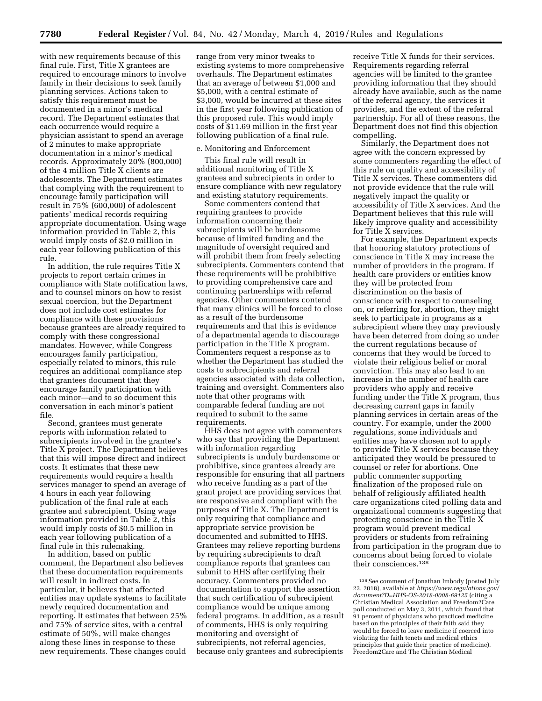with new requirements because of this final rule. First, Title X grantees are required to encourage minors to involve family in their decisions to seek family planning services. Actions taken to satisfy this requirement must be documented in a minor's medical record. The Department estimates that each occurrence would require a physician assistant to spend an average of 2 minutes to make appropriate documentation in a minor's medical records. Approximately 20% (800,000) of the 4 million Title X clients are adolescents. The Department estimates that complying with the requirement to encourage family participation will result in 75% (600,000) of adolescent patients' medical records requiring appropriate documentation. Using wage information provided in Table 2, this would imply costs of \$2.0 million in each year following publication of this rule.

In addition, the rule requires Title X projects to report certain crimes in compliance with State notification laws, and to counsel minors on how to resist sexual coercion, but the Department does not include cost estimates for compliance with these provisions because grantees are already required to comply with these congressional mandates. However, while Congress encourages family participation, especially related to minors, this rule requires an additional compliance step that grantees document that they encourage family participation with each minor—and to so document this conversation in each minor's patient file.

Second, grantees must generate reports with information related to subrecipients involved in the grantee's Title X project. The Department believes that this will impose direct and indirect costs. It estimates that these new requirements would require a health services manager to spend an average of 4 hours in each year following publication of the final rule at each grantee and subrecipient. Using wage information provided in Table 2, this would imply costs of \$0.5 million in each year following publication of a final rule in this rulemaking.

In addition, based on public comment, the Department also believes that these documentation requirements will result in indirect costs. In particular, it believes that affected entities may update systems to facilitate newly required documentation and reporting. It estimates that between 25% and 75% of service sites, with a central estimate of 50%, will make changes along these lines in response to these new requirements. These changes could

range from very minor tweaks to existing systems to more comprehensive overhauls. The Department estimates that an average of between \$1,000 and \$5,000, with a central estimate of \$3,000, would be incurred at these sites in the first year following publication of this proposed rule. This would imply costs of \$11.69 million in the first year following publication of a final rule.

### e. Monitoring and Enforcement

This final rule will result in additional monitoring of Title X grantees and subrecipients in order to ensure compliance with new regulatory and existing statutory requirements.

Some commenters contend that requiring grantees to provide information concerning their subrecipients will be burdensome because of limited funding and the magnitude of oversight required and will prohibit them from freely selecting subrecipients. Commenters contend that these requirements will be prohibitive to providing comprehensive care and continuing partnerships with referral agencies. Other commenters contend that many clinics will be forced to close as a result of the burdensome requirements and that this is evidence of a departmental agenda to discourage participation in the Title X program. Commenters request a response as to whether the Department has studied the costs to subrecipients and referral agencies associated with data collection, training and oversight. Commenters also note that other programs with comparable federal funding are not required to submit to the same requirements.

HHS does not agree with commenters who say that providing the Department with information regarding subrecipients is unduly burdensome or prohibitive, since grantees already are responsible for ensuring that all partners who receive funding as a part of the grant project are providing services that are responsive and compliant with the purposes of Title X. The Department is only requiring that compliance and appropriate service provision be documented and submitted to HHS. Grantees may relieve reporting burdens by requiring subrecipients to draft compliance reports that grantees can submit to HHS after certifying their accuracy. Commenters provided no documentation to support the assertion that such certification of subrecipient compliance would be unique among federal programs. In addition, as a result of comments, HHS is only requiring monitoring and oversight of subrecipients, not referral agencies, because only grantees and subrecipients

receive Title X funds for their services. Requirements regarding referral agencies will be limited to the grantee providing information that they should already have available, such as the name of the referral agency, the services it provides, and the extent of the referral partnership. For all of these reasons, the Department does not find this objection compelling.

Similarly, the Department does not agree with the concern expressed by some commenters regarding the effect of this rule on quality and accessibility of Title X services. These commenters did not provide evidence that the rule will negatively impact the quality or accessibility of Title X services. And the Department believes that this rule will likely improve quality and accessibility for Title X services.

For example, the Department expects that honoring statutory protections of conscience in Title X may increase the number of providers in the program. If health care providers or entities know they will be protected from discrimination on the basis of conscience with respect to counseling on, or referring for, abortion, they might seek to participate in programs as a subrecipient where they may previously have been deterred from doing so under the current regulations because of concerns that they would be forced to violate their religious belief or moral conviction. This may also lead to an increase in the number of health care providers who apply and receive funding under the Title X program, thus decreasing current gaps in family planning services in certain areas of the country. For example, under the 2000 regulations, some individuals and entities may have chosen not to apply to provide Title X services because they anticipated they would be pressured to counsel or refer for abortions. One public commenter supporting finalization of the proposed rule on behalf of religiously affiliated health care organizations cited polling data and organizational comments suggesting that protecting conscience in the Title X program would prevent medical providers or students from refraining from participation in the program due to concerns about being forced to violate their consciences.138

<sup>138</sup>See comment of Jonathan Imbody (posted July 23, 2018), available at *https://www.regulations.gov/ document?D=HHS-OS-2018-0008-69125* (citing a Christian Medical Association and Freedom2Care poll conducted on May 3, 2011, which found that 91 percent of physicians who practiced medicine based on the principles of their faith said they would be forced to leave medicine if coerced into violating the faith tenets and medical ethics principles that guide their practice of medicine). Freedom2Care and The Christian Medical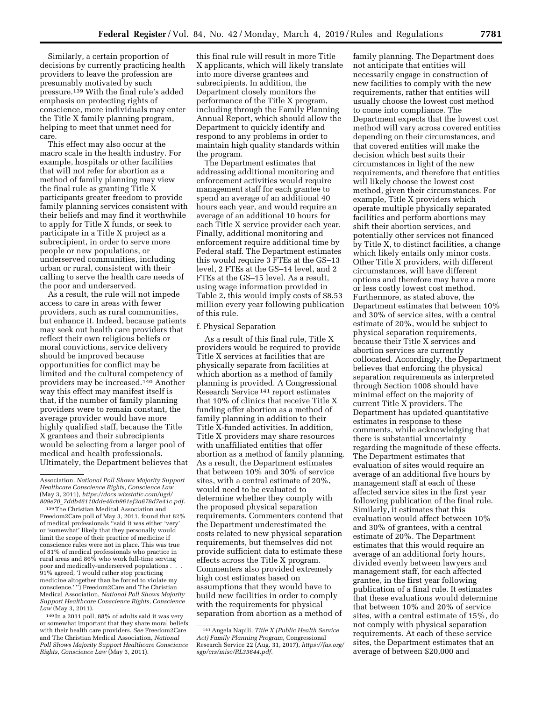Similarly, a certain proportion of decisions by currently practicing health providers to leave the profession are presumably motivated by such pressure.<sup>139</sup> With the final rule's added emphasis on protecting rights of conscience, more individuals may enter the Title X family planning program, helping to meet that unmet need for care.

This effect may also occur at the macro scale in the health industry. For example, hospitals or other facilities that will not refer for abortion as a method of family planning may view the final rule as granting Title X participants greater freedom to provide family planning services consistent with their beliefs and may find it worthwhile to apply for Title X funds, or seek to participate in a Title X project as a subrecipient, in order to serve more people or new populations, or underserved communities, including urban or rural, consistent with their calling to serve the health care needs of the poor and underserved.

As a result, the rule will not impede access to care in areas with fewer providers, such as rural communities, but enhance it. Indeed, because patients may seek out health care providers that reflect their own religious beliefs or moral convictions, service delivery should be improved because opportunities for conflict may be limited and the cultural competency of providers may be increased.140 Another way this effect may manifest itself is that, if the number of family planning providers were to remain constant, the average provider would have more highly qualified staff, because the Title X grantees and their subrecipients would be selecting from a larger pool of medical and health professionals. Ultimately, the Department believes that

140 In a 2011 poll, 88% of adults said it was very or somewhat important that they share moral beliefs with their health care providers. *See* Freedom2Care and The Christian Medical Association, *National Poll Shows Majority Support Healthcare Conscience Rights, Conscience Law* (May 3, 2011).

this final rule will result in more Title X applicants, which will likely translate into more diverse grantees and subrecipients. In addition, the Department closely monitors the performance of the Title X program, including through the Family Planning Annual Report, which should allow the Department to quickly identify and respond to any problems in order to maintain high quality standards within the program.

The Department estimates that addressing additional monitoring and enforcement activities would require management staff for each grantee to spend an average of an additional 40 hours each year, and would require an average of an additional 10 hours for each Title X service provider each year. Finally, additional monitoring and enforcement require additional time by Federal staff. The Department estimates this would require 3 FTEs at the GS–13 level, 2 FTEs at the GS–14 level, and 2 FTEs at the GS–15 level. As a result, using wage information provided in Table 2, this would imply costs of \$8.53 million every year following publication of this rule.

## f. Physical Separation

As a result of this final rule, Title X providers would be required to provide Title X services at facilities that are physically separate from facilities at which abortion as a method of family planning is provided. A Congressional Research Service 141 report estimates that 10% of clinics that receive Title X funding offer abortion as a method of family planning in addition to their Title X-funded activities. In addition, Title X providers may share resources with unaffiliated entities that offer abortion as a method of family planning. As a result, the Department estimates that between 10% and 30% of service sites, with a central estimate of 20%, would need to be evaluated to determine whether they comply with the proposed physical separation requirements. Commenters contend that the Department underestimated the costs related to new physical separation requirements, but themselves did not provide sufficient data to estimate these effects across the Title X program. Commenters also provided extremely high cost estimates based on assumptions that they would have to build new facilities in order to comply with the requirements for physical separation from abortion as a method of

family planning. The Department does not anticipate that entities will necessarily engage in construction of new facilities to comply with the new requirements, rather that entities will usually choose the lowest cost method to come into compliance. The Department expects that the lowest cost method will vary across covered entities depending on their circumstances, and that covered entities will make the decision which best suits their circumstances in light of the new requirements, and therefore that entities will likely choose the lowest cost method, given their circumstances. For example, Title X providers which operate multiple physically separated facilities and perform abortions may shift their abortion services, and potentially other services not financed by Title X, to distinct facilities, a change which likely entails only minor costs. Other Title X providers, with different circumstances, will have different options and therefore may have a more or less costly lowest cost method. Furthermore, as stated above, the Department estimates that between 10% and 30% of service sites, with a central estimate of 20%, would be subject to physical separation requirements, because their Title X services and abortion services are currently collocated. Accordingly, the Department believes that enforcing the physical separation requirements as interpreted through Section 1008 should have minimal effect on the majority of current Title X providers. The Department has updated quantitative estimates in response to these comments, while acknowledging that there is substantial uncertainty regarding the magnitude of these effects. The Department estimates that evaluation of sites would require an average of an additional five hours by management staff at each of these affected service sites in the first year following publication of the final rule. Similarly, it estimates that this evaluation would affect between 10% and 30% of grantees, with a central estimate of 20%. The Department estimates that this would require an average of an additional forty hours, divided evenly between lawyers and management staff, for each affected grantee, in the first year following publication of a final rule. It estimates that these evaluations would determine that between 10% and 20% of service sites, with a central estimate of 15%, do not comply with physical separation requirements. At each of these service sites, the Department estimates that an average of between \$20,000 and

Association, *National Poll Shows Majority Support Healthcare Conscience Rights, Conscience Law*  (May 3, 2011), *https://docs.wixstatic.com/ugd/ 809e70*\_*7ddb46110dde46cb961ef3a678d7e41c.pdf*.

<sup>139</sup>The Christian Medical Association and Freedom2Care poll of May 3, 2011, found that 82% of medical professionals ''said it was either 'very' or 'somewhat' likely that they personally would limit the scope of their practice of medicine if conscience rules were not in place. This was true of 81% of medical professionals who practice in rural areas and 86% who work full-time serving poor and medically-underserved populations . . . 91% agreed, 'I would rather stop practicing medicine altogether than be forced to violate my conscience.' '') Freedom2Care and The Christian Medical Association, *National Poll Shows Majority Support Healthcare Conscience Rights, Conscience Law* (May 3, 2011).

<sup>141</sup>Angela Napili, *Title X (Public Health Service Act) Family Planning Program,* Congressional Research Service 22 (Aug. 31, 2017), *https://fas.org/ sgp/crs/misc/RL33644.pdf.*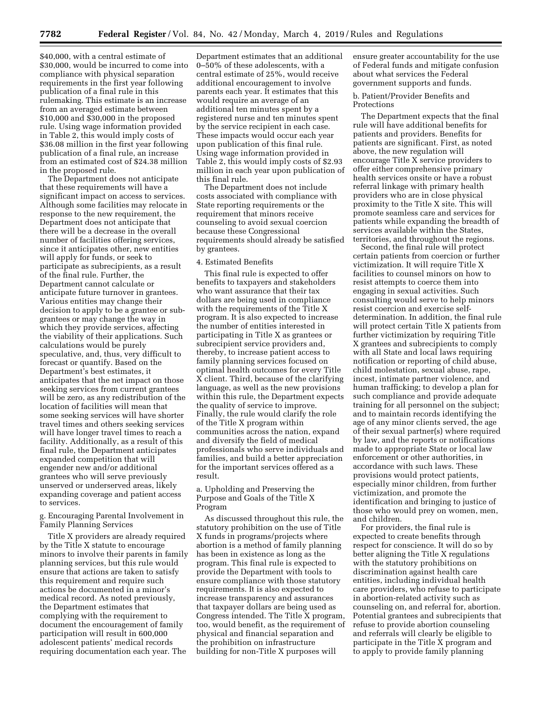\$40,000, with a central estimate of \$30,000, would be incurred to come into compliance with physical separation requirements in the first year following publication of a final rule in this rulemaking. This estimate is an increase from an averaged estimate between \$10,000 and \$30,000 in the proposed rule. Using wage information provided in Table 2, this would imply costs of \$36.08 million in the first year following publication of a final rule, an increase from an estimated cost of \$24.38 million in the proposed rule.

The Department does not anticipate that these requirements will have a significant impact on access to services. Although some facilities may relocate in response to the new requirement, the Department does not anticipate that there will be a decrease in the overall number of facilities offering services, since it anticipates other, new entities will apply for funds, or seek to participate as subrecipients, as a result of the final rule. Further, the Department cannot calculate or anticipate future turnover in grantees. Various entities may change their decision to apply to be a grantee or subgrantees or may change the way in which they provide services, affecting the viability of their applications. Such calculations would be purely speculative, and, thus, very difficult to forecast or quantify. Based on the Department's best estimates, it anticipates that the net impact on those seeking services from current grantees will be zero, as any redistribution of the location of facilities will mean that some seeking services will have shorter travel times and others seeking services will have longer travel times to reach a facility. Additionally, as a result of this final rule, the Department anticipates expanded competition that will engender new and/or additional grantees who will serve previously unserved or underserved areas, likely expanding coverage and patient access to services.

g. Encouraging Parental Involvement in Family Planning Services

Title X providers are already required by the Title X statute to encourage minors to involve their parents in family planning services, but this rule would ensure that actions are taken to satisfy this requirement and require such actions be documented in a minor's medical record. As noted previously, the Department estimates that complying with the requirement to document the encouragement of family participation will result in 600,000 adolescent patients' medical records requiring documentation each year. The

Department estimates that an additional 0–50% of these adolescents, with a central estimate of 25%, would receive additional encouragement to involve parents each year. It estimates that this would require an average of an additional ten minutes spent by a registered nurse and ten minutes spent by the service recipient in each case. These impacts would occur each year upon publication of this final rule. Using wage information provided in Table 2, this would imply costs of \$2.93 million in each year upon publication of this final rule.

The Department does not include costs associated with compliance with State reporting requirements or the requirement that minors receive counseling to avoid sexual coercion because these Congressional requirements should already be satisfied by grantees.

#### 4. Estimated Benefits

This final rule is expected to offer benefits to taxpayers and stakeholders who want assurance that their tax dollars are being used in compliance with the requirements of the Title X program. It is also expected to increase the number of entities interested in participating in Title X as grantees or subrecipient service providers and, thereby, to increase patient access to family planning services focused on optimal health outcomes for every Title X client. Third, because of the clarifying language, as well as the new provisions within this rule, the Department expects the quality of service to improve. Finally, the rule would clarify the role of the Title X program within communities across the nation, expand and diversify the field of medical professionals who serve individuals and families, and build a better appreciation for the important services offered as a result.

a. Upholding and Preserving the Purpose and Goals of the Title X Program

As discussed throughout this rule, the statutory prohibition on the use of Title X funds in programs/projects where abortion is a method of family planning has been in existence as long as the program. This final rule is expected to provide the Department with tools to ensure compliance with those statutory requirements. It is also expected to increase transparency and assurances that taxpayer dollars are being used as Congress intended. The Title X program, too, would benefit, as the requirement of physical and financial separation and the prohibition on infrastructure building for non-Title X purposes will

ensure greater accountability for the use of Federal funds and mitigate confusion about what services the Federal government supports and funds.

b. Patient/Provider Benefits and Protections

The Department expects that the final rule will have additional benefits for patients and providers. Benefits for patients are significant. First, as noted above, the new regulation will encourage Title X service providers to offer either comprehensive primary health services onsite or have a robust referral linkage with primary health providers who are in close physical proximity to the Title X site. This will promote seamless care and services for patients while expanding the breadth of services available within the States, territories, and throughout the regions.

Second, the final rule will protect certain patients from coercion or further victimization. It will require Title X facilities to counsel minors on how to resist attempts to coerce them into engaging in sexual activities. Such consulting would serve to help minors resist coercion and exercise selfdetermination. In addition, the final rule will protect certain Title X patients from further victimization by requiring Title X grantees and subrecipients to comply with all State and local laws requiring notification or reporting of child abuse, child molestation, sexual abuse, rape, incest, intimate partner violence, and human trafficking; to develop a plan for such compliance and provide adequate training for all personnel on the subject; and to maintain records identifying the age of any minor clients served, the age of their sexual partner(s) where required by law, and the reports or notifications made to appropriate State or local law enforcement or other authorities, in accordance with such laws. These provisions would protect patients, especially minor children, from further victimization, and promote the identification and bringing to justice of those who would prey on women, men, and children.

For providers, the final rule is expected to create benefits through respect for conscience. It will do so by better aligning the Title X regulations with the statutory prohibitions on discrimination against health care entities, including individual health care providers, who refuse to participate in abortion-related activity such as counseling on, and referral for, abortion. Potential grantees and subrecipients that refuse to provide abortion counseling and referrals will clearly be eligible to participate in the Title X program and to apply to provide family planning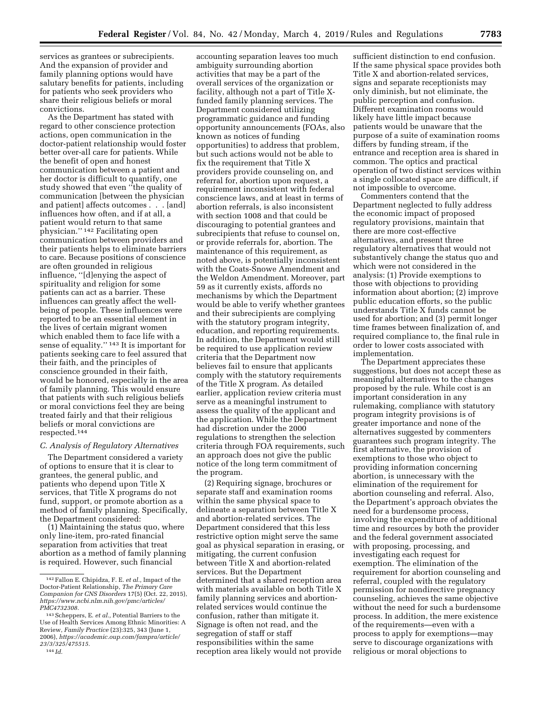services as grantees or subrecipients. And the expansion of provider and family planning options would have salutary benefits for patients, including for patients who seek providers who share their religious beliefs or moral convictions.

As the Department has stated with regard to other conscience protection actions, open communication in the doctor-patient relationship would foster better over-all care for patients. While the benefit of open and honest communication between a patient and her doctor is difficult to quantify, one study showed that even ''the quality of communication [between the physician and patient] affects outcomes . . . [and] influences how often, and if at all, a patient would return to that same physician.'' 142 Facilitating open communication between providers and their patients helps to eliminate barriers to care. Because positions of conscience are often grounded in religious influence, ''[d]enying the aspect of spirituality and religion for some patients can act as a barrier. These influences can greatly affect the wellbeing of people. These influences were reported to be an essential element in the lives of certain migrant women which enabled them to face life with a sense of equality.'' 143 It is important for patients seeking care to feel assured that their faith, and the principles of conscience grounded in their faith, would be honored, especially in the area of family planning. This would ensure that patients with such religious beliefs or moral convictions feel they are being treated fairly and that their religious beliefs or moral convictions are respected.144

## *C. Analysis of Regulatory Alternatives*

The Department considered a variety of options to ensure that it is clear to grantees, the general public, and patients who depend upon Title X services, that Title X programs do not fund, support, or promote abortion as a method of family planning. Specifically, the Department considered:

(1) Maintaining the status quo, where only line-item, pro-rated financial separation from activities that treat abortion as a method of family planning is required. However, such financial

144 *Id.* 

accounting separation leaves too much ambiguity surrounding abortion activities that may be a part of the overall services of the organization or facility, although not a part of Title Xfunded family planning services. The Department considered utilizing programmatic guidance and funding opportunity announcements (FOAs, also known as notices of funding opportunities) to address that problem, but such actions would not be able to fix the requirement that Title X providers provide counseling on, and referral for, abortion upon request, a requirement inconsistent with federal conscience laws, and at least in terms of abortion referrals, is also inconsistent with section 1008 and that could be discouraging to potential grantees and subrecipients that refuse to counsel on, or provide referrals for, abortion. The maintenance of this requirement, as noted above, is potentially inconsistent with the Coats-Snowe Amendment and the Weldon Amendment. Moreover, part 59 as it currently exists, affords no mechanisms by which the Department would be able to verify whether grantees and their subrecipients are complying with the statutory program integrity, education, and reporting requirements. In addition, the Department would still be required to use application review criteria that the Department now believes fail to ensure that applicants comply with the statutory requirements of the Title X program. As detailed earlier, application review criteria must serve as a meaningful instrument to assess the quality of the applicant and the application. While the Department had discretion under the 2000 regulations to strengthen the selection criteria through FOA requirements, such an approach does not give the public notice of the long term commitment of the program.

(2) Requiring signage, brochures or separate staff and examination rooms within the same physical space to delineate a separation between Title X and abortion-related services. The Department considered that this less restrictive option might serve the same goal as physical separation in erasing, or mitigating, the current confusion between Title X and abortion-related services. But the Department determined that a shared reception area with materials available on both Title X family planning services and abortionrelated services would continue the confusion, rather than mitigate it. Signage is often not read, and the segregation of staff or staff responsibilities within the same reception area likely would not provide

sufficient distinction to end confusion. If the same physical space provides both Title X and abortion-related services, signs and separate receptionists may only diminish, but not eliminate, the public perception and confusion. Different examination rooms would likely have little impact because patients would be unaware that the purpose of a suite of examination rooms differs by funding stream, if the entrance and reception area is shared in common. The optics and practical operation of two distinct services within a single collocated space are difficult, if not impossible to overcome.

Commenters contend that the Department neglected to fully address the economic impact of proposed regulatory provisions, maintain that there are more cost-effective alternatives, and present three regulatory alternatives that would not substantively change the status quo and which were not considered in the analysis: (1) Provide exemptions to those with objections to providing information about abortion; (2) improve public education efforts, so the public understands Title X funds cannot be used for abortion; and (3) permit longer time frames between finalization of, and required compliance to, the final rule in order to lower costs associated with implementation.

The Department appreciates these suggestions, but does not accept these as meaningful alternatives to the changes proposed by the rule. While cost is an important consideration in any rulemaking, compliance with statutory program integrity provisions is of greater importance and none of the alternatives suggested by commenters guarantees such program integrity. The first alternative, the provision of exemptions to those who object to providing information concerning abortion, is unnecessary with the elimination of the requirement for abortion counseling and referral. Also, the Department's approach obviates the need for a burdensome process, involving the expenditure of additional time and resources by both the provider and the federal government associated with proposing, processing, and investigating each request for exemption. The elimination of the requirement for abortion counseling and referral, coupled with the regulatory permission for nondirective pregnancy counseling, achieves the same objective without the need for such a burdensome process. In addition, the mere existence of the requirements—even with a process to apply for exemptions—may serve to discourage organizations with religious or moral objections to

<sup>142</sup>Fallon E. Chipidza, F. E. *et al.,* Impact of the Doctor-Patient Relationship, *The Primary Care Companion for CNS Disorders* 17(5) (Oct. 22, 2015), *https://www.ncbi.nlm.nih.gov/pmc/articles/ PMC4732308.* 

<sup>143</sup>Scheppers, E. *et al.,* Potential Barriers to the Use of Health Services Among Ethnic Minorities: A Review, *Family Practice* (23):325, 343 (June 1, 2006), *https://academic.oup.com/fampra/article/ 23/3/325/475515.*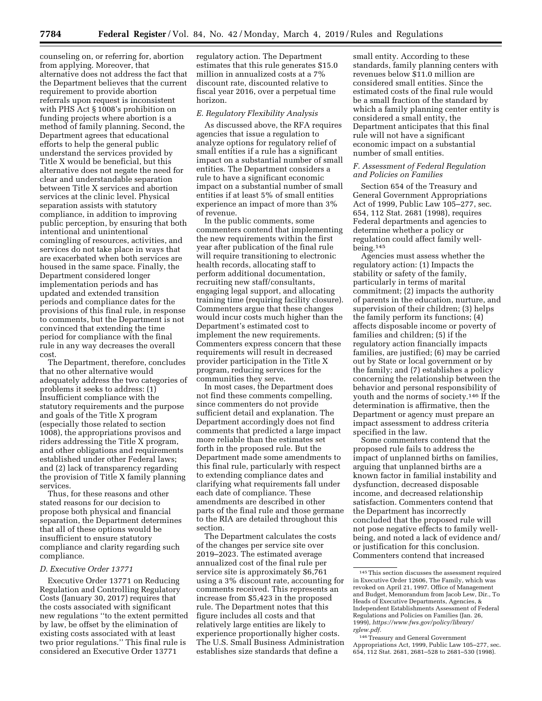counseling on, or referring for, abortion from applying. Moreover, that alternative does not address the fact that the Department believes that the current requirement to provide abortion referrals upon request is inconsistent with PHS Act § 1008's prohibition on funding projects where abortion is a method of family planning. Second, the Department agrees that educational efforts to help the general public understand the services provided by Title X would be beneficial, but this alternative does not negate the need for clear and understandable separation between Title X services and abortion services at the clinic level. Physical separation assists with statutory compliance, in addition to improving public perception, by ensuring that both intentional and unintentional comingling of resources, activities, and services do not take place in ways that are exacerbated when both services are housed in the same space. Finally, the Department considered longer implementation periods and has updated and extended transition periods and compliance dates for the provisions of this final rule, in response to comments, but the Department is not convinced that extending the time period for compliance with the final rule in any way decreases the overall cost.

The Department, therefore, concludes that no other alternative would adequately address the two categories of problems it seeks to address: (1) Insufficient compliance with the statutory requirements and the purpose and goals of the Title X program (especially those related to section 1008), the appropriations provisos and riders addressing the Title X program, and other obligations and requirements established under other Federal laws; and (2) lack of transparency regarding the provision of Title X family planning services.

Thus, for these reasons and other stated reasons for our decision to propose both physical and financial separation, the Department determines that all of these options would be insufficient to ensure statutory compliance and clarity regarding such compliance.

### *D. Executive Order 13771*

Executive Order 13771 on Reducing Regulation and Controlling Regulatory Costs (January 30, 2017) requires that the costs associated with significant new regulations ''to the extent permitted by law, be offset by the elimination of existing costs associated with at least two prior regulations.'' This final rule is considered an Executive Order 13771

regulatory action. The Department estimates that this rule generates \$15.0 million in annualized costs at a 7% discount rate, discounted relative to fiscal year 2016, over a perpetual time horizon.

#### *E. Regulatory Flexibility Analysis*

As discussed above, the RFA requires agencies that issue a regulation to analyze options for regulatory relief of small entities if a rule has a significant impact on a substantial number of small entities. The Department considers a rule to have a significant economic impact on a substantial number of small entities if at least 5% of small entities experience an impact of more than 3% of revenue.

In the public comments, some commenters contend that implementing the new requirements within the first year after publication of the final rule will require transitioning to electronic health records, allocating staff to perform additional documentation, recruiting new staff/consultants, engaging legal support, and allocating training time (requiring facility closure). Commenters argue that these changes would incur costs much higher than the Department's estimated cost to implement the new requirements. Commenters express concern that these requirements will result in decreased provider participation in the Title X program, reducing services for the communities they serve.

In most cases, the Department does not find these comments compelling, since commenters do not provide sufficient detail and explanation. The Department accordingly does not find comments that predicted a large impact more reliable than the estimates set forth in the proposed rule. But the Department made some amendments to this final rule, particularly with respect to extending compliance dates and clarifying what requirements fall under each date of compliance. These amendments are described in other parts of the final rule and those germane to the RIA are detailed throughout this section.

The Department calculates the costs of the changes per service site over 2019–2023. The estimated average annualized cost of the final rule per service site is approximately \$6,761 using a 3% discount rate, accounting for comments received. This represents an increase from \$5,423 in the proposed rule. The Department notes that this figure includes all costs and that relatively large entities are likely to experience proportionally higher costs. The U.S. Small Business Administration establishes size standards that define a

small entity. According to these standards, family planning centers with revenues below \$11.0 million are considered small entities. Since the estimated costs of the final rule would be a small fraction of the standard by which a family planning center entity is considered a small entity, the Department anticipates that this final rule will not have a significant economic impact on a substantial number of small entities.

## *F. Assessment of Federal Regulation and Policies on Families*

Section 654 of the Treasury and General Government Appropriations Act of 1999, Public Law 105–277, sec. 654, 112 Stat. 2681 (1998), requires Federal departments and agencies to determine whether a policy or regulation could affect family wellbeing.145

Agencies must assess whether the regulatory action: (1) Impacts the stability or safety of the family, particularly in terms of marital commitment; (2) impacts the authority of parents in the education, nurture, and supervision of their children; (3) helps the family perform its functions; (4) affects disposable income or poverty of families and children; (5) if the regulatory action financially impacts families, are justified; (6) may be carried out by State or local government or by the family; and (7) establishes a policy concerning the relationship between the behavior and personal responsibility of youth and the norms of society.146 If the determination is affirmative, then the Department or agency must prepare an impact assessment to address criteria specified in the law.

Some commenters contend that the proposed rule fails to address the impact of unplanned births on families, arguing that unplanned births are a known factor in familial instability and dysfunction, decreased disposable income, and decreased relationship satisfaction. Commenters contend that the Department has incorrectly concluded that the proposed rule will not pose negative effects to family wellbeing, and noted a lack of evidence and/ or justification for this conclusion. Commenters contend that increased

 $^{\rm 145}$  This section discusses the assessment required in Executive Order 12606, The Family, which was revoked on April 21, 1997. Office of Management and Budget, Memorandum from Jacob Lew, Dir., To Heads of Executive Departments, Agencies, & Independent Establishments Assessment of Federal Regulations and Policies on Families (Jan. 26, 1999), *https://www.fws.gov/policy/library/ rglew.pdf.* 

<sup>146</sup>Treasury and General Government Appropriations Act, 1999, Public Law 105–277, sec. 654, 112 Stat. 2681, 2681–528 to 2681–530 (1998).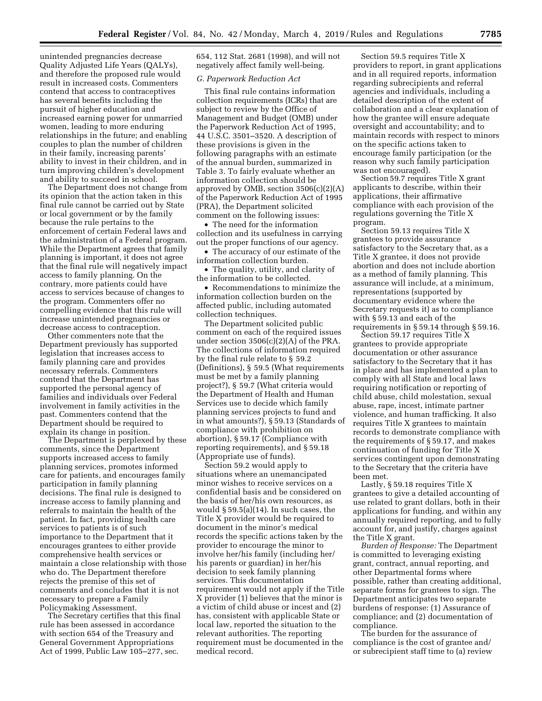unintended pregnancies decrease Quality Adjusted Life Years (QALYs), and therefore the proposed rule would result in increased costs. Commenters contend that access to contraceptives has several benefits including the pursuit of higher education and increased earning power for unmarried women, leading to more enduring relationships in the future; and enabling couples to plan the number of children in their family, increasing parents' ability to invest in their children, and in turn improving children's development and ability to succeed in school.

The Department does not change from its opinion that the action taken in this final rule cannot be carried out by State or local government or by the family because the rule pertains to the enforcement of certain Federal laws and the administration of a Federal program. While the Department agrees that family planning is important, it does not agree that the final rule will negatively impact access to family planning. On the contrary, more patients could have access to services because of changes to the program. Commenters offer no compelling evidence that this rule will increase unintended pregnancies or decrease access to contraception.

Other commenters note that the Department previously has supported legislation that increases access to family planning care and provides necessary referrals. Commenters contend that the Department has supported the personal agency of families and individuals over Federal involvement in family activities in the past. Commenters contend that the Department should be required to explain its change in position.

The Department is perplexed by these comments, since the Department supports increased access to family planning services, promotes informed care for patients, and encourages family participation in family planning decisions. The final rule is designed to increase access to family planning and referrals to maintain the health of the patient. In fact, providing health care services to patients is of such importance to the Department that it encourages grantees to either provide comprehensive health services or maintain a close relationship with those who do. The Department therefore rejects the premise of this set of comments and concludes that it is not necessary to prepare a Family Policymaking Assessment.

The Secretary certifies that this final rule has been assessed in accordance with section 654 of the Treasury and General Government Appropriations Act of 1999, Public Law 105–277, sec.

654, 112 Stat. 2681 (1998), and will not negatively affect family well-being.

### *G. Paperwork Reduction Act*

This final rule contains information collection requirements (ICRs) that are subject to review by the Office of Management and Budget (OMB) under the Paperwork Reduction Act of 1995, 44 U.S.C. 3501–3520. A description of these provisions is given in the following paragraphs with an estimate of the annual burden, summarized in Table 3. To fairly evaluate whether an information collection should be approved by OMB, section 3506(c)(2)(A) of the Paperwork Reduction Act of 1995 (PRA), the Department solicited comment on the following issues:

• The need for the information collection and its usefulness in carrying out the proper functions of our agency.

• The accuracy of our estimate of the information collection burden.

• The quality, utility, and clarity of the information to be collected.

• Recommendations to minimize the information collection burden on the affected public, including automated collection techniques.

The Department solicited public comment on each of the required issues under section 3506(c)(2)(A) of the PRA. The collections of information required by the final rule relate to § 59.2 (Definitions), § 59.5 (What requirements must be met by a family planning project?), § 59.7 (What criteria would the Department of Health and Human Services use to decide which family planning services projects to fund and in what amounts?), § 59.13 (Standards of compliance with prohibition on abortion), § 59.17 (Compliance with reporting requirements), and § 59.18 (Appropriate use of funds).

Section 59.2 would apply to situations where an unemancipated minor wishes to receive services on a confidential basis and be considered on the basis of her/his own resources, as would  $\S 59.5(a)(14)$ . In such cases, the Title X provider would be required to document in the minor's medical records the specific actions taken by the provider to encourage the minor to involve her/his family (including her/ his parents or guardian) in her/his decision to seek family planning services. This documentation requirement would not apply if the Title X provider (1) believes that the minor is a victim of child abuse or incest and (2) has, consistent with applicable State or local law, reported the situation to the relevant authorities. The reporting requirement must be documented in the medical record.

Section 59.5 requires Title X providers to report, in grant applications and in all required reports, information regarding subrecipients and referral agencies and individuals, including a detailed description of the extent of collaboration and a clear explanation of how the grantee will ensure adequate oversight and accountability; and to maintain records with respect to minors on the specific actions taken to encourage family participation (or the reason why such family participation was not encouraged).

Section 59.7 requires Title X grant applicants to describe, within their applications, their affirmative compliance with each provision of the regulations governing the Title X program.

Section 59.13 requires Title X grantees to provide assurance satisfactory to the Secretary that, as a Title X grantee, it does not provide abortion and does not include abortion as a method of family planning. This assurance will include, at a minimum, representations (supported by documentary evidence where the Secretary requests it) as to compliance with § 59.13 and each of the requirements in § 59.14 through § 59.16.

Section 59.17 requires Title X grantees to provide appropriate documentation or other assurance satisfactory to the Secretary that it has in place and has implemented a plan to comply with all State and local laws requiring notification or reporting of child abuse, child molestation, sexual abuse, rape, incest, intimate partner violence, and human trafficking. It also requires Title X grantees to maintain records to demonstrate compliance with the requirements of § 59.17, and makes continuation of funding for Title X services contingent upon demonstrating to the Secretary that the criteria have been met.

Lastly, § 59.18 requires Title X grantees to give a detailed accounting of use related to grant dollars, both in their applications for funding, and within any annually required reporting, and to fully account for, and justify, charges against the Title X grant.

*Burden of Response:* The Department is committed to leveraging existing grant, contract, annual reporting, and other Departmental forms where possible, rather than creating additional, separate forms for grantees to sign. The Department anticipates two separate burdens of response: (1) Assurance of compliance; and (2) documentation of compliance.

The burden for the assurance of compliance is the cost of grantee and/ or subrecipient staff time to (a) review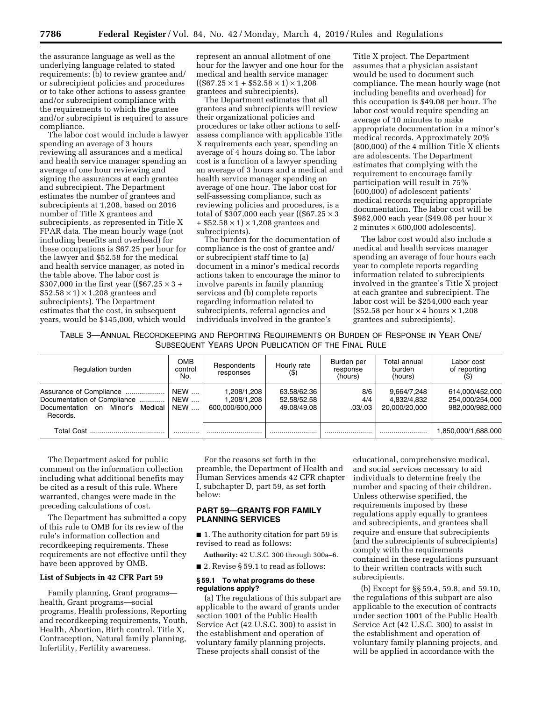the assurance language as well as the underlying language related to stated requirements; (b) to review grantee and/ or subrecipient policies and procedures or to take other actions to assess grantee and/or subrecipient compliance with the requirements to which the grantee and/or subrecipient is required to assure compliance.

The labor cost would include a lawyer spending an average of 3 hours reviewing all assurances and a medical and health service manager spending an average of one hour reviewing and signing the assurances at each grantee and subrecipient. The Department estimates the number of grantees and subrecipients at 1,208, based on 2016 number of Title X grantees and subrecipients, as represented in Title X FPAR data. The mean hourly wage (not including benefits and overhead) for these occupations is \$67.25 per hour for the lawyer and \$52.58 for the medical and health service manager, as noted in the table above. The labor cost is \$307,000 in the first year ((\$67.25  $\times$  3 +  $$52.58 \times 1$   $\times$  1,208 grantees and subrecipients). The Department estimates that the cost, in subsequent years, would be \$145,000, which would

represent an annual allotment of one hour for the lawyer and one hour for the medical and health service manager  $((\$67.25 \times 1 + \$52.58 \times 1) \times 1,208$ grantees and subrecipients).

The Department estimates that all grantees and subrecipients will review their organizational policies and procedures or take other actions to selfassess compliance with applicable Title X requirements each year, spending an average of 4 hours doing so. The labor cost is a function of a lawyer spending an average of 3 hours and a medical and health service manager spending an average of one hour. The labor cost for self-assessing compliance, such as reviewing policies and procedures, is a total of \$307,000 each year ((\$67.25  $\times$  3)  $+$  \$52.58  $\times$  1)  $\times$  1,208 grantees and subrecipients).

The burden for the documentation of compliance is the cost of grantee and/ or subrecipient staff time to (a) document in a minor's medical records actions taken to encourage the minor to involve parents in family planning services and (b) complete reports regarding information related to subrecipients, referral agencies and individuals involved in the grantee's

Title X project. The Department assumes that a physician assistant would be used to document such compliance. The mean hourly wage (not including benefits and overhead) for this occupation is \$49.08 per hour. The labor cost would require spending an average of 10 minutes to make appropriate documentation in a minor's medical records. Approximately 20% (800,000) of the 4 million Title X clients are adolescents. The Department estimates that complying with the requirement to encourage family participation will result in 75% (600,000) of adolescent patients' medical records requiring appropriate documentation. The labor cost will be \$982,000 each year (\$49.08 per hour × 2 minutes  $\times$  600,000 adolescents).

The labor cost would also include a medical and health services manager spending an average of four hours each year to complete reports regarding information related to subrecipients involved in the grantee's Title X project at each grantee and subrecipient. The labor cost will be \$254,000 each year  $($52.58 \text{ per hour} \times 4 \text{ hours} \times 1,208$ grantees and subrecipients).

TABLE 3—ANNUAL RECORDKEEPING AND REPORTING REQUIREMENTS OR BURDEN OF RESPONSE IN YEAR ONE/ SUBSEQUENT YEARS UPON PUBLICATION OF THE FINAL RULE

| Regulation burden                                                                                               | OMB<br>control<br>No.           | Respondents<br>responses                    | Hourly rate                               | Burden per<br>response<br>(hours) | Total annual<br>burden<br>(hours)           | Labor cost<br>of reporting                            |
|-----------------------------------------------------------------------------------------------------------------|---------------------------------|---------------------------------------------|-------------------------------------------|-----------------------------------|---------------------------------------------|-------------------------------------------------------|
| Assurance of Compliance<br>Documentation of Compliance<br>Medical<br>Minor's<br>Documentation<br>on<br>Records. | <b>NEW</b><br><b>NEW</b><br>NEW | 208/1,208.<br>.208/1.208<br>600.000/600.000 | 63.58/62.36<br>52.58/52.58<br>49.08/49.08 | 8/6<br>4/4<br>.03/03              | 9,664/7,248<br>4.832/4.832<br>20.000/20.000 | 614,000/452,000<br>254.000/254.000<br>982.000/982.000 |
| Total Cost                                                                                                      |                                 |                                             |                                           |                                   |                                             | 1.850.000/1.688.000                                   |

The Department asked for public comment on the information collection including what additional benefits may be cited as a result of this rule. Where warranted, changes were made in the preceding calculations of cost.

The Department has submitted a copy of this rule to OMB for its review of the rule's information collection and recordkeeping requirements. These requirements are not effective until they have been approved by OMB.

## **List of Subjects in 42 CFR Part 59**

Family planning, Grant programs health, Grant programs—social programs, Health professions, Reporting and recordkeeping requirements, Youth, Health, Abortion, Birth control, Title X, Contraception, Natural family planning, Infertility, Fertility awareness.

For the reasons set forth in the preamble, the Department of Health and Human Services amends 42 CFR chapter I, subchapter D, part 59, as set forth below:

# **PART 59—GRANTS FOR FAMILY PLANNING SERVICES**

■ 1. The authority citation for part 59 is revised to read as follows:

**Authority:** 42 U.S.C. 300 through 300a–6.

■ 2. Revise § 59.1 to read as follows:

## **§ 59.1 To what programs do these regulations apply?**

(a) The regulations of this subpart are applicable to the award of grants under section 1001 of the Public Health Service Act (42 U.S.C. 300) to assist in the establishment and operation of voluntary family planning projects. These projects shall consist of the

educational, comprehensive medical, and social services necessary to aid individuals to determine freely the number and spacing of their children. Unless otherwise specified, the requirements imposed by these regulations apply equally to grantees and subrecipients, and grantees shall require and ensure that subrecipients (and the subrecipients of subrecipients) comply with the requirements contained in these regulations pursuant to their written contracts with such subrecipients.

(b) Except for §§ 59.4, 59.8, and 59.10, the regulations of this subpart are also applicable to the execution of contracts under section 1001 of the Public Health Service Act (42 U.S.C. 300) to assist in the establishment and operation of voluntary family planning projects, and will be applied in accordance with the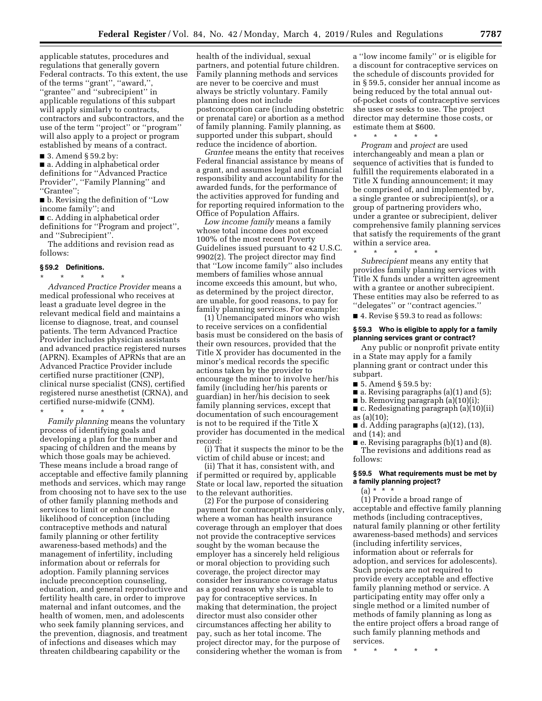applicable statutes, procedures and regulations that generally govern Federal contracts. To this extent, the use of the terms ''grant'', ''award,'', ''grantee'' and ''subrecipient'' in applicable regulations of this subpart will apply similarly to contracts, contractors and subcontractors, and the use of the term ''project'' or ''program'' will also apply to a project or program established by means of a contract.

■ 3. Amend § 59.2 by:

■ a. Adding in alphabetical order definitions for ''Advanced Practice Provider'', ''Family Planning'' and ''Grantee'';

■ b. Revising the definition of "Low income family''; and

■ c. Adding in alphabetical order definitions for ''Program and project'', and ''Subrecipient''.

The additions and revision read as follows:

#### **§ 59.2 Definitions.**

\* \* \* \* \* *Advanced Practice Provider* means a medical professional who receives at least a graduate level degree in the relevant medical field and maintains a license to diagnose, treat, and counsel patients. The term Advanced Practice Provider includes physician assistants and advanced practice registered nurses (APRN). Examples of APRNs that are an Advanced Practice Provider include certified nurse practitioner (CNP), clinical nurse specialist (CNS), certified registered nurse anesthetist (CRNA), and certified nurse-midwife (CNM).

\* \* \* \* \*

*Family planning* means the voluntary process of identifying goals and developing a plan for the number and spacing of children and the means by which those goals may be achieved. These means include a broad range of acceptable and effective family planning methods and services, which may range from choosing not to have sex to the use of other family planning methods and services to limit or enhance the likelihood of conception (including contraceptive methods and natural family planning or other fertility awareness-based methods) and the management of infertility, including information about or referrals for adoption. Family planning services include preconception counseling, education, and general reproductive and fertility health care, in order to improve maternal and infant outcomes, and the health of women, men, and adolescents who seek family planning services, and the prevention, diagnosis, and treatment of infections and diseases which may threaten childbearing capability or the

health of the individual, sexual partners, and potential future children. Family planning methods and services are never to be coercive and must always be strictly voluntary. Family planning does not include postconception care (including obstetric or prenatal care) or abortion as a method of family planning. Family planning, as supported under this subpart, should reduce the incidence of abortion.

*Grantee* means the entity that receives Federal financial assistance by means of a grant, and assumes legal and financial responsibility and accountability for the awarded funds, for the performance of the activities approved for funding and for reporting required information to the Office of Population Affairs.

*Low income family* means a family whose total income does not exceed 100% of the most recent Poverty Guidelines issued pursuant to 42 U.S.C. 9902(2). The project director may find that ''Low income family'' also includes members of families whose annual income exceeds this amount, but who, as determined by the project director, are unable, for good reasons, to pay for family planning services. For example:

(1) Unemancipated minors who wish to receive services on a confidential basis must be considered on the basis of their own resources, provided that the Title X provider has documented in the minor's medical records the specific actions taken by the provider to encourage the minor to involve her/his family (including her/his parents or guardian) in her/his decision to seek family planning services, except that documentation of such encouragement is not to be required if the Title X provider has documented in the medical record:

(i) That it suspects the minor to be the victim of child abuse or incest; and

(ii) That it has, consistent with, and if permitted or required by, applicable State or local law, reported the situation to the relevant authorities.

(2) For the purpose of considering payment for contraceptive services only, where a woman has health insurance coverage through an employer that does not provide the contraceptive services sought by the woman because the employer has a sincerely held religious or moral objection to providing such coverage, the project director may consider her insurance coverage status as a good reason why she is unable to pay for contraceptive services. In making that determination, the project director must also consider other circumstances affecting her ability to pay, such as her total income. The project director may, for the purpose of considering whether the woman is from

a ''low income family'' or is eligible for a discount for contraceptive services on the schedule of discounts provided for in § 59.5, consider her annual income as being reduced by the total annual outof-pocket costs of contraceptive services she uses or seeks to use. The project director may determine those costs, or estimate them at \$600.

 $*$  \*

*Program* and *project* are used interchangeably and mean a plan or sequence of activities that is funded to fulfill the requirements elaborated in a Title X funding announcement; it may be comprised of, and implemented by, a single grantee or subrecipient(s), or a group of partnering providers who, under a grantee or subrecipient, deliver comprehensive family planning services that satisfy the requirements of the grant within a service area.

\* \* \* \* \*

*Subrecipient* means any entity that provides family planning services with Title X funds under a written agreement with a grantee or another subrecipient. These entities may also be referred to as ''delegates'' or ''contract agencies.''

■ 4. Revise § 59.3 to read as follows:

## **§ 59.3 Who is eligible to apply for a family planning services grant or contract?**

Any public or nonprofit private entity in a State may apply for a family planning grant or contract under this subpart.

- 5. Amend § 59.5 by:
- $\blacksquare$  a. Revising paragraphs (a)(1) and (5);
- b. Removing paragraph (a)(10)(i);
- c. Redesignating paragraph (a)(10)(ii) as (a)(10);
- d. Adding paragraphs (a)(12), (13), and (14); and

■ e. Revising paragraphs (b)(1) and (8). The revisions and additions read as follows:

## **§ 59.5 What requirements must be met by a family planning project?**

 $(a) * * * *$ 

(1) Provide a broad range of acceptable and effective family planning methods (including contraceptives, natural family planning or other fertility awareness-based methods) and services (including infertility services, information about or referrals for adoption, and services for adolescents). Such projects are not required to provide every acceptable and effective family planning method or service. A participating entity may offer only a single method or a limited number of methods of family planning as long as the entire project offers a broad range of such family planning methods and services.

\* \* \* \* \*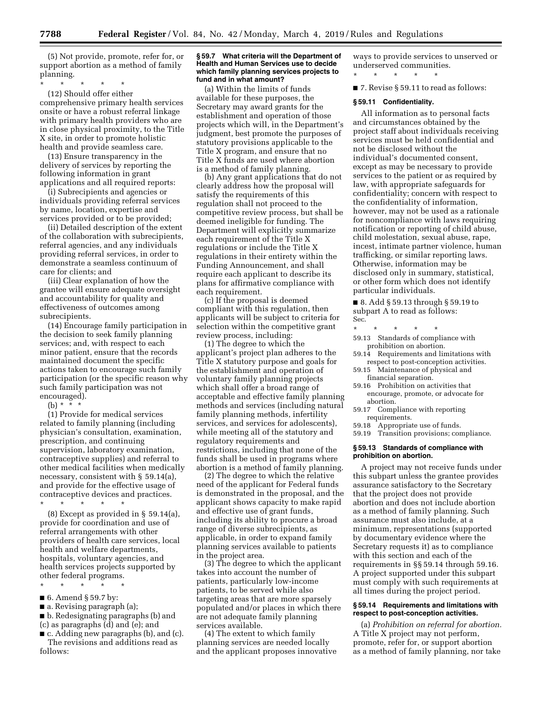(5) Not provide, promote, refer for, or support abortion as a method of family planning.

\* \* \* \* \* (12) Should offer either comprehensive primary health services onsite or have a robust referral linkage with primary health providers who are in close physical proximity, to the Title X site, in order to promote holistic health and provide seamless care.

(13) Ensure transparency in the delivery of services by reporting the following information in grant applications and all required reports:

(i) Subrecipients and agencies or individuals providing referral services by name, location, expertise and services provided or to be provided;

(ii) Detailed description of the extent of the collaboration with subrecipients, referral agencies, and any individuals providing referral services, in order to demonstrate a seamless continuum of care for clients; and

(iii) Clear explanation of how the grantee will ensure adequate oversight and accountability for quality and effectiveness of outcomes among subrecipients.

(14) Encourage family participation in the decision to seek family planning services; and, with respect to each minor patient, ensure that the records maintained document the specific actions taken to encourage such family participation (or the specific reason why such family participation was not encouraged).

(b) \* \* \*

(1) Provide for medical services related to family planning (including physician's consultation, examination, prescription, and continuing supervision, laboratory examination, contraceptive supplies) and referral to other medical facilities when medically necessary, consistent with § 59.14(a), and provide for the effective usage of contraceptive devices and practices.

\* \* \* \* \*

(8) Except as provided in § 59.14(a), provide for coordination and use of referral arrangements with other providers of health care services, local health and welfare departments, hospitals, voluntary agencies, and health services projects supported by other federal programs.

\* \* \* \* \* ■ 6. Amend § 59.7 by:

■ a. Revising paragraph (a);

■ b. Redesignating paragraphs (b) and (c) as paragraphs (d) and (e); and

■ c. Adding new paragraphs (b), and (c). The revisions and additions read as follows:

#### **§ 59.7 What criteria will the Department of Health and Human Services use to decide which family planning services projects to fund and in what amount?**

(a) Within the limits of funds available for these purposes, the Secretary may award grants for the establishment and operation of those projects which will, in the Department's judgment, best promote the purposes of statutory provisions applicable to the Title X program, and ensure that no Title X funds are used where abortion is a method of family planning.

(b) Any grant applications that do not clearly address how the proposal will satisfy the requirements of this regulation shall not proceed to the competitive review process, but shall be deemed ineligible for funding. The Department will explicitly summarize each requirement of the Title X regulations or include the Title X regulations in their entirety within the Funding Announcement, and shall require each applicant to describe its plans for affirmative compliance with each requirement.

(c) If the proposal is deemed compliant with this regulation, then applicants will be subject to criteria for selection within the competitive grant review process, including:

(1) The degree to which the applicant's project plan adheres to the Title X statutory purpose and goals for the establishment and operation of voluntary family planning projects which shall offer a broad range of acceptable and effective family planning methods and services (including natural family planning methods, infertility services, and services for adolescents), while meeting all of the statutory and regulatory requirements and restrictions, including that none of the funds shall be used in programs where abortion is a method of family planning.

(2) The degree to which the relative need of the applicant for Federal funds is demonstrated in the proposal, and the applicant shows capacity to make rapid and effective use of grant funds, including its ability to procure a broad range of diverse subrecipients, as applicable, in order to expand family planning services available to patients in the project area.

(3) The degree to which the applicant takes into account the number of patients, particularly low-income patients, to be served while also targeting areas that are more sparsely populated and/or places in which there are not adequate family planning services available.

(4) The extent to which family planning services are needed locally and the applicant proposes innovative ways to provide services to unserved or underserved communities.

\* \* \* \* \*

■ 7. Revise § 59.11 to read as follows:

#### **§ 59.11 Confidentiality.**

All information as to personal facts and circumstances obtained by the project staff about individuals receiving services must be held confidential and not be disclosed without the individual's documented consent, except as may be necessary to provide services to the patient or as required by law, with appropriate safeguards for confidentiality; concern with respect to the confidentiality of information, however, may not be used as a rationale for noncompliance with laws requiring notification or reporting of child abuse, child molestation, sexual abuse, rape, incest, intimate partner violence, human trafficking, or similar reporting laws. Otherwise, information may be disclosed only in summary, statistical, or other form which does not identify particular individuals.

■ 8. Add § 59.13 through § 59.19 to subpart A to read as follows: Sec.

- 
- \* \* \* \* \* 59.13 Standards of compliance with prohibition on abortion.
- 59.14 Requirements and limitations with respect to post-conception activities.
- 59.15 Maintenance of physical and financial separation.
- 59.16 Prohibition on activities that encourage, promote, or advocate for abortion.
- 59.17 Compliance with reporting requirements.
- 59.18 Appropriate use of funds.
- 59.19 Transition provisions; compliance.

## **§ 59.13 Standards of compliance with prohibition on abortion.**

A project may not receive funds under this subpart unless the grantee provides assurance satisfactory to the Secretary that the project does not provide abortion and does not include abortion as a method of family planning. Such assurance must also include, at a minimum, representations (supported by documentary evidence where the Secretary requests it) as to compliance with this section and each of the requirements in §§ 59.14 through 59.16. A project supported under this subpart must comply with such requirements at all times during the project period.

## **§ 59.14 Requirements and limitations with respect to post-conception activities.**

(a) *Prohibition on referral for abortion.*  A Title X project may not perform, promote, refer for, or support abortion as a method of family planning, nor take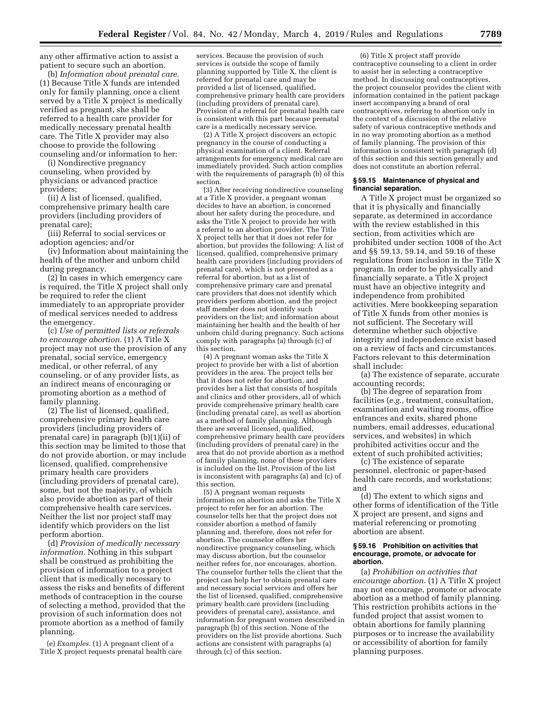any other affirmative action to assist a patient to secure such an abortion.

(b) *Information about prenatal care.*  (1) Because Title X funds are intended only for family planning, once a client served by a Title X project is medically verified as pregnant, she shall be referred to a health care provider for medically necessary prenatal health care. The Title X provider may also choose to provide the following counseling and/or information to her:

(i) Nondirective pregnancy counseling, when provided by physicians or advanced practice providers;

(ii) A list of licensed, qualified, comprehensive primary health care providers (including providers of prenatal care);

(iii) Referral to social services or adoption agencies; and/or

(iv) Information about maintaining the health of the mother and unborn child during pregnancy.

(2) In cases in which emergency care is required, the Title X project shall only be required to refer the client immediately to an appropriate provider of medical services needed to address the emergency.

(c) *Use of permitted lists or referrals to encourage abortion.* (1) A Title X project may not use the provision of any prenatal, social service, emergency medical, or other referral, of any counseling, or of any provider lists, as an indirect means of encouraging or promoting abortion as a method of family planning.

(2) The list of licensed, qualified, comprehensive primary health care providers (including providers of prenatal care) in paragraph (b)(1)(ii) of this section may be limited to those that do not provide abortion, or may include licensed, qualified, comprehensive primary health care providers (including providers of prenatal care), some, but not the majority, of which also provide abortion as part of their comprehensive health care services. Neither the list nor project staff may identify which providers on the list perform abortion.

(d) *Provision of medically necessary information.* Nothing in this subpart shall be construed as prohibiting the provision of information to a project client that is medically necessary to assess the risks and benefits of different methods of contraception in the course of selecting a method, provided that the provision of such information does not promote abortion as a method of family planning.

(e) *Examples.* (1) A pregnant client of a Title X project requests prenatal health care

services. Because the provision of such services is outside the scope of family planning supported by Title X, the client is referred for prenatal care and may be provided a list of licensed, qualified, comprehensive primary health care providers (including providers of prenatal care). Provision of a referral for prenatal health care is consistent with this part because prenatal care is a medically necessary service.

(2) A Title X project discovers an ectopic pregnancy in the course of conducting a physical examination of a client. Referral arrangements for emergency medical care are immediately provided. Such action complies with the requirements of paragraph (b) of this section.

(3) After receiving nondirective counseling at a Title X provider, a pregnant woman decides to have an abortion, is concerned about her safety during the procedure, and asks the Title X project to provide her with a referral to an abortion provider. The Title X project tells her that it does not refer for abortion, but provides the following: A list of licensed, qualified, comprehensive primary health care providers (including providers of prenatal care), which is not presented as a referral for abortion, but as a list of comprehensive primary care and prenatal care providers that does not identify which providers perform abortion, and the project staff member does not identify such providers on the list; and information about maintaining her health and the health of her unborn child during pregnancy. Such actions comply with paragraphs (a) through (c) of this section.

(4) A pregnant woman asks the Title X project to provide her with a list of abortion providers in the area. The project tells her that it does not refer for abortion, and provides her a list that consists of hospitals and clinics and other providers, all of which provide comprehensive primary health care (including prenatal care), as well as abortion as a method of family planning. Although there are several licensed, qualified, comprehensive primary health care providers (including providers of prenatal care) in the area that do not provide abortion as a method of family planning, none of these providers is included on the list. Provision of the list is inconsistent with paragraphs (a) and (c) of this section.

(5) A pregnant woman requests information on abortion and asks the Title X project to refer her for an abortion. The counselor tells her that the project does not consider abortion a method of family planning and, therefore, does not refer for abortion. The counselor offers her nondirective pregnancy counseling, which may discuss abortion, but the counselor neither refers for, nor encourages, abortion. The counselor further tells the client that the project can help her to obtain prenatal care and necessary social services and offers her the list of licensed, qualified, comprehensive primary health care providers (including providers of prenatal care), assistance, and information for pregnant women described in paragraph (b) of this section. None of the providers on the list provide abortions. Such actions are consistent with paragraphs (a) through (c) of this section.

(6) Title X project staff provide contraceptive counseling to a client in order to assist her in selecting a contraceptive method. In discussing oral contraceptives, the project counselor provides the client with information contained in the patient package insert accompanying a brand of oral contraceptives, referring to abortion only in the context of a discussion of the relative safety of various contraceptive methods and in no way promoting abortion as a method of family planning. The provision of this information is consistent with paragraph (d) of this section and this section generally and does not constitute an abortion referral.

### **§ 59.15 Maintenance of physical and financial separation.**

A Title X project must be organized so that it is physically and financially separate, as determined in accordance with the review established in this section, from activities which are prohibited under section 1008 of the Act and §§ 59.13, 59.14, and 59.16 of these regulations from inclusion in the Title X program. In order to be physically and financially separate, a Title X project must have an objective integrity and independence from prohibited activities. Mere bookkeeping separation of Title X funds from other monies is not sufficient. The Secretary will determine whether such objective integrity and independence exist based on a review of facts and circumstances. Factors relevant to this determination shall include:

(a) The existence of separate, accurate accounting records;

(b) The degree of separation from facilities (*e.g.,* treatment, consultation, examination and waiting rooms, office entrances and exits, shared phone numbers, email addresses, educational services, and websites) in which prohibited activities occur and the extent of such prohibited activities;

(c) The existence of separate personnel, electronic or paper-based health care records, and workstations; and

(d) The extent to which signs and other forms of identification of the Title X project are present, and signs and material referencing or promoting abortion are absent.

#### **§ 59.16 Prohibition on activities that encourage, promote, or advocate for abortion.**

(a) *Prohibition on activities that encourage abortion.* (1) A Title X project may not encourage, promote or advocate abortion as a method of family planning. This restriction prohibits actions in the funded project that assist women to obtain abortions for family planning purposes or to increase the availability or accessibility of abortion for family planning purposes.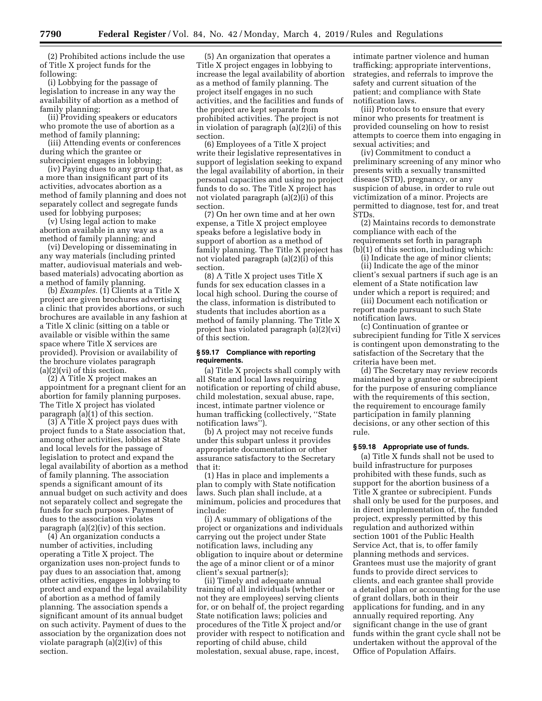(2) Prohibited actions include the use of Title X project funds for the following:

(i) Lobbying for the passage of legislation to increase in any way the availability of abortion as a method of family planning;

(ii) Providing speakers or educators who promote the use of abortion as a method of family planning;

(iii) Attending events or conferences during which the grantee or subrecipient engages in lobbying;

(iv) Paying dues to any group that, as a more than insignificant part of its activities, advocates abortion as a method of family planning and does not separately collect and segregate funds used for lobbying purposes;

(v) Using legal action to make abortion available in any way as a method of family planning; and

(vi) Developing or disseminating in any way materials (including printed matter, audiovisual materials and webbased materials) advocating abortion as a method of family planning.

(b) *Examples.* (1) Clients at a Title X project are given brochures advertising a clinic that provides abortions, or such brochures are available in any fashion at a Title X clinic (sitting on a table or available or visible within the same space where Title X services are provided). Provision or availability of the brochure violates paragraph (a)(2)(vi) of this section.

(2) A Title X project makes an appointment for a pregnant client for an abortion for family planning purposes. The Title X project has violated paragraph  $(a)(1)$  of this section.

(3) A Title X project pays dues with project funds to a State association that, among other activities, lobbies at State and local levels for the passage of legislation to protect and expand the legal availability of abortion as a method of family planning. The association spends a significant amount of its annual budget on such activity and does not separately collect and segregate the funds for such purposes. Payment of dues to the association violates paragraph (a)(2)(iv) of this section.

(4) An organization conducts a number of activities, including operating a Title X project. The organization uses non-project funds to pay dues to an association that, among other activities, engages in lobbying to protect and expand the legal availability of abortion as a method of family planning. The association spends a significant amount of its annual budget on such activity. Payment of dues to the association by the organization does not violate paragraph (a)(2)(iv) of this section.

(5) An organization that operates a Title X project engages in lobbying to increase the legal availability of abortion as a method of family planning. The project itself engages in no such activities, and the facilities and funds of the project are kept separate from prohibited activities. The project is not in violation of paragraph (a)(2)(i) of this section.

(6) Employees of a Title X project write their legislative representatives in support of legislation seeking to expand the legal availability of abortion, in their personal capacities and using no project funds to do so. The Title X project has not violated paragraph (a)(2)(i) of this section.

(7) On her own time and at her own expense, a Title X project employee speaks before a legislative body in support of abortion as a method of family planning. The Title X project has not violated paragraph (a)(2)(i) of this section.

(8) A Title X project uses Title X funds for sex education classes in a local high school. During the course of the class, information is distributed to students that includes abortion as a method of family planning. The Title X project has violated paragraph (a)(2)(vi) of this section.

#### **§ 59.17 Compliance with reporting requirements.**

(a) Title X projects shall comply with all State and local laws requiring notification or reporting of child abuse, child molestation, sexual abuse, rape, incest, intimate partner violence or human trafficking (collectively, ''State notification laws'').

(b) A project may not receive funds under this subpart unless it provides appropriate documentation or other assurance satisfactory to the Secretary that it:

(1) Has in place and implements a plan to comply with State notification laws. Such plan shall include, at a minimum, policies and procedures that include:

(i) A summary of obligations of the project or organizations and individuals carrying out the project under State notification laws, including any obligation to inquire about or determine the age of a minor client or of a minor client's sexual partner(s);

(ii) Timely and adequate annual training of all individuals (whether or not they are employees) serving clients for, or on behalf of, the project regarding State notification laws; policies and procedures of the Title X project and/or provider with respect to notification and reporting of child abuse, child molestation, sexual abuse, rape, incest,

intimate partner violence and human trafficking; appropriate interventions, strategies, and referrals to improve the safety and current situation of the patient; and compliance with State notification laws.

(iii) Protocols to ensure that every minor who presents for treatment is provided counseling on how to resist attempts to coerce them into engaging in sexual activities; and

(iv) Commitment to conduct a preliminary screening of any minor who presents with a sexually transmitted disease (STD), pregnancy, or any suspicion of abuse, in order to rule out victimization of a minor. Projects are permitted to diagnose, test for, and treat STDs.

(2) Maintains records to demonstrate compliance with each of the requirements set forth in paragraph (b)(1) of this section, including which:

(i) Indicate the age of minor clients;

(ii) Indicate the age of the minor client's sexual partners if such age is an element of a State notification law under which a report is required; and

(iii) Document each notification or report made pursuant to such State notification laws.

(c) Continuation of grantee or subrecipient funding for Title X services is contingent upon demonstrating to the satisfaction of the Secretary that the criteria have been met.

(d) The Secretary may review records maintained by a grantee or subrecipient for the purpose of ensuring compliance with the requirements of this section, the requirement to encourage family participation in family planning decisions, or any other section of this rule.

## **§ 59.18 Appropriate use of funds.**

(a) Title X funds shall not be used to build infrastructure for purposes prohibited with these funds, such as support for the abortion business of a Title X grantee or subrecipient. Funds shall only be used for the purposes, and in direct implementation of, the funded project, expressly permitted by this regulation and authorized within section 1001 of the Public Health Service Act, that is, to offer family planning methods and services. Grantees must use the majority of grant funds to provide direct services to clients, and each grantee shall provide a detailed plan or accounting for the use of grant dollars, both in their applications for funding, and in any annually required reporting. Any significant change in the use of grant funds within the grant cycle shall not be undertaken without the approval of the Office of Population Affairs.